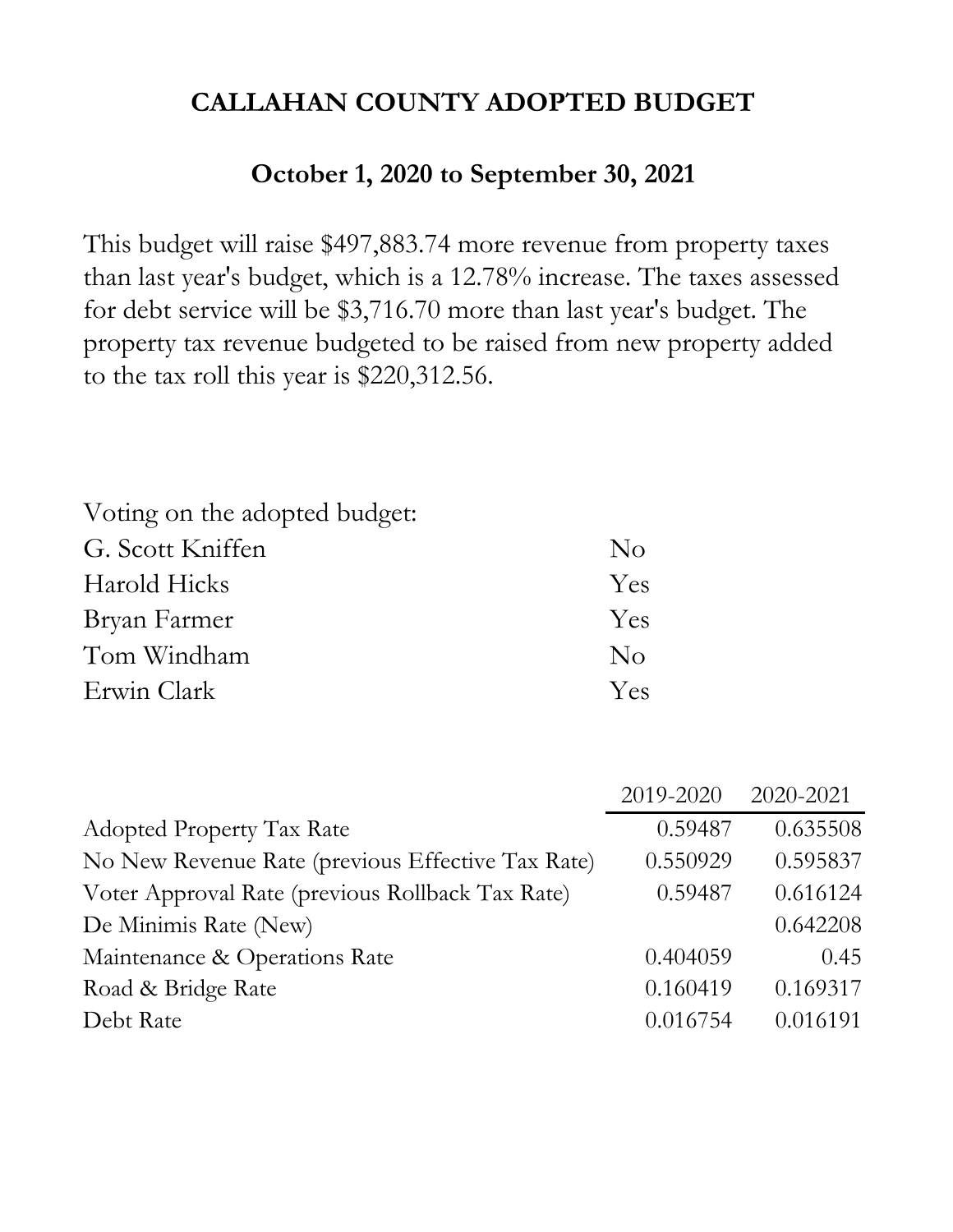# **October 1, 2020 to September 30, 2021**

This budget will raise \$497,883.74 more revenue from property taxes than last year's budget, which is a 12.78% increase. The taxes assessed for debt service will be \$3,716.70 more than last year's budget. The property tax revenue budgeted to be raised from new property added to the tax roll this year is \$220,312.56.

| $\overline{N}_{O}$ |
|--------------------|
| <b>Yes</b>         |
| <b>Yes</b>         |
| $\overline{N}_{O}$ |
| Yes.               |
|                    |

|                                                   | 2019-2020 | 2020-2021 |
|---------------------------------------------------|-----------|-----------|
| <b>Adopted Property Tax Rate</b>                  | 0.59487   | 0.635508  |
| No New Revenue Rate (previous Effective Tax Rate) | 0.550929  | 0.595837  |
| Voter Approval Rate (previous Rollback Tax Rate)  | 0.59487   | 0.616124  |
| De Minimis Rate (New)                             |           | 0.642208  |
| Maintenance & Operations Rate                     | 0.404059  | 0.45      |
| Road & Bridge Rate                                | 0.160419  | 0.169317  |
| Debt Rate                                         | 0.016754  | 0.016191  |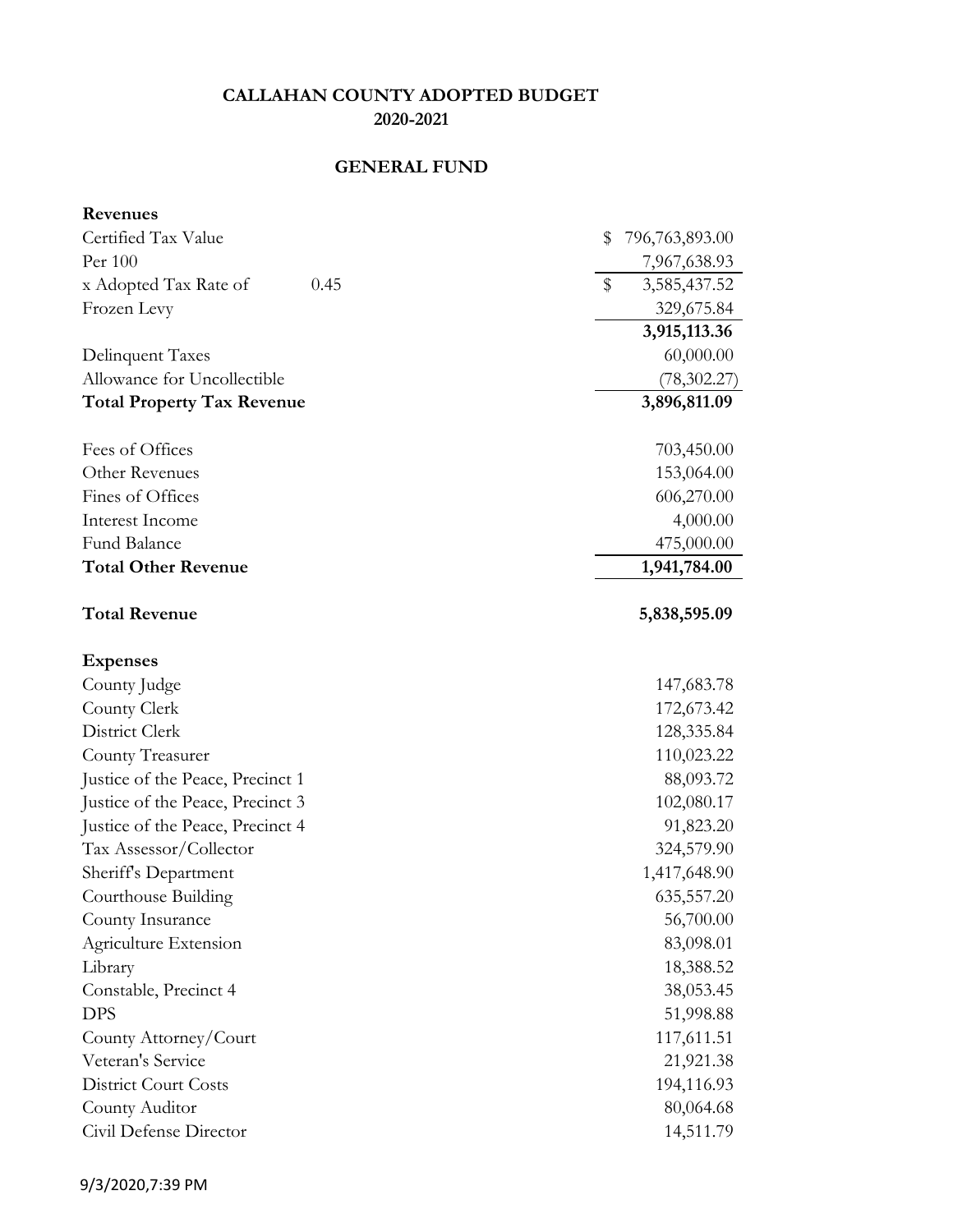# **GENERAL FUND**

| Revenues                          |                              |
|-----------------------------------|------------------------------|
| Certified Tax Value               | \$<br>796,763,893.00         |
| Per 100                           | 7,967,638.93                 |
| x Adopted Tax Rate of<br>0.45     | $\mathbb{S}$<br>3,585,437.52 |
| Frozen Levy                       | 329,675.84                   |
|                                   | 3,915,113.36                 |
| Delinquent Taxes                  | 60,000.00                    |
| Allowance for Uncollectible       | (78, 302.27)                 |
| <b>Total Property Tax Revenue</b> | 3,896,811.09                 |
| Fees of Offices                   | 703,450.00                   |
| Other Revenues                    | 153,064.00                   |
| Fines of Offices                  | 606,270.00                   |
| Interest Income                   | 4,000.00                     |
| Fund Balance                      | 475,000.00                   |
| <b>Total Other Revenue</b>        | 1,941,784.00                 |
| <b>Total Revenue</b>              | 5,838,595.09                 |
| <b>Expenses</b>                   |                              |
| County Judge                      | 147,683.78                   |
| County Clerk                      | 172,673.42                   |
| District Clerk                    | 128,335.84                   |
| County Treasurer                  | 110,023.22                   |
| Justice of the Peace, Precinct 1  | 88,093.72                    |
| Justice of the Peace, Precinct 3  | 102,080.17                   |
| Justice of the Peace, Precinct 4  | 91,823.20                    |
| Tax Assessor/Collector            | 324,579.90                   |
| Sheriff's Department              | 1,417,648.90                 |
| Courthouse Building               | 635,557.20                   |
| County Insurance                  | 56,700.00                    |
| Agriculture Extension             | 83,098.01                    |
| Library                           | 18,388.52                    |
| Constable, Precinct 4             | 38,053.45                    |
| <b>DPS</b>                        | 51,998.88                    |
| County Attorney/Court             | 117,611.51                   |
| Veteran's Service                 | 21,921.38                    |
| <b>District Court Costs</b>       | 194,116.93                   |
| County Auditor                    | 80,064.68                    |
| Civil Defense Director            | 14,511.79                    |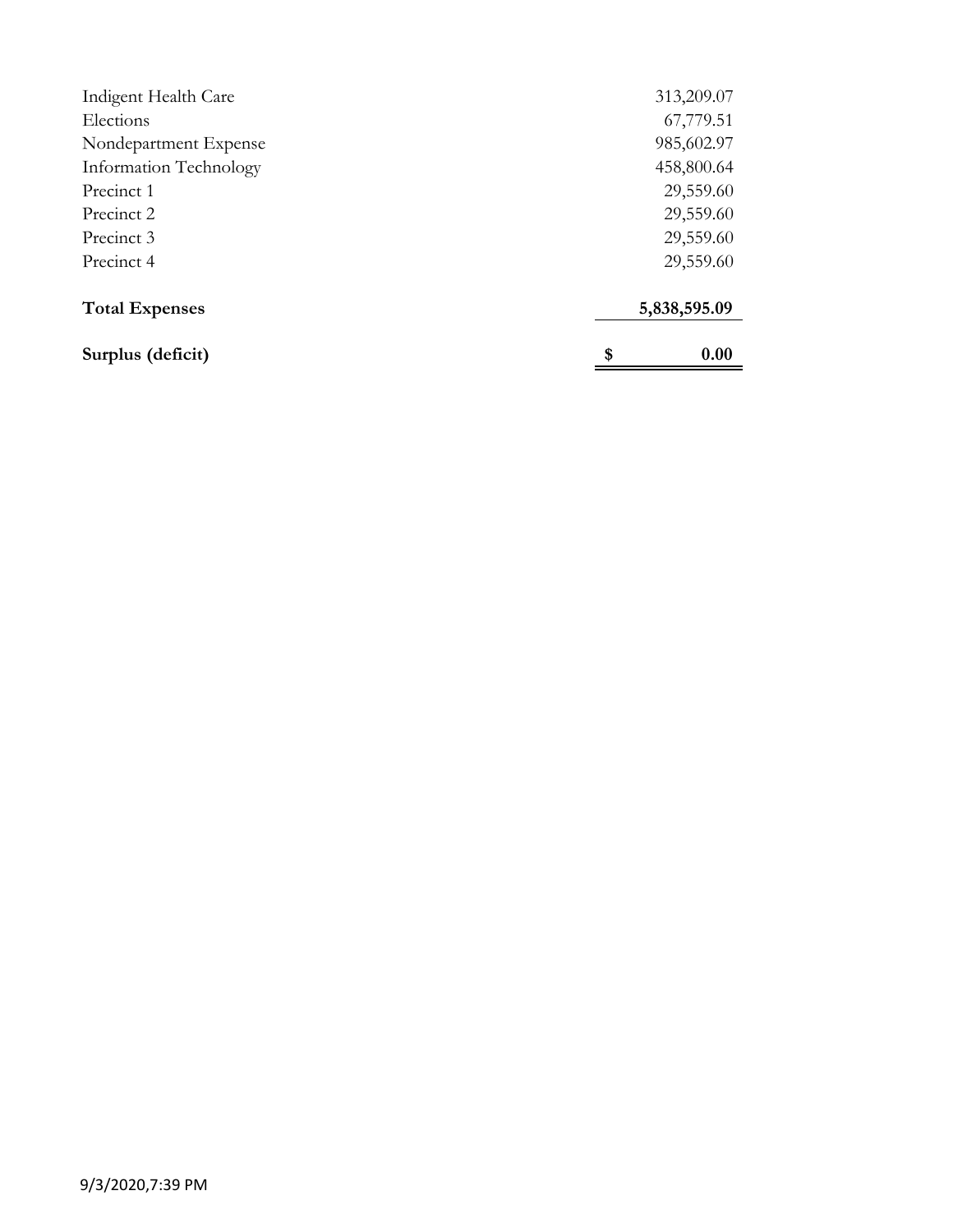| Surplus (deficit)      | 0.00<br>\$   |
|------------------------|--------------|
| <b>Total Expenses</b>  | 5,838,595.09 |
| Precinct 4             | 29,559.60    |
| Precinct 3             | 29,559.60    |
| Precinct 2             | 29,559.60    |
| Precinct 1             | 29,559.60    |
| Information Technology | 458,800.64   |
| Nondepartment Expense  | 985,602.97   |
| Elections              | 67,779.51    |
| Indigent Health Care   | 313,209.07   |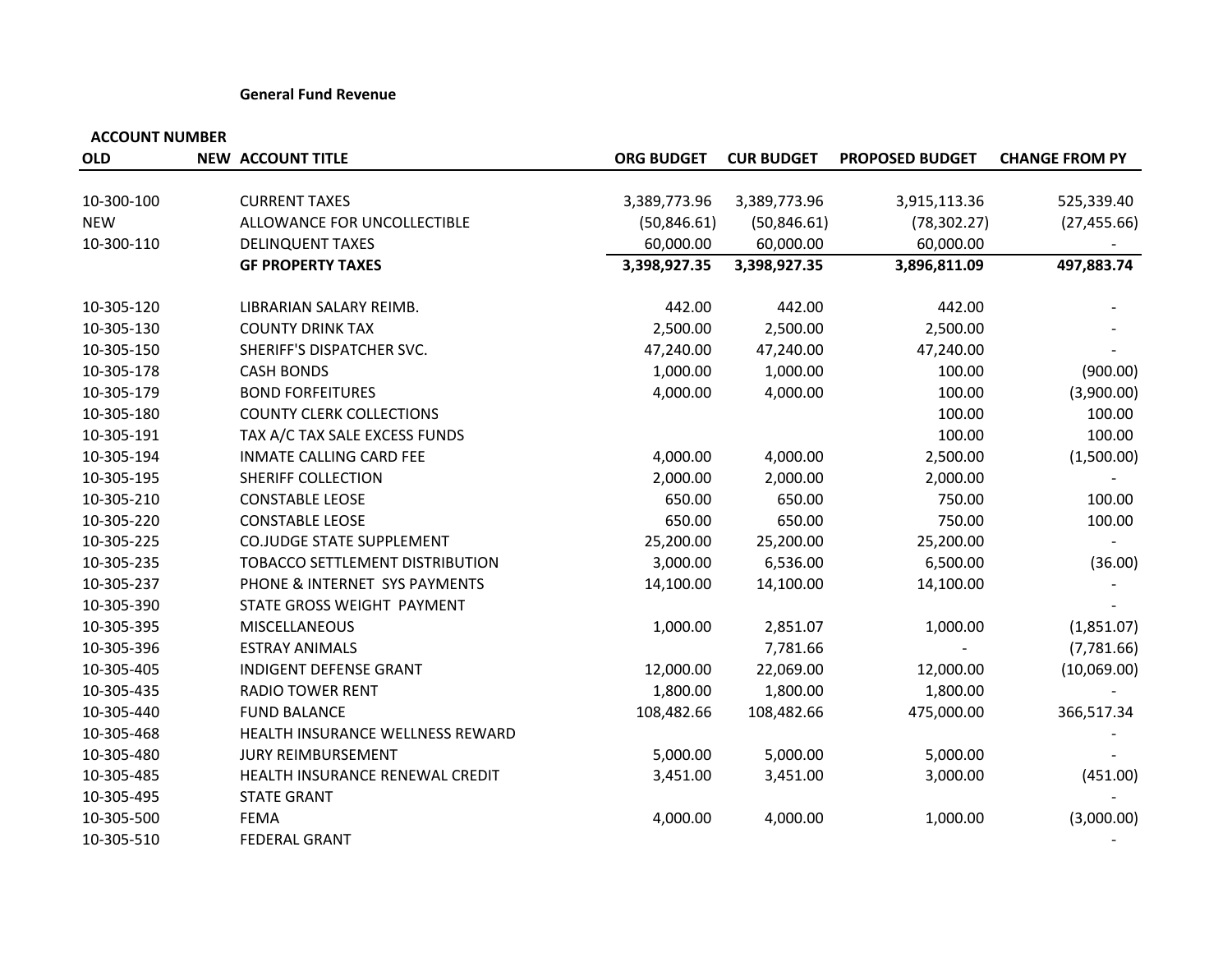#### **General Fund Revenue**

| <b>OLD</b> | <b>NEW ACCOUNT TITLE</b>         | <b>ORG BUDGET</b> | <b>CUR BUDGET</b> | <b>PROPOSED BUDGET</b> | <b>CHANGE FROM PY</b> |
|------------|----------------------------------|-------------------|-------------------|------------------------|-----------------------|
| 10-300-100 | <b>CURRENT TAXES</b>             | 3,389,773.96      | 3,389,773.96      | 3,915,113.36           | 525,339.40            |
| <b>NEW</b> | ALLOWANCE FOR UNCOLLECTIBLE      | (50, 846.61)      | (50, 846.61)      | (78, 302.27)           | (27, 455.66)          |
| 10-300-110 | <b>DELINQUENT TAXES</b>          | 60,000.00         | 60,000.00         | 60,000.00              |                       |
|            | <b>GF PROPERTY TAXES</b>         | 3,398,927.35      | 3,398,927.35      | 3,896,811.09           | 497,883.74            |
|            |                                  |                   |                   |                        |                       |
| 10-305-120 | LIBRARIAN SALARY REIMB.          | 442.00            | 442.00            | 442.00                 |                       |
| 10-305-130 | <b>COUNTY DRINK TAX</b>          | 2,500.00          | 2,500.00          | 2,500.00               |                       |
| 10-305-150 | SHERIFF'S DISPATCHER SVC.        | 47,240.00         | 47,240.00         | 47,240.00              |                       |
| 10-305-178 | <b>CASH BONDS</b>                | 1,000.00          | 1,000.00          | 100.00                 | (900.00)              |
| 10-305-179 | <b>BOND FORFEITURES</b>          | 4,000.00          | 4,000.00          | 100.00                 | (3,900.00)            |
| 10-305-180 | <b>COUNTY CLERK COLLECTIONS</b>  |                   |                   | 100.00                 | 100.00                |
| 10-305-191 | TAX A/C TAX SALE EXCESS FUNDS    |                   |                   | 100.00                 | 100.00                |
| 10-305-194 | <b>INMATE CALLING CARD FEE</b>   | 4,000.00          | 4,000.00          | 2,500.00               | (1,500.00)            |
| 10-305-195 | SHERIFF COLLECTION               | 2,000.00          | 2,000.00          | 2,000.00               |                       |
| 10-305-210 | <b>CONSTABLE LEOSE</b>           | 650.00            | 650.00            | 750.00                 | 100.00                |
| 10-305-220 | <b>CONSTABLE LEOSE</b>           | 650.00            | 650.00            | 750.00                 | 100.00                |
| 10-305-225 | <b>CO.JUDGE STATE SUPPLEMENT</b> | 25,200.00         | 25,200.00         | 25,200.00              |                       |
| 10-305-235 | TOBACCO SETTLEMENT DISTRIBUTION  | 3,000.00          | 6,536.00          | 6,500.00               | (36.00)               |
| 10-305-237 | PHONE & INTERNET SYS PAYMENTS    | 14,100.00         | 14,100.00         | 14,100.00              |                       |
| 10-305-390 | STATE GROSS WEIGHT PAYMENT       |                   |                   |                        |                       |
| 10-305-395 | <b>MISCELLANEOUS</b>             | 1,000.00          | 2,851.07          | 1,000.00               | (1,851.07)            |
| 10-305-396 | <b>ESTRAY ANIMALS</b>            |                   | 7,781.66          |                        | (7,781.66)            |
| 10-305-405 | INDIGENT DEFENSE GRANT           | 12,000.00         | 22,069.00         | 12,000.00              | (10,069.00)           |
| 10-305-435 | <b>RADIO TOWER RENT</b>          | 1,800.00          | 1,800.00          | 1,800.00               |                       |
| 10-305-440 | <b>FUND BALANCE</b>              | 108,482.66        | 108,482.66        | 475,000.00             | 366,517.34            |
| 10-305-468 | HEALTH INSURANCE WELLNESS REWARD |                   |                   |                        |                       |
| 10-305-480 | <b>JURY REIMBURSEMENT</b>        | 5,000.00          | 5,000.00          | 5,000.00               |                       |
| 10-305-485 | HEALTH INSURANCE RENEWAL CREDIT  | 3,451.00          | 3,451.00          | 3,000.00               | (451.00)              |
| 10-305-495 | <b>STATE GRANT</b>               |                   |                   |                        |                       |
| 10-305-500 | <b>FEMA</b>                      | 4,000.00          | 4,000.00          | 1,000.00               | (3,000.00)            |
| 10-305-510 | <b>FEDERAL GRANT</b>             |                   |                   |                        |                       |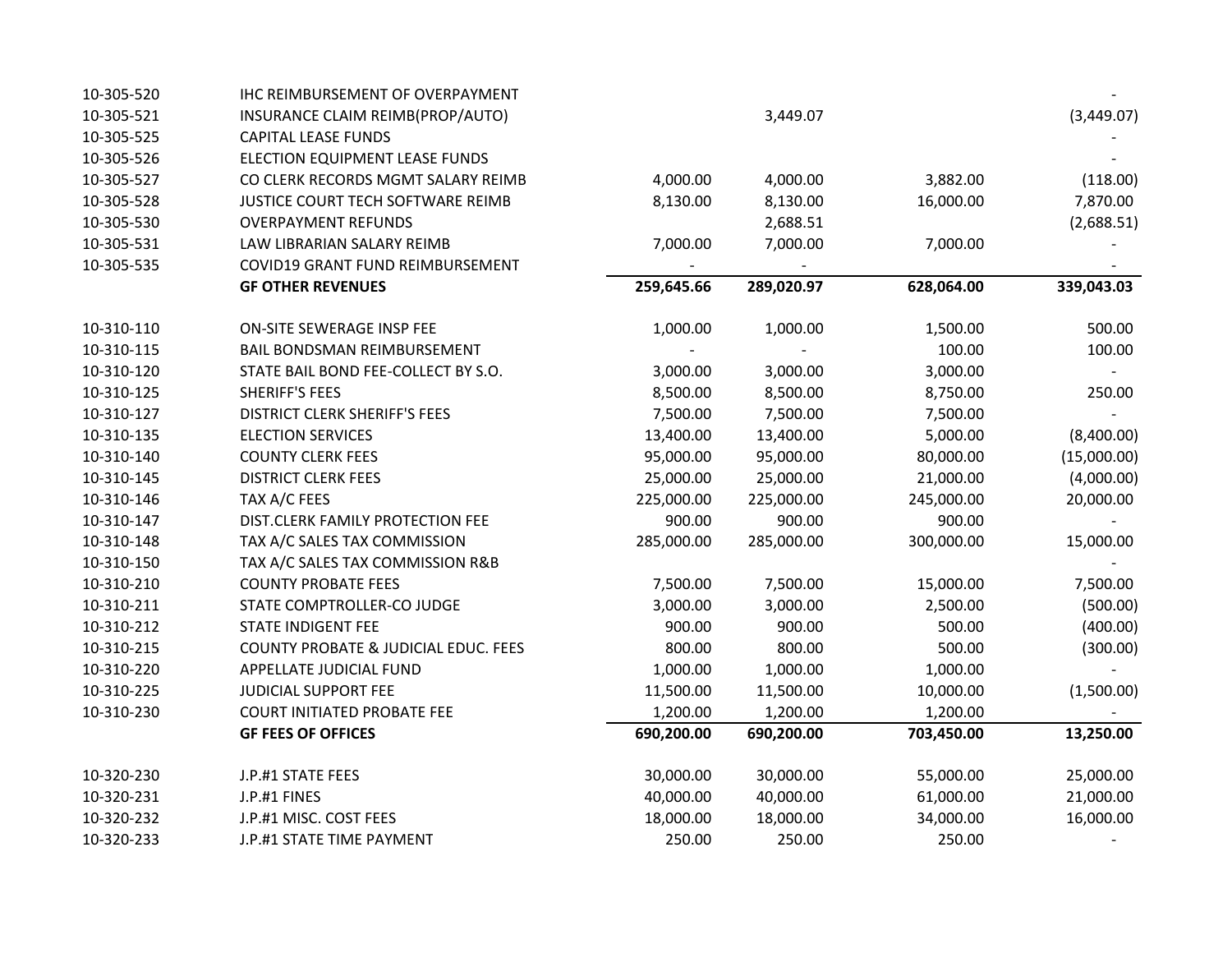| 10-305-520 | IHC REIMBURSEMENT OF OVERPAYMENT     |            |            |            |             |
|------------|--------------------------------------|------------|------------|------------|-------------|
| 10-305-521 | INSURANCE CLAIM REIMB(PROP/AUTO)     |            | 3,449.07   |            | (3,449.07)  |
| 10-305-525 | <b>CAPITAL LEASE FUNDS</b>           |            |            |            |             |
| 10-305-526 | ELECTION EQUIPMENT LEASE FUNDS       |            |            |            |             |
| 10-305-527 | CO CLERK RECORDS MGMT SALARY REIMB   | 4,000.00   | 4,000.00   | 3,882.00   | (118.00)    |
| 10-305-528 | JUSTICE COURT TECH SOFTWARE REIMB    | 8,130.00   | 8,130.00   | 16,000.00  | 7,870.00    |
| 10-305-530 | <b>OVERPAYMENT REFUNDS</b>           |            | 2,688.51   |            | (2,688.51)  |
| 10-305-531 | LAW LIBRARIAN SALARY REIMB           | 7,000.00   | 7,000.00   | 7,000.00   |             |
| 10-305-535 | COVID19 GRANT FUND REIMBURSEMENT     |            |            |            |             |
|            | <b>GF OTHER REVENUES</b>             | 259,645.66 | 289,020.97 | 628,064.00 | 339,043.03  |
| 10-310-110 | ON-SITE SEWERAGE INSP FEE            | 1,000.00   | 1,000.00   | 1,500.00   | 500.00      |
| 10-310-115 | BAIL BONDSMAN REIMBURSEMENT          |            |            | 100.00     | 100.00      |
| 10-310-120 | STATE BAIL BOND FEE-COLLECT BY S.O.  | 3,000.00   | 3,000.00   | 3,000.00   |             |
| 10-310-125 | SHERIFF'S FEES                       | 8,500.00   | 8,500.00   | 8,750.00   | 250.00      |
| 10-310-127 | <b>DISTRICT CLERK SHERIFF'S FEES</b> | 7,500.00   | 7,500.00   | 7,500.00   |             |
| 10-310-135 | <b>ELECTION SERVICES</b>             | 13,400.00  | 13,400.00  | 5,000.00   | (8,400.00)  |
| 10-310-140 | <b>COUNTY CLERK FEES</b>             | 95,000.00  | 95,000.00  | 80,000.00  | (15,000.00) |
| 10-310-145 | <b>DISTRICT CLERK FEES</b>           | 25,000.00  | 25,000.00  | 21,000.00  | (4,000.00)  |
| 10-310-146 | TAX A/C FEES                         | 225,000.00 | 225,000.00 | 245,000.00 | 20,000.00   |
| 10-310-147 | DIST.CLERK FAMILY PROTECTION FEE     | 900.00     | 900.00     | 900.00     |             |
| 10-310-148 | TAX A/C SALES TAX COMMISSION         | 285,000.00 | 285,000.00 | 300,000.00 | 15,000.00   |
| 10-310-150 | TAX A/C SALES TAX COMMISSION R&B     |            |            |            |             |
| 10-310-210 | <b>COUNTY PROBATE FEES</b>           | 7,500.00   | 7,500.00   | 15,000.00  | 7,500.00    |
| 10-310-211 | STATE COMPTROLLER-CO JUDGE           | 3,000.00   | 3,000.00   | 2,500.00   | (500.00)    |
| 10-310-212 | <b>STATE INDIGENT FEE</b>            | 900.00     | 900.00     | 500.00     | (400.00)    |
| 10-310-215 | COUNTY PROBATE & JUDICIAL EDUC. FEES | 800.00     | 800.00     | 500.00     | (300.00)    |
| 10-310-220 | APPELLATE JUDICIAL FUND              | 1,000.00   | 1,000.00   | 1,000.00   |             |
| 10-310-225 | JUDICIAL SUPPORT FEE                 | 11,500.00  | 11,500.00  | 10,000.00  | (1,500.00)  |
| 10-310-230 | <b>COURT INITIATED PROBATE FEE</b>   | 1,200.00   | 1,200.00   | 1,200.00   |             |
|            | <b>GF FEES OF OFFICES</b>            | 690,200.00 | 690,200.00 | 703,450.00 | 13,250.00   |
| 10-320-230 | J.P.#1 STATE FEES                    | 30,000.00  | 30,000.00  | 55,000.00  | 25,000.00   |
| 10-320-231 | J.P.#1 FINES                         | 40,000.00  | 40,000.00  | 61,000.00  | 21,000.00   |
| 10-320-232 | J.P.#1 MISC. COST FEES               | 18,000.00  | 18,000.00  | 34,000.00  | 16,000.00   |
| 10-320-233 | J.P.#1 STATE TIME PAYMENT            | 250.00     | 250.00     | 250.00     |             |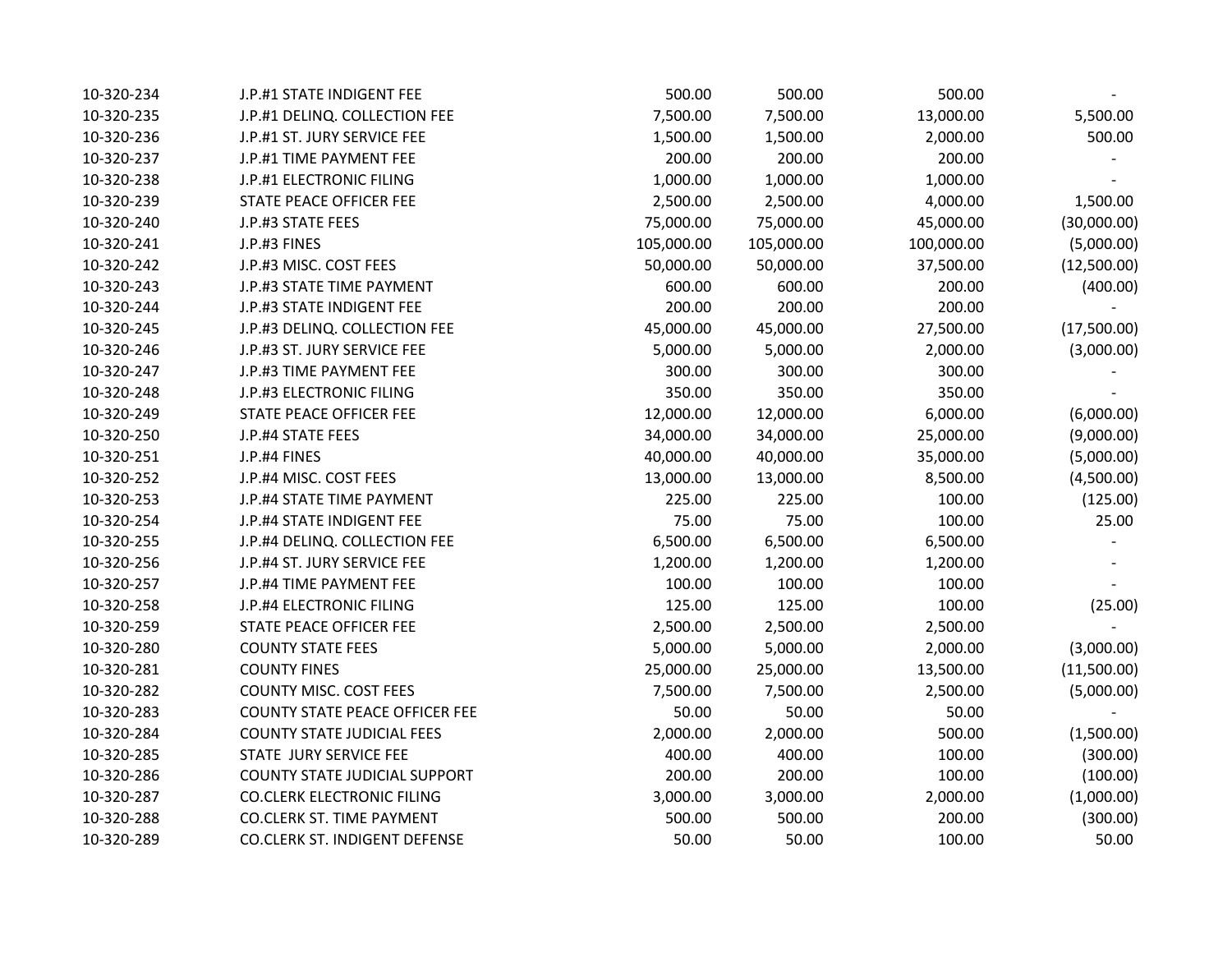| 10-320-234 | J.P.#1 STATE INDIGENT FEE             | 500.00     | 500.00     | 500.00     |             |
|------------|---------------------------------------|------------|------------|------------|-------------|
| 10-320-235 | J.P.#1 DELINQ. COLLECTION FEE         | 7,500.00   | 7,500.00   | 13,000.00  | 5,500.00    |
| 10-320-236 | J.P.#1 ST. JURY SERVICE FEE           | 1,500.00   | 1,500.00   | 2,000.00   | 500.00      |
| 10-320-237 | J.P.#1 TIME PAYMENT FEE               | 200.00     | 200.00     | 200.00     |             |
| 10-320-238 | J.P.#1 ELECTRONIC FILING              | 1,000.00   | 1,000.00   | 1,000.00   |             |
| 10-320-239 | STATE PEACE OFFICER FEE               | 2,500.00   | 2,500.00   | 4,000.00   | 1,500.00    |
| 10-320-240 | J.P.#3 STATE FEES                     | 75,000.00  | 75,000.00  | 45,000.00  | (30,000.00) |
| 10-320-241 | J.P.#3 FINES                          | 105,000.00 | 105,000.00 | 100,000.00 | (5,000.00)  |
| 10-320-242 | J.P.#3 MISC. COST FEES                | 50,000.00  | 50,000.00  | 37,500.00  | (12,500.00) |
| 10-320-243 | J.P.#3 STATE TIME PAYMENT             | 600.00     | 600.00     | 200.00     | (400.00)    |
| 10-320-244 | J.P.#3 STATE INDIGENT FEE             | 200.00     | 200.00     | 200.00     |             |
| 10-320-245 | J.P.#3 DELINQ. COLLECTION FEE         | 45,000.00  | 45,000.00  | 27,500.00  | (17,500.00) |
| 10-320-246 | J.P.#3 ST. JURY SERVICE FEE           | 5,000.00   | 5,000.00   | 2,000.00   | (3,000.00)  |
| 10-320-247 | J.P.#3 TIME PAYMENT FEE               | 300.00     | 300.00     | 300.00     |             |
| 10-320-248 | J.P.#3 ELECTRONIC FILING              | 350.00     | 350.00     | 350.00     |             |
| 10-320-249 | STATE PEACE OFFICER FEE               | 12,000.00  | 12,000.00  | 6,000.00   | (6,000.00)  |
| 10-320-250 | J.P.#4 STATE FEES                     | 34,000.00  | 34,000.00  | 25,000.00  | (9,000.00)  |
| 10-320-251 | J.P.#4 FINES                          | 40,000.00  | 40,000.00  | 35,000.00  | (5,000.00)  |
| 10-320-252 | J.P.#4 MISC. COST FEES                | 13,000.00  | 13,000.00  | 8,500.00   | (4,500.00)  |
| 10-320-253 | J.P.#4 STATE TIME PAYMENT             | 225.00     | 225.00     | 100.00     | (125.00)    |
| 10-320-254 | J.P.#4 STATE INDIGENT FEE             | 75.00      | 75.00      | 100.00     | 25.00       |
| 10-320-255 | J.P.#4 DELINQ. COLLECTION FEE         | 6,500.00   | 6,500.00   | 6,500.00   |             |
| 10-320-256 | J.P.#4 ST. JURY SERVICE FEE           | 1,200.00   | 1,200.00   | 1,200.00   |             |
| 10-320-257 | J.P.#4 TIME PAYMENT FEE               | 100.00     | 100.00     | 100.00     |             |
| 10-320-258 | J.P.#4 ELECTRONIC FILING              | 125.00     | 125.00     | 100.00     | (25.00)     |
| 10-320-259 | STATE PEACE OFFICER FEE               | 2,500.00   | 2,500.00   | 2,500.00   |             |
| 10-320-280 | <b>COUNTY STATE FEES</b>              | 5,000.00   | 5,000.00   | 2,000.00   | (3,000.00)  |
| 10-320-281 | <b>COUNTY FINES</b>                   | 25,000.00  | 25,000.00  | 13,500.00  | (11,500.00) |
| 10-320-282 | <b>COUNTY MISC. COST FEES</b>         | 7,500.00   | 7,500.00   | 2,500.00   | (5,000.00)  |
| 10-320-283 | <b>COUNTY STATE PEACE OFFICER FEE</b> | 50.00      | 50.00      | 50.00      |             |
| 10-320-284 | <b>COUNTY STATE JUDICIAL FEES</b>     | 2,000.00   | 2,000.00   | 500.00     | (1,500.00)  |
| 10-320-285 | STATE JURY SERVICE FEE                | 400.00     | 400.00     | 100.00     | (300.00)    |
| 10-320-286 | <b>COUNTY STATE JUDICIAL SUPPORT</b>  | 200.00     | 200.00     | 100.00     | (100.00)    |
| 10-320-287 | <b>CO.CLERK ELECTRONIC FILING</b>     | 3,000.00   | 3,000.00   | 2,000.00   | (1,000.00)  |
| 10-320-288 | <b>CO.CLERK ST. TIME PAYMENT</b>      | 500.00     | 500.00     | 200.00     | (300.00)    |
| 10-320-289 | <b>CO.CLERK ST. INDIGENT DEFENSE</b>  | 50.00      | 50.00      | 100.00     | 50.00       |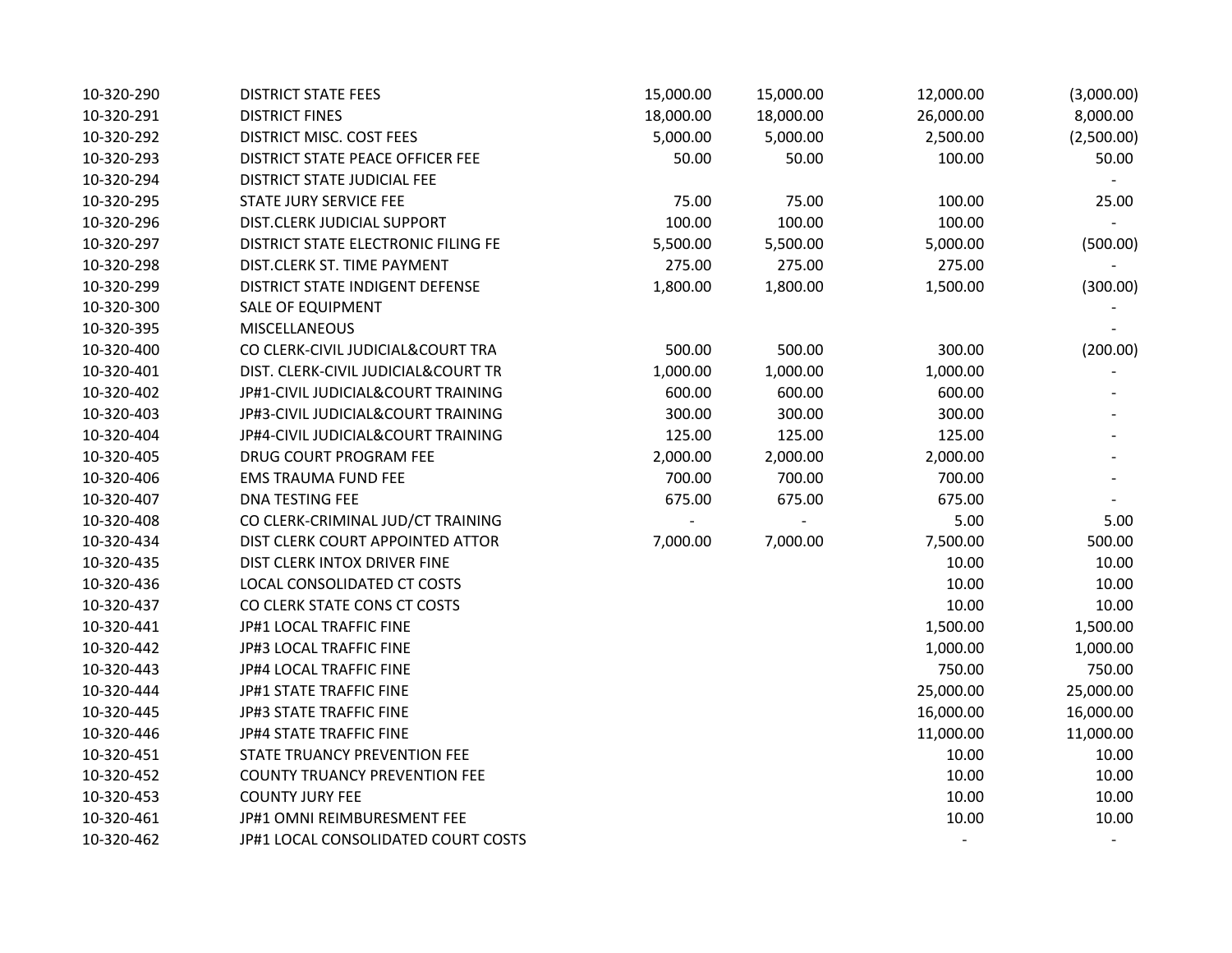| 10-320-290 | <b>DISTRICT STATE FEES</b>           | 15,000.00                | 15,000.00      | 12,000.00 | (3,000.00) |
|------------|--------------------------------------|--------------------------|----------------|-----------|------------|
| 10-320-291 | <b>DISTRICT FINES</b>                | 18,000.00                | 18,000.00      | 26,000.00 | 8,000.00   |
| 10-320-292 | DISTRICT MISC. COST FEES             | 5,000.00                 | 5,000.00       | 2,500.00  | (2,500.00) |
| 10-320-293 | DISTRICT STATE PEACE OFFICER FEE     | 50.00                    | 50.00          | 100.00    | 50.00      |
| 10-320-294 | DISTRICT STATE JUDICIAL FEE          |                          |                |           |            |
| 10-320-295 | STATE JURY SERVICE FEE               | 75.00                    | 75.00          | 100.00    | 25.00      |
| 10-320-296 | DIST.CLERK JUDICIAL SUPPORT          | 100.00                   | 100.00         | 100.00    |            |
| 10-320-297 | DISTRICT STATE ELECTRONIC FILING FE  | 5,500.00                 | 5,500.00       | 5,000.00  | (500.00)   |
| 10-320-298 | DIST.CLERK ST. TIME PAYMENT          | 275.00                   | 275.00         | 275.00    |            |
| 10-320-299 | DISTRICT STATE INDIGENT DEFENSE      | 1,800.00                 | 1,800.00       | 1,500.00  | (300.00)   |
| 10-320-300 | SALE OF EQUIPMENT                    |                          |                |           |            |
| 10-320-395 | <b>MISCELLANEOUS</b>                 |                          |                |           |            |
| 10-320-400 | CO CLERK-CIVIL JUDICIAL&COURT TRA    | 500.00                   | 500.00         | 300.00    | (200.00)   |
| 10-320-401 | DIST. CLERK-CIVIL JUDICIAL&COURT TR  | 1,000.00                 | 1,000.00       | 1,000.00  |            |
| 10-320-402 | JP#1-CIVIL JUDICIAL&COURT TRAINING   | 600.00                   | 600.00         | 600.00    |            |
| 10-320-403 | JP#3-CIVIL JUDICIAL&COURT TRAINING   | 300.00                   | 300.00         | 300.00    |            |
| 10-320-404 | JP#4-CIVIL JUDICIAL&COURT TRAINING   | 125.00                   | 125.00         | 125.00    |            |
| 10-320-405 | DRUG COURT PROGRAM FEE               | 2,000.00                 | 2,000.00       | 2,000.00  |            |
| 10-320-406 | <b>EMS TRAUMA FUND FEE</b>           | 700.00                   | 700.00         | 700.00    |            |
| 10-320-407 | DNA TESTING FEE                      | 675.00                   | 675.00         | 675.00    |            |
| 10-320-408 | CO CLERK-CRIMINAL JUD/CT TRAINING    | $\overline{\phantom{a}}$ | $\blacksquare$ | 5.00      | 5.00       |
| 10-320-434 | DIST CLERK COURT APPOINTED ATTOR     | 7,000.00                 | 7,000.00       | 7,500.00  | 500.00     |
| 10-320-435 | DIST CLERK INTOX DRIVER FINE         |                          |                | 10.00     | 10.00      |
| 10-320-436 | LOCAL CONSOLIDATED CT COSTS          |                          |                | 10.00     | 10.00      |
| 10-320-437 | CO CLERK STATE CONS CT COSTS         |                          |                | 10.00     | 10.00      |
| 10-320-441 | JP#1 LOCAL TRAFFIC FINE              |                          |                | 1,500.00  | 1,500.00   |
| 10-320-442 | JP#3 LOCAL TRAFFIC FINE              |                          |                | 1,000.00  | 1,000.00   |
| 10-320-443 | JP#4 LOCAL TRAFFIC FINE              |                          |                | 750.00    | 750.00     |
| 10-320-444 | JP#1 STATE TRAFFIC FINE              |                          |                | 25,000.00 | 25,000.00  |
| 10-320-445 | JP#3 STATE TRAFFIC FINE              |                          |                | 16,000.00 | 16,000.00  |
| 10-320-446 | JP#4 STATE TRAFFIC FINE              |                          |                | 11,000.00 | 11,000.00  |
| 10-320-451 | STATE TRUANCY PREVENTION FEE         |                          |                | 10.00     | 10.00      |
| 10-320-452 | <b>COUNTY TRUANCY PREVENTION FEE</b> |                          |                | 10.00     | 10.00      |
| 10-320-453 | <b>COUNTY JURY FEE</b>               |                          |                | 10.00     | 10.00      |
| 10-320-461 | JP#1 OMNI REIMBURESMENT FEE          |                          |                | 10.00     | 10.00      |
| 10-320-462 | JP#1 LOCAL CONSOLIDATED COURT COSTS  |                          |                |           |            |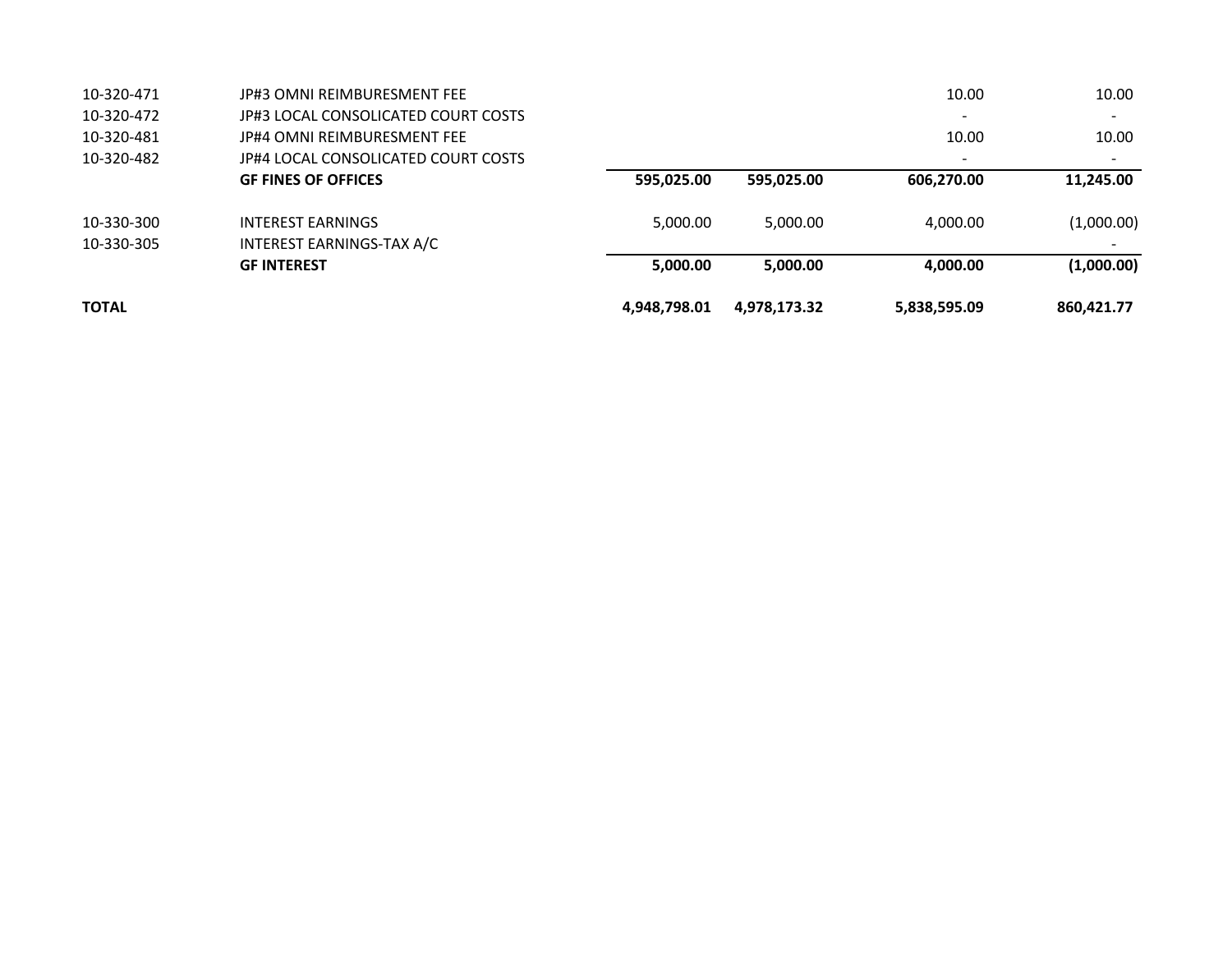| <b>TOTAL</b> |                                     | 4,948,798.01 | 4,978,173.32 | 5,838,595.09             | 860.421.77 |
|--------------|-------------------------------------|--------------|--------------|--------------------------|------------|
|              | <b>GF INTEREST</b>                  | 5,000.00     | 5,000.00     | 4,000.00                 | (1,000.00) |
| 10-330-305   | INTEREST EARNINGS-TAX A/C           |              |              |                          |            |
| 10-330-300   | <b>INTEREST EARNINGS</b>            | 5,000.00     | 5,000.00     | 4,000.00                 | (1,000.00) |
|              | <b>GF FINES OF OFFICES</b>          | 595,025.00   | 595,025.00   | 606,270.00               | 11,245.00  |
| 10-320-482   | JP#4 LOCAL CONSOLICATED COURT COSTS |              |              |                          |            |
| 10-320-481   | JP#4 OMNI REIMBURESMENT FEE         |              |              | 10.00                    | 10.00      |
| 10-320-472   | JP#3 LOCAL CONSOLICATED COURT COSTS |              |              | $\overline{\phantom{a}}$ |            |
| 10-320-471   | <b>JP#3 OMNI REIMBURESMENT FEE</b>  |              |              | 10.00                    | 10.00      |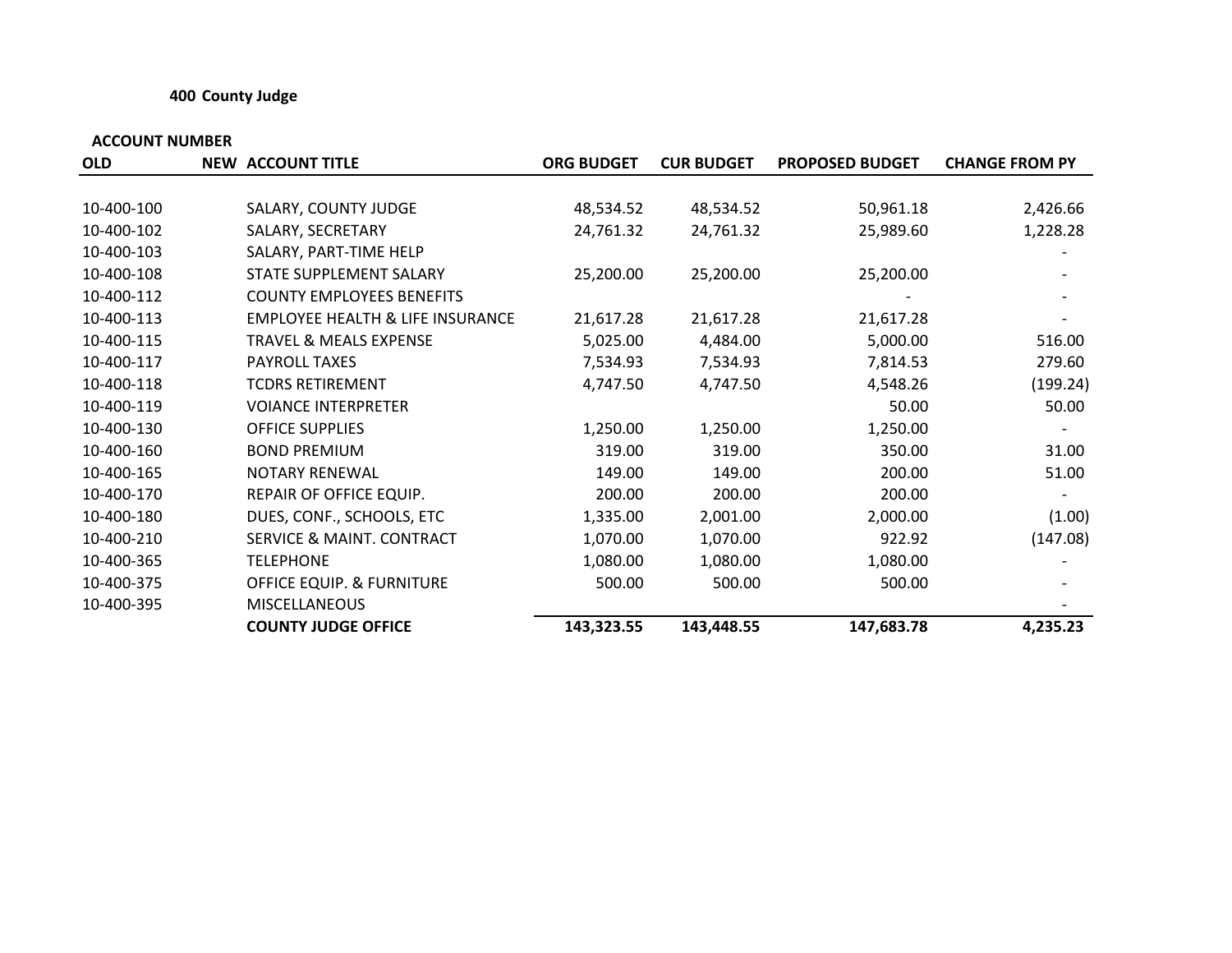### **400 County Judge**

| <b>OLD</b> | <b>NEW ACCOUNT TITLE</b>                    | <b>ORG BUDGET</b> | <b>CUR BUDGET</b> | <b>PROPOSED BUDGET</b> | <b>CHANGE FROM PY</b> |
|------------|---------------------------------------------|-------------------|-------------------|------------------------|-----------------------|
|            |                                             |                   |                   |                        |                       |
| 10-400-100 | SALARY, COUNTY JUDGE                        | 48,534.52         | 48,534.52         | 50,961.18              | 2,426.66              |
| 10-400-102 | SALARY, SECRETARY                           | 24,761.32         | 24,761.32         | 25,989.60              | 1,228.28              |
| 10-400-103 | SALARY, PART-TIME HELP                      |                   |                   |                        |                       |
| 10-400-108 | STATE SUPPLEMENT SALARY                     | 25,200.00         | 25,200.00         | 25,200.00              |                       |
| 10-400-112 | <b>COUNTY EMPLOYEES BENEFITS</b>            |                   |                   |                        |                       |
| 10-400-113 | <b>EMPLOYEE HEALTH &amp; LIFE INSURANCE</b> | 21,617.28         | 21,617.28         | 21,617.28              |                       |
| 10-400-115 | <b>TRAVEL &amp; MEALS EXPENSE</b>           | 5,025.00          | 4,484.00          | 5,000.00               | 516.00                |
| 10-400-117 | PAYROLL TAXES                               | 7,534.93          | 7,534.93          | 7,814.53               | 279.60                |
| 10-400-118 | <b>TCDRS RETIREMENT</b>                     | 4,747.50          | 4,747.50          | 4,548.26               | (199.24)              |
| 10-400-119 | <b>VOIANCE INTERPRETER</b>                  |                   |                   | 50.00                  | 50.00                 |
| 10-400-130 | OFFICE SUPPLIES                             | 1,250.00          | 1,250.00          | 1,250.00               |                       |
| 10-400-160 | <b>BOND PREMIUM</b>                         | 319.00            | 319.00            | 350.00                 | 31.00                 |
| 10-400-165 | <b>NOTARY RENEWAL</b>                       | 149.00            | 149.00            | 200.00                 | 51.00                 |
| 10-400-170 | REPAIR OF OFFICE EQUIP.                     | 200.00            | 200.00            | 200.00                 |                       |
| 10-400-180 | DUES, CONF., SCHOOLS, ETC                   | 1,335.00          | 2,001.00          | 2,000.00               | (1.00)                |
| 10-400-210 | SERVICE & MAINT. CONTRACT                   | 1,070.00          | 1,070.00          | 922.92                 | (147.08)              |
| 10-400-365 | <b>TELEPHONE</b>                            | 1,080.00          | 1,080.00          | 1,080.00               |                       |
| 10-400-375 | <b>OFFICE EQUIP. &amp; FURNITURE</b>        | 500.00            | 500.00            | 500.00                 |                       |
| 10-400-395 | <b>MISCELLANEOUS</b>                        |                   |                   |                        |                       |
|            | <b>COUNTY JUDGE OFFICE</b>                  | 143,323.55        | 143,448.55        | 147,683.78             | 4,235.23              |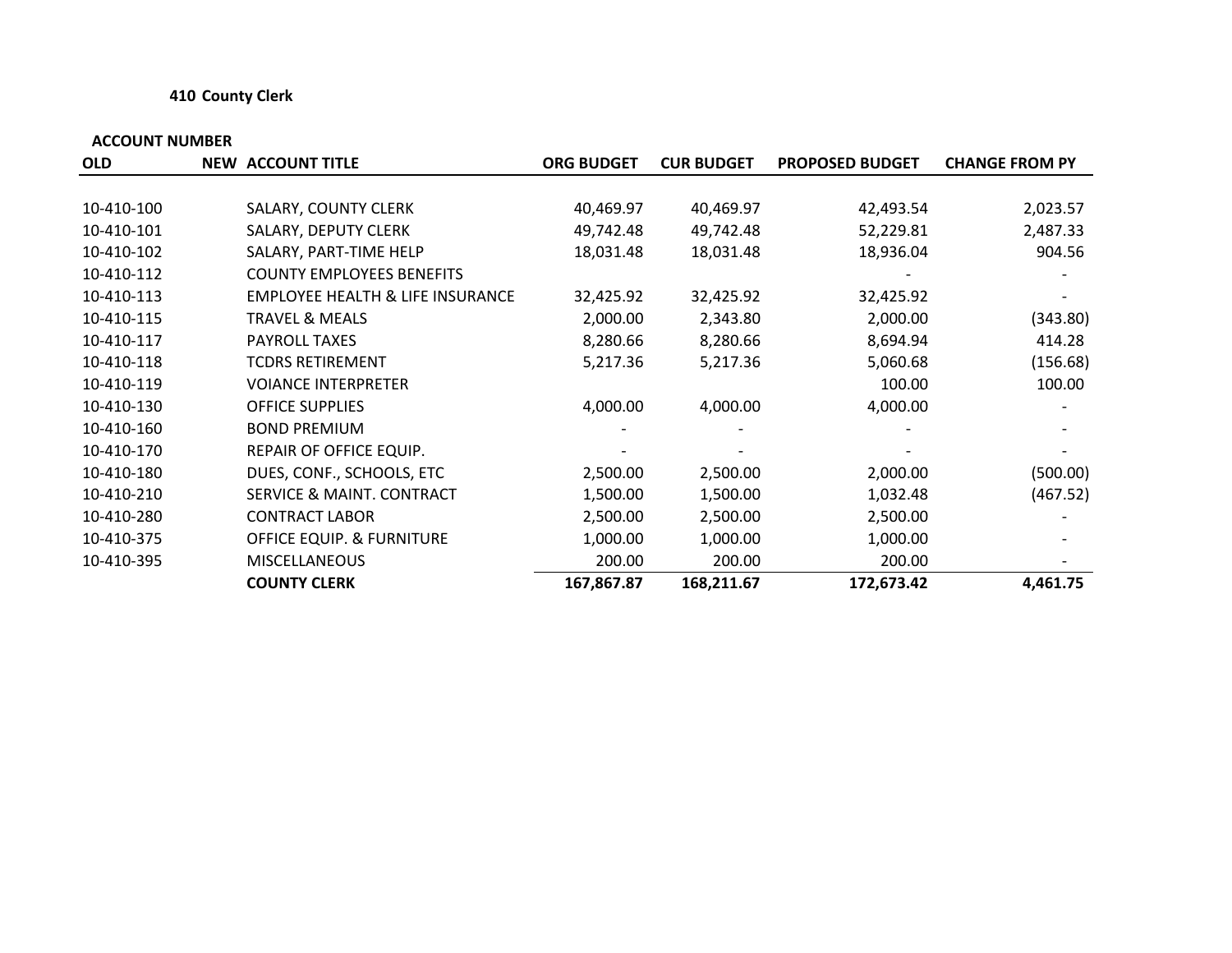#### **410 County Clerk**

| <b>OLD</b> | <b>NEW ACCOUNT TITLE</b>                    | <b>ORG BUDGET</b> | <b>CUR BUDGET</b> | <b>PROPOSED BUDGET</b> | <b>CHANGE FROM PY</b> |
|------------|---------------------------------------------|-------------------|-------------------|------------------------|-----------------------|
|            |                                             |                   |                   |                        |                       |
| 10-410-100 | SALARY, COUNTY CLERK                        | 40,469.97         | 40,469.97         | 42,493.54              | 2,023.57              |
| 10-410-101 | SALARY, DEPUTY CLERK                        | 49,742.48         | 49,742.48         | 52,229.81              | 2,487.33              |
| 10-410-102 | SALARY, PART-TIME HELP                      | 18,031.48         | 18,031.48         | 18,936.04              | 904.56                |
| 10-410-112 | <b>COUNTY EMPLOYEES BENEFITS</b>            |                   |                   |                        |                       |
| 10-410-113 | <b>EMPLOYEE HEALTH &amp; LIFE INSURANCE</b> | 32,425.92         | 32,425.92         | 32,425.92              |                       |
| 10-410-115 | <b>TRAVEL &amp; MEALS</b>                   | 2,000.00          | 2,343.80          | 2,000.00               | (343.80)              |
| 10-410-117 | <b>PAYROLL TAXES</b>                        | 8,280.66          | 8,280.66          | 8,694.94               | 414.28                |
| 10-410-118 | <b>TCDRS RETIREMENT</b>                     | 5,217.36          | 5,217.36          | 5,060.68               | (156.68)              |
| 10-410-119 | <b>VOIANCE INTERPRETER</b>                  |                   |                   | 100.00                 | 100.00                |
| 10-410-130 | <b>OFFICE SUPPLIES</b>                      | 4,000.00          | 4,000.00          | 4,000.00               |                       |
| 10-410-160 | <b>BOND PREMIUM</b>                         |                   |                   |                        |                       |
| 10-410-170 | REPAIR OF OFFICE EQUIP.                     |                   |                   |                        |                       |
| 10-410-180 | DUES, CONF., SCHOOLS, ETC                   | 2,500.00          | 2,500.00          | 2,000.00               | (500.00)              |
| 10-410-210 | SERVICE & MAINT. CONTRACT                   | 1,500.00          | 1,500.00          | 1,032.48               | (467.52)              |
| 10-410-280 | <b>CONTRACT LABOR</b>                       | 2,500.00          | 2,500.00          | 2,500.00               |                       |
| 10-410-375 | <b>OFFICE EQUIP. &amp; FURNITURE</b>        | 1,000.00          | 1,000.00          | 1,000.00               |                       |
| 10-410-395 | <b>MISCELLANEOUS</b>                        | 200.00            | 200.00            | 200.00                 |                       |
|            | <b>COUNTY CLERK</b>                         | 167,867.87        | 168,211.67        | 172,673.42             | 4,461.75              |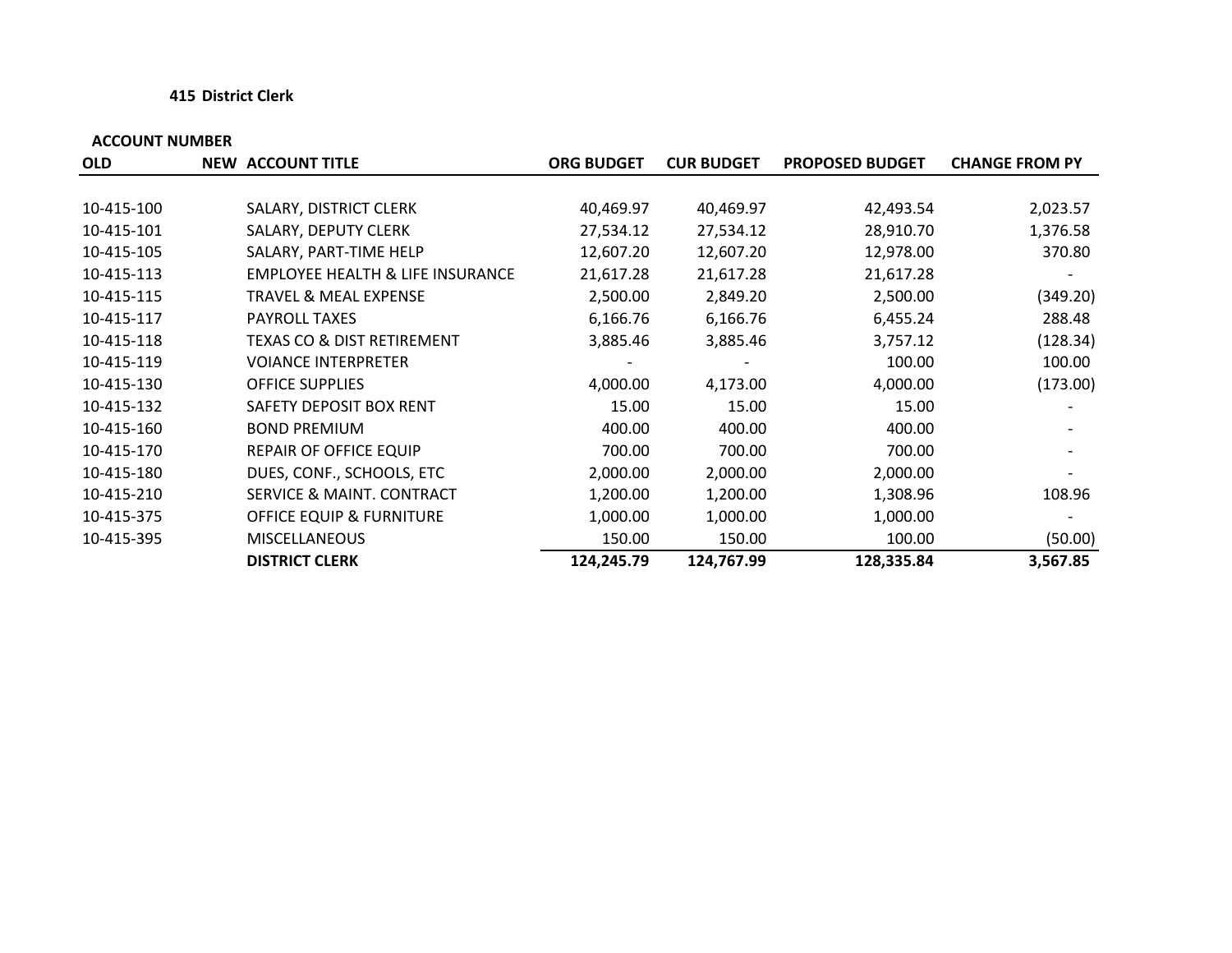#### **415 District Clerk**

| <b>OLD</b> | <b>NEW ACCOUNT TITLE</b>                    | <b>ORG BUDGET</b> | <b>CUR BUDGET</b> | <b>PROPOSED BUDGET</b> | <b>CHANGE FROM PY</b> |
|------------|---------------------------------------------|-------------------|-------------------|------------------------|-----------------------|
|            |                                             |                   |                   |                        |                       |
| 10-415-100 | SALARY, DISTRICT CLERK                      | 40,469.97         | 40,469.97         | 42,493.54              | 2,023.57              |
| 10-415-101 | SALARY, DEPUTY CLERK                        | 27,534.12         | 27,534.12         | 28,910.70              | 1,376.58              |
| 10-415-105 | SALARY, PART-TIME HELP                      | 12,607.20         | 12,607.20         | 12,978.00              | 370.80                |
| 10-415-113 | <b>EMPLOYEE HEALTH &amp; LIFE INSURANCE</b> | 21,617.28         | 21,617.28         | 21,617.28              |                       |
| 10-415-115 | <b>TRAVEL &amp; MEAL EXPENSE</b>            | 2,500.00          | 2,849.20          | 2,500.00               | (349.20)              |
| 10-415-117 | <b>PAYROLL TAXES</b>                        | 6,166.76          | 6,166.76          | 6,455.24               | 288.48                |
| 10-415-118 | TEXAS CO & DIST RETIREMENT                  | 3,885.46          | 3,885.46          | 3,757.12               | (128.34)              |
| 10-415-119 | <b>VOIANCE INTERPRETER</b>                  |                   |                   | 100.00                 | 100.00                |
| 10-415-130 | <b>OFFICE SUPPLIES</b>                      | 4,000.00          | 4,173.00          | 4,000.00               | (173.00)              |
| 10-415-132 | SAFETY DEPOSIT BOX RENT                     | 15.00             | 15.00             | 15.00                  |                       |
| 10-415-160 | <b>BOND PREMIUM</b>                         | 400.00            | 400.00            | 400.00                 |                       |
| 10-415-170 | REPAIR OF OFFICE EQUIP                      | 700.00            | 700.00            | 700.00                 |                       |
| 10-415-180 | DUES, CONF., SCHOOLS, ETC                   | 2,000.00          | 2,000.00          | 2,000.00               |                       |
| 10-415-210 | SERVICE & MAINT. CONTRACT                   | 1,200.00          | 1,200.00          | 1,308.96               | 108.96                |
| 10-415-375 | <b>OFFICE EQUIP &amp; FURNITURE</b>         | 1,000.00          | 1,000.00          | 1,000.00               |                       |
| 10-415-395 | <b>MISCELLANEOUS</b>                        | 150.00            | 150.00            | 100.00                 | (50.00)               |
|            | <b>DISTRICT CLERK</b>                       | 124,245.79        | 124,767.99        | 128,335.84             | 3,567.85              |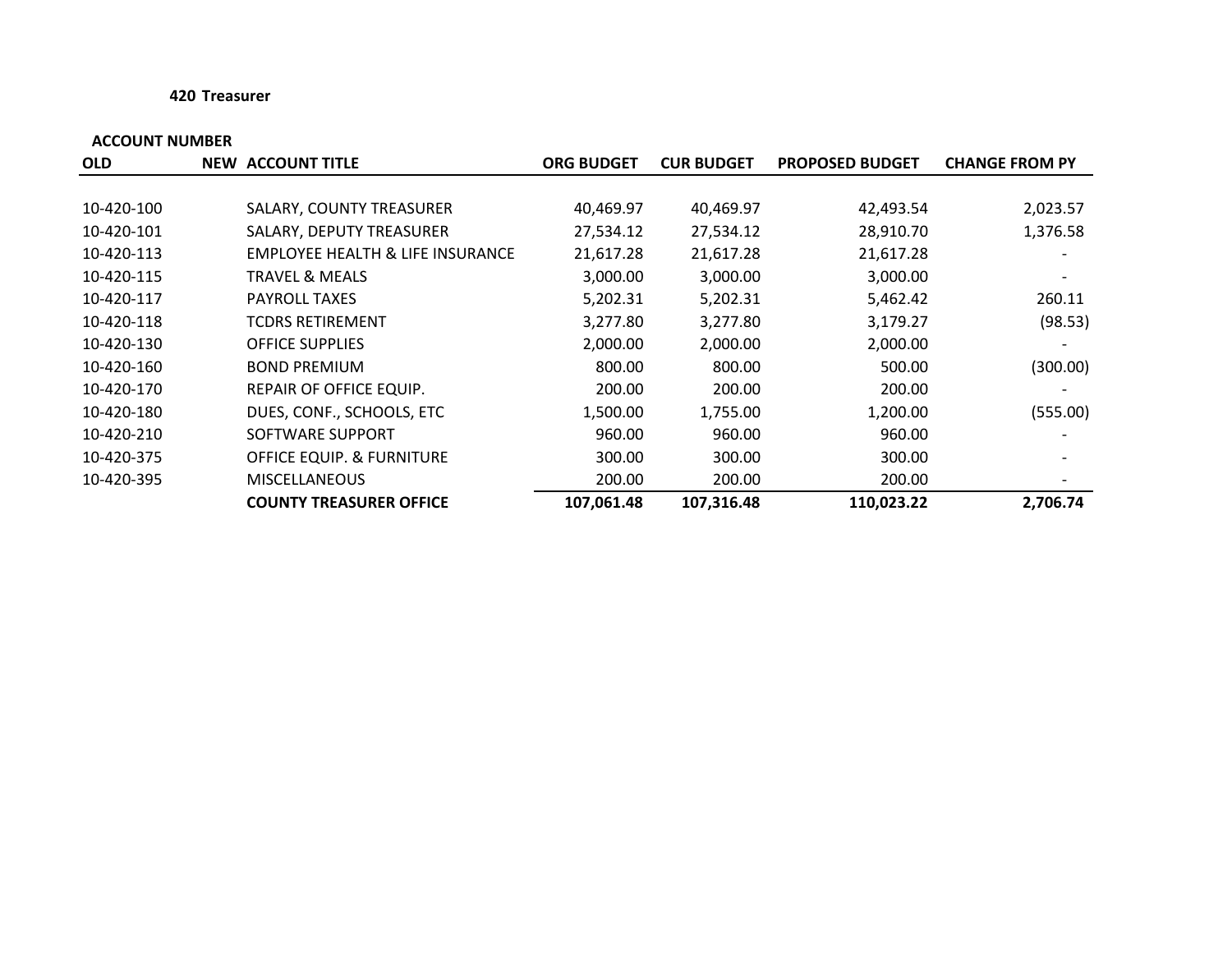#### **420 Treasurer**

| <b>OLD</b> | <b>NEW ACCOUNT TITLE</b>         | <b>ORG BUDGET</b> | <b>CUR BUDGET</b> | <b>PROPOSED BUDGET</b> | <b>CHANGE FROM PY</b> |
|------------|----------------------------------|-------------------|-------------------|------------------------|-----------------------|
|            |                                  |                   |                   |                        |                       |
| 10-420-100 | SALARY, COUNTY TREASURER         | 40,469.97         | 40,469.97         | 42,493.54              | 2,023.57              |
| 10-420-101 | SALARY, DEPUTY TREASURER         | 27,534.12         | 27,534.12         | 28,910.70              | 1,376.58              |
| 10-420-113 | EMPLOYEE HEALTH & LIFE INSURANCE | 21,617.28         | 21,617.28         | 21,617.28              |                       |
| 10-420-115 | <b>TRAVEL &amp; MEALS</b>        | 3,000.00          | 3,000.00          | 3,000.00               |                       |
| 10-420-117 | <b>PAYROLL TAXES</b>             | 5,202.31          | 5,202.31          | 5,462.42               | 260.11                |
| 10-420-118 | <b>TCDRS RETIREMENT</b>          | 3,277.80          | 3,277.80          | 3,179.27               | (98.53)               |
| 10-420-130 | <b>OFFICE SUPPLIES</b>           | 2,000.00          | 2,000.00          | 2,000.00               |                       |
| 10-420-160 | <b>BOND PREMIUM</b>              | 800.00            | 800.00            | 500.00                 | (300.00)              |
| 10-420-170 | REPAIR OF OFFICE EQUIP.          | 200.00            | 200.00            | 200.00                 |                       |
| 10-420-180 | DUES, CONF., SCHOOLS, ETC        | 1,500.00          | 1,755.00          | 1,200.00               | (555.00)              |
| 10-420-210 | SOFTWARE SUPPORT                 | 960.00            | 960.00            | 960.00                 |                       |
| 10-420-375 | OFFICE EQUIP. & FURNITURE        | 300.00            | 300.00            | 300.00                 |                       |
| 10-420-395 | <b>MISCELLANEOUS</b>             | 200.00            | 200.00            | 200.00                 |                       |
|            | <b>COUNTY TREASURER OFFICE</b>   | 107,061.48        | 107,316.48        | 110,023.22             | 2,706.74              |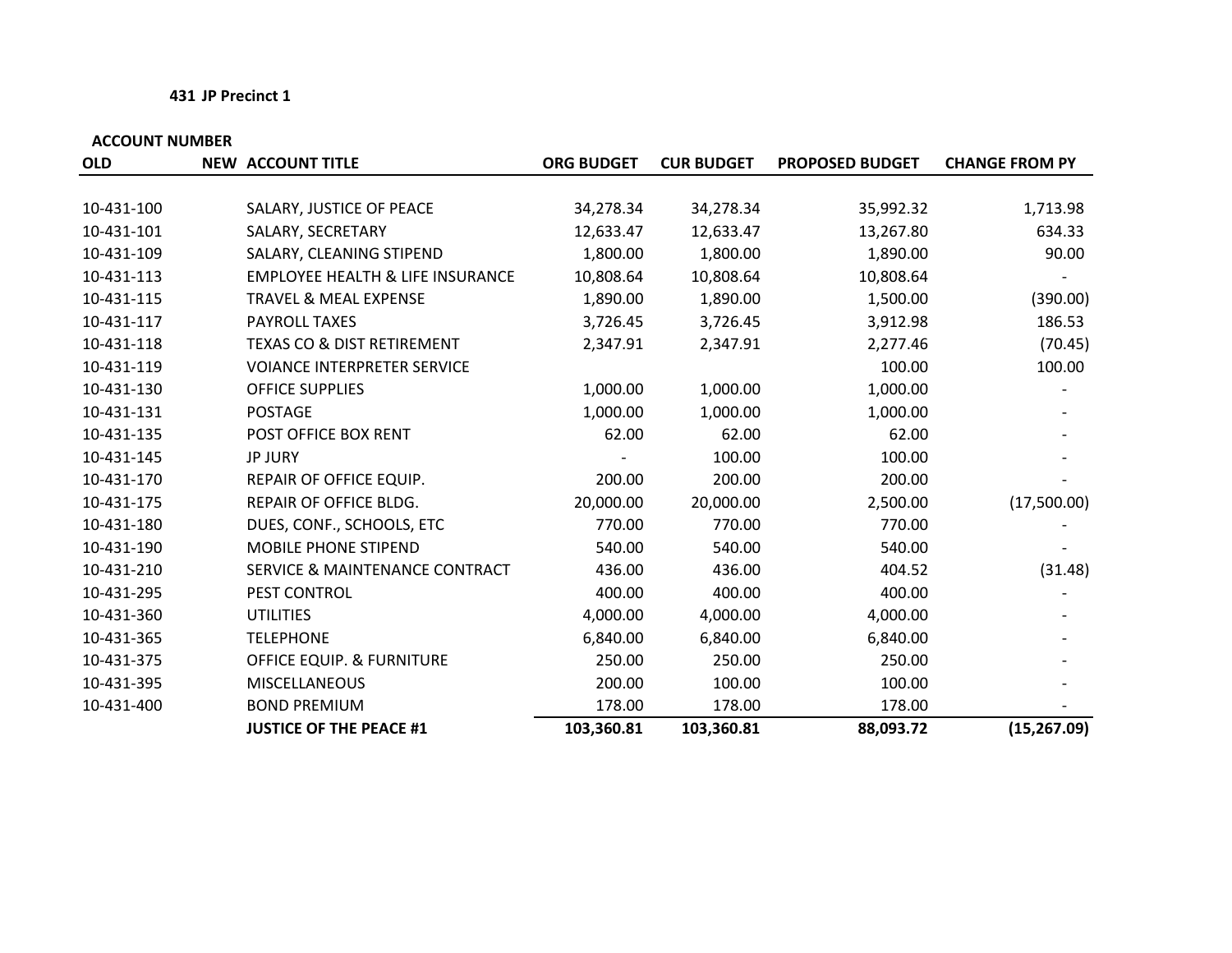#### **431 JP Precinct 1**

| <b>OLD</b> | <b>NEW ACCOUNT TITLE</b>                    | <b>ORG BUDGET</b> | <b>CUR BUDGET</b> | <b>PROPOSED BUDGET</b> | <b>CHANGE FROM PY</b> |
|------------|---------------------------------------------|-------------------|-------------------|------------------------|-----------------------|
|            |                                             |                   |                   |                        |                       |
| 10-431-100 | SALARY, JUSTICE OF PEACE                    | 34,278.34         | 34,278.34         | 35,992.32              | 1,713.98              |
| 10-431-101 | SALARY, SECRETARY                           | 12,633.47         | 12,633.47         | 13,267.80              | 634.33                |
| 10-431-109 | SALARY, CLEANING STIPEND                    | 1,800.00          | 1,800.00          | 1,890.00               | 90.00                 |
| 10-431-113 | <b>EMPLOYEE HEALTH &amp; LIFE INSURANCE</b> | 10,808.64         | 10,808.64         | 10,808.64              |                       |
| 10-431-115 | <b>TRAVEL &amp; MEAL EXPENSE</b>            | 1,890.00          | 1,890.00          | 1,500.00               | (390.00)              |
| 10-431-117 | PAYROLL TAXES                               | 3,726.45          | 3,726.45          | 3,912.98               | 186.53                |
| 10-431-118 | <b>TEXAS CO &amp; DIST RETIREMENT</b>       | 2,347.91          | 2,347.91          | 2,277.46               | (70.45)               |
| 10-431-119 | <b>VOIANCE INTERPRETER SERVICE</b>          |                   |                   | 100.00                 | 100.00                |
| 10-431-130 | <b>OFFICE SUPPLIES</b>                      | 1,000.00          | 1,000.00          | 1,000.00               |                       |
| 10-431-131 | <b>POSTAGE</b>                              | 1,000.00          | 1,000.00          | 1,000.00               |                       |
| 10-431-135 | POST OFFICE BOX RENT                        | 62.00             | 62.00             | 62.00                  |                       |
| 10-431-145 | <b>JP JURY</b>                              |                   | 100.00            | 100.00                 |                       |
| 10-431-170 | REPAIR OF OFFICE EQUIP.                     | 200.00            | 200.00            | 200.00                 |                       |
| 10-431-175 | REPAIR OF OFFICE BLDG.                      | 20,000.00         | 20,000.00         | 2,500.00               | (17,500.00)           |
| 10-431-180 | DUES, CONF., SCHOOLS, ETC                   | 770.00            | 770.00            | 770.00                 |                       |
| 10-431-190 | <b>MOBILE PHONE STIPEND</b>                 | 540.00            | 540.00            | 540.00                 |                       |
| 10-431-210 | <b>SERVICE &amp; MAINTENANCE CONTRACT</b>   | 436.00            | 436.00            | 404.52                 | (31.48)               |
| 10-431-295 | PEST CONTROL                                | 400.00            | 400.00            | 400.00                 |                       |
| 10-431-360 | <b>UTILITIES</b>                            | 4,000.00          | 4,000.00          | 4,000.00               |                       |
| 10-431-365 | <b>TELEPHONE</b>                            | 6,840.00          | 6,840.00          | 6,840.00               |                       |
| 10-431-375 | <b>OFFICE EQUIP. &amp; FURNITURE</b>        | 250.00            | 250.00            | 250.00                 |                       |
| 10-431-395 | <b>MISCELLANEOUS</b>                        | 200.00            | 100.00            | 100.00                 |                       |
| 10-431-400 | <b>BOND PREMIUM</b>                         | 178.00            | 178.00            | 178.00                 |                       |
|            | <b>JUSTICE OF THE PEACE #1</b>              | 103,360.81        | 103,360.81        | 88,093.72              | (15, 267.09)          |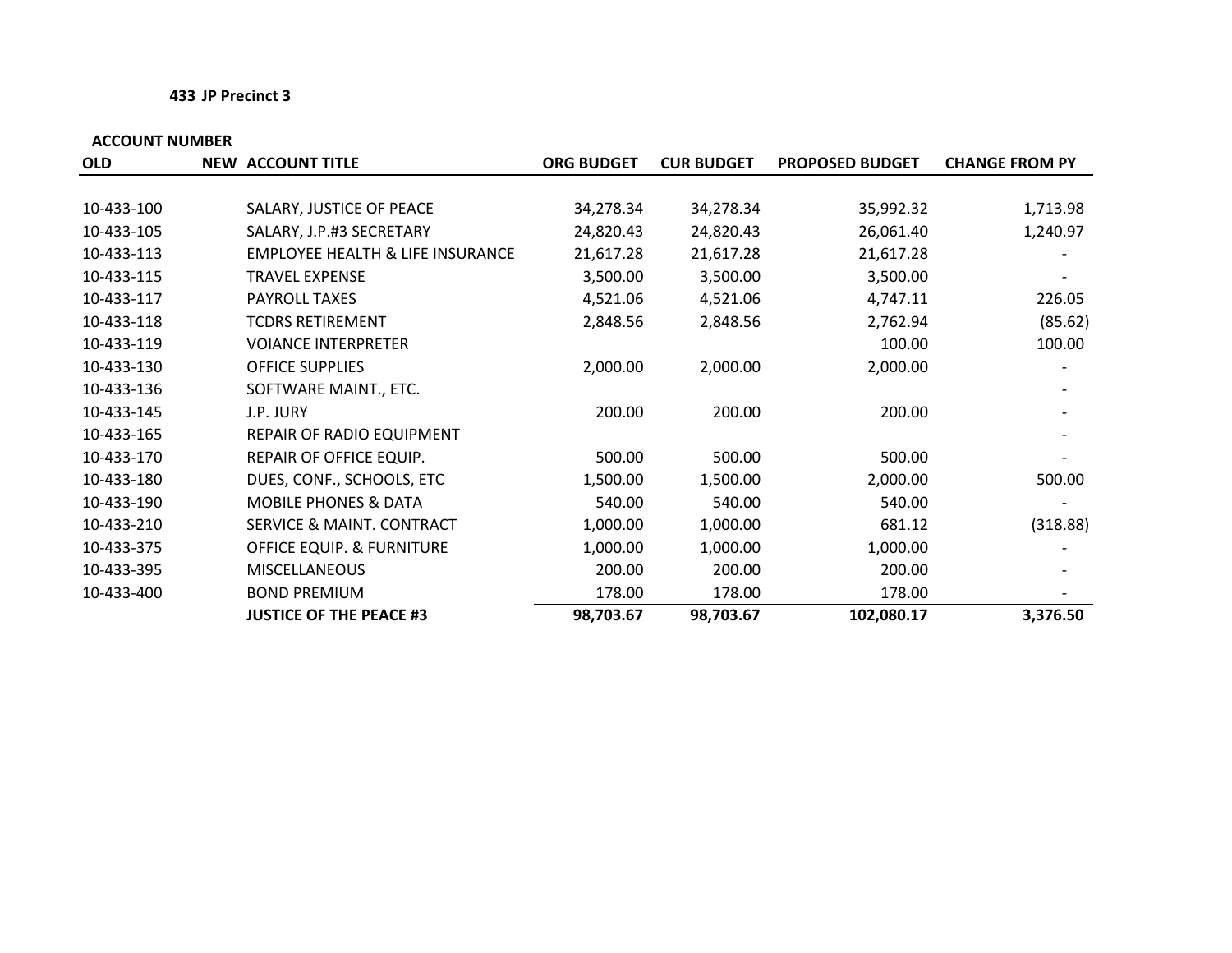#### **433 JP Precinct 3**

| <b>OLD</b> | <b>NEW ACCOUNT TITLE</b>                    | <b>ORG BUDGET</b> | <b>CUR BUDGET</b> | <b>PROPOSED BUDGET</b> | <b>CHANGE FROM PY</b> |
|------------|---------------------------------------------|-------------------|-------------------|------------------------|-----------------------|
|            |                                             |                   |                   |                        |                       |
| 10-433-100 | SALARY, JUSTICE OF PEACE                    | 34,278.34         | 34,278.34         | 35,992.32              | 1,713.98              |
| 10-433-105 | SALARY, J.P.#3 SECRETARY                    | 24,820.43         | 24,820.43         | 26,061.40              | 1,240.97              |
| 10-433-113 | <b>EMPLOYEE HEALTH &amp; LIFE INSURANCE</b> | 21,617.28         | 21,617.28         | 21,617.28              |                       |
| 10-433-115 | <b>TRAVEL EXPENSE</b>                       | 3,500.00          | 3,500.00          | 3,500.00               |                       |
| 10-433-117 | PAYROLL TAXES                               | 4,521.06          | 4,521.06          | 4,747.11               | 226.05                |
| 10-433-118 | <b>TCDRS RETIREMENT</b>                     | 2,848.56          | 2,848.56          | 2,762.94               | (85.62)               |
| 10-433-119 | <b>VOIANCE INTERPRETER</b>                  |                   |                   | 100.00                 | 100.00                |
| 10-433-130 | <b>OFFICE SUPPLIES</b>                      | 2,000.00          | 2,000.00          | 2,000.00               |                       |
| 10-433-136 | SOFTWARE MAINT., ETC.                       |                   |                   |                        |                       |
| 10-433-145 | J.P. JURY                                   | 200.00            | 200.00            | 200.00                 |                       |
| 10-433-165 | REPAIR OF RADIO EQUIPMENT                   |                   |                   |                        |                       |
| 10-433-170 | REPAIR OF OFFICE EQUIP.                     | 500.00            | 500.00            | 500.00                 |                       |
| 10-433-180 | DUES, CONF., SCHOOLS, ETC                   | 1,500.00          | 1,500.00          | 2,000.00               | 500.00                |
| 10-433-190 | <b>MOBILE PHONES &amp; DATA</b>             | 540.00            | 540.00            | 540.00                 |                       |
| 10-433-210 | SERVICE & MAINT. CONTRACT                   | 1,000.00          | 1,000.00          | 681.12                 | (318.88)              |
| 10-433-375 | <b>OFFICE EQUIP. &amp; FURNITURE</b>        | 1,000.00          | 1,000.00          | 1,000.00               |                       |
| 10-433-395 | <b>MISCELLANEOUS</b>                        | 200.00            | 200.00            | 200.00                 |                       |
| 10-433-400 | <b>BOND PREMIUM</b>                         | 178.00            | 178.00            | 178.00                 |                       |
|            | <b>JUSTICE OF THE PEACE #3</b>              | 98,703.67         | 98,703.67         | 102,080.17             | 3,376.50              |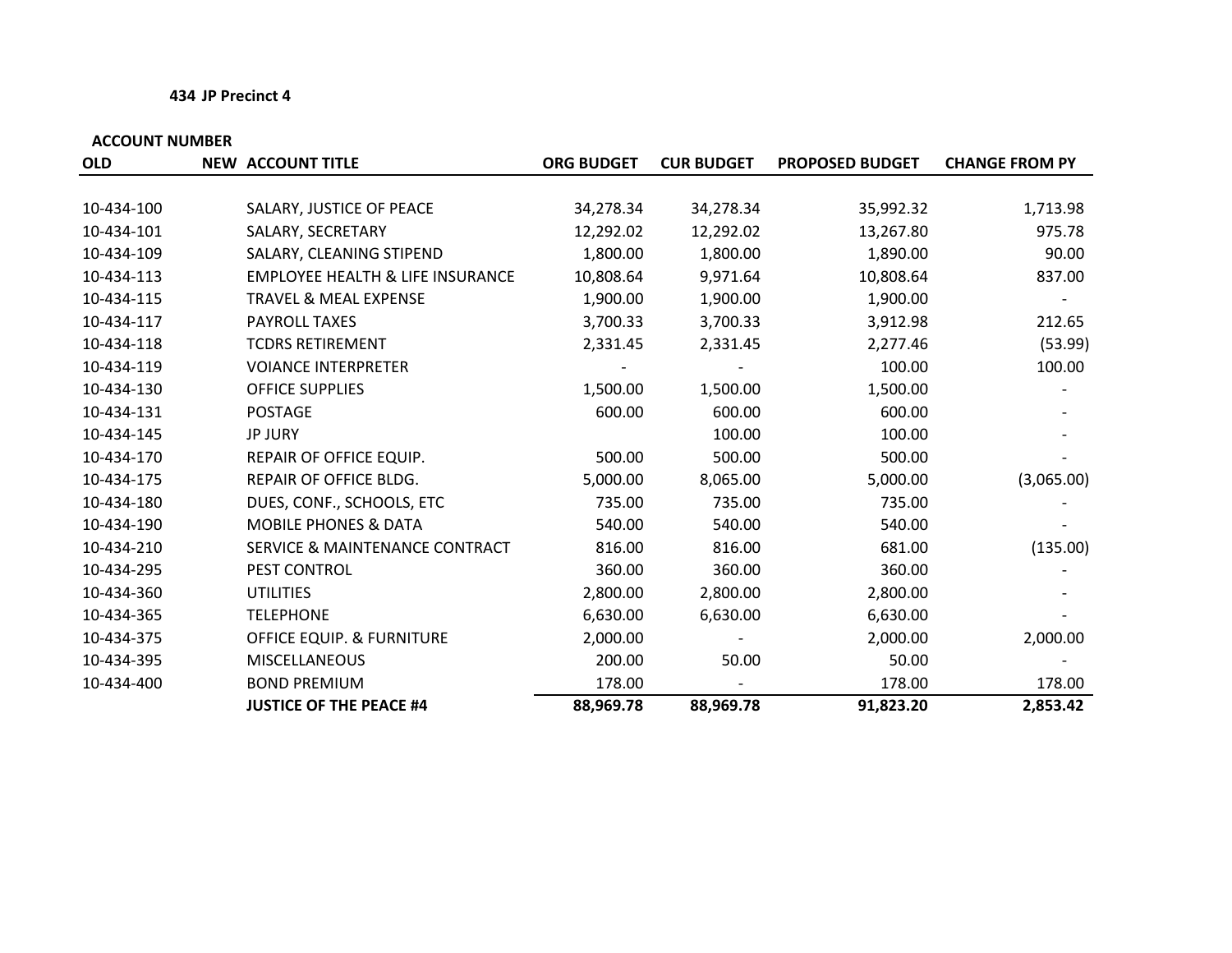#### **434 JP Precinct 4**

| <b>OLD</b> | <b>NEW ACCOUNT TITLE</b>                    | <b>ORG BUDGET</b> | <b>CUR BUDGET</b> | <b>PROPOSED BUDGET</b> | <b>CHANGE FROM PY</b> |
|------------|---------------------------------------------|-------------------|-------------------|------------------------|-----------------------|
|            |                                             |                   |                   |                        |                       |
| 10-434-100 | SALARY, JUSTICE OF PEACE                    | 34,278.34         | 34,278.34         | 35,992.32              | 1,713.98              |
| 10-434-101 | SALARY, SECRETARY                           | 12,292.02         | 12,292.02         | 13,267.80              | 975.78                |
| 10-434-109 | SALARY, CLEANING STIPEND                    | 1,800.00          | 1,800.00          | 1,890.00               | 90.00                 |
| 10-434-113 | <b>EMPLOYEE HEALTH &amp; LIFE INSURANCE</b> | 10,808.64         | 9,971.64          | 10,808.64              | 837.00                |
| 10-434-115 | <b>TRAVEL &amp; MEAL EXPENSE</b>            | 1,900.00          | 1,900.00          | 1,900.00               |                       |
| 10-434-117 | PAYROLL TAXES                               | 3,700.33          | 3,700.33          | 3,912.98               | 212.65                |
| 10-434-118 | <b>TCDRS RETIREMENT</b>                     | 2,331.45          | 2,331.45          | 2,277.46               | (53.99)               |
| 10-434-119 | <b>VOIANCE INTERPRETER</b>                  |                   |                   | 100.00                 | 100.00                |
| 10-434-130 | <b>OFFICE SUPPLIES</b>                      | 1,500.00          | 1,500.00          | 1,500.00               |                       |
| 10-434-131 | <b>POSTAGE</b>                              | 600.00            | 600.00            | 600.00                 |                       |
| 10-434-145 | <b>JP JURY</b>                              |                   | 100.00            | 100.00                 |                       |
| 10-434-170 | REPAIR OF OFFICE EQUIP.                     | 500.00            | 500.00            | 500.00                 |                       |
| 10-434-175 | REPAIR OF OFFICE BLDG.                      | 5,000.00          | 8,065.00          | 5,000.00               | (3,065.00)            |
| 10-434-180 | DUES, CONF., SCHOOLS, ETC                   | 735.00            | 735.00            | 735.00                 |                       |
| 10-434-190 | <b>MOBILE PHONES &amp; DATA</b>             | 540.00            | 540.00            | 540.00                 |                       |
| 10-434-210 | SERVICE & MAINTENANCE CONTRACT              | 816.00            | 816.00            | 681.00                 | (135.00)              |
| 10-434-295 | PEST CONTROL                                | 360.00            | 360.00            | 360.00                 |                       |
| 10-434-360 | <b>UTILITIES</b>                            | 2,800.00          | 2,800.00          | 2,800.00               |                       |
| 10-434-365 | <b>TELEPHONE</b>                            | 6,630.00          | 6,630.00          | 6,630.00               |                       |
| 10-434-375 | <b>OFFICE EQUIP. &amp; FURNITURE</b>        | 2,000.00          |                   | 2,000.00               | 2,000.00              |
| 10-434-395 | <b>MISCELLANEOUS</b>                        | 200.00            | 50.00             | 50.00                  |                       |
| 10-434-400 | <b>BOND PREMIUM</b>                         | 178.00            |                   | 178.00                 | 178.00                |
|            | <b>JUSTICE OF THE PEACE #4</b>              | 88,969.78         | 88,969.78         | 91,823.20              | 2,853.42              |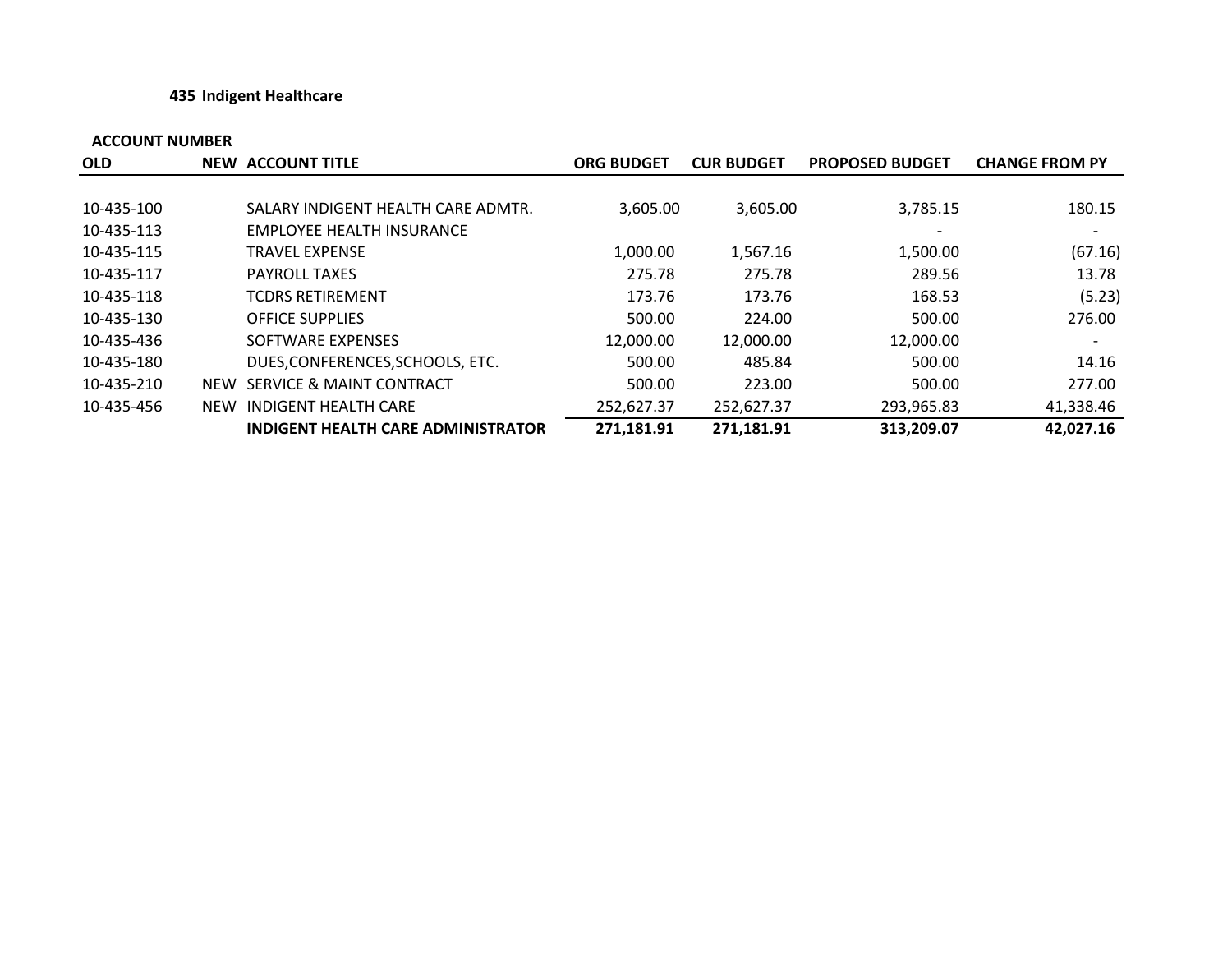#### **435 Indigent Healthcare**

| <b>OLD</b> | NEW ACCOUNT TITLE                         | <b>ORG BUDGET</b> | <b>CUR BUDGET</b> | <b>PROPOSED BUDGET</b> | <b>CHANGE FROM PY</b> |
|------------|-------------------------------------------|-------------------|-------------------|------------------------|-----------------------|
|            |                                           |                   |                   |                        |                       |
| 10-435-100 | SALARY INDIGENT HEALTH CARE ADMTR.        | 3.605.00          | 3,605.00          | 3,785.15               | 180.15                |
| 10-435-113 | EMPLOYEE HEALTH INSURANCE                 |                   |                   |                        |                       |
| 10-435-115 | <b>TRAVEL EXPENSE</b>                     | 1,000.00          | 1,567.16          | 1,500.00               | (67.16)               |
| 10-435-117 | <b>PAYROLL TAXES</b>                      | 275.78            | 275.78            | 289.56                 | 13.78                 |
| 10-435-118 | <b>TCDRS RETIREMENT</b>                   | 173.76            | 173.76            | 168.53                 | (5.23)                |
| 10-435-130 | <b>OFFICE SUPPLIES</b>                    | 500.00            | 224.00            | 500.00                 | 276.00                |
| 10-435-436 | SOFTWARE EXPENSES                         | 12,000.00         | 12,000.00         | 12,000.00              |                       |
| 10-435-180 | DUES, CONFERENCES, SCHOOLS, ETC.          | 500.00            | 485.84            | 500.00                 | 14.16                 |
| 10-435-210 | NEW SERVICE & MAINT CONTRACT              | 500.00            | 223.00            | 500.00                 | 277.00                |
| 10-435-456 | NEW INDIGENT HEALTH CARE                  | 252,627.37        | 252,627.37        | 293,965.83             | 41,338.46             |
|            | <b>INDIGENT HEALTH CARE ADMINISTRATOR</b> | 271,181.91        | 271,181.91        | 313,209.07             | 42,027.16             |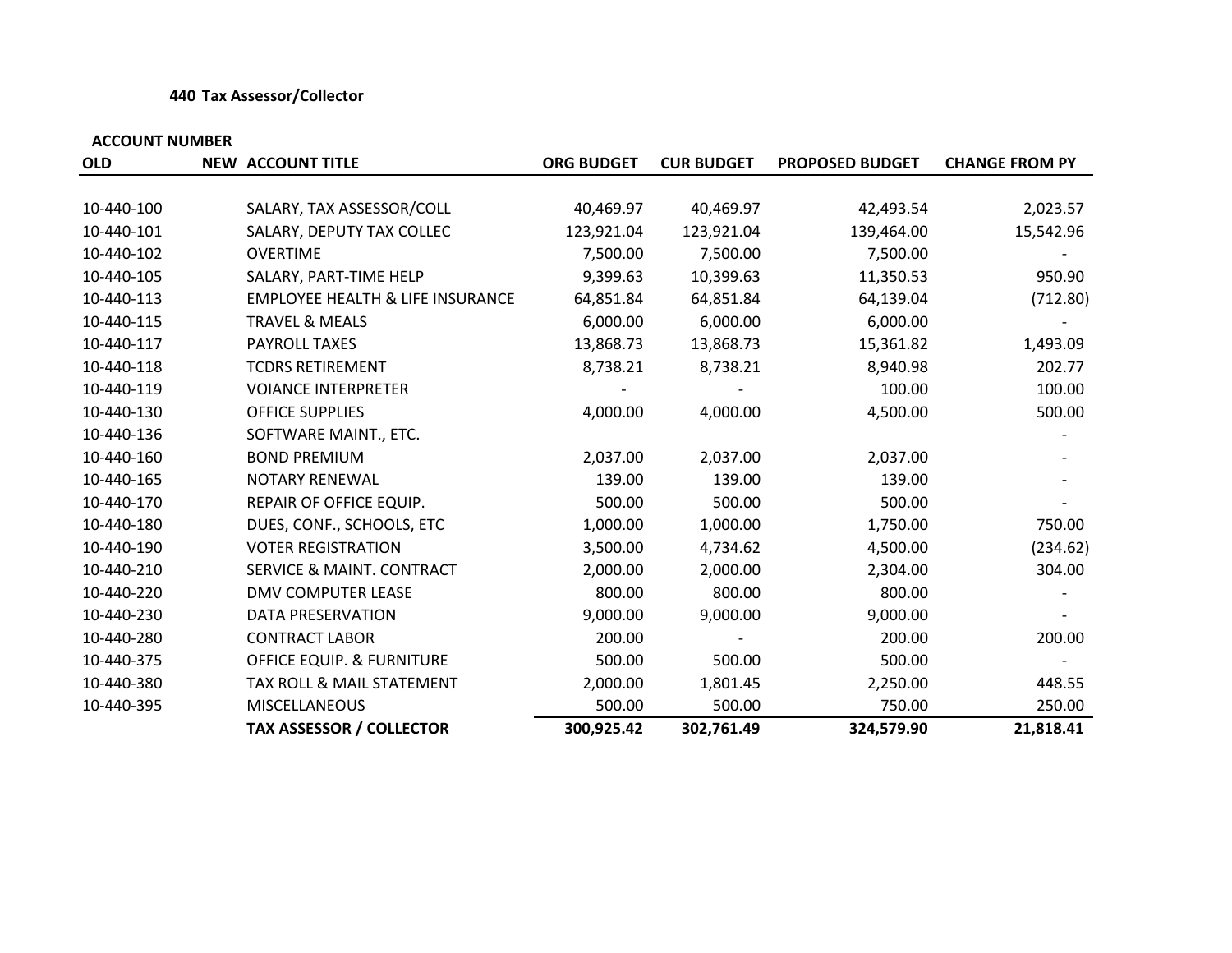#### **440 Tax Assessor/Collector**

| <b>OLD</b> | <b>NEW ACCOUNT TITLE</b>                    | <b>ORG BUDGET</b> | <b>CUR BUDGET</b> | <b>PROPOSED BUDGET</b> | <b>CHANGE FROM PY</b> |
|------------|---------------------------------------------|-------------------|-------------------|------------------------|-----------------------|
|            |                                             |                   |                   |                        |                       |
| 10-440-100 | SALARY, TAX ASSESSOR/COLL                   | 40,469.97         | 40,469.97         | 42,493.54              | 2,023.57              |
| 10-440-101 | SALARY, DEPUTY TAX COLLEC                   | 123,921.04        | 123,921.04        | 139,464.00             | 15,542.96             |
| 10-440-102 | <b>OVERTIME</b>                             | 7,500.00          | 7,500.00          | 7,500.00               |                       |
| 10-440-105 | SALARY, PART-TIME HELP                      | 9,399.63          | 10,399.63         | 11,350.53              | 950.90                |
| 10-440-113 | <b>EMPLOYEE HEALTH &amp; LIFE INSURANCE</b> | 64,851.84         | 64,851.84         | 64,139.04              | (712.80)              |
| 10-440-115 | <b>TRAVEL &amp; MEALS</b>                   | 6,000.00          | 6,000.00          | 6,000.00               |                       |
| 10-440-117 | PAYROLL TAXES                               | 13,868.73         | 13,868.73         | 15,361.82              | 1,493.09              |
| 10-440-118 | <b>TCDRS RETIREMENT</b>                     | 8,738.21          | 8,738.21          | 8,940.98               | 202.77                |
| 10-440-119 | <b>VOIANCE INTERPRETER</b>                  |                   |                   | 100.00                 | 100.00                |
| 10-440-130 | <b>OFFICE SUPPLIES</b>                      | 4,000.00          | 4,000.00          | 4,500.00               | 500.00                |
| 10-440-136 | SOFTWARE MAINT., ETC.                       |                   |                   |                        |                       |
| 10-440-160 | <b>BOND PREMIUM</b>                         | 2,037.00          | 2,037.00          | 2,037.00               |                       |
| 10-440-165 | NOTARY RENEWAL                              | 139.00            | 139.00            | 139.00                 |                       |
| 10-440-170 | REPAIR OF OFFICE EQUIP.                     | 500.00            | 500.00            | 500.00                 |                       |
| 10-440-180 | DUES, CONF., SCHOOLS, ETC                   | 1,000.00          | 1,000.00          | 1,750.00               | 750.00                |
| 10-440-190 | <b>VOTER REGISTRATION</b>                   | 3,500.00          | 4,734.62          | 4,500.00               | (234.62)              |
| 10-440-210 | <b>SERVICE &amp; MAINT. CONTRACT</b>        | 2,000.00          | 2,000.00          | 2,304.00               | 304.00                |
| 10-440-220 | <b>DMV COMPUTER LEASE</b>                   | 800.00            | 800.00            | 800.00                 |                       |
| 10-440-230 | DATA PRESERVATION                           | 9,000.00          | 9,000.00          | 9,000.00               |                       |
| 10-440-280 | <b>CONTRACT LABOR</b>                       | 200.00            |                   | 200.00                 | 200.00                |
| 10-440-375 | <b>OFFICE EQUIP. &amp; FURNITURE</b>        | 500.00            | 500.00            | 500.00                 |                       |
| 10-440-380 | TAX ROLL & MAIL STATEMENT                   | 2,000.00          | 1,801.45          | 2,250.00               | 448.55                |
| 10-440-395 | <b>MISCELLANEOUS</b>                        | 500.00            | 500.00            | 750.00                 | 250.00                |
|            | <b>TAX ASSESSOR / COLLECTOR</b>             | 300,925.42        | 302,761.49        | 324,579.90             | 21,818.41             |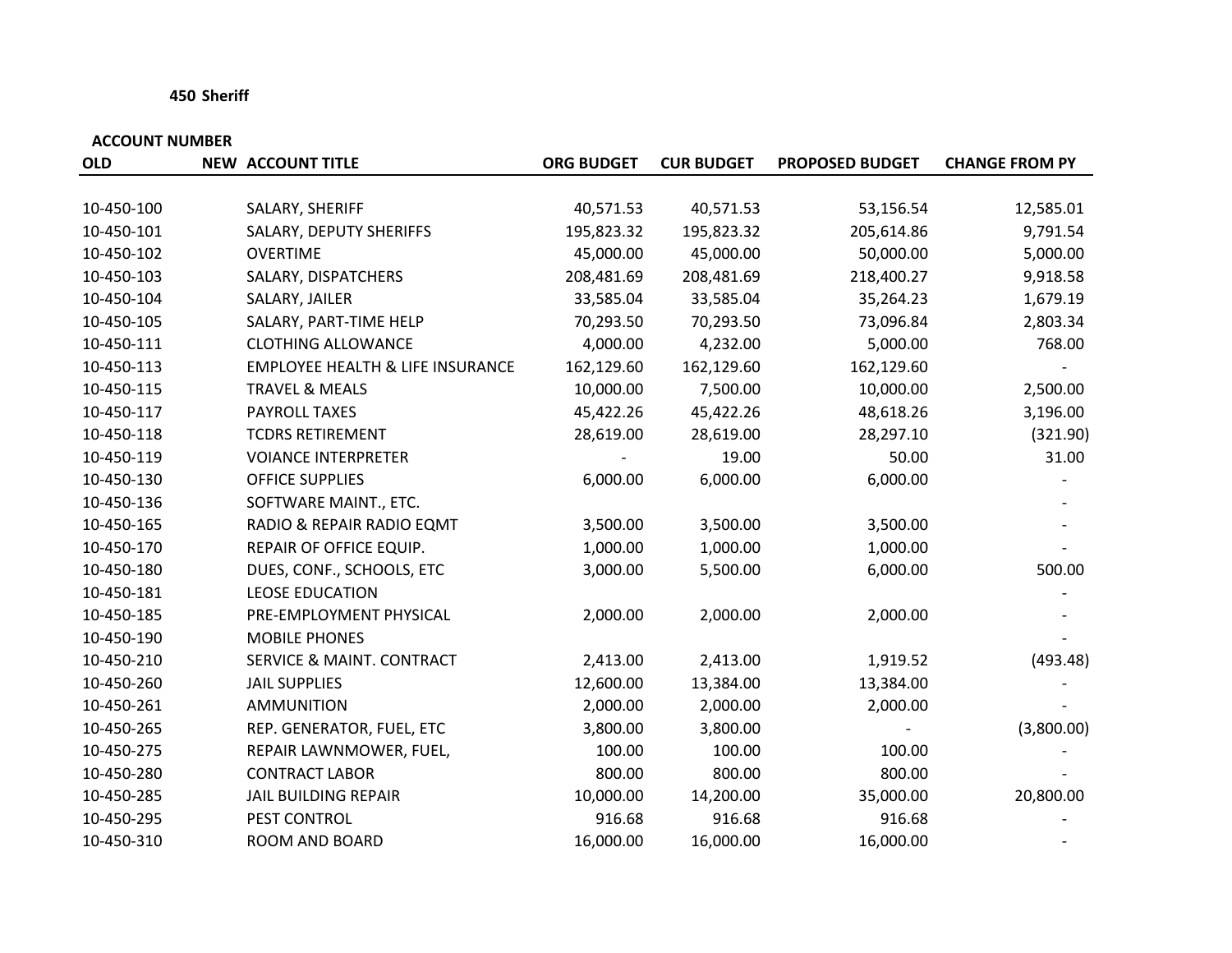#### **450 Sheriff**

| <b>OLD</b> | <b>NEW ACCOUNT TITLE</b>                    | <b>ORG BUDGET</b> | <b>CUR BUDGET</b> | <b>PROPOSED BUDGET</b> | <b>CHANGE FROM PY</b> |
|------------|---------------------------------------------|-------------------|-------------------|------------------------|-----------------------|
|            |                                             |                   |                   |                        |                       |
| 10-450-100 | SALARY, SHERIFF                             | 40,571.53         | 40,571.53         | 53,156.54              | 12,585.01             |
| 10-450-101 | SALARY, DEPUTY SHERIFFS                     | 195,823.32        | 195,823.32        | 205,614.86             | 9,791.54              |
| 10-450-102 | <b>OVERTIME</b>                             | 45,000.00         | 45,000.00         | 50,000.00              | 5,000.00              |
| 10-450-103 | SALARY, DISPATCHERS                         | 208,481.69        | 208,481.69        | 218,400.27             | 9,918.58              |
| 10-450-104 | SALARY, JAILER                              | 33,585.04         | 33,585.04         | 35,264.23              | 1,679.19              |
| 10-450-105 | SALARY, PART-TIME HELP                      | 70,293.50         | 70,293.50         | 73,096.84              | 2,803.34              |
| 10-450-111 | <b>CLOTHING ALLOWANCE</b>                   | 4,000.00          | 4,232.00          | 5,000.00               | 768.00                |
| 10-450-113 | <b>EMPLOYEE HEALTH &amp; LIFE INSURANCE</b> | 162,129.60        | 162,129.60        | 162,129.60             |                       |
| 10-450-115 | <b>TRAVEL &amp; MEALS</b>                   | 10,000.00         | 7,500.00          | 10,000.00              | 2,500.00              |
| 10-450-117 | PAYROLL TAXES                               | 45,422.26         | 45,422.26         | 48,618.26              | 3,196.00              |
| 10-450-118 | <b>TCDRS RETIREMENT</b>                     | 28,619.00         | 28,619.00         | 28,297.10              | (321.90)              |
| 10-450-119 | <b>VOIANCE INTERPRETER</b>                  |                   | 19.00             | 50.00                  | 31.00                 |
| 10-450-130 | <b>OFFICE SUPPLIES</b>                      | 6,000.00          | 6,000.00          | 6,000.00               |                       |
| 10-450-136 | SOFTWARE MAINT., ETC.                       |                   |                   |                        |                       |
| 10-450-165 | RADIO & REPAIR RADIO EQMT                   | 3,500.00          | 3,500.00          | 3,500.00               |                       |
| 10-450-170 | REPAIR OF OFFICE EQUIP.                     | 1,000.00          | 1,000.00          | 1,000.00               |                       |
| 10-450-180 | DUES, CONF., SCHOOLS, ETC                   | 3,000.00          | 5,500.00          | 6,000.00               | 500.00                |
| 10-450-181 | <b>LEOSE EDUCATION</b>                      |                   |                   |                        |                       |
| 10-450-185 | PRE-EMPLOYMENT PHYSICAL                     | 2,000.00          | 2,000.00          | 2,000.00               |                       |
| 10-450-190 | <b>MOBILE PHONES</b>                        |                   |                   |                        |                       |
| 10-450-210 | <b>SERVICE &amp; MAINT. CONTRACT</b>        | 2,413.00          | 2,413.00          | 1,919.52               | (493.48)              |
| 10-450-260 | <b>JAIL SUPPLIES</b>                        | 12,600.00         | 13,384.00         | 13,384.00              |                       |
| 10-450-261 | <b>AMMUNITION</b>                           | 2,000.00          | 2,000.00          | 2,000.00               |                       |
| 10-450-265 | REP. GENERATOR, FUEL, ETC                   | 3,800.00          | 3,800.00          |                        | (3,800.00)            |
| 10-450-275 | REPAIR LAWNMOWER, FUEL,                     | 100.00            | 100.00            | 100.00                 |                       |
| 10-450-280 | <b>CONTRACT LABOR</b>                       | 800.00            | 800.00            | 800.00                 |                       |
| 10-450-285 | <b>JAIL BUILDING REPAIR</b>                 | 10,000.00         | 14,200.00         | 35,000.00              | 20,800.00             |
| 10-450-295 | PEST CONTROL                                | 916.68            | 916.68            | 916.68                 |                       |
| 10-450-310 | ROOM AND BOARD                              | 16,000.00         | 16,000.00         | 16,000.00              |                       |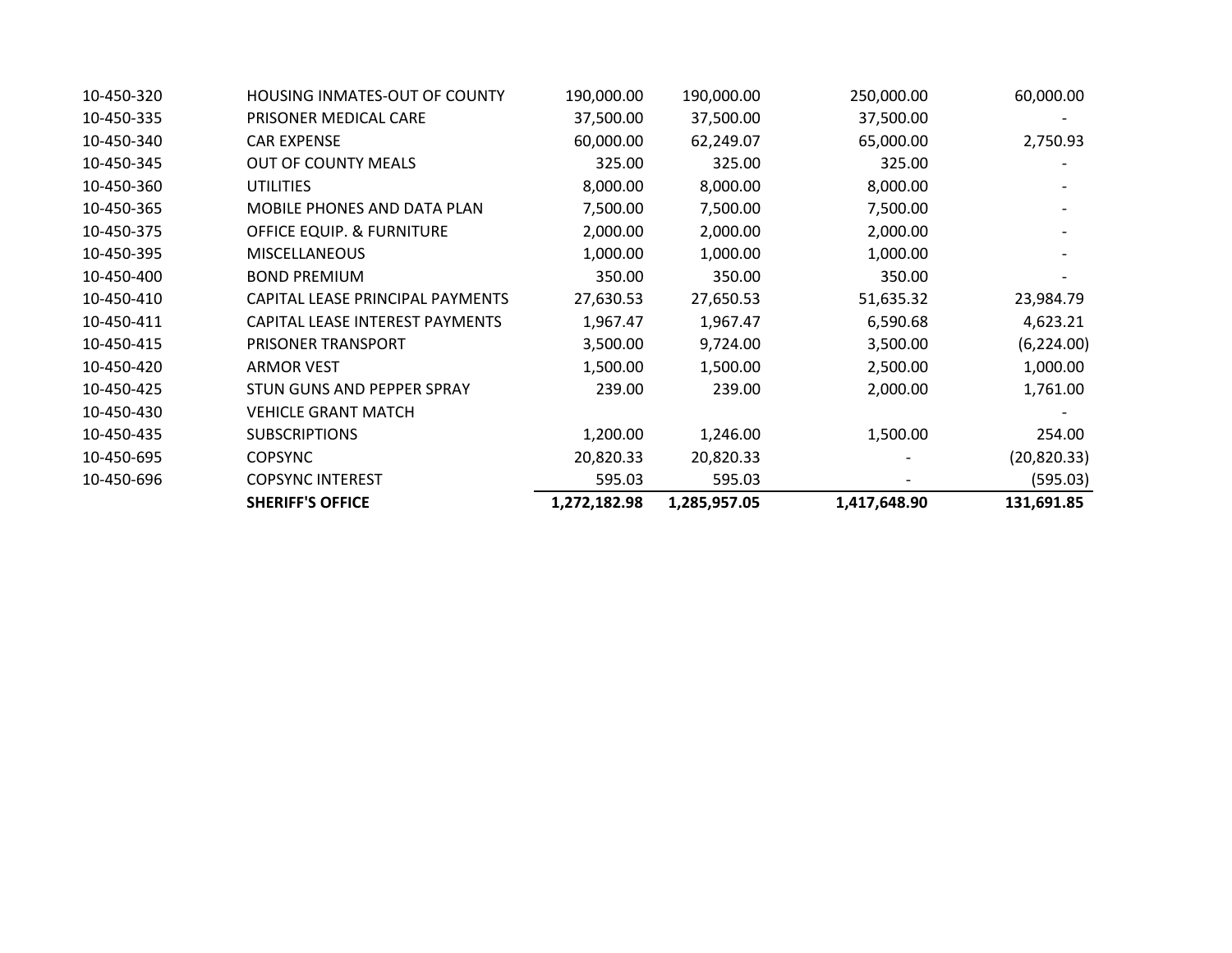|            | <b>SHERIFF'S OFFICE</b>              | 1,272,182.98 | 1,285,957.05 | 1,417,648.90 | 131,691.85   |
|------------|--------------------------------------|--------------|--------------|--------------|--------------|
| 10-450-696 | <b>COPSYNC INTEREST</b>              | 595.03       | 595.03       |              | (595.03)     |
| 10-450-695 | <b>COPSYNC</b>                       | 20,820.33    | 20,820.33    |              | (20, 820.33) |
| 10-450-435 | <b>SUBSCRIPTIONS</b>                 | 1,200.00     | 1,246.00     | 1,500.00     | 254.00       |
| 10-450-430 | <b>VEHICLE GRANT MATCH</b>           |              |              |              |              |
| 10-450-425 | STUN GUNS AND PEPPER SPRAY           | 239.00       | 239.00       | 2,000.00     | 1,761.00     |
| 10-450-420 | ARMOR VEST                           | 1,500.00     | 1,500.00     | 2,500.00     | 1,000.00     |
| 10-450-415 | PRISONER TRANSPORT                   | 3,500.00     | 9,724.00     | 3,500.00     | (6, 224.00)  |
| 10-450-411 | CAPITAL LEASE INTEREST PAYMENTS      | 1,967.47     | 1,967.47     | 6,590.68     | 4,623.21     |
| 10-450-410 | CAPITAL LEASE PRINCIPAL PAYMENTS     | 27,630.53    | 27,650.53    | 51,635.32    | 23,984.79    |
| 10-450-400 | <b>BOND PREMIUM</b>                  | 350.00       | 350.00       | 350.00       |              |
| 10-450-395 | <b>MISCELLANEOUS</b>                 | 1,000.00     | 1,000.00     | 1,000.00     |              |
| 10-450-375 | OFFICE EQUIP. & FURNITURE            | 2,000.00     | 2,000.00     | 2,000.00     |              |
| 10-450-365 | <b>MOBILE PHONES AND DATA PLAN</b>   | 7,500.00     | 7,500.00     | 7,500.00     |              |
| 10-450-360 | <b>UTILITIES</b>                     | 8,000.00     | 8,000.00     | 8,000.00     |              |
| 10-450-345 | <b>OUT OF COUNTY MEALS</b>           | 325.00       | 325.00       | 325.00       |              |
| 10-450-340 | <b>CAR EXPENSE</b>                   | 60,000.00    | 62,249.07    | 65,000.00    | 2,750.93     |
| 10-450-335 | PRISONER MEDICAL CARE                | 37,500.00    | 37,500.00    | 37,500.00    |              |
| 10-450-320 | <b>HOUSING INMATES-OUT OF COUNTY</b> | 190,000.00   | 190,000.00   | 250,000.00   | 60,000.00    |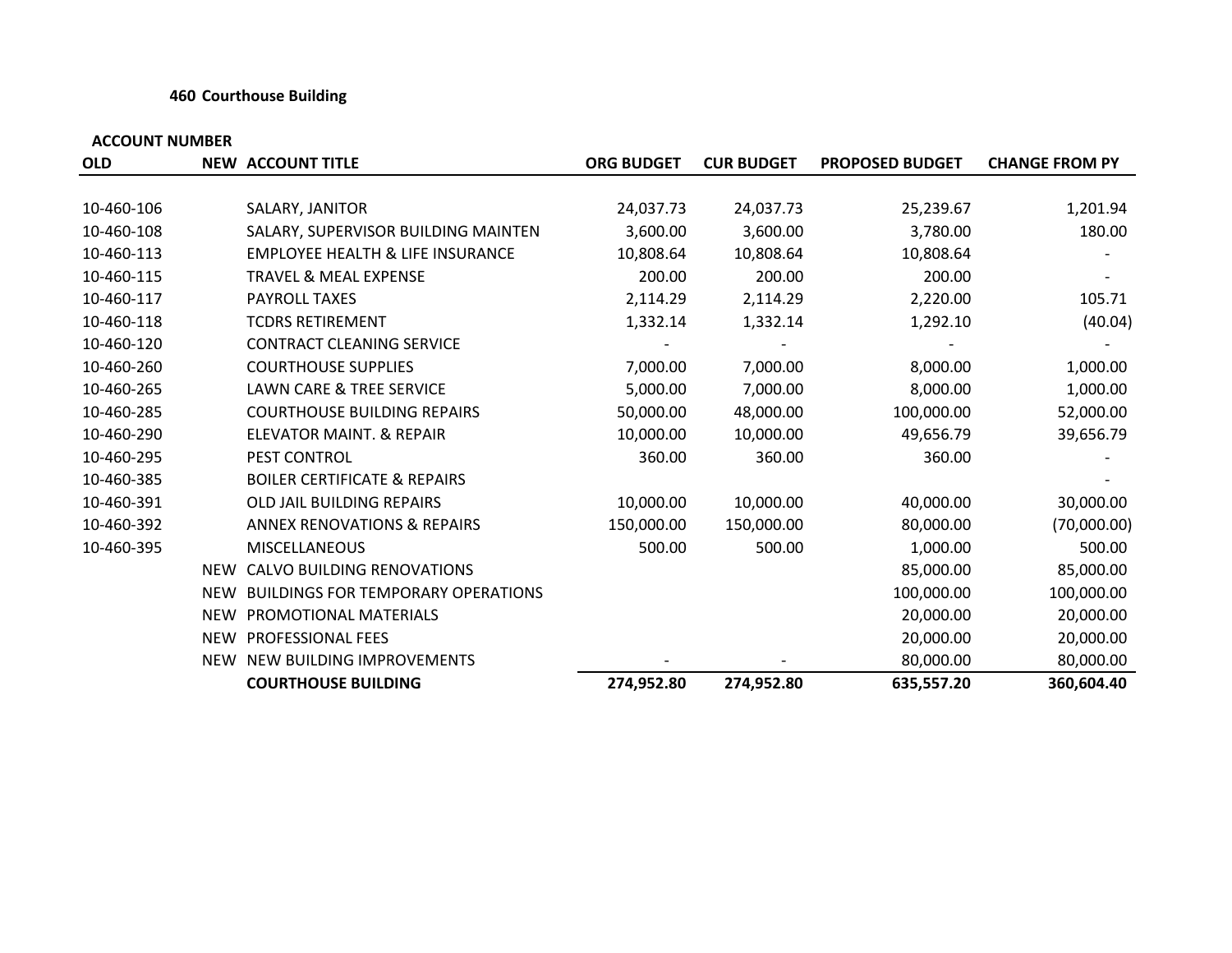#### **460 Courthouse Building**

| <b>OLD</b> |     | <b>NEW ACCOUNT TITLE</b>                    | <b>ORG BUDGET</b> | <b>CUR BUDGET</b> | <b>PROPOSED BUDGET</b> | <b>CHANGE FROM PY</b> |
|------------|-----|---------------------------------------------|-------------------|-------------------|------------------------|-----------------------|
|            |     |                                             |                   |                   |                        |                       |
| 10-460-106 |     | SALARY, JANITOR                             | 24,037.73         | 24,037.73         | 25,239.67              | 1,201.94              |
| 10-460-108 |     | SALARY, SUPERVISOR BUILDING MAINTEN         | 3,600.00          | 3,600.00          | 3,780.00               | 180.00                |
| 10-460-113 |     | <b>EMPLOYEE HEALTH &amp; LIFE INSURANCE</b> | 10,808.64         | 10,808.64         | 10,808.64              |                       |
| 10-460-115 |     | <b>TRAVEL &amp; MEAL EXPENSE</b>            | 200.00            | 200.00            | 200.00                 |                       |
| 10-460-117 |     | <b>PAYROLL TAXES</b>                        | 2,114.29          | 2,114.29          | 2,220.00               | 105.71                |
| 10-460-118 |     | <b>TCDRS RETIREMENT</b>                     | 1,332.14          | 1,332.14          | 1,292.10               | (40.04)               |
| 10-460-120 |     | <b>CONTRACT CLEANING SERVICE</b>            |                   |                   |                        |                       |
| 10-460-260 |     | <b>COURTHOUSE SUPPLIES</b>                  | 7,000.00          | 7,000.00          | 8,000.00               | 1,000.00              |
| 10-460-265 |     | <b>LAWN CARE &amp; TREE SERVICE</b>         | 5,000.00          | 7,000.00          | 8,000.00               | 1,000.00              |
| 10-460-285 |     | <b>COURTHOUSE BUILDING REPAIRS</b>          | 50,000.00         | 48,000.00         | 100,000.00             | 52,000.00             |
| 10-460-290 |     | ELEVATOR MAINT. & REPAIR                    | 10,000.00         | 10,000.00         | 49,656.79              | 39,656.79             |
| 10-460-295 |     | PEST CONTROL                                | 360.00            | 360.00            | 360.00                 |                       |
| 10-460-385 |     | <b>BOILER CERTIFICATE &amp; REPAIRS</b>     |                   |                   |                        |                       |
| 10-460-391 |     | OLD JAIL BUILDING REPAIRS                   | 10,000.00         | 10,000.00         | 40,000.00              | 30,000.00             |
| 10-460-392 |     | <b>ANNEX RENOVATIONS &amp; REPAIRS</b>      | 150,000.00        | 150,000.00        | 80,000.00              | (70,000.00)           |
| 10-460-395 |     | <b>MISCELLANEOUS</b>                        | 500.00            | 500.00            | 1,000.00               | 500.00                |
|            | NEW | <b>CALVO BUILDING RENOVATIONS</b>           |                   |                   | 85,000.00              | 85,000.00             |
|            | NEW | <b>BUILDINGS FOR TEMPORARY OPERATIONS</b>   |                   |                   | 100,000.00             | 100,000.00            |
|            |     | NEW PROMOTIONAL MATERIALS                   |                   |                   | 20,000.00              | 20,000.00             |
|            |     | NEW PROFESSIONAL FEES                       |                   |                   | 20,000.00              | 20,000.00             |
|            |     | NEW NEW BUILDING IMPROVEMENTS               |                   |                   | 80,000.00              | 80,000.00             |
|            |     | <b>COURTHOUSE BUILDING</b>                  | 274,952.80        | 274,952.80        | 635,557.20             | 360,604.40            |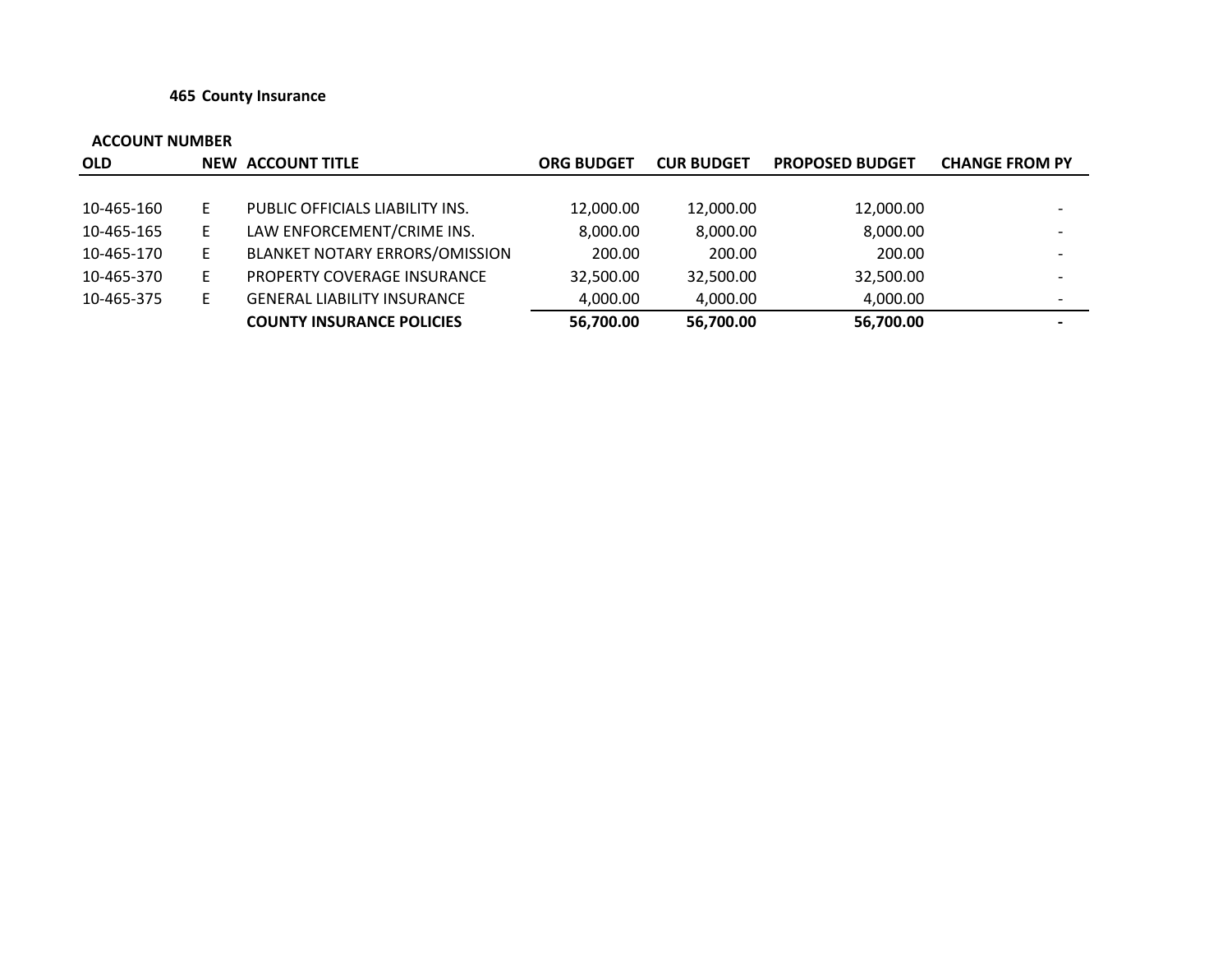#### **465 County Insurance**

| <b>OLD</b> |    | NEW ACCOUNT TITLE                     | <b>ORG BUDGET</b> | <b>CUR BUDGET</b> | <b>PROPOSED BUDGET</b> | <b>CHANGE FROM PY</b>    |
|------------|----|---------------------------------------|-------------------|-------------------|------------------------|--------------------------|
|            |    |                                       |                   |                   |                        |                          |
| 10-465-160 |    | PUBLIC OFFICIALS LIABILITY INS.       | 12,000.00         | 12,000.00         | 12,000.00              | $\overline{\phantom{0}}$ |
| 10-465-165 | E. | LAW ENFORCEMENT/CRIME INS.            | 8,000.00          | 8,000.00          | 8,000.00               |                          |
| 10-465-170 | E. | <b>BLANKET NOTARY ERRORS/OMISSION</b> | 200.00            | 200.00            | 200.00                 | $\overline{\phantom{0}}$ |
| 10-465-370 | Е  | PROPERTY COVERAGE INSURANCE           | 32,500.00         | 32,500.00         | 32,500.00              |                          |
| 10-465-375 | Е  | <b>GENERAL LIABILITY INSURANCE</b>    | 4,000.00          | 4,000.00          | 4,000.00               | $\overline{\phantom{a}}$ |
|            |    | <b>COUNTY INSURANCE POLICIES</b>      | 56,700.00         | 56,700.00         | 56,700.00              | $\overline{\phantom{0}}$ |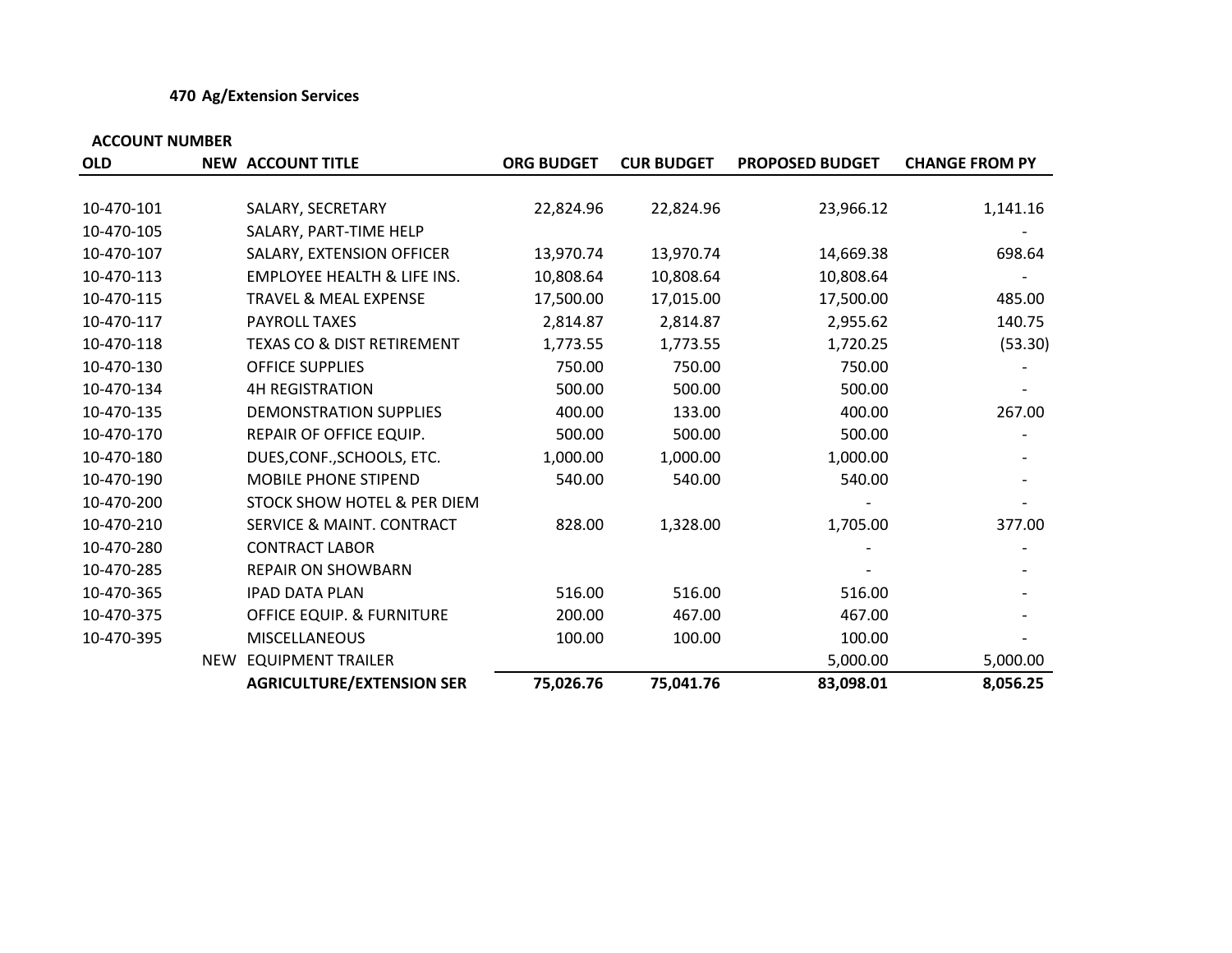### **470 Ag/Extension Services**

| <b>OLD</b> |            | <b>NEW ACCOUNT TITLE</b>               | <b>ORG BUDGET</b> | <b>CUR BUDGET</b> | <b>PROPOSED BUDGET</b> | <b>CHANGE FROM PY</b> |
|------------|------------|----------------------------------------|-------------------|-------------------|------------------------|-----------------------|
|            |            |                                        |                   |                   |                        |                       |
| 10-470-101 |            | SALARY, SECRETARY                      | 22,824.96         | 22,824.96         | 23,966.12              | 1,141.16              |
| 10-470-105 |            | SALARY, PART-TIME HELP                 |                   |                   |                        |                       |
| 10-470-107 |            | SALARY, EXTENSION OFFICER              | 13,970.74         | 13,970.74         | 14,669.38              | 698.64                |
| 10-470-113 |            | <b>EMPLOYEE HEALTH &amp; LIFE INS.</b> | 10,808.64         | 10,808.64         | 10,808.64              |                       |
| 10-470-115 |            | <b>TRAVEL &amp; MEAL EXPENSE</b>       | 17,500.00         | 17,015.00         | 17,500.00              | 485.00                |
| 10-470-117 |            | <b>PAYROLL TAXES</b>                   | 2,814.87          | 2,814.87          | 2,955.62               | 140.75                |
| 10-470-118 |            | <b>TEXAS CO &amp; DIST RETIREMENT</b>  | 1,773.55          | 1,773.55          | 1,720.25               | (53.30)               |
| 10-470-130 |            | <b>OFFICE SUPPLIES</b>                 | 750.00            | 750.00            | 750.00                 |                       |
| 10-470-134 |            | <b>4H REGISTRATION</b>                 | 500.00            | 500.00            | 500.00                 |                       |
| 10-470-135 |            | DEMONSTRATION SUPPLIES                 | 400.00            | 133.00            | 400.00                 | 267.00                |
| 10-470-170 |            | REPAIR OF OFFICE EQUIP.                | 500.00            | 500.00            | 500.00                 |                       |
| 10-470-180 |            | DUES, CONF., SCHOOLS, ETC.             | 1,000.00          | 1,000.00          | 1,000.00               |                       |
| 10-470-190 |            | <b>MOBILE PHONE STIPEND</b>            | 540.00            | 540.00            | 540.00                 |                       |
| 10-470-200 |            | STOCK SHOW HOTEL & PER DIEM            |                   |                   |                        |                       |
| 10-470-210 |            | <b>SERVICE &amp; MAINT. CONTRACT</b>   | 828.00            | 1,328.00          | 1,705.00               | 377.00                |
| 10-470-280 |            | <b>CONTRACT LABOR</b>                  |                   |                   |                        |                       |
| 10-470-285 |            | <b>REPAIR ON SHOWBARN</b>              |                   |                   |                        |                       |
| 10-470-365 |            | <b>IPAD DATA PLAN</b>                  | 516.00            | 516.00            | 516.00                 |                       |
| 10-470-375 |            | OFFICE EQUIP. & FURNITURE              | 200.00            | 467.00            | 467.00                 |                       |
| 10-470-395 |            | <b>MISCELLANEOUS</b>                   | 100.00            | 100.00            | 100.00                 |                       |
|            | <b>NEW</b> | <b>EQUIPMENT TRAILER</b>               |                   |                   | 5,000.00               | 5,000.00              |
|            |            | <b>AGRICULTURE/EXTENSION SER</b>       | 75,026.76         | 75,041.76         | 83,098.01              | 8,056.25              |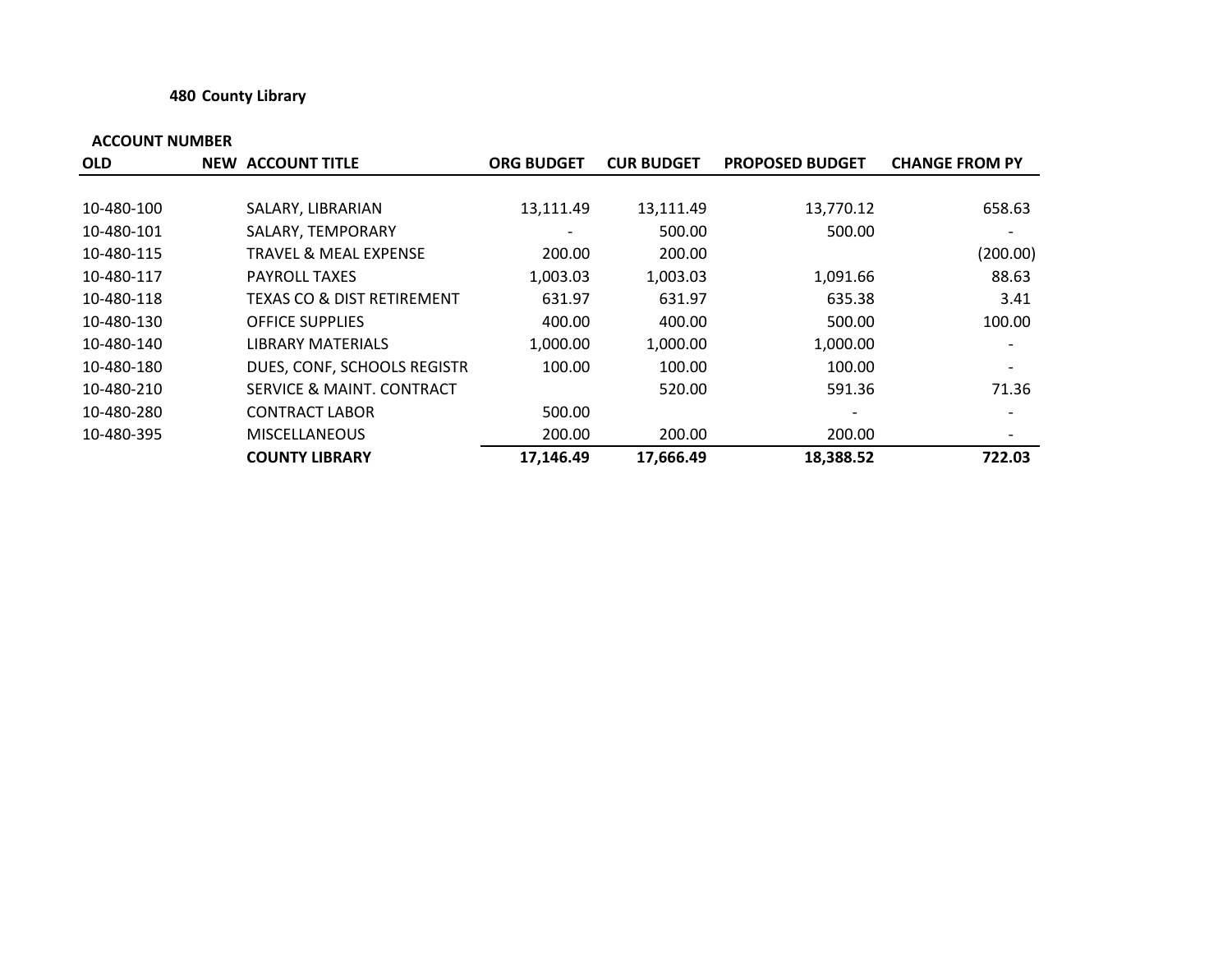### **480 County Library**

| <b>OLD</b> | <b>NEW ACCOUNT TITLE</b>              | <b>ORG BUDGET</b>        | <b>CUR BUDGET</b> | <b>PROPOSED BUDGET</b> | <b>CHANGE FROM PY</b>        |
|------------|---------------------------------------|--------------------------|-------------------|------------------------|------------------------------|
|            |                                       |                          |                   |                        |                              |
| 10-480-100 | SALARY, LIBRARIAN                     | 13,111.49                | 13,111.49         | 13,770.12              | 658.63                       |
| 10-480-101 | SALARY, TEMPORARY                     | $\overline{\phantom{a}}$ | 500.00            | 500.00                 | $\qquad \qquad \blacksquare$ |
| 10-480-115 | <b>TRAVEL &amp; MEAL EXPENSE</b>      | 200.00                   | 200.00            |                        | (200.00)                     |
| 10-480-117 | <b>PAYROLL TAXES</b>                  | 1,003.03                 | 1,003.03          | 1,091.66               | 88.63                        |
| 10-480-118 | <b>TEXAS CO &amp; DIST RETIREMENT</b> | 631.97                   | 631.97            | 635.38                 | 3.41                         |
| 10-480-130 | <b>OFFICE SUPPLIES</b>                | 400.00                   | 400.00            | 500.00                 | 100.00                       |
| 10-480-140 | <b>LIBRARY MATERIALS</b>              | 1,000.00                 | 1,000.00          | 1,000.00               | $\overline{\phantom{a}}$     |
| 10-480-180 | DUES, CONF, SCHOOLS REGISTR           | 100.00                   | 100.00            | 100.00                 | $\overline{\phantom{a}}$     |
| 10-480-210 | SERVICE & MAINT, CONTRACT             |                          | 520.00            | 591.36                 | 71.36                        |
| 10-480-280 | <b>CONTRACT LABOR</b>                 | 500.00                   |                   |                        |                              |
| 10-480-395 | <b>MISCELLANEOUS</b>                  | 200.00                   | 200.00            | 200.00                 | $\overline{\phantom{a}}$     |
|            | <b>COUNTY LIBRARY</b>                 | 17,146.49                | 17,666.49         | 18,388.52              | 722.03                       |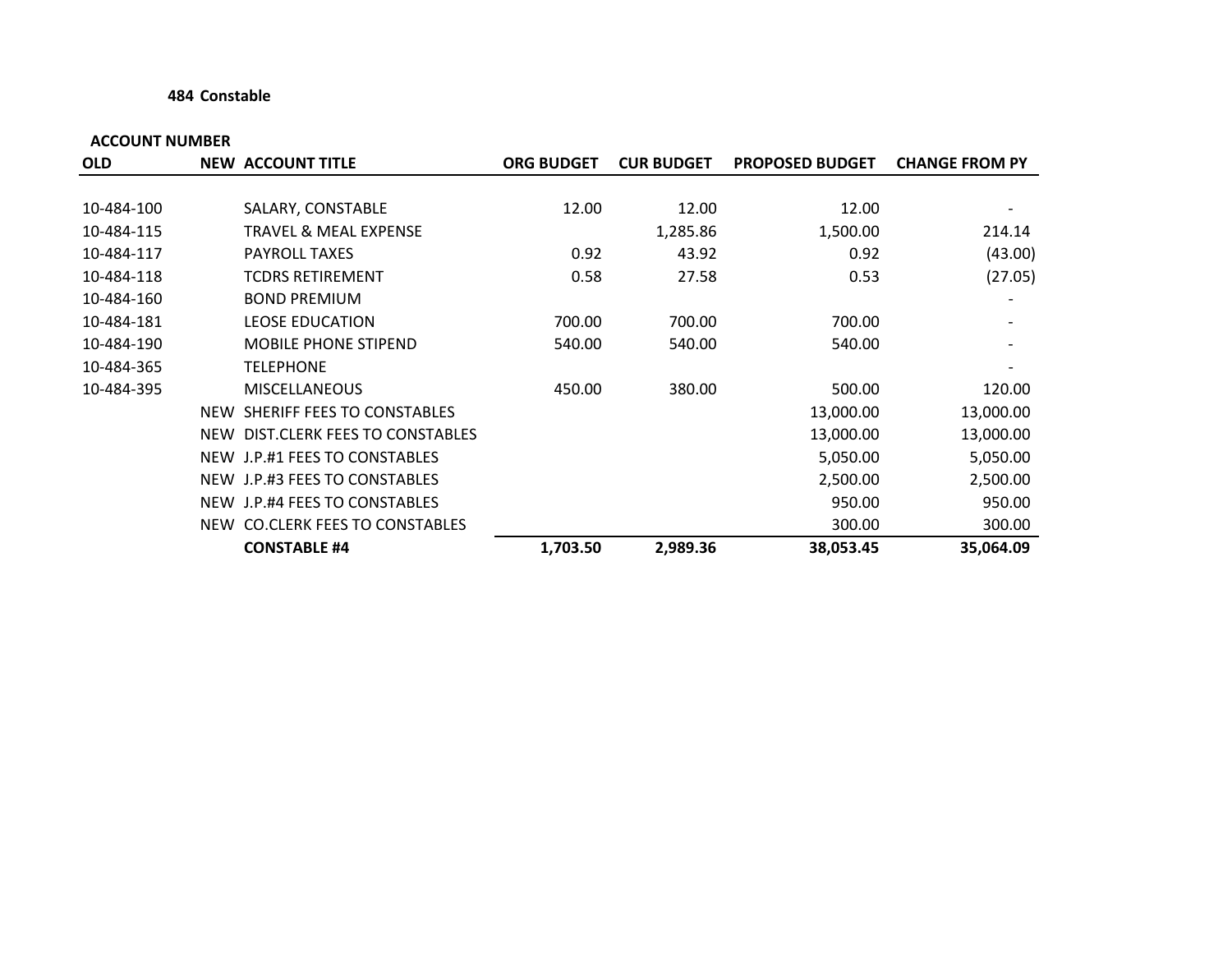#### **484 Constable**

| <b>OLD</b> |            | <b>NEW ACCOUNT TITLE</b>          | <b>ORG BUDGET</b> | <b>CUR BUDGET</b> | <b>PROPOSED BUDGET</b> | <b>CHANGE FROM PY</b> |
|------------|------------|-----------------------------------|-------------------|-------------------|------------------------|-----------------------|
|            |            |                                   |                   |                   |                        |                       |
| 10-484-100 |            | SALARY, CONSTABLE                 | 12.00             | 12.00             | 12.00                  |                       |
| 10-484-115 |            | TRAVEL & MEAL EXPENSE             |                   | 1,285.86          | 1,500.00               | 214.14                |
| 10-484-117 |            | <b>PAYROLL TAXES</b>              | 0.92              | 43.92             | 0.92                   | (43.00)               |
| 10-484-118 |            | <b>TCDRS RETIREMENT</b>           | 0.58              | 27.58             | 0.53                   | (27.05)               |
| 10-484-160 |            | <b>BOND PREMIUM</b>               |                   |                   |                        |                       |
| 10-484-181 |            | <b>LEOSE EDUCATION</b>            | 700.00            | 700.00            | 700.00                 |                       |
| 10-484-190 |            | <b>MOBILE PHONE STIPEND</b>       | 540.00            | 540.00            | 540.00                 |                       |
| 10-484-365 |            | <b>TELEPHONE</b>                  |                   |                   |                        |                       |
| 10-484-395 |            | <b>MISCELLANEOUS</b>              | 450.00            | 380.00            | 500.00                 | 120.00                |
|            | <b>NEW</b> | SHERIFF FEES TO CONSTABLES        |                   |                   | 13,000.00              | 13,000.00             |
|            |            | NEW DIST.CLERK FEES TO CONSTABLES |                   |                   | 13,000.00              | 13,000.00             |
|            |            | NEW J.P.#1 FEES TO CONSTABLES     |                   |                   | 5,050.00               | 5,050.00              |
|            |            | NEW J.P.#3 FEES TO CONSTABLES     |                   |                   | 2,500.00               | 2,500.00              |
|            |            | NEW J.P.#4 FEES TO CONSTABLES     |                   |                   | 950.00                 | 950.00                |
|            |            | NEW CO.CLERK FEES TO CONSTABLES   |                   |                   | 300.00                 | 300.00                |
|            |            | <b>CONSTABLE #4</b>               | 1,703.50          | 2,989.36          | 38,053.45              | 35,064.09             |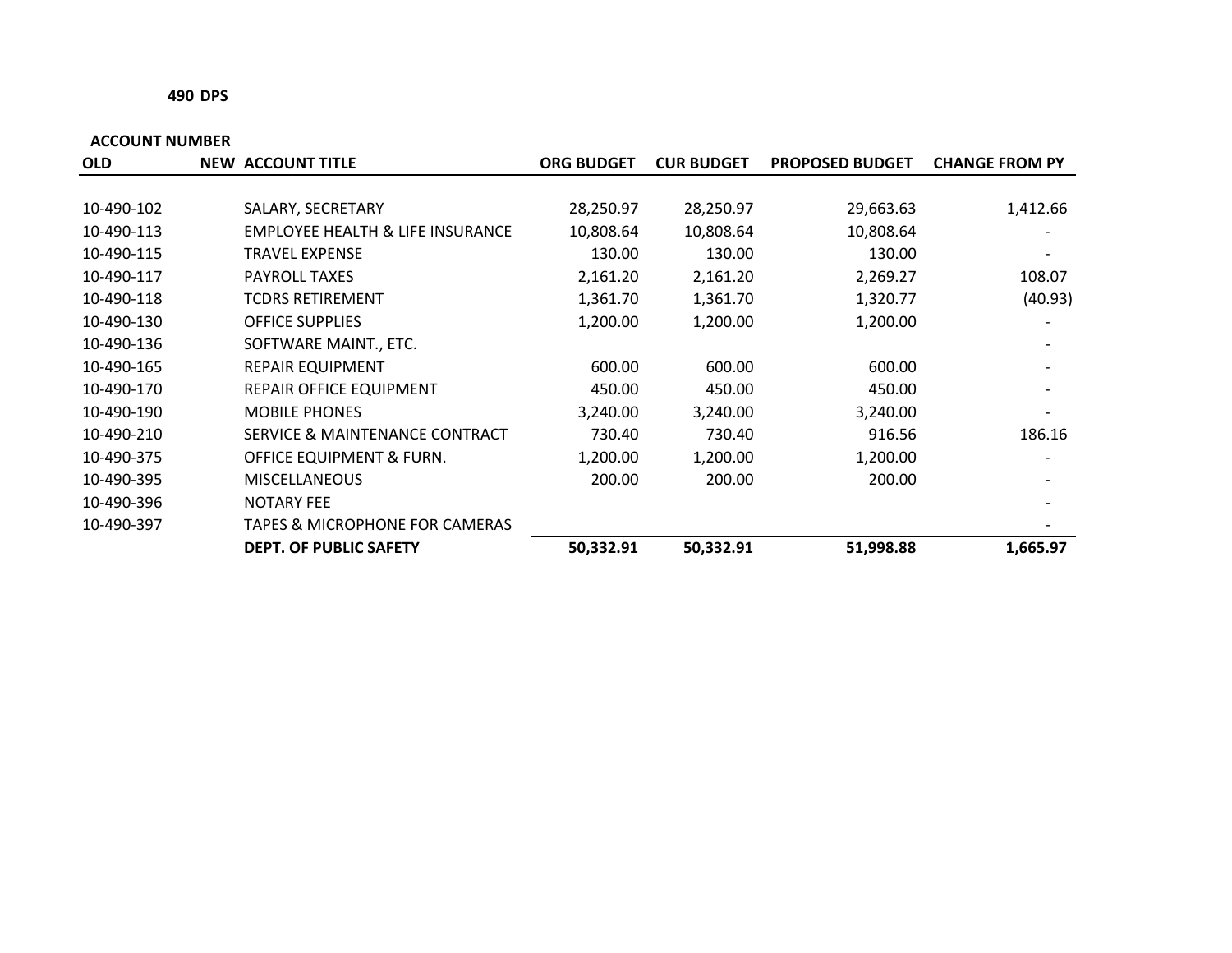#### **490 DPS**

| <b>OLD</b> | <b>NEW ACCOUNT TITLE</b>                  | <b>ORG BUDGET</b> | <b>CUR BUDGET</b> | <b>PROPOSED BUDGET</b> | <b>CHANGE FROM PY</b> |
|------------|-------------------------------------------|-------------------|-------------------|------------------------|-----------------------|
|            |                                           |                   |                   |                        |                       |
| 10-490-102 | SALARY, SECRETARY                         | 28,250.97         | 28,250.97         | 29,663.63              | 1,412.66              |
| 10-490-113 | EMPLOYEE HEALTH & LIFE INSURANCE          | 10,808.64         | 10,808.64         | 10,808.64              |                       |
| 10-490-115 | TRAVEL EXPENSE                            | 130.00            | 130.00            | 130.00                 |                       |
| 10-490-117 | <b>PAYROLL TAXES</b>                      | 2,161.20          | 2,161.20          | 2,269.27               | 108.07                |
| 10-490-118 | TCDRS RETIREMENT                          | 1,361.70          | 1,361.70          | 1,320.77               | (40.93)               |
| 10-490-130 | <b>OFFICE SUPPLIES</b>                    | 1,200.00          | 1,200.00          | 1,200.00               |                       |
| 10-490-136 | SOFTWARE MAINT., ETC.                     |                   |                   |                        |                       |
| 10-490-165 | <b>REPAIR EQUIPMENT</b>                   | 600.00            | 600.00            | 600.00                 |                       |
| 10-490-170 | <b>REPAIR OFFICE EQUIPMENT</b>            | 450.00            | 450.00            | 450.00                 |                       |
| 10-490-190 | <b>MOBILE PHONES</b>                      | 3,240.00          | 3,240.00          | 3,240.00               |                       |
| 10-490-210 | SERVICE & MAINTENANCE CONTRACT            | 730.40            | 730.40            | 916.56                 | 186.16                |
| 10-490-375 | OFFICE EQUIPMENT & FURN.                  | 1,200.00          | 1,200.00          | 1,200.00               |                       |
| 10-490-395 | <b>MISCELLANEOUS</b>                      | 200.00            | 200.00            | 200.00                 |                       |
| 10-490-396 | <b>NOTARY FEE</b>                         |                   |                   |                        |                       |
| 10-490-397 | <b>TAPES &amp; MICROPHONE FOR CAMERAS</b> |                   |                   |                        |                       |
|            | <b>DEPT. OF PUBLIC SAFETY</b>             | 50,332.91         | 50,332.91         | 51,998.88              | 1,665.97              |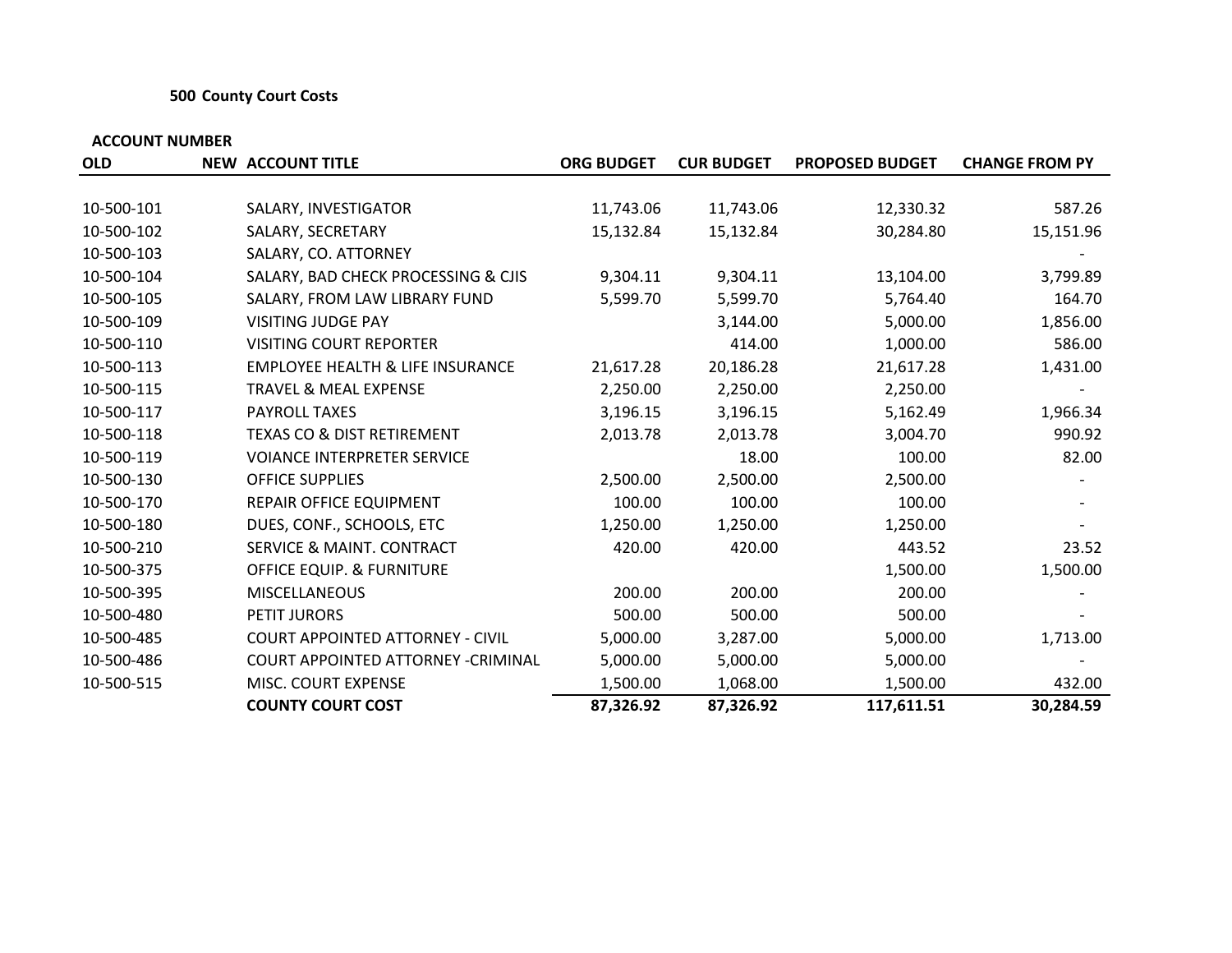#### **500 County Court Costs**

| <b>OLD</b> | <b>NEW ACCOUNT TITLE</b>                    | <b>ORG BUDGET</b> | <b>CUR BUDGET</b> | <b>PROPOSED BUDGET</b> | <b>CHANGE FROM PY</b> |
|------------|---------------------------------------------|-------------------|-------------------|------------------------|-----------------------|
|            |                                             |                   |                   |                        |                       |
| 10-500-101 | SALARY, INVESTIGATOR                        | 11,743.06         | 11,743.06         | 12,330.32              | 587.26                |
| 10-500-102 | SALARY, SECRETARY                           | 15,132.84         | 15,132.84         | 30,284.80              | 15,151.96             |
| 10-500-103 | SALARY, CO. ATTORNEY                        |                   |                   |                        |                       |
| 10-500-104 | SALARY, BAD CHECK PROCESSING & CJIS         | 9,304.11          | 9,304.11          | 13,104.00              | 3,799.89              |
| 10-500-105 | SALARY, FROM LAW LIBRARY FUND               | 5,599.70          | 5,599.70          | 5,764.40               | 164.70                |
| 10-500-109 | <b>VISITING JUDGE PAY</b>                   |                   | 3,144.00          | 5,000.00               | 1,856.00              |
| 10-500-110 | <b>VISITING COURT REPORTER</b>              |                   | 414.00            | 1,000.00               | 586.00                |
| 10-500-113 | <b>EMPLOYEE HEALTH &amp; LIFE INSURANCE</b> | 21,617.28         | 20,186.28         | 21,617.28              | 1,431.00              |
| 10-500-115 | <b>TRAVEL &amp; MEAL EXPENSE</b>            | 2,250.00          | 2,250.00          | 2,250.00               |                       |
| 10-500-117 | <b>PAYROLL TAXES</b>                        | 3,196.15          | 3,196.15          | 5,162.49               | 1,966.34              |
| 10-500-118 | <b>TEXAS CO &amp; DIST RETIREMENT</b>       | 2,013.78          | 2,013.78          | 3,004.70               | 990.92                |
| 10-500-119 | <b>VOIANCE INTERPRETER SERVICE</b>          |                   | 18.00             | 100.00                 | 82.00                 |
| 10-500-130 | <b>OFFICE SUPPLIES</b>                      | 2,500.00          | 2,500.00          | 2,500.00               |                       |
| 10-500-170 | REPAIR OFFICE EQUIPMENT                     | 100.00            | 100.00            | 100.00                 |                       |
| 10-500-180 | DUES, CONF., SCHOOLS, ETC                   | 1,250.00          | 1,250.00          | 1,250.00               |                       |
| 10-500-210 | <b>SERVICE &amp; MAINT. CONTRACT</b>        | 420.00            | 420.00            | 443.52                 | 23.52                 |
| 10-500-375 | <b>OFFICE EQUIP. &amp; FURNITURE</b>        |                   |                   | 1,500.00               | 1,500.00              |
| 10-500-395 | <b>MISCELLANEOUS</b>                        | 200.00            | 200.00            | 200.00                 |                       |
| 10-500-480 | PETIT JURORS                                | 500.00            | 500.00            | 500.00                 |                       |
| 10-500-485 | <b>COURT APPOINTED ATTORNEY - CIVIL</b>     | 5,000.00          | 3,287.00          | 5,000.00               | 1,713.00              |
| 10-500-486 | COURT APPOINTED ATTORNEY - CRIMINAL         | 5,000.00          | 5,000.00          | 5,000.00               |                       |
| 10-500-515 | MISC. COURT EXPENSE                         | 1,500.00          | 1,068.00          | 1,500.00               | 432.00                |
|            | <b>COUNTY COURT COST</b>                    | 87,326.92         | 87,326.92         | 117,611.51             | 30,284.59             |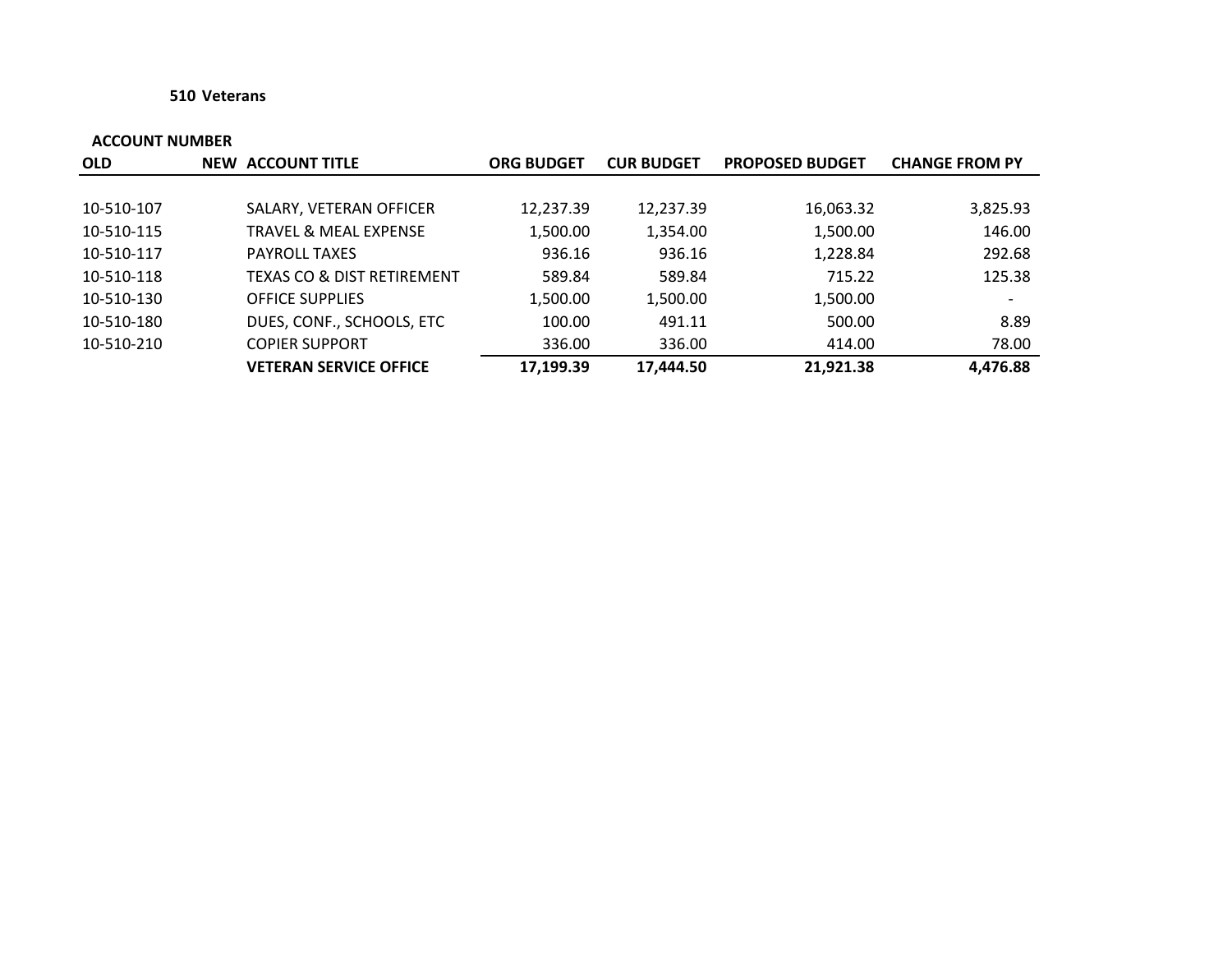#### **510 Veterans**

| <b>OLD</b> | <b>NEW ACCOUNT TITLE</b>              | <b>ORG BUDGET</b> | <b>CUR BUDGET</b> | <b>PROPOSED BUDGET</b> | <b>CHANGE FROM PY</b> |
|------------|---------------------------------------|-------------------|-------------------|------------------------|-----------------------|
|            |                                       |                   |                   |                        |                       |
| 10-510-107 | SALARY, VETERAN OFFICER               | 12,237.39         | 12,237.39         | 16,063.32              | 3,825.93              |
| 10-510-115 | <b>TRAVEL &amp; MEAL EXPENSE</b>      | 1,500.00          | 1,354.00          | 1,500.00               | 146.00                |
| 10-510-117 | <b>PAYROLL TAXES</b>                  | 936.16            | 936.16            | 1,228.84               | 292.68                |
| 10-510-118 | <b>TEXAS CO &amp; DIST RETIREMENT</b> | 589.84            | 589.84            | 715.22                 | 125.38                |
| 10-510-130 | <b>OFFICE SUPPLIES</b>                | 1,500.00          | 1,500.00          | 1,500.00               |                       |
| 10-510-180 | DUES, CONF., SCHOOLS, ETC             | 100.00            | 491.11            | 500.00                 | 8.89                  |
| 10-510-210 | <b>COPIER SUPPORT</b>                 | 336.00            | 336.00            | 414.00                 | 78.00                 |
|            | <b>VETERAN SERVICE OFFICE</b>         | 17,199.39         | 17,444.50         | 21,921.38              | 4,476.88              |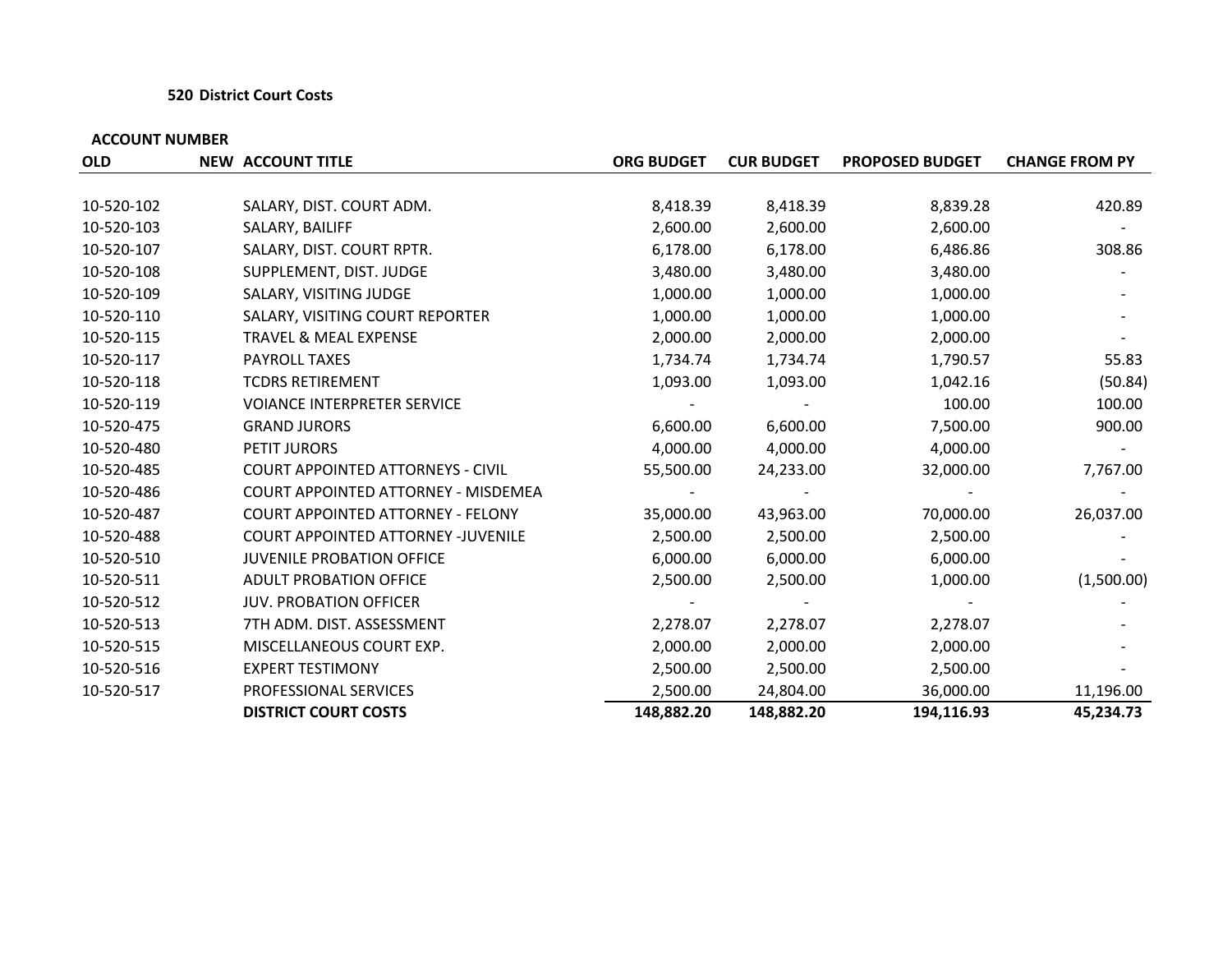#### **520 District Court Costs**

| <b>OLD</b> | <b>NEW ACCOUNT TITLE</b>                 | <b>ORG BUDGET</b> | <b>CUR BUDGET</b> | <b>PROPOSED BUDGET</b> | <b>CHANGE FROM PY</b> |
|------------|------------------------------------------|-------------------|-------------------|------------------------|-----------------------|
|            |                                          |                   |                   |                        |                       |
| 10-520-102 | SALARY, DIST. COURT ADM.                 | 8,418.39          | 8,418.39          | 8,839.28               | 420.89                |
| 10-520-103 | SALARY, BAILIFF                          | 2,600.00          | 2,600.00          | 2,600.00               |                       |
| 10-520-107 | SALARY, DIST. COURT RPTR.                | 6,178.00          | 6,178.00          | 6,486.86               | 308.86                |
| 10-520-108 | SUPPLEMENT, DIST. JUDGE                  | 3,480.00          | 3,480.00          | 3,480.00               |                       |
| 10-520-109 | SALARY, VISITING JUDGE                   | 1,000.00          | 1,000.00          | 1,000.00               |                       |
| 10-520-110 | SALARY, VISITING COURT REPORTER          | 1,000.00          | 1,000.00          | 1,000.00               |                       |
| 10-520-115 | TRAVEL & MEAL EXPENSE                    | 2,000.00          | 2,000.00          | 2,000.00               |                       |
| 10-520-117 | <b>PAYROLL TAXES</b>                     | 1,734.74          | 1,734.74          | 1,790.57               | 55.83                 |
| 10-520-118 | <b>TCDRS RETIREMENT</b>                  | 1,093.00          | 1,093.00          | 1,042.16               | (50.84)               |
| 10-520-119 | <b>VOIANCE INTERPRETER SERVICE</b>       |                   |                   | 100.00                 | 100.00                |
| 10-520-475 | <b>GRAND JURORS</b>                      | 6,600.00          | 6,600.00          | 7,500.00               | 900.00                |
| 10-520-480 | PETIT JURORS                             | 4,000.00          | 4,000.00          | 4,000.00               |                       |
| 10-520-485 | <b>COURT APPOINTED ATTORNEYS - CIVIL</b> | 55,500.00         | 24,233.00         | 32,000.00              | 7,767.00              |
| 10-520-486 | COURT APPOINTED ATTORNEY - MISDEMEA      |                   |                   |                        |                       |
| 10-520-487 | <b>COURT APPOINTED ATTORNEY - FELONY</b> | 35,000.00         | 43,963.00         | 70,000.00              | 26,037.00             |
| 10-520-488 | COURT APPOINTED ATTORNEY -JUVENILE       | 2,500.00          | 2,500.00          | 2,500.00               |                       |
| 10-520-510 | <b>JUVENILE PROBATION OFFICE</b>         | 6,000.00          | 6,000.00          | 6,000.00               |                       |
| 10-520-511 | ADULT PROBATION OFFICE                   | 2,500.00          | 2,500.00          | 1,000.00               | (1,500.00)            |
| 10-520-512 | <b>JUV. PROBATION OFFICER</b>            |                   |                   |                        |                       |
| 10-520-513 | 7TH ADM. DIST. ASSESSMENT                | 2,278.07          | 2,278.07          | 2,278.07               |                       |
| 10-520-515 | MISCELLANEOUS COURT EXP.                 | 2,000.00          | 2,000.00          | 2,000.00               |                       |
| 10-520-516 | <b>EXPERT TESTIMONY</b>                  | 2,500.00          | 2,500.00          | 2,500.00               |                       |
| 10-520-517 | PROFESSIONAL SERVICES                    | 2,500.00          | 24,804.00         | 36,000.00              | 11,196.00             |
|            | <b>DISTRICT COURT COSTS</b>              | 148,882.20        | 148,882.20        | 194,116.93             | 45,234.73             |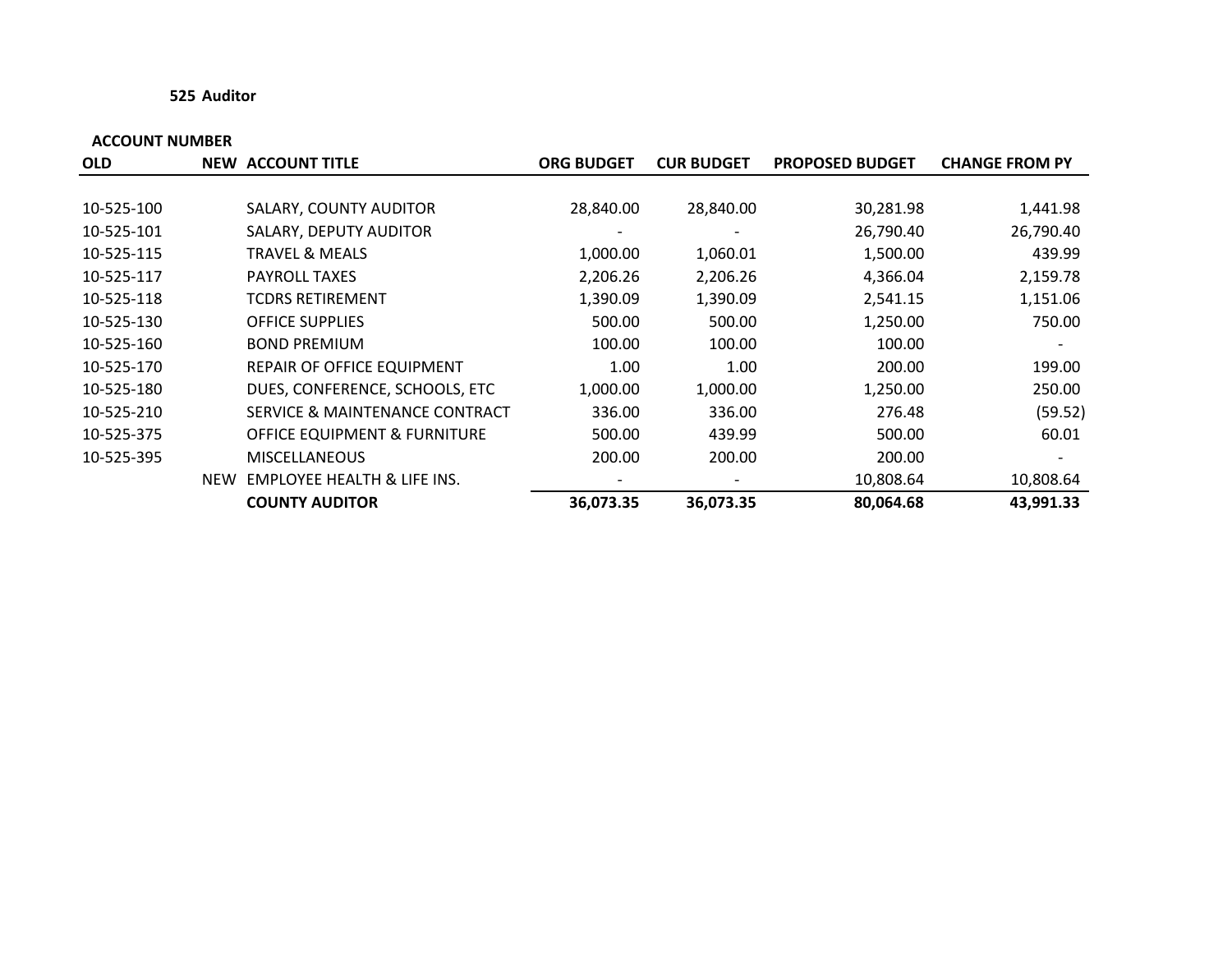#### **525 Auditor**

| <b>OLD</b> |            | <b>NEW ACCOUNT TITLE</b>                | <b>ORG BUDGET</b> | <b>CUR BUDGET</b> | <b>PROPOSED BUDGET</b> | <b>CHANGE FROM PY</b> |
|------------|------------|-----------------------------------------|-------------------|-------------------|------------------------|-----------------------|
|            |            |                                         |                   |                   |                        |                       |
| 10-525-100 |            | SALARY, COUNTY AUDITOR                  | 28,840.00         | 28,840.00         | 30,281.98              | 1,441.98              |
| 10-525-101 |            | SALARY, DEPUTY AUDITOR                  |                   |                   | 26,790.40              | 26,790.40             |
| 10-525-115 |            | TRAVEL & MEALS                          | 1,000.00          | 1,060.01          | 1,500.00               | 439.99                |
| 10-525-117 |            | <b>PAYROLL TAXES</b>                    | 2,206.26          | 2,206.26          | 4,366.04               | 2,159.78              |
| 10-525-118 |            | <b>TCDRS RETIREMENT</b>                 | 1,390.09          | 1,390.09          | 2,541.15               | 1,151.06              |
| 10-525-130 |            | <b>OFFICE SUPPLIES</b>                  | 500.00            | 500.00            | 1,250.00               | 750.00                |
| 10-525-160 |            | <b>BOND PREMIUM</b>                     | 100.00            | 100.00            | 100.00                 |                       |
| 10-525-170 |            | REPAIR OF OFFICE EQUIPMENT              | 1.00              | 1.00              | 200.00                 | 199.00                |
| 10-525-180 |            | DUES, CONFERENCE, SCHOOLS, ETC          | 1,000.00          | 1,000.00          | 1,250.00               | 250.00                |
| 10-525-210 |            | SERVICE & MAINTENANCE CONTRACT          | 336.00            | 336.00            | 276.48                 | (59.52)               |
| 10-525-375 |            | <b>OFFICE EQUIPMENT &amp; FURNITURE</b> | 500.00            | 439.99            | 500.00                 | 60.01                 |
| 10-525-395 |            | <b>MISCELLANEOUS</b>                    | 200.00            | 200.00            | 200.00                 |                       |
|            | <b>NEW</b> | <b>EMPLOYEE HEALTH &amp; LIFE INS.</b>  |                   |                   | 10,808.64              | 10,808.64             |
|            |            | <b>COUNTY AUDITOR</b>                   | 36,073.35         | 36,073.35         | 80,064.68              | 43,991.33             |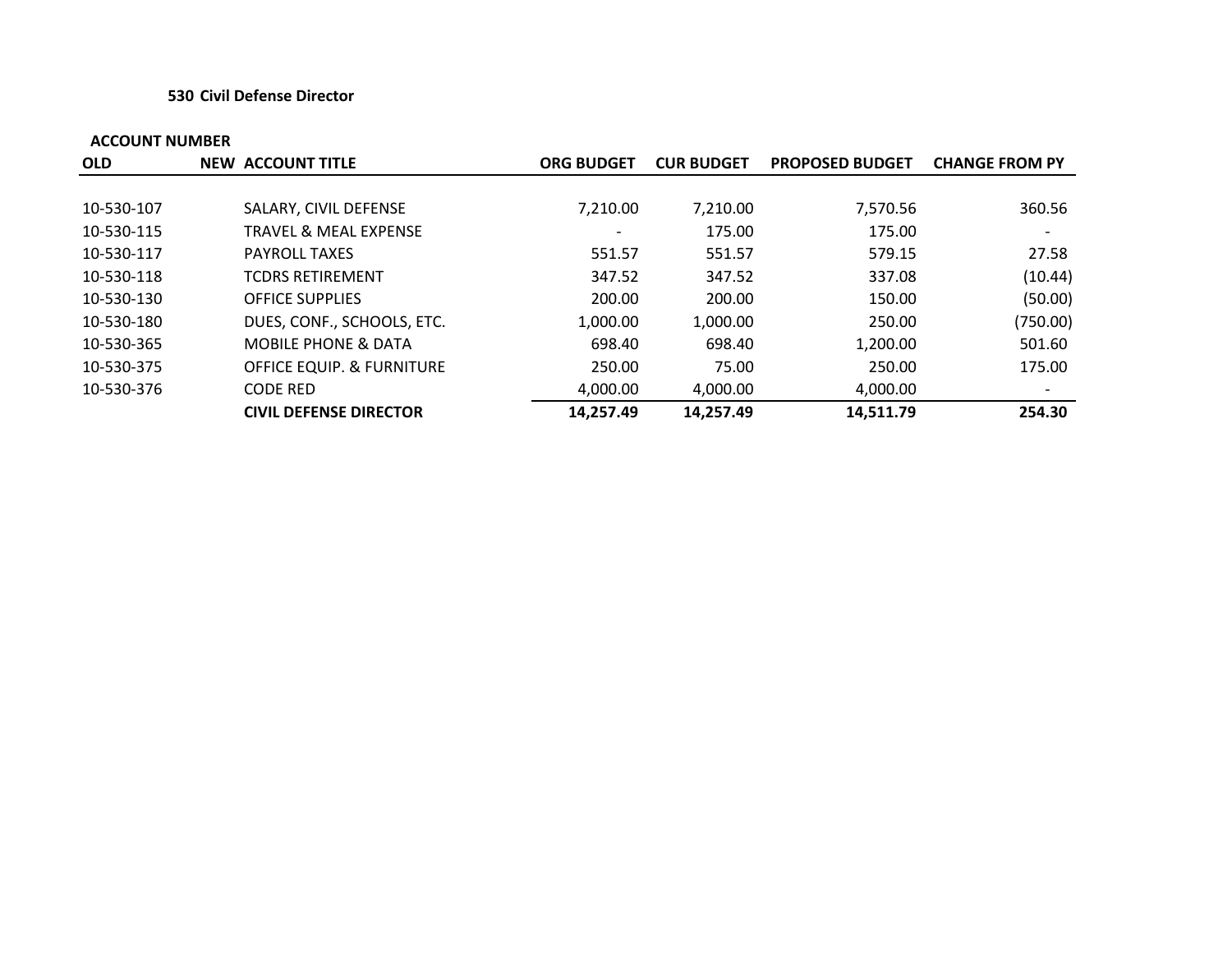#### **530 Civil Defense Director**

| <b>OLD</b> | <b>NEW ACCOUNT TITLE</b>             | <b>ORG BUDGET</b> | <b>CUR BUDGET</b> | <b>PROPOSED BUDGET</b> | <b>CHANGE FROM PY</b> |
|------------|--------------------------------------|-------------------|-------------------|------------------------|-----------------------|
|            |                                      |                   |                   |                        |                       |
| 10-530-107 | SALARY, CIVIL DEFENSE                | 7.210.00          | 7,210.00          | 7,570.56               | 360.56                |
| 10-530-115 | <b>TRAVEL &amp; MEAL EXPENSE</b>     |                   | 175.00            | 175.00                 |                       |
| 10-530-117 | <b>PAYROLL TAXES</b>                 | 551.57            | 551.57            | 579.15                 | 27.58                 |
| 10-530-118 | <b>TCDRS RETIREMENT</b>              | 347.52            | 347.52            | 337.08                 | (10.44)               |
| 10-530-130 | <b>OFFICE SUPPLIES</b>               | 200.00            | 200.00            | 150.00                 | (50.00)               |
| 10-530-180 | DUES, CONF., SCHOOLS, ETC.           | 1,000.00          | 1,000.00          | 250.00                 | (750.00)              |
| 10-530-365 | <b>MOBILE PHONE &amp; DATA</b>       | 698.40            | 698.40            | 1,200.00               | 501.60                |
| 10-530-375 | <b>OFFICE EQUIP. &amp; FURNITURE</b> | 250.00            | 75.00             | 250.00                 | 175.00                |
| 10-530-376 | <b>CODE RED</b>                      | 4,000.00          | 4,000.00          | 4,000.00               |                       |
|            | <b>CIVIL DEFENSE DIRECTOR</b>        | 14,257.49         | 14,257.49         | 14,511.79              | 254.30                |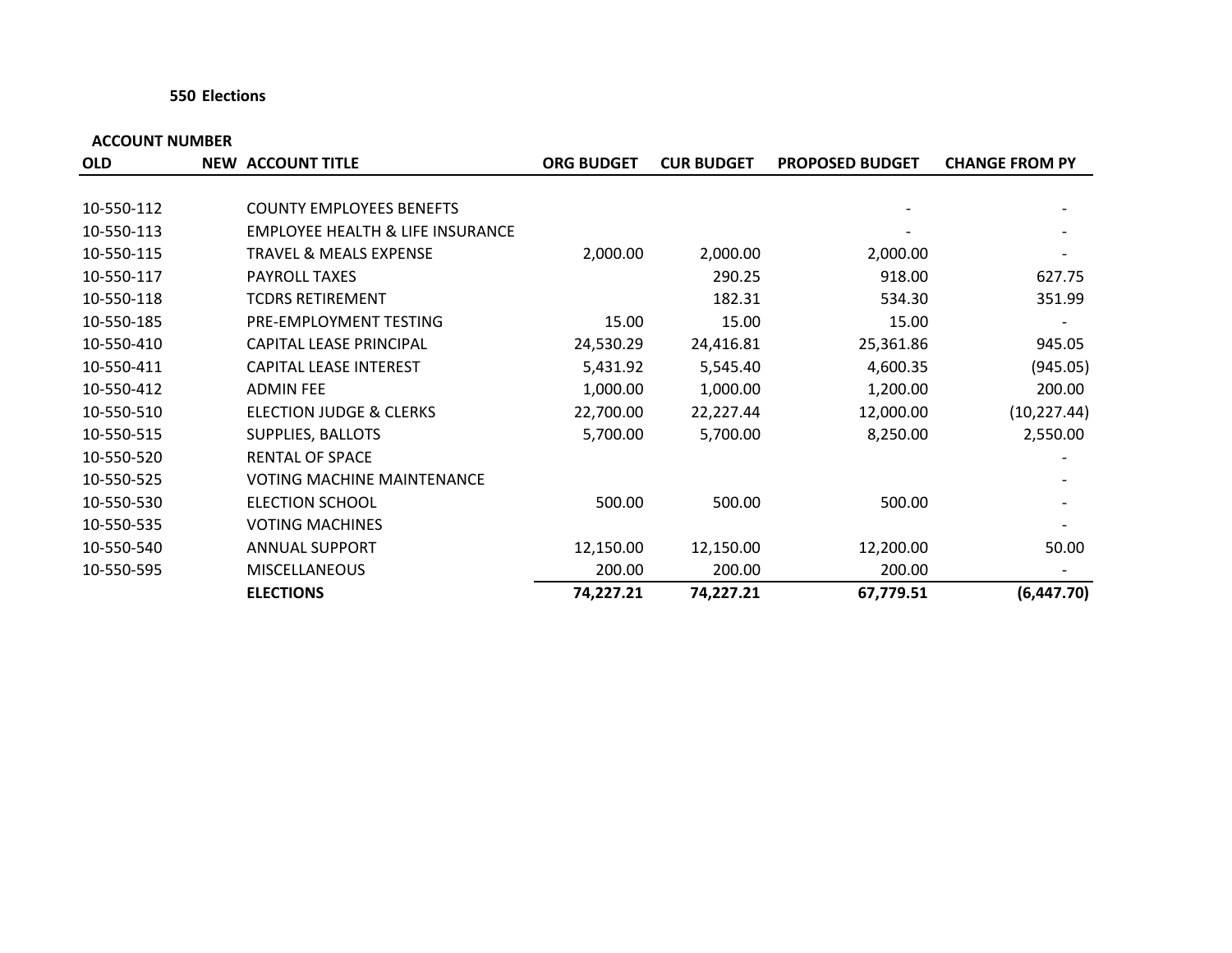#### **550 Elections**

| <b>OLD</b> | <b>NEW ACCOUNT TITLE</b>                    | <b>ORG BUDGET</b> | <b>CUR BUDGET</b> | <b>PROPOSED BUDGET</b> | <b>CHANGE FROM PY</b> |
|------------|---------------------------------------------|-------------------|-------------------|------------------------|-----------------------|
|            |                                             |                   |                   |                        |                       |
| 10-550-112 | <b>COUNTY EMPLOYEES BENEFTS</b>             |                   |                   |                        |                       |
| 10-550-113 | <b>EMPLOYEE HEALTH &amp; LIFE INSURANCE</b> |                   |                   |                        |                       |
| 10-550-115 | TRAVEL & MEALS EXPENSE                      | 2,000.00          | 2,000.00          | 2,000.00               |                       |
| 10-550-117 | <b>PAYROLL TAXES</b>                        |                   | 290.25            | 918.00                 | 627.75                |
| 10-550-118 | <b>TCDRS RETIREMENT</b>                     |                   | 182.31            | 534.30                 | 351.99                |
| 10-550-185 | PRE-EMPLOYMENT TESTING                      | 15.00             | 15.00             | 15.00                  |                       |
| 10-550-410 | <b>CAPITAL LEASE PRINCIPAL</b>              | 24,530.29         | 24,416.81         | 25,361.86              | 945.05                |
| 10-550-411 | CAPITAL LEASE INTEREST                      | 5,431.92          | 5,545.40          | 4,600.35               | (945.05)              |
| 10-550-412 | <b>ADMIN FEE</b>                            | 1,000.00          | 1,000.00          | 1,200.00               | 200.00                |
| 10-550-510 | <b>ELECTION JUDGE &amp; CLERKS</b>          | 22,700.00         | 22,227.44         | 12,000.00              | (10, 227.44)          |
| 10-550-515 | SUPPLIES, BALLOTS                           | 5,700.00          | 5,700.00          | 8,250.00               | 2,550.00              |
| 10-550-520 | <b>RENTAL OF SPACE</b>                      |                   |                   |                        |                       |
| 10-550-525 | <b>VOTING MACHINE MAINTENANCE</b>           |                   |                   |                        |                       |
| 10-550-530 | <b>ELECTION SCHOOL</b>                      | 500.00            | 500.00            | 500.00                 |                       |
| 10-550-535 | <b>VOTING MACHINES</b>                      |                   |                   |                        |                       |
| 10-550-540 | <b>ANNUAL SUPPORT</b>                       | 12,150.00         | 12,150.00         | 12,200.00              | 50.00                 |
| 10-550-595 | <b>MISCELLANEOUS</b>                        | 200.00            | 200.00            | 200.00                 |                       |
|            | <b>ELECTIONS</b>                            | 74,227.21         | 74,227.21         | 67,779.51              | (6,447.70)            |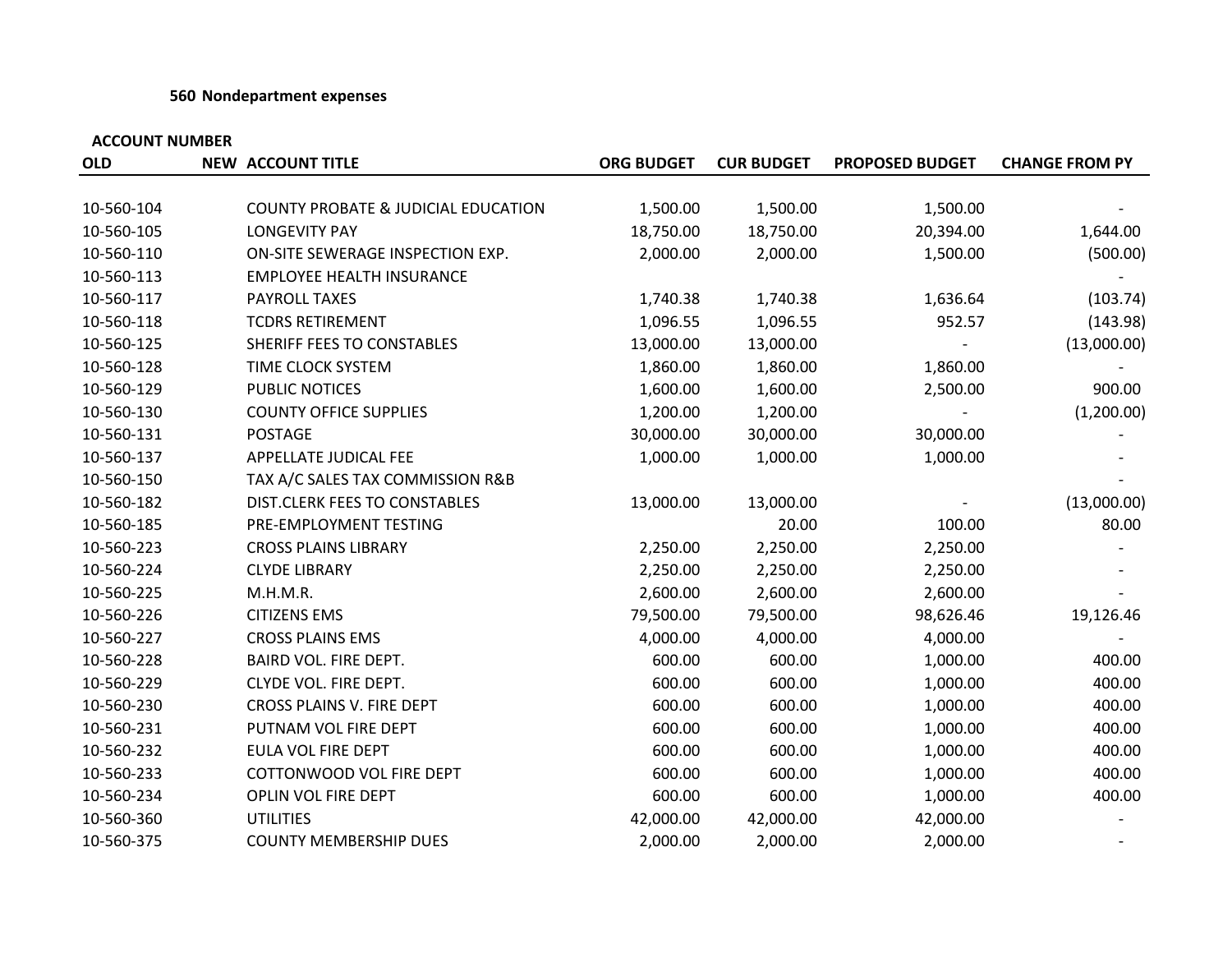#### **560 Nondepartment expenses**

| <b>OLD</b> | <b>NEW ACCOUNT TITLE</b>                       | <b>ORG BUDGET</b> | <b>CUR BUDGET</b> | <b>PROPOSED BUDGET</b> | <b>CHANGE FROM PY</b> |
|------------|------------------------------------------------|-------------------|-------------------|------------------------|-----------------------|
|            |                                                |                   |                   |                        |                       |
| 10-560-104 | <b>COUNTY PROBATE &amp; JUDICIAL EDUCATION</b> | 1,500.00          | 1,500.00          | 1,500.00               |                       |
| 10-560-105 | <b>LONGEVITY PAY</b>                           | 18,750.00         | 18,750.00         | 20,394.00              | 1,644.00              |
| 10-560-110 | ON-SITE SEWERAGE INSPECTION EXP.               | 2,000.00          | 2,000.00          | 1,500.00               | (500.00)              |
| 10-560-113 | <b>EMPLOYEE HEALTH INSURANCE</b>               |                   |                   |                        |                       |
| 10-560-117 | PAYROLL TAXES                                  | 1,740.38          | 1,740.38          | 1,636.64               | (103.74)              |
| 10-560-118 | <b>TCDRS RETIREMENT</b>                        | 1,096.55          | 1,096.55          | 952.57                 | (143.98)              |
| 10-560-125 | SHERIFF FEES TO CONSTABLES                     | 13,000.00         | 13,000.00         |                        | (13,000.00)           |
| 10-560-128 | TIME CLOCK SYSTEM                              | 1,860.00          | 1,860.00          | 1,860.00               |                       |
| 10-560-129 | PUBLIC NOTICES                                 | 1,600.00          | 1,600.00          | 2,500.00               | 900.00                |
| 10-560-130 | <b>COUNTY OFFICE SUPPLIES</b>                  | 1,200.00          | 1,200.00          |                        | (1,200.00)            |
| 10-560-131 | <b>POSTAGE</b>                                 | 30,000.00         | 30,000.00         | 30,000.00              |                       |
| 10-560-137 | APPELLATE JUDICAL FEE                          | 1,000.00          | 1,000.00          | 1,000.00               |                       |
| 10-560-150 | TAX A/C SALES TAX COMMISSION R&B               |                   |                   |                        |                       |
| 10-560-182 | DIST.CLERK FEES TO CONSTABLES                  | 13,000.00         | 13,000.00         |                        | (13,000.00)           |
| 10-560-185 | PRE-EMPLOYMENT TESTING                         |                   | 20.00             | 100.00                 | 80.00                 |
| 10-560-223 | <b>CROSS PLAINS LIBRARY</b>                    | 2,250.00          | 2,250.00          | 2,250.00               |                       |
| 10-560-224 | <b>CLYDE LIBRARY</b>                           | 2,250.00          | 2,250.00          | 2,250.00               |                       |
| 10-560-225 | M.H.M.R.                                       | 2,600.00          | 2,600.00          | 2,600.00               |                       |
| 10-560-226 | <b>CITIZENS EMS</b>                            | 79,500.00         | 79,500.00         | 98,626.46              | 19,126.46             |
| 10-560-227 | <b>CROSS PLAINS EMS</b>                        | 4,000.00          | 4,000.00          | 4,000.00               |                       |
| 10-560-228 | BAIRD VOL. FIRE DEPT.                          | 600.00            | 600.00            | 1,000.00               | 400.00                |
| 10-560-229 | CLYDE VOL. FIRE DEPT.                          | 600.00            | 600.00            | 1,000.00               | 400.00                |
| 10-560-230 | CROSS PLAINS V. FIRE DEPT                      | 600.00            | 600.00            | 1,000.00               | 400.00                |
| 10-560-231 | PUTNAM VOL FIRE DEPT                           | 600.00            | 600.00            | 1,000.00               | 400.00                |
| 10-560-232 | EULA VOL FIRE DEPT                             | 600.00            | 600.00            | 1,000.00               | 400.00                |
| 10-560-233 | COTTONWOOD VOL FIRE DEPT                       | 600.00            | 600.00            | 1,000.00               | 400.00                |
| 10-560-234 | OPLIN VOL FIRE DEPT                            | 600.00            | 600.00            | 1,000.00               | 400.00                |
| 10-560-360 | <b>UTILITIES</b>                               | 42,000.00         | 42,000.00         | 42,000.00              |                       |
| 10-560-375 | <b>COUNTY MEMBERSHIP DUES</b>                  | 2,000.00          | 2,000.00          | 2,000.00               |                       |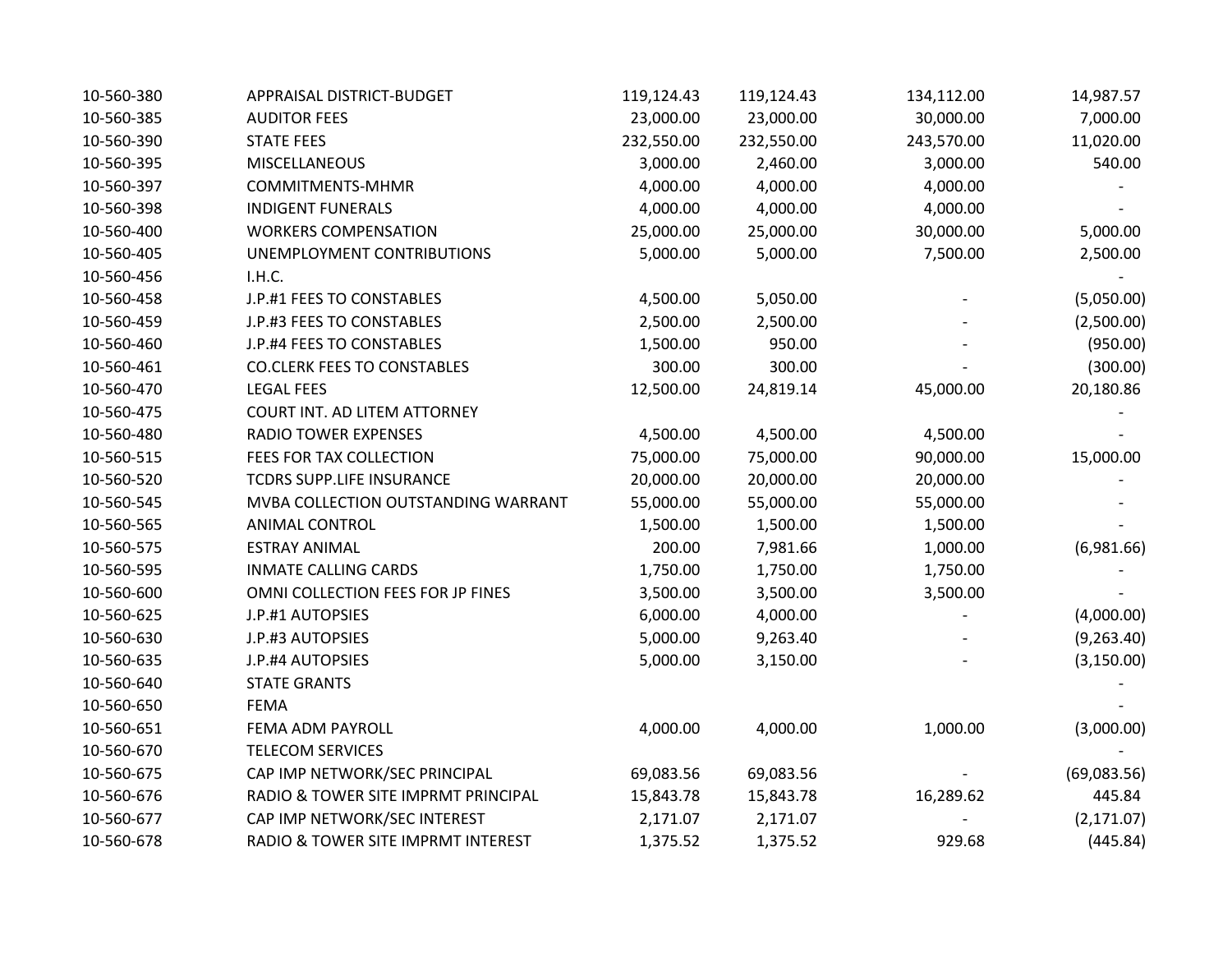| 10-560-380 | APPRAISAL DISTRICT-BUDGET           | 119,124.43 | 119,124.43 | 134,112.00 | 14,987.57   |
|------------|-------------------------------------|------------|------------|------------|-------------|
| 10-560-385 | <b>AUDITOR FEES</b>                 | 23,000.00  | 23,000.00  | 30,000.00  | 7,000.00    |
| 10-560-390 | <b>STATE FEES</b>                   | 232,550.00 | 232,550.00 | 243,570.00 | 11,020.00   |
| 10-560-395 | <b>MISCELLANEOUS</b>                | 3,000.00   | 2,460.00   | 3,000.00   | 540.00      |
| 10-560-397 | COMMITMENTS-MHMR                    | 4,000.00   | 4,000.00   | 4,000.00   |             |
| 10-560-398 | <b>INDIGENT FUNERALS</b>            | 4,000.00   | 4,000.00   | 4,000.00   |             |
| 10-560-400 | <b>WORKERS COMPENSATION</b>         | 25,000.00  | 25,000.00  | 30,000.00  | 5,000.00    |
| 10-560-405 | UNEMPLOYMENT CONTRIBUTIONS          | 5,000.00   | 5,000.00   | 7,500.00   | 2,500.00    |
| 10-560-456 | I.H.C.                              |            |            |            |             |
| 10-560-458 | J.P.#1 FEES TO CONSTABLES           | 4,500.00   | 5,050.00   |            | (5,050.00)  |
| 10-560-459 | J.P.#3 FEES TO CONSTABLES           | 2,500.00   | 2,500.00   |            | (2,500.00)  |
| 10-560-460 | J.P.#4 FEES TO CONSTABLES           | 1,500.00   | 950.00     |            | (950.00)    |
| 10-560-461 | <b>CO.CLERK FEES TO CONSTABLES</b>  | 300.00     | 300.00     |            | (300.00)    |
| 10-560-470 | <b>LEGAL FEES</b>                   | 12,500.00  | 24,819.14  | 45,000.00  | 20,180.86   |
| 10-560-475 | COURT INT. AD LITEM ATTORNEY        |            |            |            |             |
| 10-560-480 | <b>RADIO TOWER EXPENSES</b>         | 4,500.00   | 4,500.00   | 4,500.00   |             |
| 10-560-515 | FEES FOR TAX COLLECTION             | 75,000.00  | 75,000.00  | 90,000.00  | 15,000.00   |
| 10-560-520 | TCDRS SUPP.LIFE INSURANCE           | 20,000.00  | 20,000.00  | 20,000.00  |             |
| 10-560-545 | MVBA COLLECTION OUTSTANDING WARRANT | 55,000.00  | 55,000.00  | 55,000.00  |             |
| 10-560-565 | <b>ANIMAL CONTROL</b>               | 1,500.00   | 1,500.00   | 1,500.00   |             |
| 10-560-575 | <b>ESTRAY ANIMAL</b>                | 200.00     | 7,981.66   | 1,000.00   | (6,981.66)  |
| 10-560-595 | <b>INMATE CALLING CARDS</b>         | 1,750.00   | 1,750.00   | 1,750.00   |             |
| 10-560-600 | OMNI COLLECTION FEES FOR JP FINES   | 3,500.00   | 3,500.00   | 3,500.00   |             |
| 10-560-625 | J.P.#1 AUTOPSIES                    | 6,000.00   | 4,000.00   |            | (4,000.00)  |
| 10-560-630 | J.P.#3 AUTOPSIES                    | 5,000.00   | 9,263.40   |            | (9,263.40)  |
| 10-560-635 | J.P.#4 AUTOPSIES                    | 5,000.00   | 3,150.00   |            | (3, 150.00) |
| 10-560-640 | <b>STATE GRANTS</b>                 |            |            |            |             |
| 10-560-650 | <b>FEMA</b>                         |            |            |            |             |
| 10-560-651 | FEMA ADM PAYROLL                    | 4,000.00   | 4,000.00   | 1,000.00   | (3,000.00)  |
| 10-560-670 | <b>TELECOM SERVICES</b>             |            |            |            |             |
| 10-560-675 | CAP IMP NETWORK/SEC PRINCIPAL       | 69,083.56  | 69,083.56  |            | (69,083.56) |
| 10-560-676 | RADIO & TOWER SITE IMPRMT PRINCIPAL | 15,843.78  | 15,843.78  | 16,289.62  | 445.84      |
| 10-560-677 | CAP IMP NETWORK/SEC INTEREST        | 2,171.07   | 2,171.07   |            | (2, 171.07) |
| 10-560-678 | RADIO & TOWER SITE IMPRMT INTEREST  | 1,375.52   | 1,375.52   | 929.68     | (445.84)    |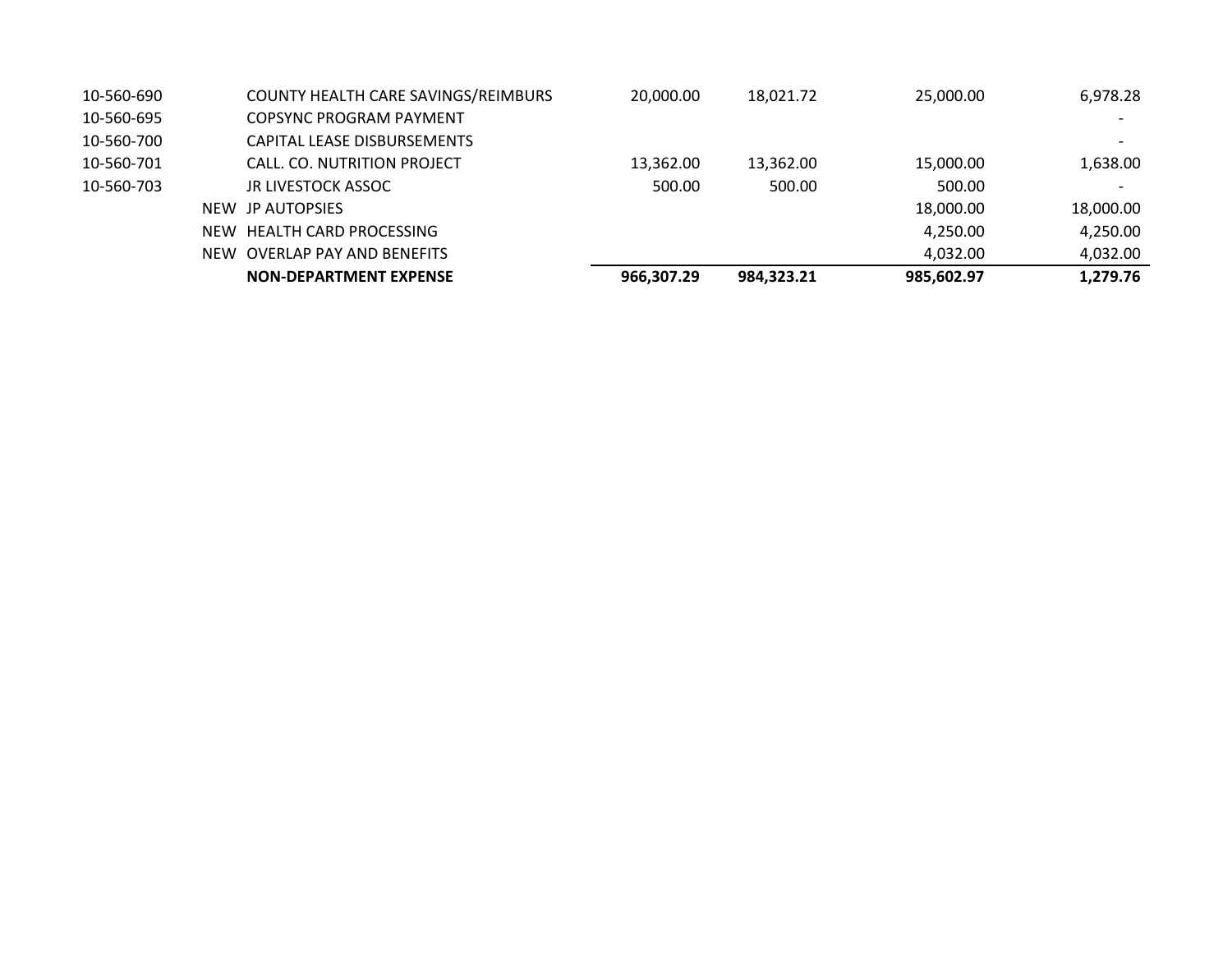| 10-560-690 | COUNTY HEALTH CARE SAVINGS/REIMBURS | 20,000.00  | 18,021.72  | 25,000.00  | 6,978.28                 |
|------------|-------------------------------------|------------|------------|------------|--------------------------|
| 10-560-695 | COPSYNC PROGRAM PAYMENT             |            |            |            |                          |
| 10-560-700 | CAPITAL LEASE DISBURSEMENTS         |            |            |            | $\overline{\phantom{0}}$ |
| 10-560-701 | CALL. CO. NUTRITION PROJECT         | 13,362.00  | 13,362.00  | 15,000.00  | 1,638.00                 |
| 10-560-703 | JR LIVESTOCK ASSOC                  | 500.00     | 500.00     | 500.00     | $\overline{\phantom{0}}$ |
|            | NEW JP AUTOPSIES                    |            |            | 18,000.00  | 18,000.00                |
|            | NEW HEALTH CARD PROCESSING          |            |            | 4,250.00   | 4,250.00                 |
|            | NEW OVERLAP PAY AND BENEFITS        |            |            | 4,032.00   | 4,032.00                 |
|            | <b>NON-DEPARTMENT EXPENSE</b>       | 966,307.29 | 984,323.21 | 985,602.97 | 1,279.76                 |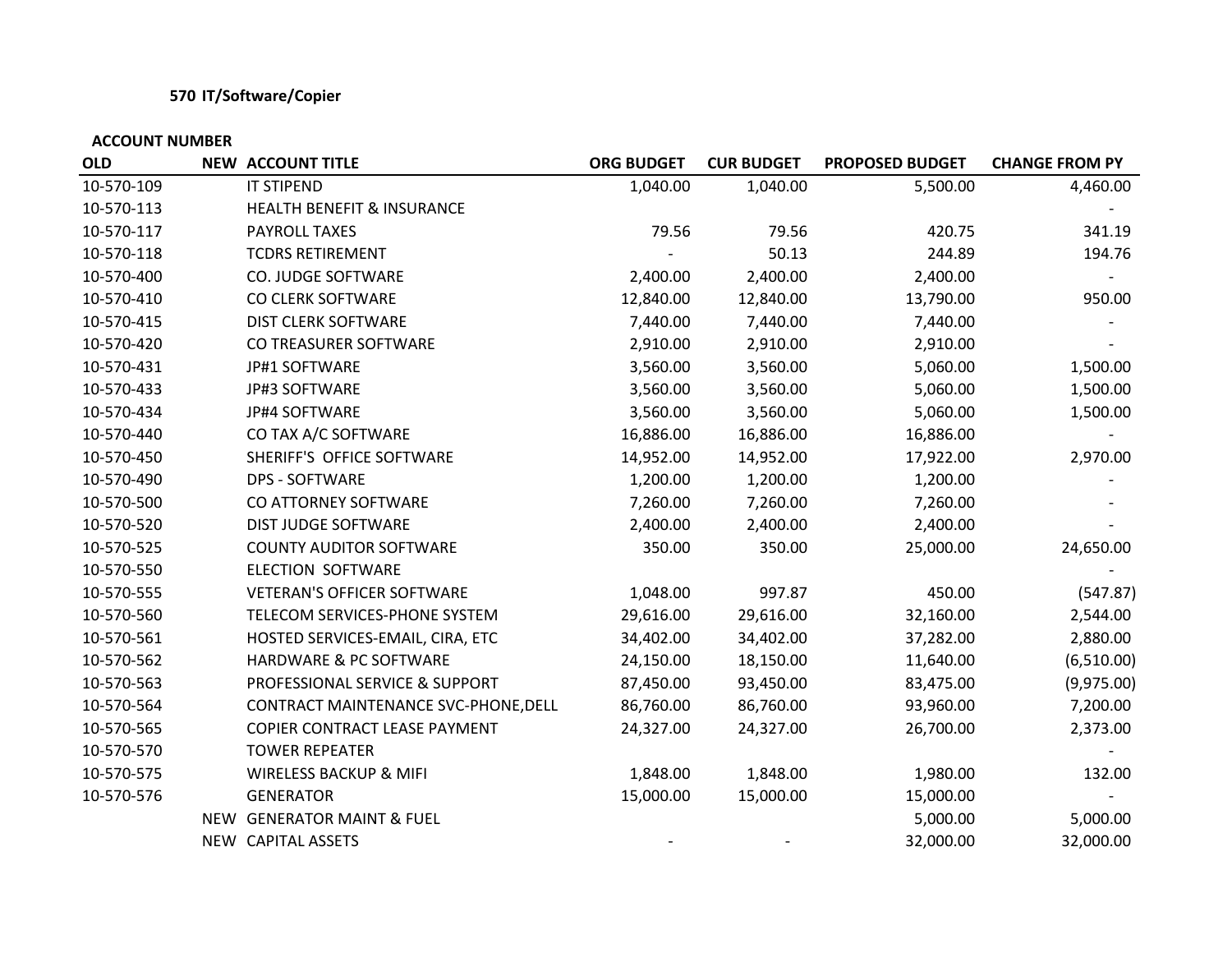### **570 IT/Software/Copier**

| <b>OLD</b> | <b>NEW ACCOUNT TITLE</b>              | <b>ORG BUDGET</b> | <b>CUR BUDGET</b> | <b>PROPOSED BUDGET</b> | <b>CHANGE FROM PY</b> |
|------------|---------------------------------------|-------------------|-------------------|------------------------|-----------------------|
| 10-570-109 | <b>IT STIPEND</b>                     | 1,040.00          | 1,040.00          | 5,500.00               | 4,460.00              |
| 10-570-113 | <b>HEALTH BENEFIT &amp; INSURANCE</b> |                   |                   |                        |                       |
| 10-570-117 | PAYROLL TAXES                         | 79.56             | 79.56             | 420.75                 | 341.19                |
| 10-570-118 | <b>TCDRS RETIREMENT</b>               |                   | 50.13             | 244.89                 | 194.76                |
| 10-570-400 | CO. JUDGE SOFTWARE                    | 2,400.00          | 2,400.00          | 2,400.00               |                       |
| 10-570-410 | CO CLERK SOFTWARE                     | 12,840.00         | 12,840.00         | 13,790.00              | 950.00                |
| 10-570-415 | <b>DIST CLERK SOFTWARE</b>            | 7,440.00          | 7,440.00          | 7,440.00               |                       |
| 10-570-420 | CO TREASURER SOFTWARE                 | 2,910.00          | 2,910.00          | 2,910.00               |                       |
| 10-570-431 | JP#1 SOFTWARE                         | 3,560.00          | 3,560.00          | 5,060.00               | 1,500.00              |
| 10-570-433 | <b>JP#3 SOFTWARE</b>                  | 3,560.00          | 3,560.00          | 5,060.00               | 1,500.00              |
| 10-570-434 | JP#4 SOFTWARE                         | 3,560.00          | 3,560.00          | 5,060.00               | 1,500.00              |
| 10-570-440 | CO TAX A/C SOFTWARE                   | 16,886.00         | 16,886.00         | 16,886.00              |                       |
| 10-570-450 | SHERIFF'S OFFICE SOFTWARE             | 14,952.00         | 14,952.00         | 17,922.00              | 2,970.00              |
| 10-570-490 | <b>DPS - SOFTWARE</b>                 | 1,200.00          | 1,200.00          | 1,200.00               |                       |
| 10-570-500 | CO ATTORNEY SOFTWARE                  | 7,260.00          | 7,260.00          | 7,260.00               |                       |
| 10-570-520 | DIST JUDGE SOFTWARE                   | 2,400.00          | 2,400.00          | 2,400.00               |                       |
| 10-570-525 | <b>COUNTY AUDITOR SOFTWARE</b>        | 350.00            | 350.00            | 25,000.00              | 24,650.00             |
| 10-570-550 | ELECTION SOFTWARE                     |                   |                   |                        |                       |
| 10-570-555 | <b>VETERAN'S OFFICER SOFTWARE</b>     | 1,048.00          | 997.87            | 450.00                 | (547.87)              |
| 10-570-560 | TELECOM SERVICES-PHONE SYSTEM         | 29,616.00         | 29,616.00         | 32,160.00              | 2,544.00              |
| 10-570-561 | HOSTED SERVICES-EMAIL, CIRA, ETC      | 34,402.00         | 34,402.00         | 37,282.00              | 2,880.00              |
| 10-570-562 | HARDWARE & PC SOFTWARE                | 24,150.00         | 18,150.00         | 11,640.00              | (6,510.00)            |
| 10-570-563 | PROFESSIONAL SERVICE & SUPPORT        | 87,450.00         | 93,450.00         | 83,475.00              | (9,975.00)            |
| 10-570-564 | CONTRACT MAINTENANCE SVC-PHONE, DELL  | 86,760.00         | 86,760.00         | 93,960.00              | 7,200.00              |
| 10-570-565 | COPIER CONTRACT LEASE PAYMENT         | 24,327.00         | 24,327.00         | 26,700.00              | 2,373.00              |
| 10-570-570 | <b>TOWER REPEATER</b>                 |                   |                   |                        |                       |
| 10-570-575 | <b>WIRELESS BACKUP &amp; MIFI</b>     | 1,848.00          | 1,848.00          | 1,980.00               | 132.00                |
| 10-570-576 | <b>GENERATOR</b>                      | 15,000.00         | 15,000.00         | 15,000.00              |                       |
|            | NEW GENERATOR MAINT & FUEL            |                   |                   | 5,000.00               | 5,000.00              |
|            | NEW CAPITAL ASSETS                    |                   |                   | 32,000.00              | 32,000.00             |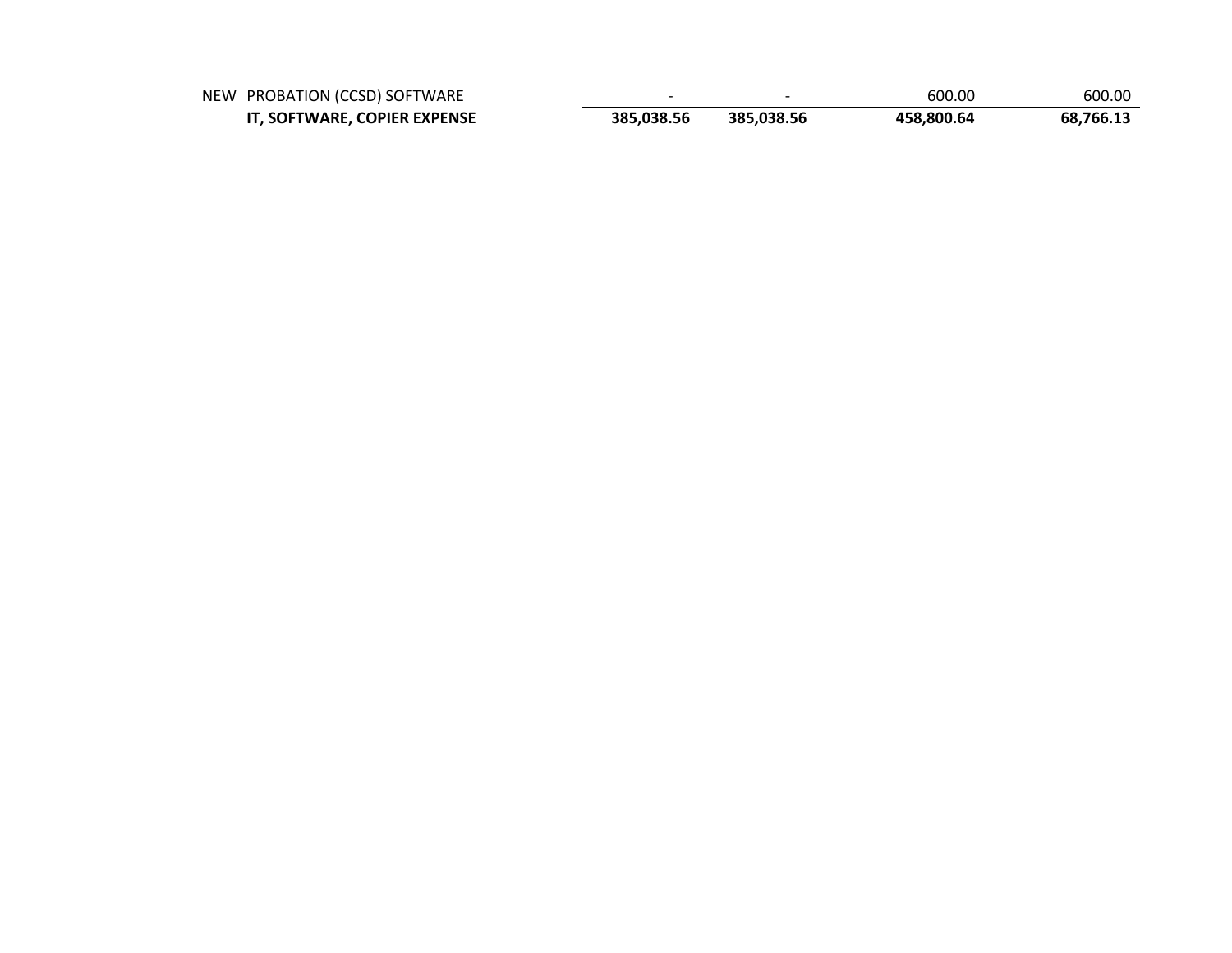| NEW PROBATION (CCSD) SOFTWARE |            |            | 600.00     | 600.00    |
|-------------------------------|------------|------------|------------|-----------|
| IT, SOFTWARE, COPIER EXPENSE  | 385.038.56 | 385.038.56 | 458.800.64 | 68,766.13 |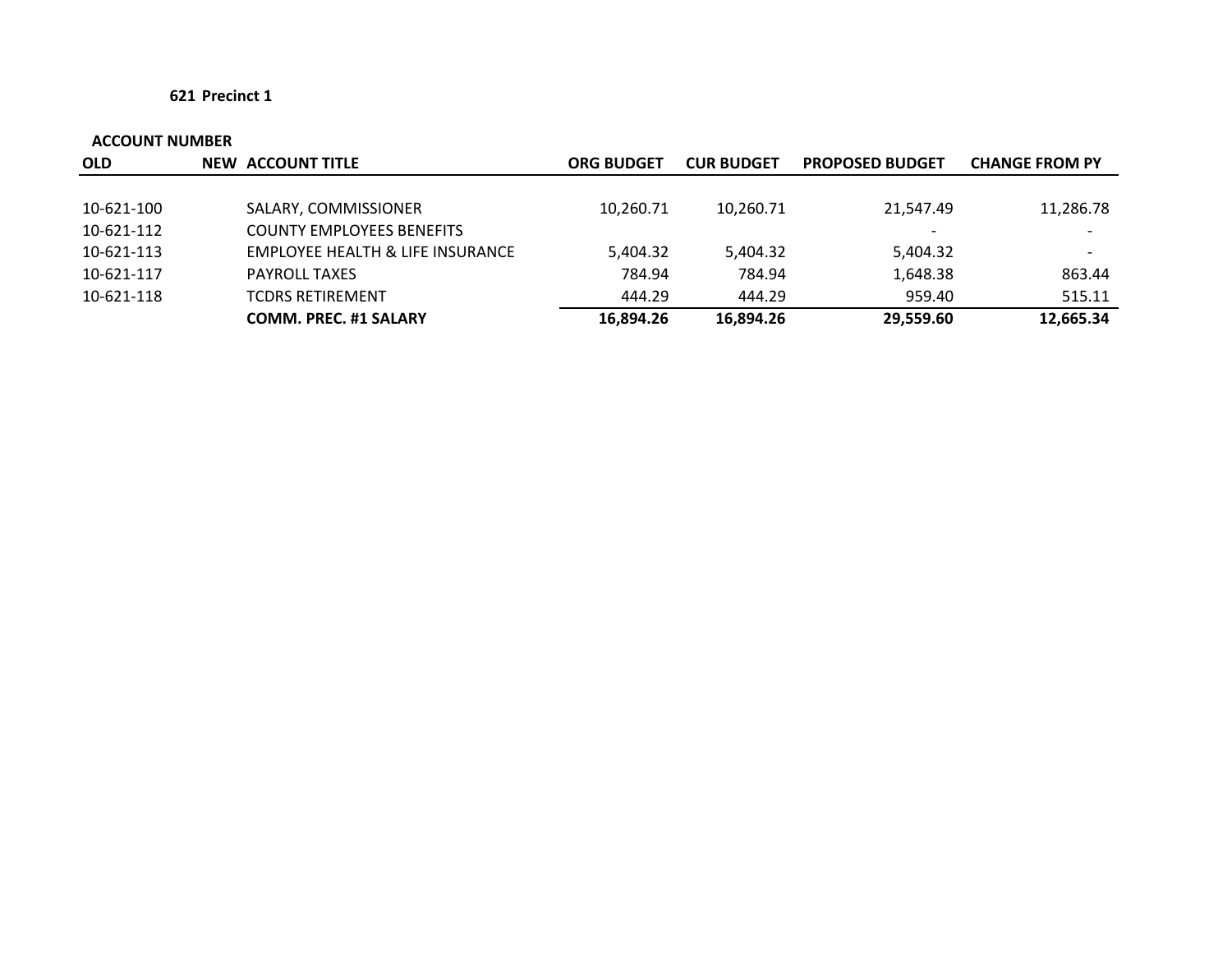| <b>OLD</b> | NEW ACCOUNT TITLE                | <b>ORG BUDGET</b> | <b>CUR BUDGET</b> | <b>PROPOSED BUDGET</b> | <b>CHANGE FROM PY</b> |
|------------|----------------------------------|-------------------|-------------------|------------------------|-----------------------|
|            |                                  |                   |                   |                        |                       |
| 10-621-100 | SALARY, COMMISSIONER             | 10,260.71         | 10,260.71         | 21,547.49              | 11,286.78             |
| 10-621-112 | <b>COUNTY EMPLOYEES BENEFITS</b> |                   |                   |                        |                       |
| 10-621-113 | EMPLOYEE HEALTH & LIFE INSURANCE | 5,404.32          | 5,404.32          | 5,404.32               |                       |
| 10-621-117 | <b>PAYROLL TAXES</b>             | 784.94            | 784.94            | 1,648.38               | 863.44                |
| 10-621-118 | <b>TCDRS RETIREMENT</b>          | 444.29            | 444.29            | 959.40                 | 515.11                |
|            | <b>COMM. PREC. #1 SALARY</b>     | 16,894.26         | 16,894.26         | 29,559.60              | 12,665.34             |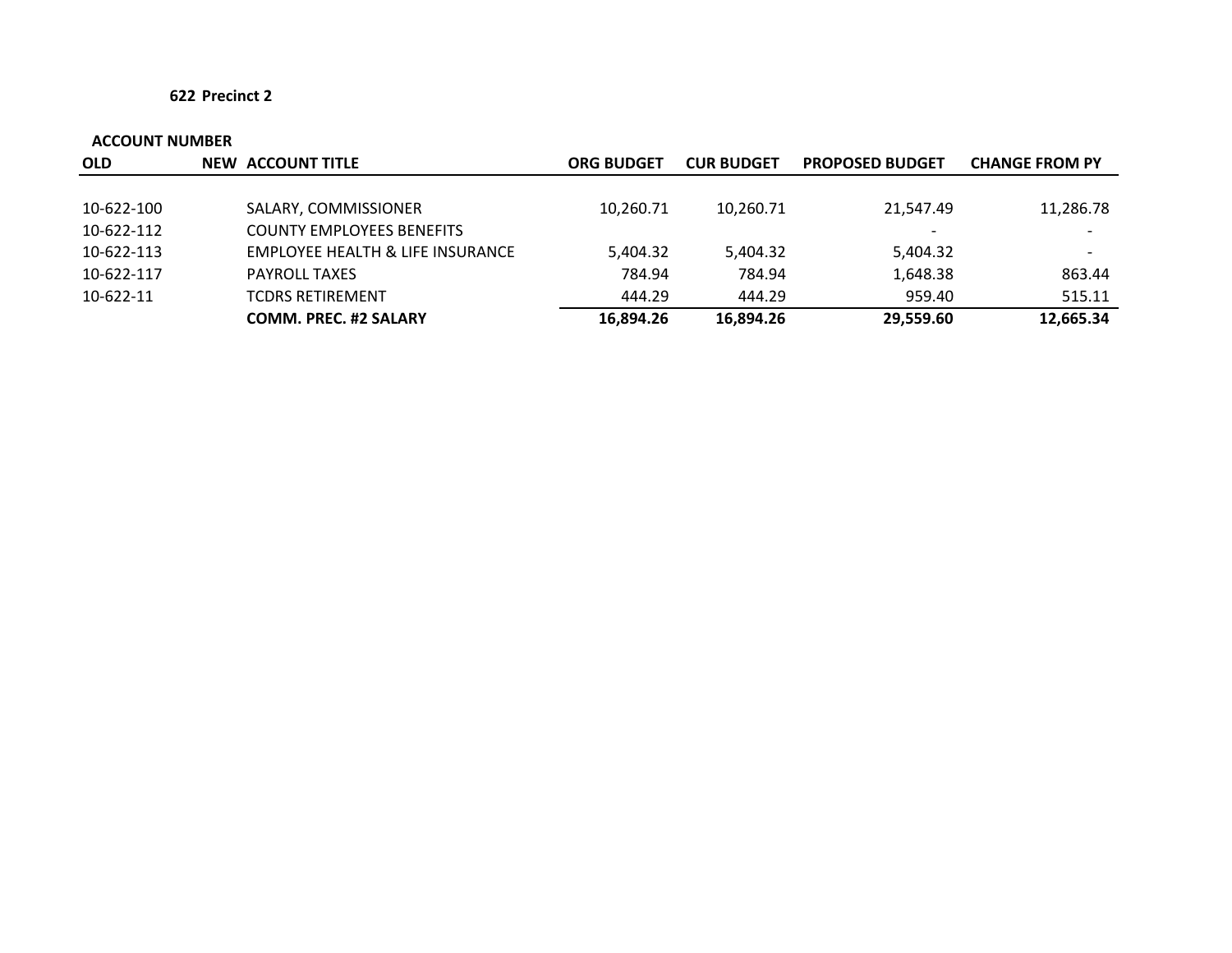| <b>OLD</b> | NEW ACCOUNT TITLE                | <b>ORG BUDGET</b> | <b>CUR BUDGET</b> | <b>PROPOSED BUDGET</b> | <b>CHANGE FROM PY</b> |
|------------|----------------------------------|-------------------|-------------------|------------------------|-----------------------|
|            |                                  |                   |                   |                        |                       |
| 10-622-100 | SALARY, COMMISSIONER             | 10,260.71         | 10,260.71         | 21,547.49              | 11,286.78             |
| 10-622-112 | <b>COUNTY EMPLOYEES BENEFITS</b> |                   |                   |                        |                       |
| 10-622-113 | EMPLOYEE HEALTH & LIFE INSURANCE | 5,404.32          | 5,404.32          | 5,404.32               |                       |
| 10-622-117 | <b>PAYROLL TAXES</b>             | 784.94            | 784.94            | 1,648.38               | 863.44                |
| 10-622-11  | <b>TCDRS RETIREMENT</b>          | 444.29            | 444.29            | 959.40                 | 515.11                |
|            | <b>COMM. PREC. #2 SALARY</b>     | 16,894.26         | 16,894.26         | 29,559.60              | 12,665.34             |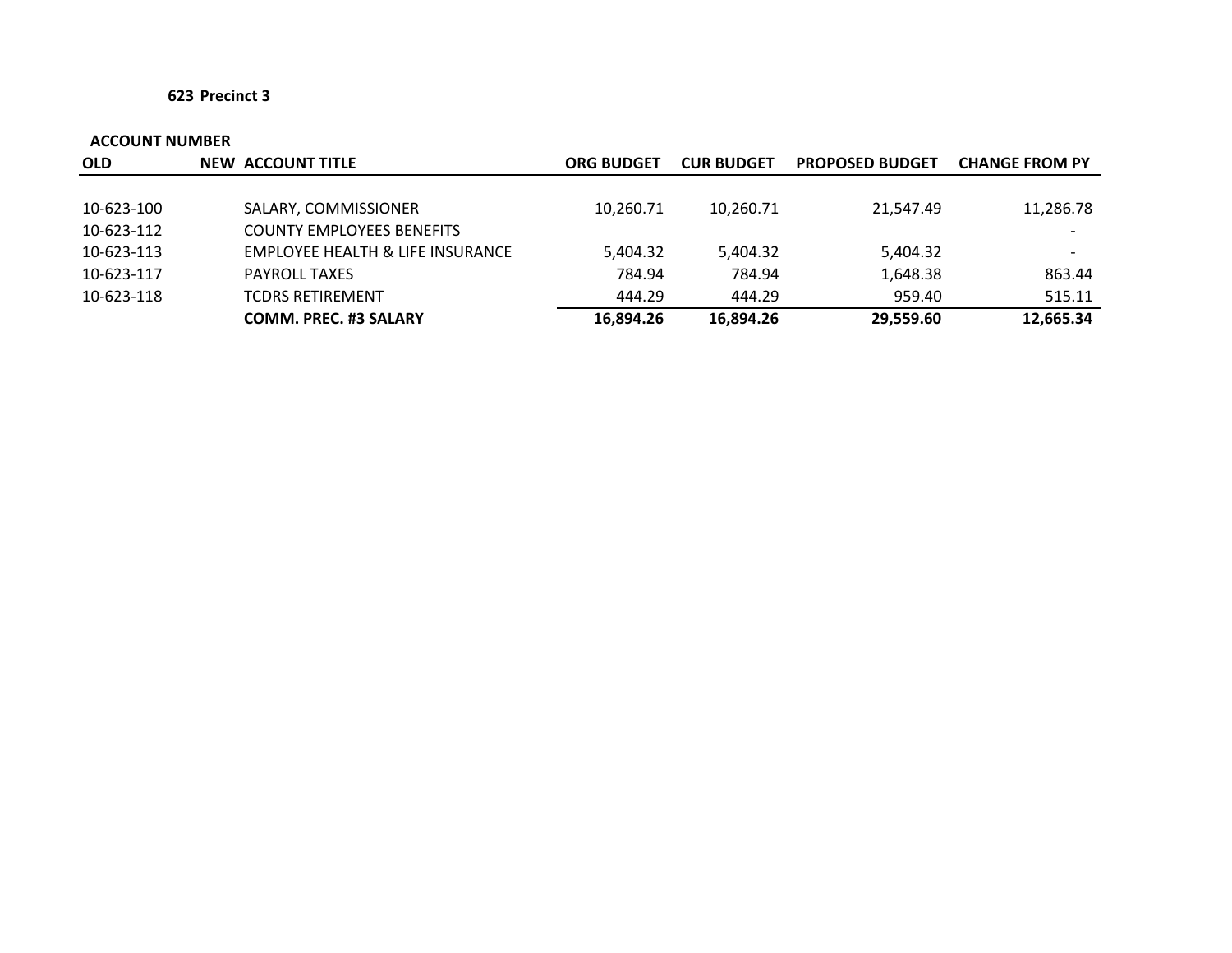| <b>OLD</b> | NEW ACCOUNT TITLE                | <b>ORG BUDGET</b> | <b>CUR BUDGET</b> | <b>PROPOSED BUDGET</b> | <b>CHANGE FROM PY</b> |
|------------|----------------------------------|-------------------|-------------------|------------------------|-----------------------|
|            |                                  |                   |                   |                        |                       |
| 10-623-100 | SALARY, COMMISSIONER             | 10,260.71         | 10,260.71         | 21,547.49              | 11,286.78             |
| 10-623-112 | <b>COUNTY EMPLOYEES BENEFITS</b> |                   |                   |                        |                       |
| 10-623-113 | EMPLOYEE HEALTH & LIFE INSURANCE | 5,404.32          | 5,404.32          | 5,404.32               |                       |
| 10-623-117 | <b>PAYROLL TAXES</b>             | 784.94            | 784.94            | 1,648.38               | 863.44                |
| 10-623-118 | <b>TCDRS RETIREMENT</b>          | 444.29            | 444.29            | 959.40                 | 515.11                |
|            | <b>COMM. PREC. #3 SALARY</b>     | 16.894.26         | 16.894.26         | 29,559.60              | 12,665.34             |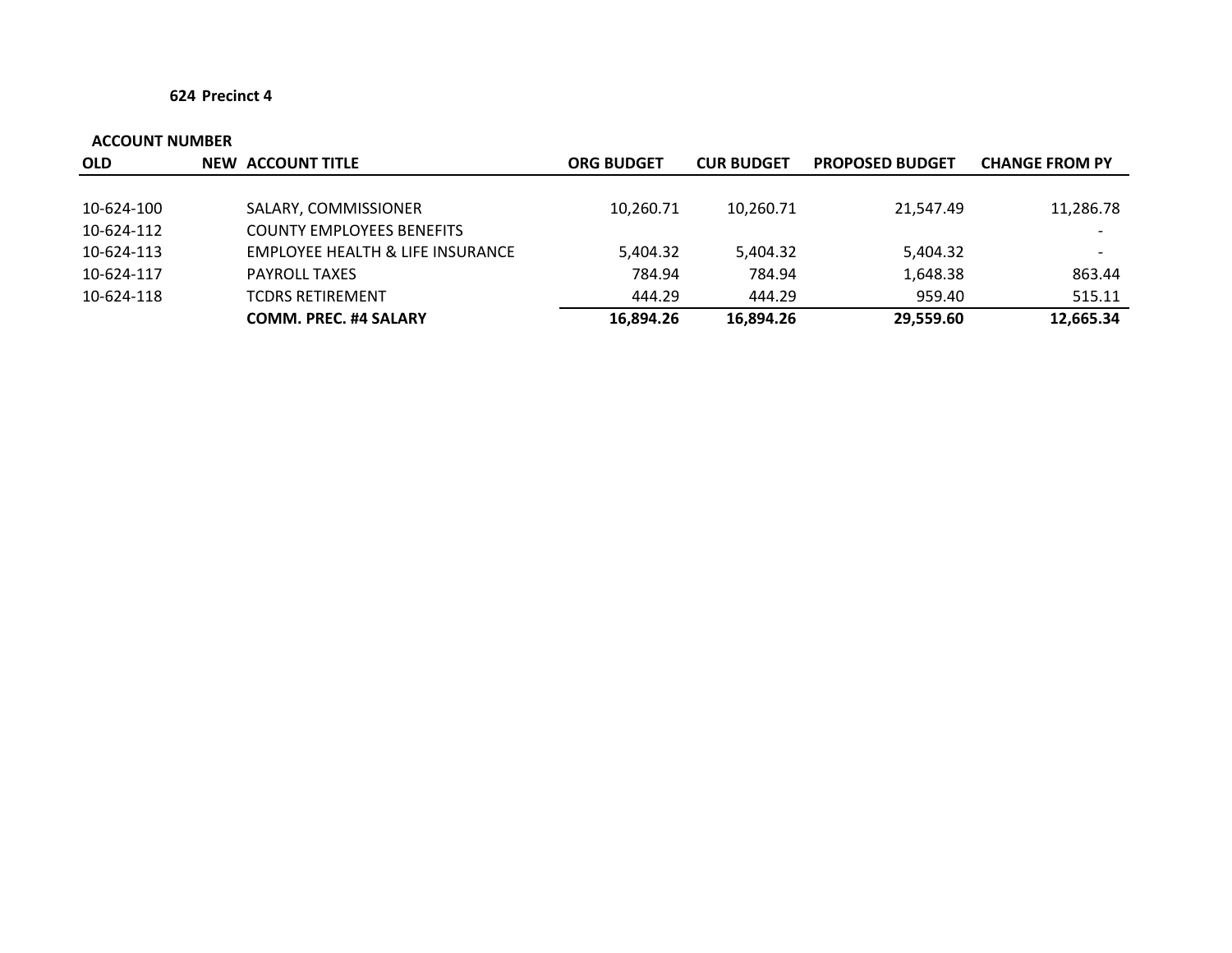| <b>OLD</b> | <b>NEW ACCOUNT TITLE</b>         | <b>ORG BUDGET</b> | <b>CUR BUDGET</b> | <b>PROPOSED BUDGET</b> | <b>CHANGE FROM PY</b>    |
|------------|----------------------------------|-------------------|-------------------|------------------------|--------------------------|
|            |                                  |                   |                   |                        |                          |
| 10-624-100 | SALARY, COMMISSIONER             | 10,260.71         | 10,260.71         | 21,547.49              | 11,286.78                |
| 10-624-112 | <b>COUNTY EMPLOYEES BENEFITS</b> |                   |                   |                        |                          |
| 10-624-113 | EMPLOYEE HEALTH & LIFE INSURANCE | 5,404.32          | 5,404.32          | 5,404.32               | $\overline{\phantom{0}}$ |
| 10-624-117 | <b>PAYROLL TAXES</b>             | 784.94            | 784.94            | 1,648.38               | 863.44                   |
| 10-624-118 | <b>TCDRS RETIREMENT</b>          | 444.29            | 444.29            | 959.40                 | 515.11                   |
|            | <b>COMM. PREC. #4 SALARY</b>     | 16,894.26         | 16,894.26         | 29,559.60              | 12,665.34                |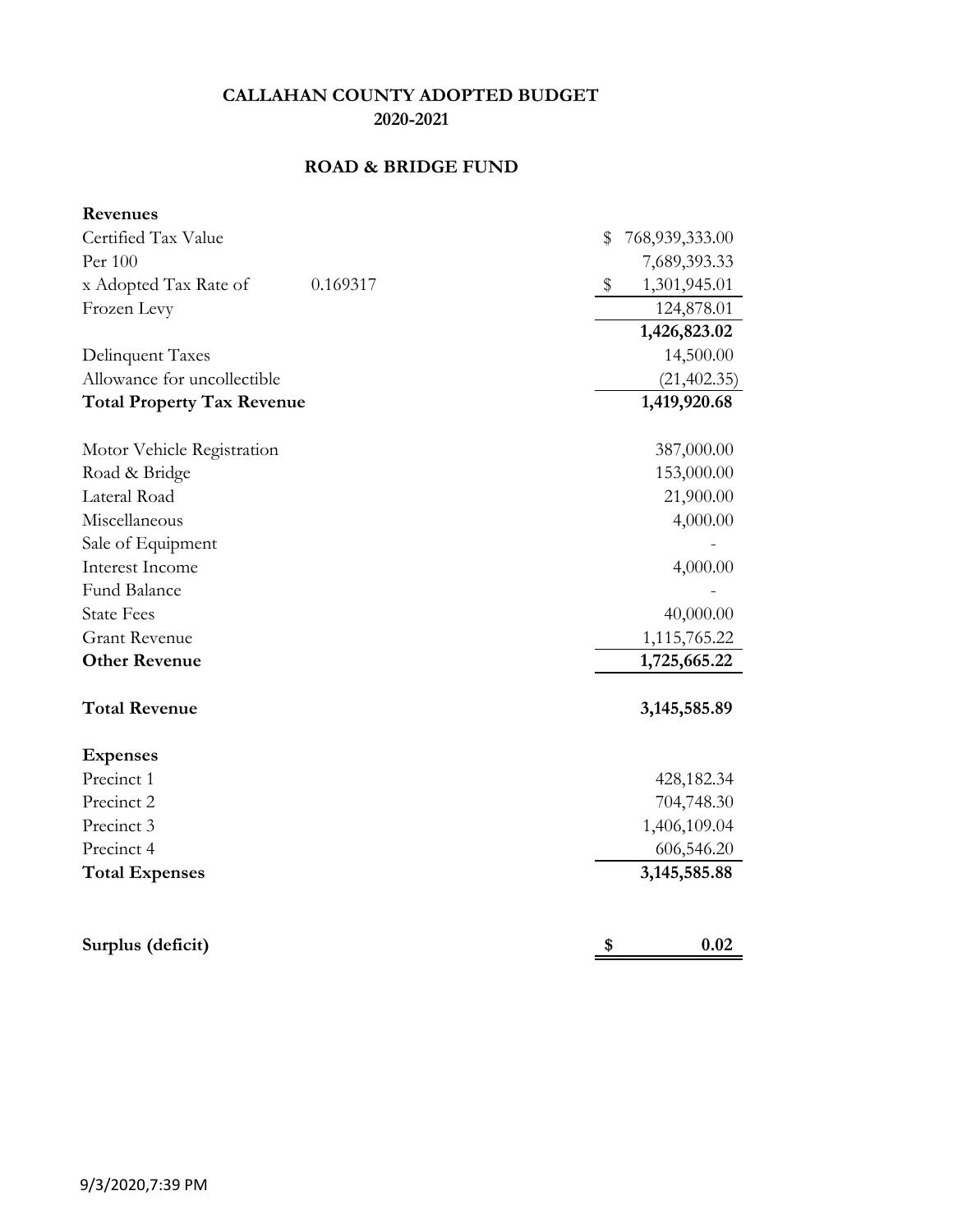# **ROAD & BRIDGE FUND**

| Revenues                          |                      |
|-----------------------------------|----------------------|
| Certified Tax Value               | \$<br>768,939,333.00 |
| Per 100                           | 7,689,393.33         |
| x Adopted Tax Rate of<br>0.169317 | \$<br>1,301,945.01   |
| Frozen Levy                       | 124,878.01           |
|                                   | 1,426,823.02         |
| Delinquent Taxes                  | 14,500.00            |
| Allowance for uncollectible       | (21, 402.35)         |
| <b>Total Property Tax Revenue</b> | 1,419,920.68         |
| Motor Vehicle Registration        | 387,000.00           |
| Road & Bridge                     | 153,000.00           |
| Lateral Road                      | 21,900.00            |
| Miscellaneous                     | 4,000.00             |
| Sale of Equipment                 |                      |
| Interest Income                   | 4,000.00             |
| <b>Fund Balance</b>               |                      |
| <b>State Fees</b>                 | 40,000.00            |
| <b>Grant Revenue</b>              | 1,115,765.22         |
| <b>Other Revenue</b>              | 1,725,665.22         |
| <b>Total Revenue</b>              | 3, 145, 585.89       |
| <b>Expenses</b>                   |                      |
| Precinct 1                        | 428,182.34           |
| Precinct 2                        | 704,748.30           |
| Precinct 3                        | 1,406,109.04         |
| Precinct 4                        | 606,546.20           |
| <b>Total Expenses</b>             | 3, 145, 585.88       |
|                                   |                      |
| Surplus (deficit)                 | \$<br>0.02           |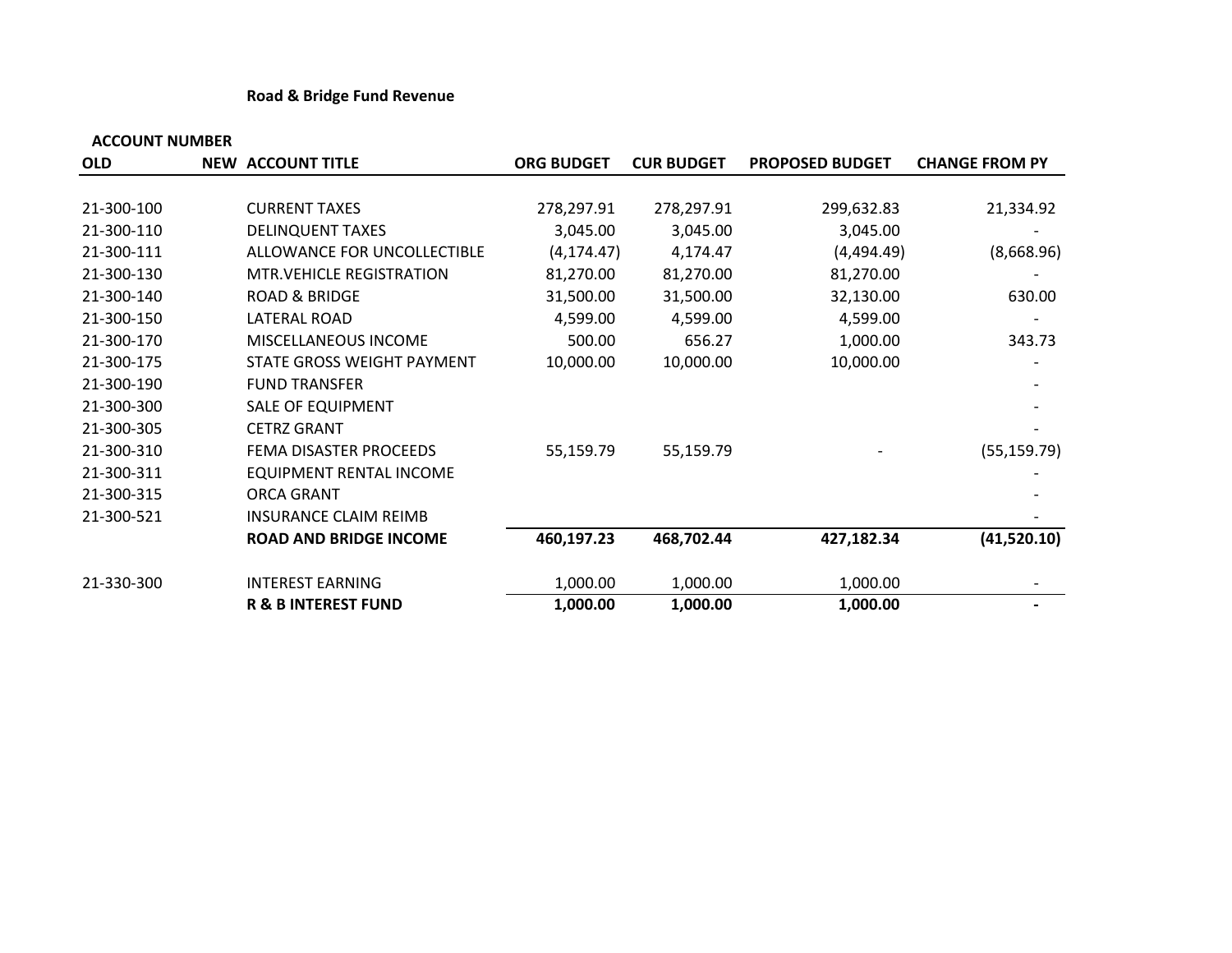### **Road & Bridge Fund Revenue**

| <b>OLD</b> | <b>NEW ACCOUNT TITLE</b>        | <b>ORG BUDGET</b> | <b>CUR BUDGET</b> | <b>PROPOSED BUDGET</b> | <b>CHANGE FROM PY</b> |
|------------|---------------------------------|-------------------|-------------------|------------------------|-----------------------|
|            |                                 |                   |                   |                        |                       |
| 21-300-100 | <b>CURRENT TAXES</b>            | 278,297.91        | 278,297.91        | 299,632.83             | 21,334.92             |
| 21-300-110 | <b>DELINQUENT TAXES</b>         | 3,045.00          | 3,045.00          | 3,045.00               |                       |
| 21-300-111 | ALLOWANCE FOR UNCOLLECTIBLE     | (4, 174.47)       | 4,174.47          | (4,494.49)             | (8,668.96)            |
| 21-300-130 | <b>MTR.VEHICLE REGISTRATION</b> | 81,270.00         | 81,270.00         | 81,270.00              |                       |
| 21-300-140 | <b>ROAD &amp; BRIDGE</b>        | 31,500.00         | 31,500.00         | 32,130.00              | 630.00                |
| 21-300-150 | LATERAL ROAD                    | 4,599.00          | 4,599.00          | 4,599.00               |                       |
| 21-300-170 | MISCELLANEOUS INCOME            | 500.00            | 656.27            | 1,000.00               | 343.73                |
| 21-300-175 | STATE GROSS WEIGHT PAYMENT      | 10,000.00         | 10,000.00         | 10,000.00              |                       |
| 21-300-190 | <b>FUND TRANSFER</b>            |                   |                   |                        |                       |
| 21-300-300 | SALE OF EQUIPMENT               |                   |                   |                        |                       |
| 21-300-305 | <b>CETRZ GRANT</b>              |                   |                   |                        |                       |
| 21-300-310 | FEMA DISASTER PROCEEDS          | 55,159.79         | 55,159.79         |                        | (55, 159.79)          |
| 21-300-311 | <b>EQUIPMENT RENTAL INCOME</b>  |                   |                   |                        |                       |
| 21-300-315 | <b>ORCA GRANT</b>               |                   |                   |                        |                       |
| 21-300-521 | <b>INSURANCE CLAIM REIMB</b>    |                   |                   |                        |                       |
|            | <b>ROAD AND BRIDGE INCOME</b>   | 460,197.23        | 468,702.44        | 427,182.34             | (41,520.10)           |
| 21-330-300 | <b>INTEREST EARNING</b>         | 1,000.00          | 1,000.00          | 1,000.00               |                       |
|            | <b>R &amp; B INTEREST FUND</b>  | 1,000.00          | 1,000.00          | 1,000.00               |                       |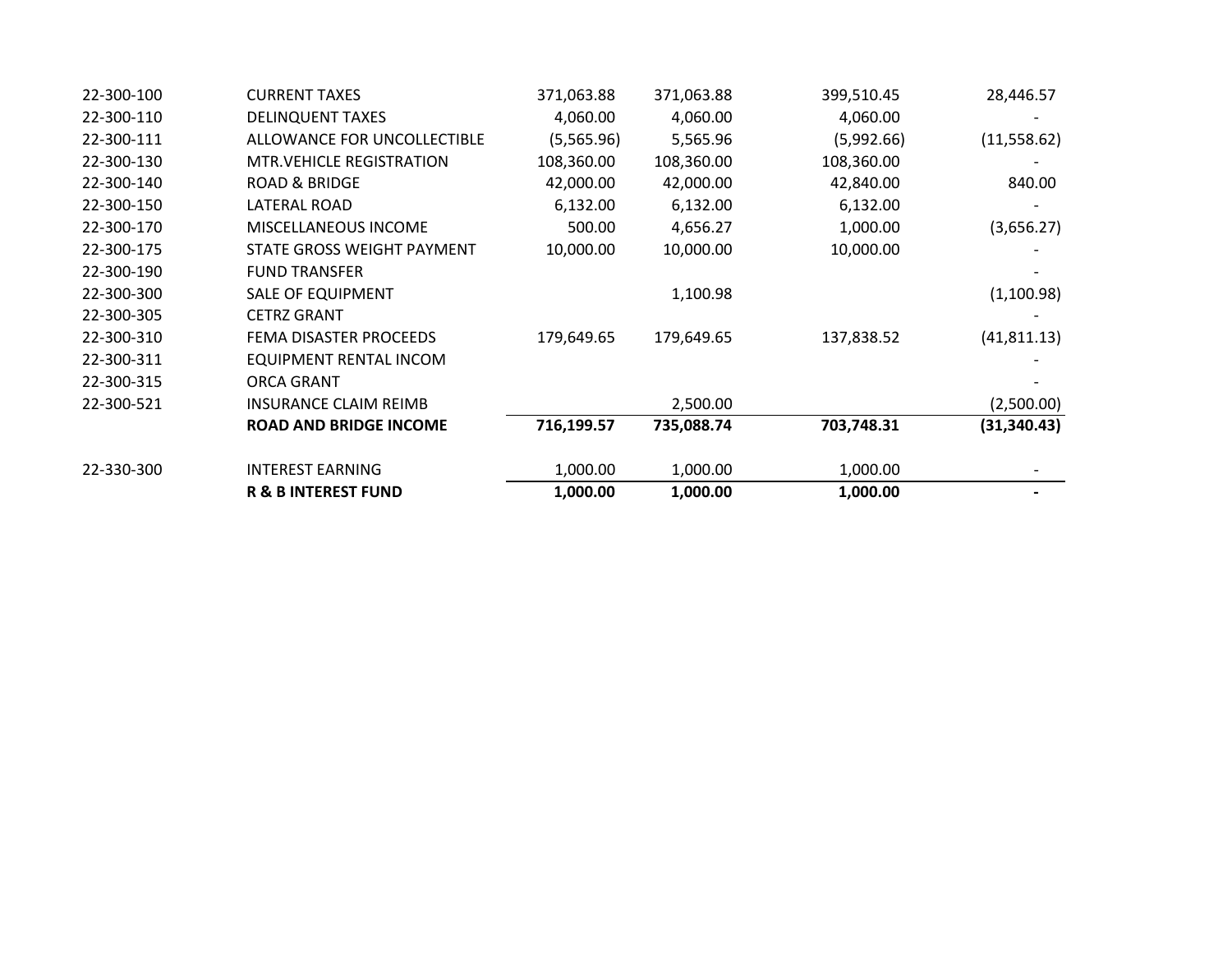|            | <b>R &amp; B INTEREST FUND</b>   | 1,000.00   | 1,000.00   | 1,000.00   |              |
|------------|----------------------------------|------------|------------|------------|--------------|
| 22-330-300 | <b>INTEREST EARNING</b>          | 1,000.00   | 1,000.00   | 1,000.00   |              |
|            | <b>ROAD AND BRIDGE INCOME</b>    | 716,199.57 | 735,088.74 | 703,748.31 | (31, 340.43) |
| 22-300-521 | <b>INSURANCE CLAIM REIMB</b>     |            | 2,500.00   |            | (2,500.00)   |
| 22-300-315 | <b>ORCA GRANT</b>                |            |            |            |              |
| 22-300-311 | EQUIPMENT RENTAL INCOM           |            |            |            |              |
| 22-300-310 | FEMA DISASTER PROCEEDS           | 179,649.65 | 179,649.65 | 137,838.52 | (41, 811.13) |
| 22-300-305 | <b>CETRZ GRANT</b>               |            |            |            |              |
| 22-300-300 | SALE OF EQUIPMENT                |            | 1,100.98   |            | (1,100.98)   |
| 22-300-190 | <b>FUND TRANSFER</b>             |            |            |            |              |
| 22-300-175 | STATE GROSS WEIGHT PAYMENT       | 10,000.00  | 10,000.00  | 10,000.00  |              |
| 22-300-170 | MISCELLANEOUS INCOME             | 500.00     | 4,656.27   | 1,000.00   | (3,656.27)   |
| 22-300-150 | LATERAL ROAD                     | 6,132.00   | 6,132.00   | 6,132.00   |              |
| 22-300-140 | <b>ROAD &amp; BRIDGE</b>         | 42,000.00  | 42,000.00  | 42,840.00  | 840.00       |
| 22-300-130 | <b>MTR. VEHICLE REGISTRATION</b> | 108,360.00 | 108,360.00 | 108,360.00 |              |
| 22-300-111 | ALLOWANCE FOR UNCOLLECTIBLE      | (5,565.96) | 5,565.96   | (5,992.66) | (11,558.62)  |
| 22-300-110 | <b>DELINQUENT TAXES</b>          | 4,060.00   | 4,060.00   | 4,060.00   |              |
| 22-300-100 | <b>CURRENT TAXES</b>             | 371,063.88 | 371,063.88 | 399,510.45 | 28,446.57    |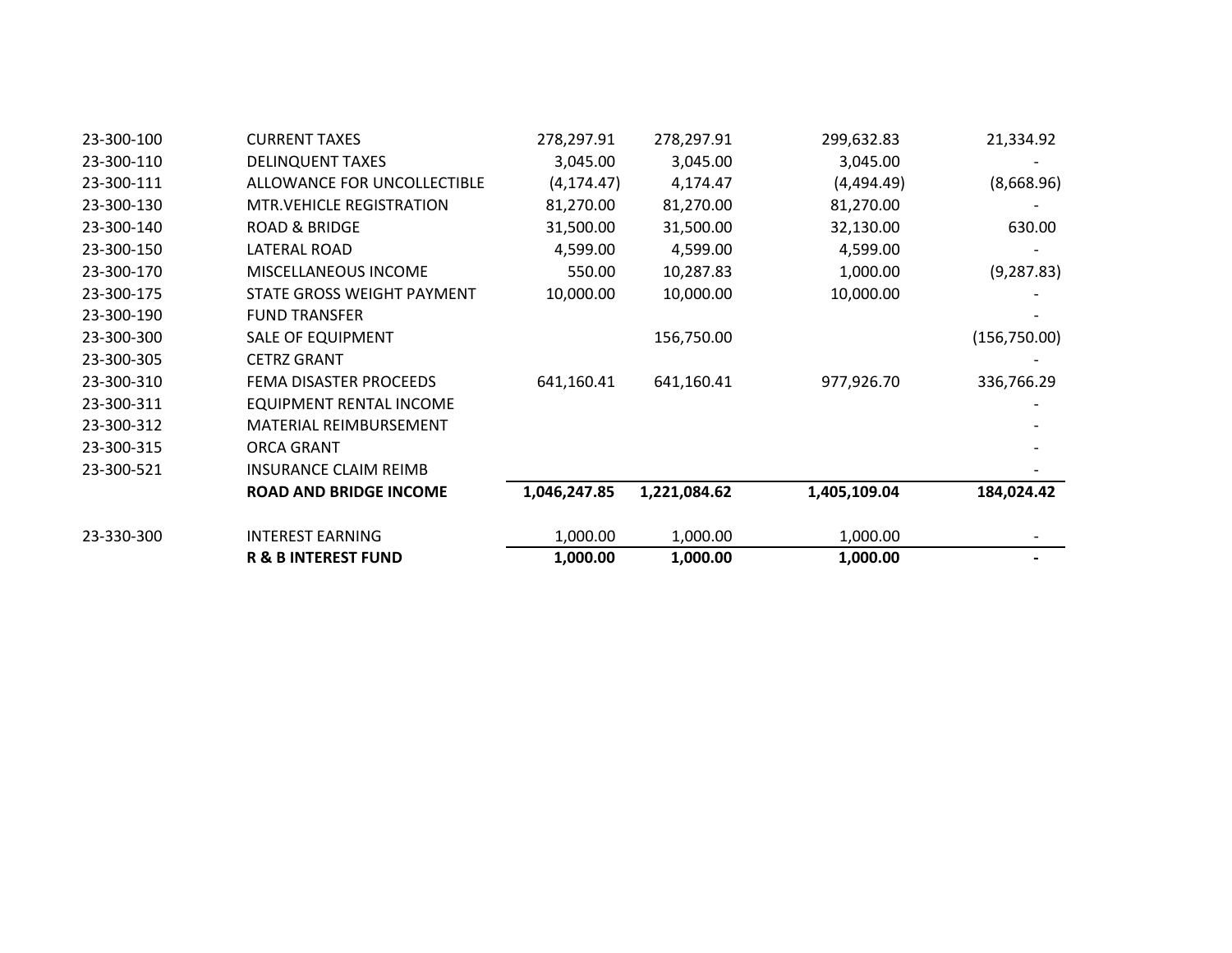| 23-300-100 | <b>CURRENT TAXES</b>            | 278,297.91   | 278,297.91   | 299,632.83   | 21,334.92     |
|------------|---------------------------------|--------------|--------------|--------------|---------------|
| 23-300-110 | <b>DELINQUENT TAXES</b>         | 3,045.00     | 3,045.00     | 3,045.00     |               |
| 23-300-111 | ALLOWANCE FOR UNCOLLECTIBLE     | (4, 174.47)  | 4,174.47     | (4,494.49)   | (8,668.96)    |
| 23-300-130 | <b>MTR.VEHICLE REGISTRATION</b> | 81,270.00    | 81,270.00    | 81,270.00    |               |
| 23-300-140 | <b>ROAD &amp; BRIDGE</b>        | 31,500.00    | 31,500.00    | 32,130.00    | 630.00        |
| 23-300-150 | LATERAL ROAD                    | 4,599.00     | 4,599.00     | 4,599.00     |               |
| 23-300-170 | MISCELLANEOUS INCOME            | 550.00       | 10,287.83    | 1,000.00     | (9, 287.83)   |
| 23-300-175 | STATE GROSS WEIGHT PAYMENT      | 10,000.00    | 10,000.00    | 10,000.00    |               |
| 23-300-190 | <b>FUND TRANSFER</b>            |              |              |              |               |
| 23-300-300 | <b>SALE OF EQUIPMENT</b>        |              | 156,750.00   |              | (156, 750.00) |
| 23-300-305 | <b>CETRZ GRANT</b>              |              |              |              |               |
| 23-300-310 | FEMA DISASTER PROCEEDS          | 641,160.41   | 641,160.41   | 977,926.70   | 336,766.29    |
| 23-300-311 | EQUIPMENT RENTAL INCOME         |              |              |              |               |
| 23-300-312 | <b>MATERIAL REIMBURSEMENT</b>   |              |              |              |               |
| 23-300-315 | ORCA GRANT                      |              |              |              |               |
| 23-300-521 | <b>INSURANCE CLAIM REIMB</b>    |              |              |              |               |
|            | <b>ROAD AND BRIDGE INCOME</b>   | 1,046,247.85 | 1,221,084.62 | 1,405,109.04 | 184,024.42    |
| 23-330-300 | <b>INTEREST EARNING</b>         | 1,000.00     | 1,000.00     | 1,000.00     |               |
|            | <b>R &amp; B INTEREST FUND</b>  | 1,000.00     | 1,000.00     | 1,000.00     |               |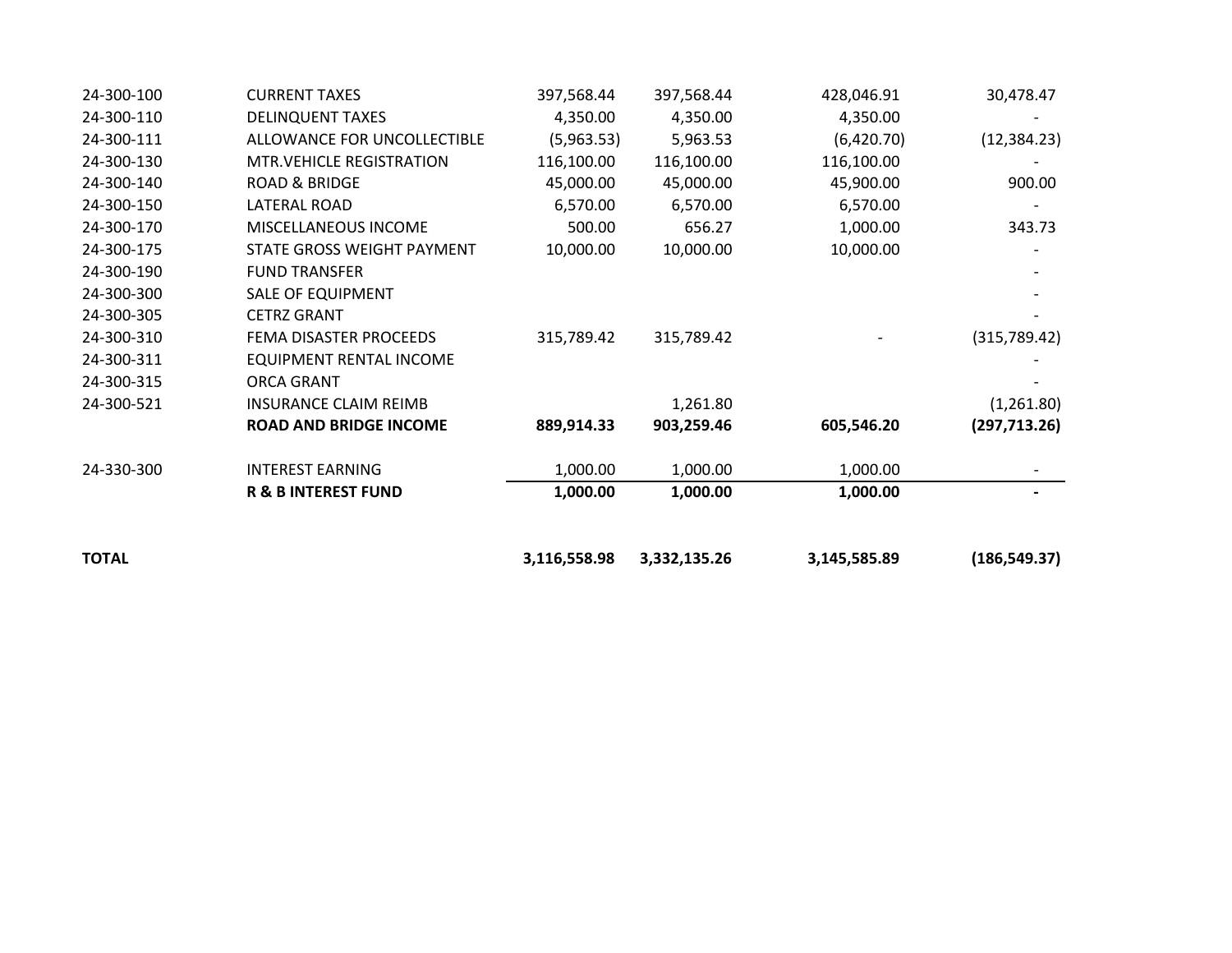| <b>TOTAL</b> |                                 | 3,116,558.98 | 3,332,135.26 | 3,145,585.89 | (186, 549.37) |
|--------------|---------------------------------|--------------|--------------|--------------|---------------|
|              | <b>R &amp; B INTEREST FUND</b>  | 1,000.00     | 1,000.00     | 1,000.00     |               |
| 24-330-300   | <b>INTEREST EARNING</b>         | 1,000.00     | 1,000.00     | 1,000.00     |               |
|              | <b>ROAD AND BRIDGE INCOME</b>   | 889,914.33   | 903,259.46   | 605,546.20   | (297, 713.26) |
| 24-300-521   | <b>INSURANCE CLAIM REIMB</b>    |              | 1,261.80     |              | (1,261.80)    |
| 24-300-315   | <b>ORCA GRANT</b>               |              |              |              |               |
| 24-300-311   | <b>EQUIPMENT RENTAL INCOME</b>  |              |              |              |               |
| 24-300-310   | FEMA DISASTER PROCEEDS          | 315,789.42   | 315,789.42   |              | (315,789.42)  |
| 24-300-305   | <b>CETRZ GRANT</b>              |              |              |              |               |
| 24-300-300   | <b>SALE OF EQUIPMENT</b>        |              |              |              |               |
| 24-300-190   | <b>FUND TRANSFER</b>            |              |              |              |               |
| 24-300-175   | STATE GROSS WEIGHT PAYMENT      | 10,000.00    | 10,000.00    | 10,000.00    |               |
| 24-300-170   | MISCELLANEOUS INCOME            | 500.00       | 656.27       | 1,000.00     | 343.73        |
| 24-300-150   | LATERAL ROAD                    | 6,570.00     | 6,570.00     | 6,570.00     |               |
| 24-300-140   | <b>ROAD &amp; BRIDGE</b>        | 45,000.00    | 45,000.00    | 45,900.00    | 900.00        |
| 24-300-130   | <b>MTR.VEHICLE REGISTRATION</b> | 116,100.00   | 116,100.00   | 116,100.00   |               |
| 24-300-111   | ALLOWANCE FOR UNCOLLECTIBLE     | (5,963.53)   | 5,963.53     | (6,420.70)   | (12, 384.23)  |
| 24-300-110   | <b>DELINQUENT TAXES</b>         | 4,350.00     | 4,350.00     | 4,350.00     |               |
| 24-300-100   | <b>CURRENT TAXES</b>            | 397,568.44   | 397,568.44   | 428,046.91   | 30,478.47     |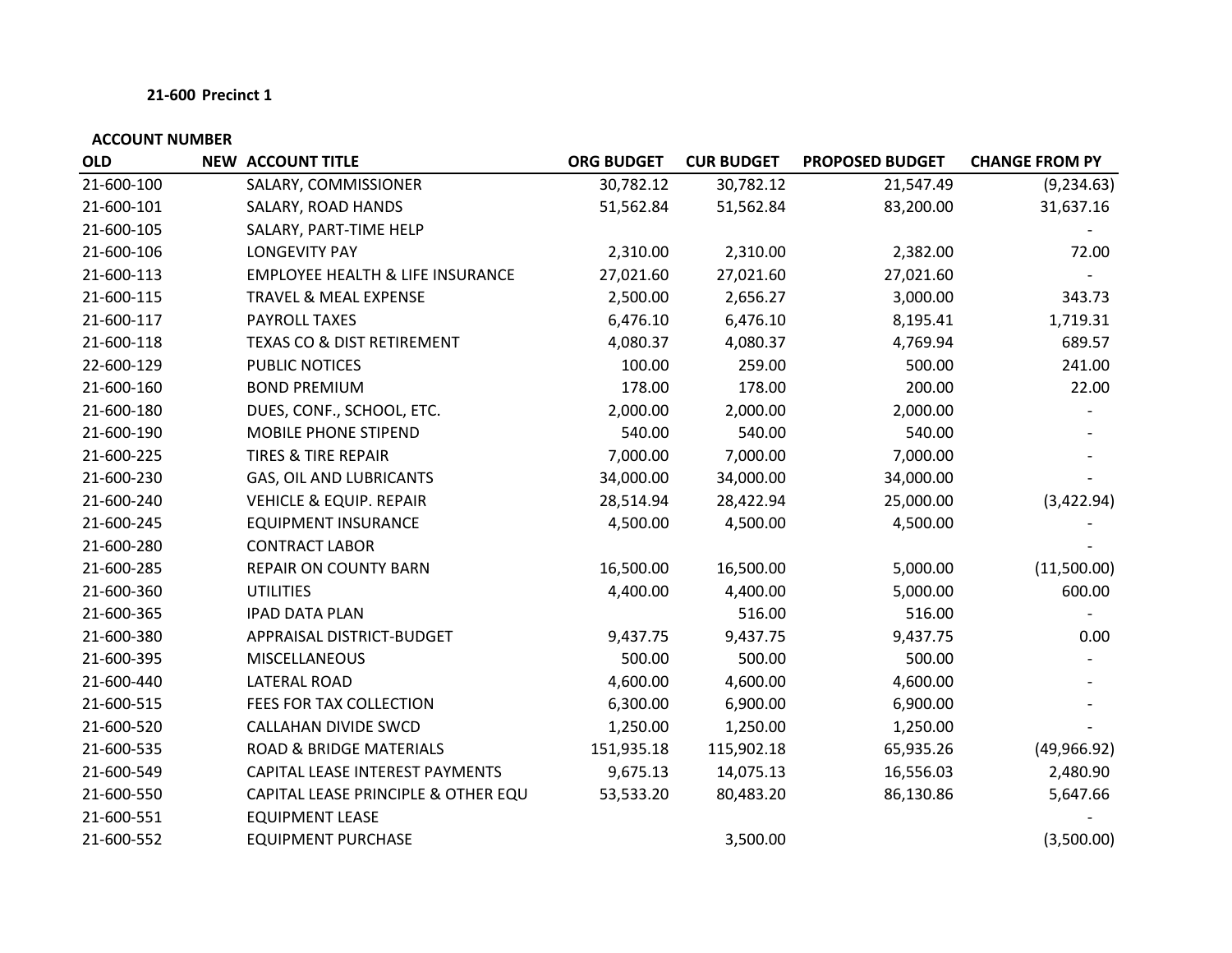| <b>OLD</b> | <b>NEW ACCOUNT TITLE</b>                    | <b>ORG BUDGET</b> | <b>CUR BUDGET</b> | <b>PROPOSED BUDGET</b> | <b>CHANGE FROM PY</b> |
|------------|---------------------------------------------|-------------------|-------------------|------------------------|-----------------------|
| 21-600-100 | SALARY, COMMISSIONER                        | 30,782.12         | 30,782.12         | 21,547.49              | (9, 234.63)           |
| 21-600-101 | SALARY, ROAD HANDS                          | 51,562.84         | 51,562.84         | 83,200.00              | 31,637.16             |
| 21-600-105 | SALARY, PART-TIME HELP                      |                   |                   |                        |                       |
| 21-600-106 | <b>LONGEVITY PAY</b>                        | 2,310.00          | 2,310.00          | 2,382.00               | 72.00                 |
| 21-600-113 | <b>EMPLOYEE HEALTH &amp; LIFE INSURANCE</b> | 27,021.60         | 27,021.60         | 27,021.60              |                       |
| 21-600-115 | TRAVEL & MEAL EXPENSE                       | 2,500.00          | 2,656.27          | 3,000.00               | 343.73                |
| 21-600-117 | PAYROLL TAXES                               | 6,476.10          | 6,476.10          | 8,195.41               | 1,719.31              |
| 21-600-118 | TEXAS CO & DIST RETIREMENT                  | 4,080.37          | 4,080.37          | 4,769.94               | 689.57                |
| 22-600-129 | PUBLIC NOTICES                              | 100.00            | 259.00            | 500.00                 | 241.00                |
| 21-600-160 | <b>BOND PREMIUM</b>                         | 178.00            | 178.00            | 200.00                 | 22.00                 |
| 21-600-180 | DUES, CONF., SCHOOL, ETC.                   | 2,000.00          | 2,000.00          | 2,000.00               |                       |
| 21-600-190 | MOBILE PHONE STIPEND                        | 540.00            | 540.00            | 540.00                 |                       |
| 21-600-225 | <b>TIRES &amp; TIRE REPAIR</b>              | 7,000.00          | 7,000.00          | 7,000.00               |                       |
| 21-600-230 | <b>GAS, OIL AND LUBRICANTS</b>              | 34,000.00         | 34,000.00         | 34,000.00              |                       |
| 21-600-240 | <b>VEHICLE &amp; EQUIP. REPAIR</b>          | 28,514.94         | 28,422.94         | 25,000.00              | (3,422.94)            |
| 21-600-245 | <b>EQUIPMENT INSURANCE</b>                  | 4,500.00          | 4,500.00          | 4,500.00               |                       |
| 21-600-280 | <b>CONTRACT LABOR</b>                       |                   |                   |                        |                       |
| 21-600-285 | REPAIR ON COUNTY BARN                       | 16,500.00         | 16,500.00         | 5,000.00               | (11,500.00)           |
| 21-600-360 | <b>UTILITIES</b>                            | 4,400.00          | 4,400.00          | 5,000.00               | 600.00                |
| 21-600-365 | <b>IPAD DATA PLAN</b>                       |                   | 516.00            | 516.00                 |                       |
| 21-600-380 | APPRAISAL DISTRICT-BUDGET                   | 9,437.75          | 9,437.75          | 9,437.75               | 0.00                  |
| 21-600-395 | <b>MISCELLANEOUS</b>                        | 500.00            | 500.00            | 500.00                 |                       |
| 21-600-440 | <b>LATERAL ROAD</b>                         | 4,600.00          | 4,600.00          | 4,600.00               |                       |
| 21-600-515 | FEES FOR TAX COLLECTION                     | 6,300.00          | 6,900.00          | 6,900.00               |                       |
| 21-600-520 | CALLAHAN DIVIDE SWCD                        | 1,250.00          | 1,250.00          | 1,250.00               |                       |
| 21-600-535 | <b>ROAD &amp; BRIDGE MATERIALS</b>          | 151,935.18        | 115,902.18        | 65,935.26              | (49, 966.92)          |
| 21-600-549 | CAPITAL LEASE INTEREST PAYMENTS             | 9,675.13          | 14,075.13         | 16,556.03              | 2,480.90              |
| 21-600-550 | CAPITAL LEASE PRINCIPLE & OTHER EQU         | 53,533.20         | 80,483.20         | 86,130.86              | 5,647.66              |
| 21-600-551 | <b>EQUIPMENT LEASE</b>                      |                   |                   |                        |                       |
| 21-600-552 | <b>EQUIPMENT PURCHASE</b>                   |                   | 3,500.00          |                        | (3,500.00)            |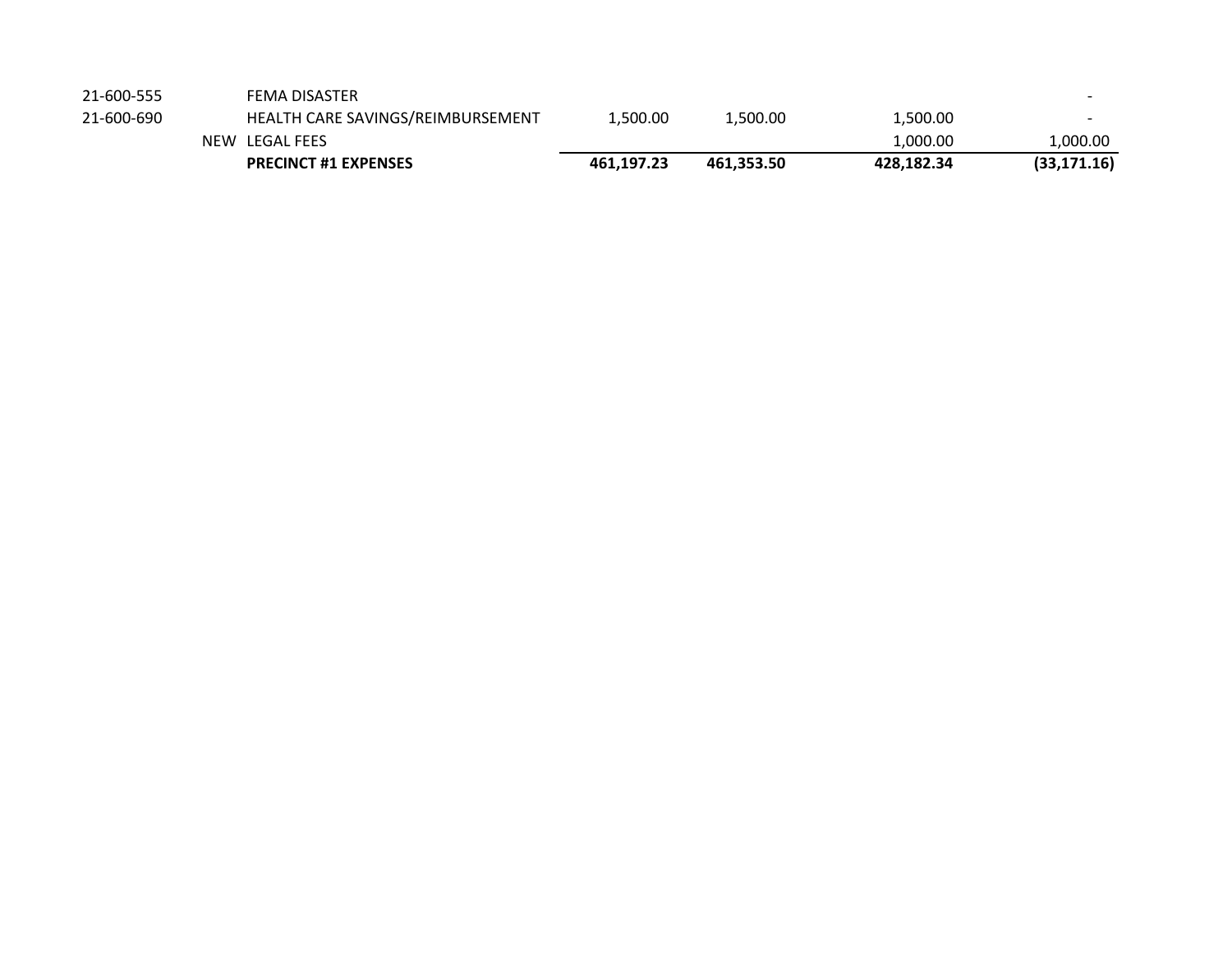|            | <b>PRECINCT #1 EXPENSES</b>       | 461.197.23 | 461.353.50 | 428.182.34 | (33, 171.16) |
|------------|-----------------------------------|------------|------------|------------|--------------|
|            | NEW LEGAL FEES                    |            |            | 1,000.00   | 1,000.00     |
| 21-600-690 | HEALTH CARE SAVINGS/REIMBURSEMENT | L.500.00   | 1,500.00   | 1,500.00   |              |
| 21-600-555 | <b>FEMA DISASTER</b>              |            |            |            |              |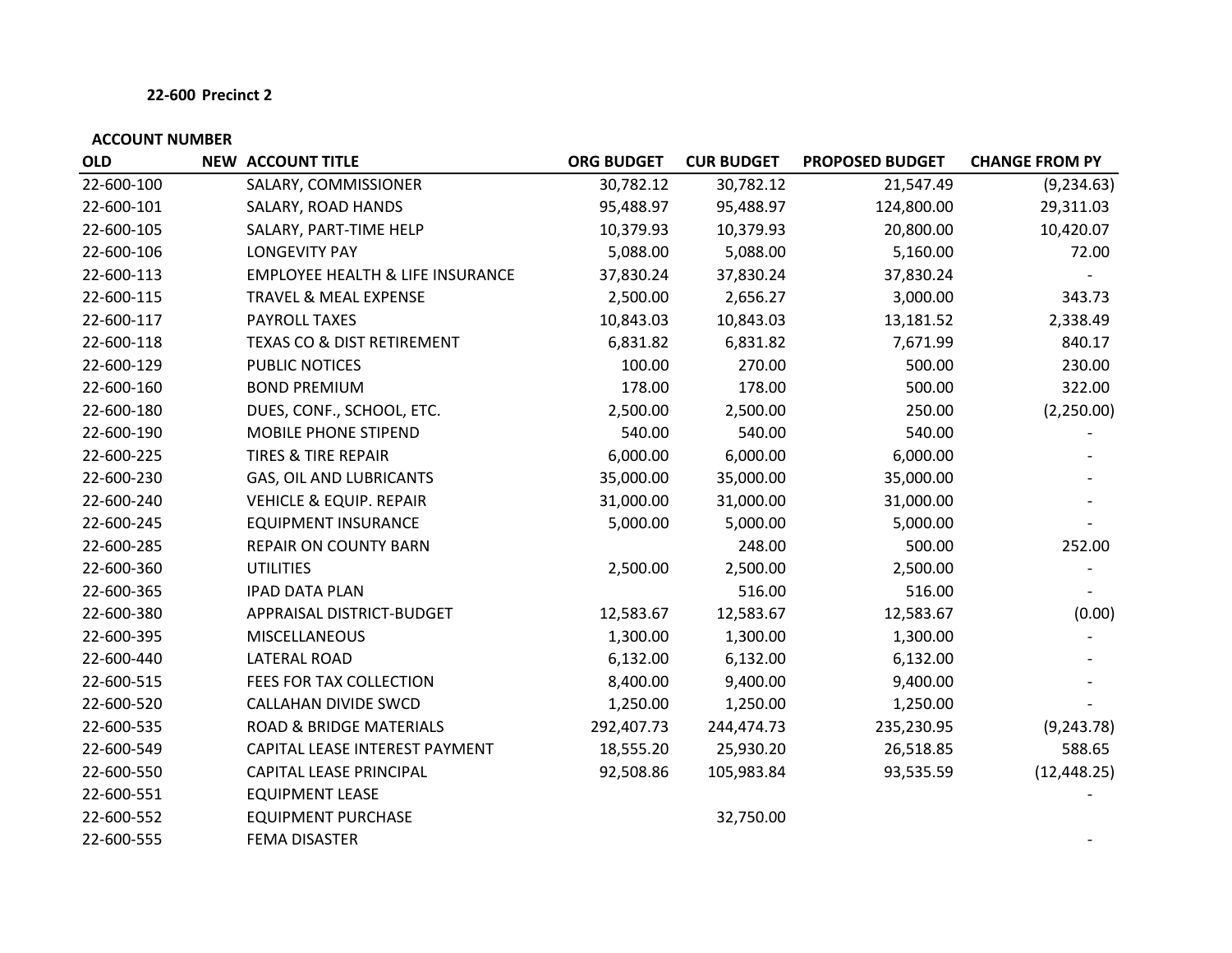| <b>OLD</b> | <b>NEW ACCOUNT TITLE</b>                    | <b>ORG BUDGET</b> | <b>CUR BUDGET</b> | <b>PROPOSED BUDGET</b> | <b>CHANGE FROM PY</b> |
|------------|---------------------------------------------|-------------------|-------------------|------------------------|-----------------------|
| 22-600-100 | SALARY, COMMISSIONER                        | 30,782.12         | 30,782.12         | 21,547.49              | (9, 234.63)           |
| 22-600-101 | SALARY, ROAD HANDS                          | 95,488.97         | 95,488.97         | 124,800.00             | 29,311.03             |
| 22-600-105 | SALARY, PART-TIME HELP                      | 10,379.93         | 10,379.93         | 20,800.00              | 10,420.07             |
| 22-600-106 | <b>LONGEVITY PAY</b>                        | 5,088.00          | 5,088.00          | 5,160.00               | 72.00                 |
| 22-600-113 | <b>EMPLOYEE HEALTH &amp; LIFE INSURANCE</b> | 37,830.24         | 37,830.24         | 37,830.24              |                       |
| 22-600-115 | TRAVEL & MEAL EXPENSE                       | 2,500.00          | 2,656.27          | 3,000.00               | 343.73                |
| 22-600-117 | PAYROLL TAXES                               | 10,843.03         | 10,843.03         | 13,181.52              | 2,338.49              |
| 22-600-118 | <b>TEXAS CO &amp; DIST RETIREMENT</b>       | 6,831.82          | 6,831.82          | 7,671.99               | 840.17                |
| 22-600-129 | PUBLIC NOTICES                              | 100.00            | 270.00            | 500.00                 | 230.00                |
| 22-600-160 | <b>BOND PREMIUM</b>                         | 178.00            | 178.00            | 500.00                 | 322.00                |
| 22-600-180 | DUES, CONF., SCHOOL, ETC.                   | 2,500.00          | 2,500.00          | 250.00                 | (2,250.00)            |
| 22-600-190 | MOBILE PHONE STIPEND                        | 540.00            | 540.00            | 540.00                 |                       |
| 22-600-225 | <b>TIRES &amp; TIRE REPAIR</b>              | 6,000.00          | 6,000.00          | 6,000.00               |                       |
| 22-600-230 | GAS, OIL AND LUBRICANTS                     | 35,000.00         | 35,000.00         | 35,000.00              |                       |
| 22-600-240 | <b>VEHICLE &amp; EQUIP. REPAIR</b>          | 31,000.00         | 31,000.00         | 31,000.00              |                       |
| 22-600-245 | <b>EQUIPMENT INSURANCE</b>                  | 5,000.00          | 5,000.00          | 5,000.00               |                       |
| 22-600-285 | REPAIR ON COUNTY BARN                       |                   | 248.00            | 500.00                 | 252.00                |
| 22-600-360 | <b>UTILITIES</b>                            | 2,500.00          | 2,500.00          | 2,500.00               |                       |
| 22-600-365 | <b>IPAD DATA PLAN</b>                       |                   | 516.00            | 516.00                 |                       |
| 22-600-380 | APPRAISAL DISTRICT-BUDGET                   | 12,583.67         | 12,583.67         | 12,583.67              | (0.00)                |
| 22-600-395 | <b>MISCELLANEOUS</b>                        | 1,300.00          | 1,300.00          | 1,300.00               |                       |
| 22-600-440 | LATERAL ROAD                                | 6,132.00          | 6,132.00          | 6,132.00               |                       |
| 22-600-515 | FEES FOR TAX COLLECTION                     | 8,400.00          | 9,400.00          | 9,400.00               |                       |
| 22-600-520 | CALLAHAN DIVIDE SWCD                        | 1,250.00          | 1,250.00          | 1,250.00               |                       |
| 22-600-535 | ROAD & BRIDGE MATERIALS                     | 292,407.73        | 244,474.73        | 235,230.95             | (9, 243.78)           |
| 22-600-549 | CAPITAL LEASE INTEREST PAYMENT              | 18,555.20         | 25,930.20         | 26,518.85              | 588.65                |
| 22-600-550 | CAPITAL LEASE PRINCIPAL                     | 92,508.86         | 105,983.84        | 93,535.59              | (12, 448.25)          |
| 22-600-551 | <b>EQUIPMENT LEASE</b>                      |                   |                   |                        |                       |
| 22-600-552 | <b>EQUIPMENT PURCHASE</b>                   |                   | 32,750.00         |                        |                       |
| 22-600-555 | <b>FEMA DISASTER</b>                        |                   |                   |                        |                       |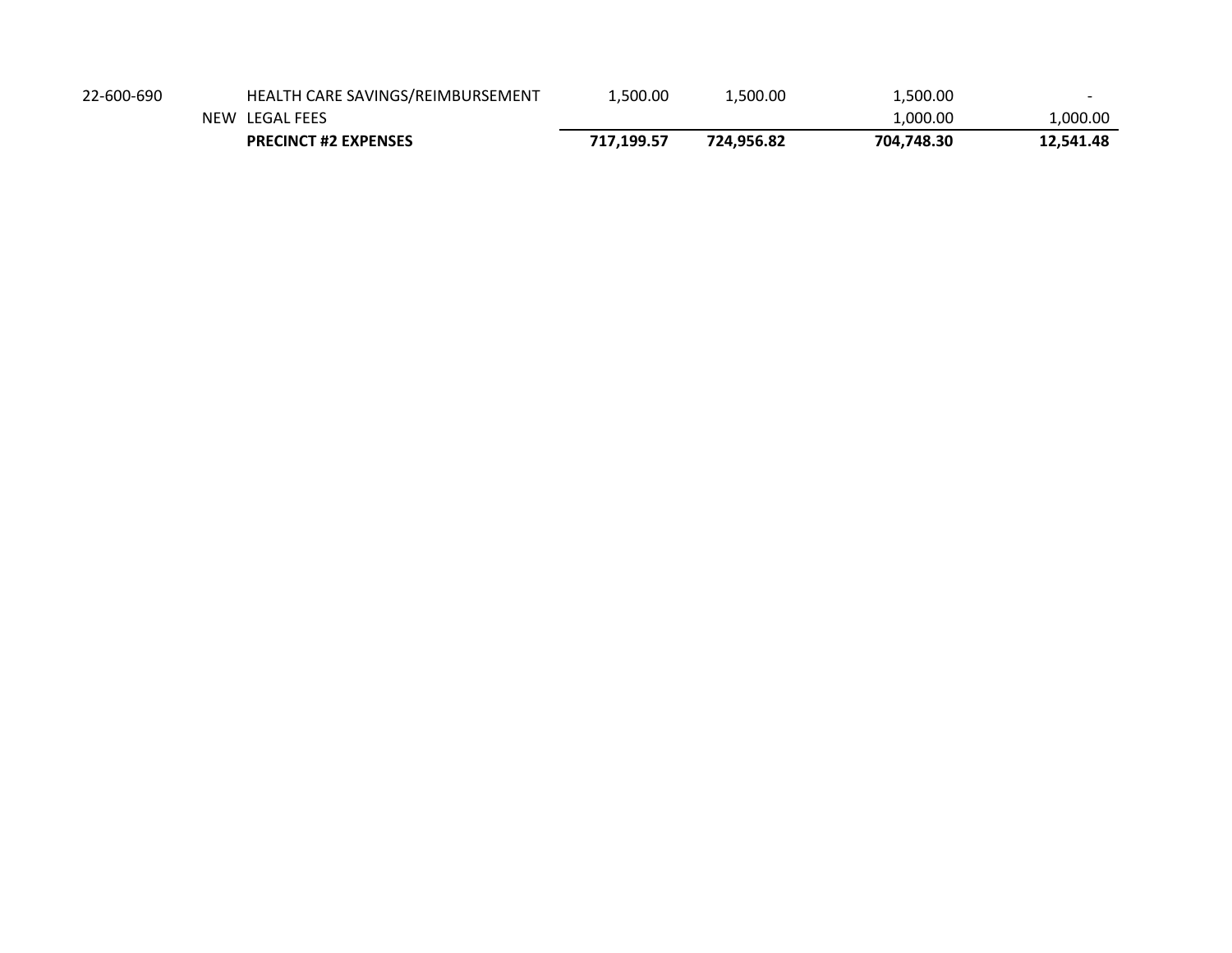| 22-600-690 | HEALTH CARE SAVINGS/REIMBURSEMENT | .500.00    | 1,500.00   | 1,500.00   |           |
|------------|-----------------------------------|------------|------------|------------|-----------|
|            | NEW LEGAL FEES                    |            |            | 1.000.00   | L,000.00  |
|            | <b>PRECINCT #2 EXPENSES</b>       | 717.199.57 | 724.956.82 | 704.748.30 | 12,541.48 |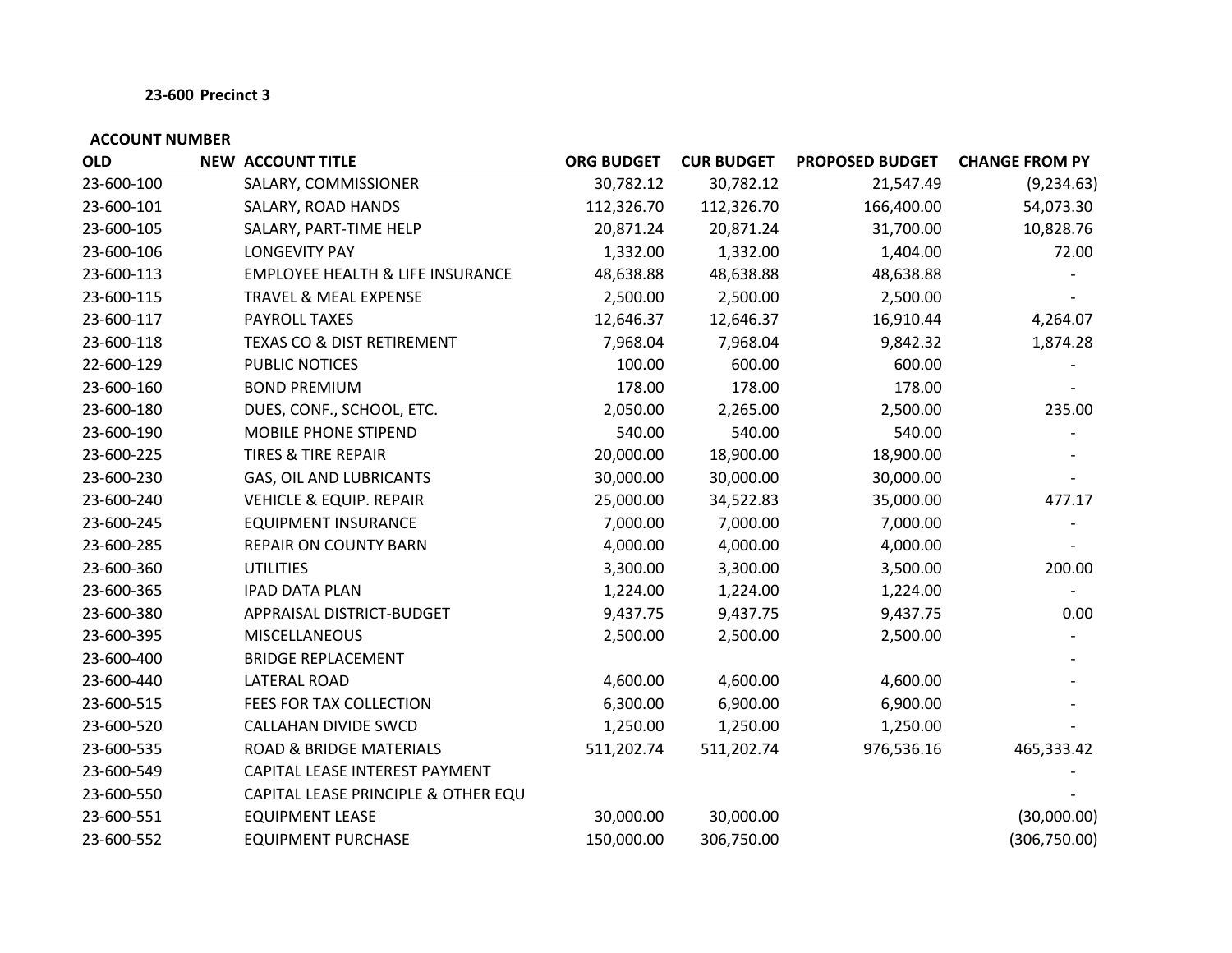| <b>OLD</b> | <b>NEW ACCOUNT TITLE</b>                    | <b>ORG BUDGET</b> | <b>CUR BUDGET</b> | <b>PROPOSED BUDGET</b> | <b>CHANGE FROM PY</b> |
|------------|---------------------------------------------|-------------------|-------------------|------------------------|-----------------------|
| 23-600-100 | SALARY, COMMISSIONER                        | 30,782.12         | 30,782.12         | 21,547.49              | (9, 234.63)           |
| 23-600-101 | SALARY, ROAD HANDS                          | 112,326.70        | 112,326.70        | 166,400.00             | 54,073.30             |
| 23-600-105 | SALARY, PART-TIME HELP                      | 20,871.24         | 20,871.24         | 31,700.00              | 10,828.76             |
| 23-600-106 | <b>LONGEVITY PAY</b>                        | 1,332.00          | 1,332.00          | 1,404.00               | 72.00                 |
| 23-600-113 | <b>EMPLOYEE HEALTH &amp; LIFE INSURANCE</b> | 48,638.88         | 48,638.88         | 48,638.88              |                       |
| 23-600-115 | TRAVEL & MEAL EXPENSE                       | 2,500.00          | 2,500.00          | 2,500.00               |                       |
| 23-600-117 | PAYROLL TAXES                               | 12,646.37         | 12,646.37         | 16,910.44              | 4,264.07              |
| 23-600-118 | <b>TEXAS CO &amp; DIST RETIREMENT</b>       | 7,968.04          | 7,968.04          | 9,842.32               | 1,874.28              |
| 22-600-129 | PUBLIC NOTICES                              | 100.00            | 600.00            | 600.00                 |                       |
| 23-600-160 | <b>BOND PREMIUM</b>                         | 178.00            | 178.00            | 178.00                 |                       |
| 23-600-180 | DUES, CONF., SCHOOL, ETC.                   | 2,050.00          | 2,265.00          | 2,500.00               | 235.00                |
| 23-600-190 | MOBILE PHONE STIPEND                        | 540.00            | 540.00            | 540.00                 |                       |
| 23-600-225 | <b>TIRES &amp; TIRE REPAIR</b>              | 20,000.00         | 18,900.00         | 18,900.00              |                       |
| 23-600-230 | GAS, OIL AND LUBRICANTS                     | 30,000.00         | 30,000.00         | 30,000.00              |                       |
| 23-600-240 | <b>VEHICLE &amp; EQUIP. REPAIR</b>          | 25,000.00         | 34,522.83         | 35,000.00              | 477.17                |
| 23-600-245 | <b>EQUIPMENT INSURANCE</b>                  | 7,000.00          | 7,000.00          | 7,000.00               |                       |
| 23-600-285 | <b>REPAIR ON COUNTY BARN</b>                | 4,000.00          | 4,000.00          | 4,000.00               |                       |
| 23-600-360 | <b>UTILITIES</b>                            | 3,300.00          | 3,300.00          | 3,500.00               | 200.00                |
| 23-600-365 | <b>IPAD DATA PLAN</b>                       | 1,224.00          | 1,224.00          | 1,224.00               |                       |
| 23-600-380 | APPRAISAL DISTRICT-BUDGET                   | 9,437.75          | 9,437.75          | 9,437.75               | 0.00                  |
| 23-600-395 | <b>MISCELLANEOUS</b>                        | 2,500.00          | 2,500.00          | 2,500.00               |                       |
| 23-600-400 | <b>BRIDGE REPLACEMENT</b>                   |                   |                   |                        |                       |
| 23-600-440 | <b>LATERAL ROAD</b>                         | 4,600.00          | 4,600.00          | 4,600.00               |                       |
| 23-600-515 | FEES FOR TAX COLLECTION                     | 6,300.00          | 6,900.00          | 6,900.00               |                       |
| 23-600-520 | CALLAHAN DIVIDE SWCD                        | 1,250.00          | 1,250.00          | 1,250.00               |                       |
| 23-600-535 | <b>ROAD &amp; BRIDGE MATERIALS</b>          | 511,202.74        | 511,202.74        | 976,536.16             | 465,333.42            |
| 23-600-549 | CAPITAL LEASE INTEREST PAYMENT              |                   |                   |                        |                       |
| 23-600-550 | CAPITAL LEASE PRINCIPLE & OTHER EQU         |                   |                   |                        |                       |
| 23-600-551 | <b>EQUIPMENT LEASE</b>                      | 30,000.00         | 30,000.00         |                        | (30,000.00)           |
| 23-600-552 | <b>EQUIPMENT PURCHASE</b>                   | 150,000.00        | 306,750.00        |                        | (306, 750.00)         |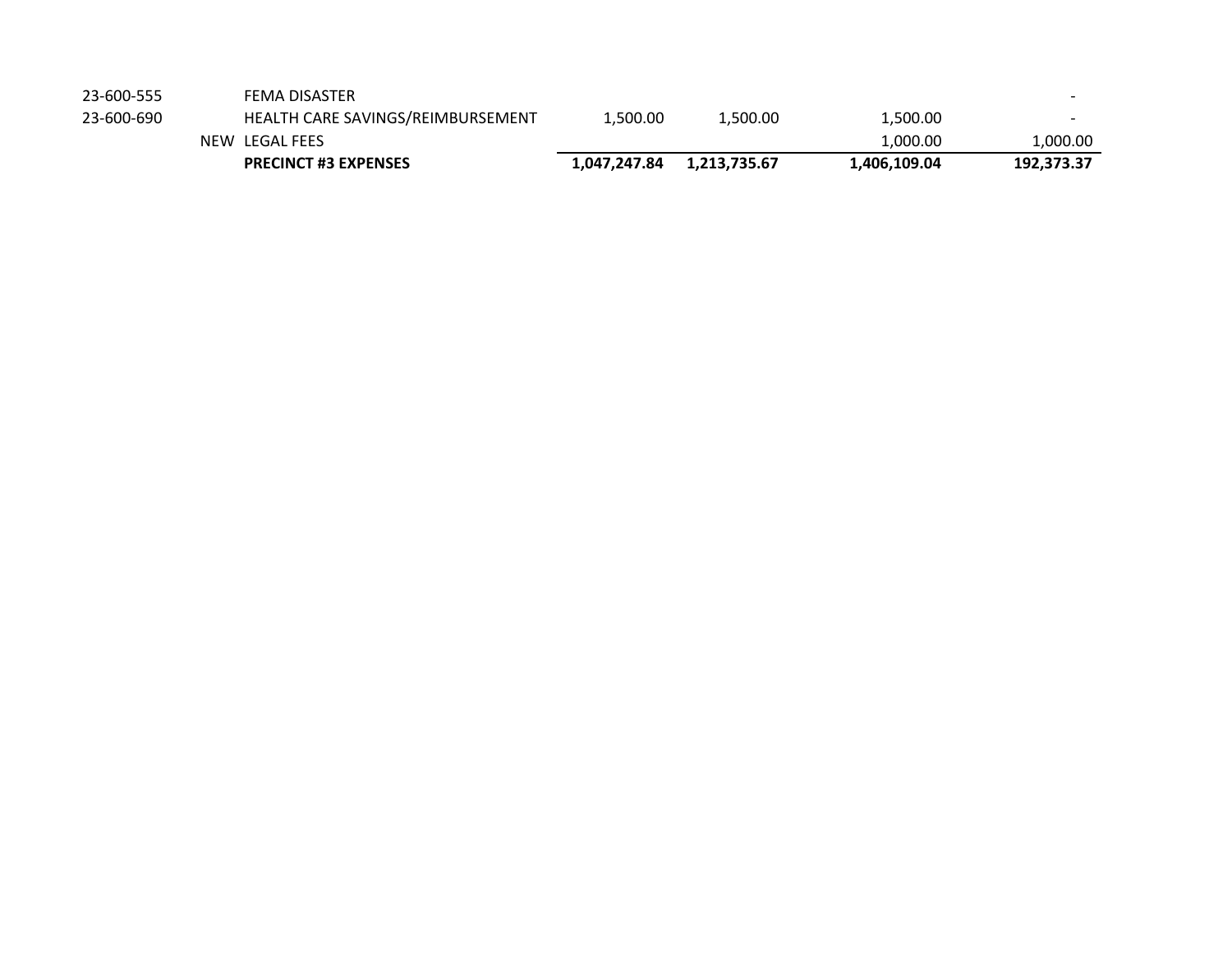|            | <b>PRECINCT #3 EXPENSES</b>       | 1,047,247.84 | 1,213,735.67 | 1,406,109.04 | 192,373.37               |
|------------|-----------------------------------|--------------|--------------|--------------|--------------------------|
|            | NEW LEGAL FEES                    |              |              | 1.000.00     | ,000.00                  |
| 23-600-690 | HEALTH CARE SAVINGS/REIMBURSEMENT | 1.500.00     | 1.500.00     | 1,500.00     | $\overline{\phantom{0}}$ |
| 23-600-555 | FEMA DISASTER                     |              |              |              | $\overline{\phantom{0}}$ |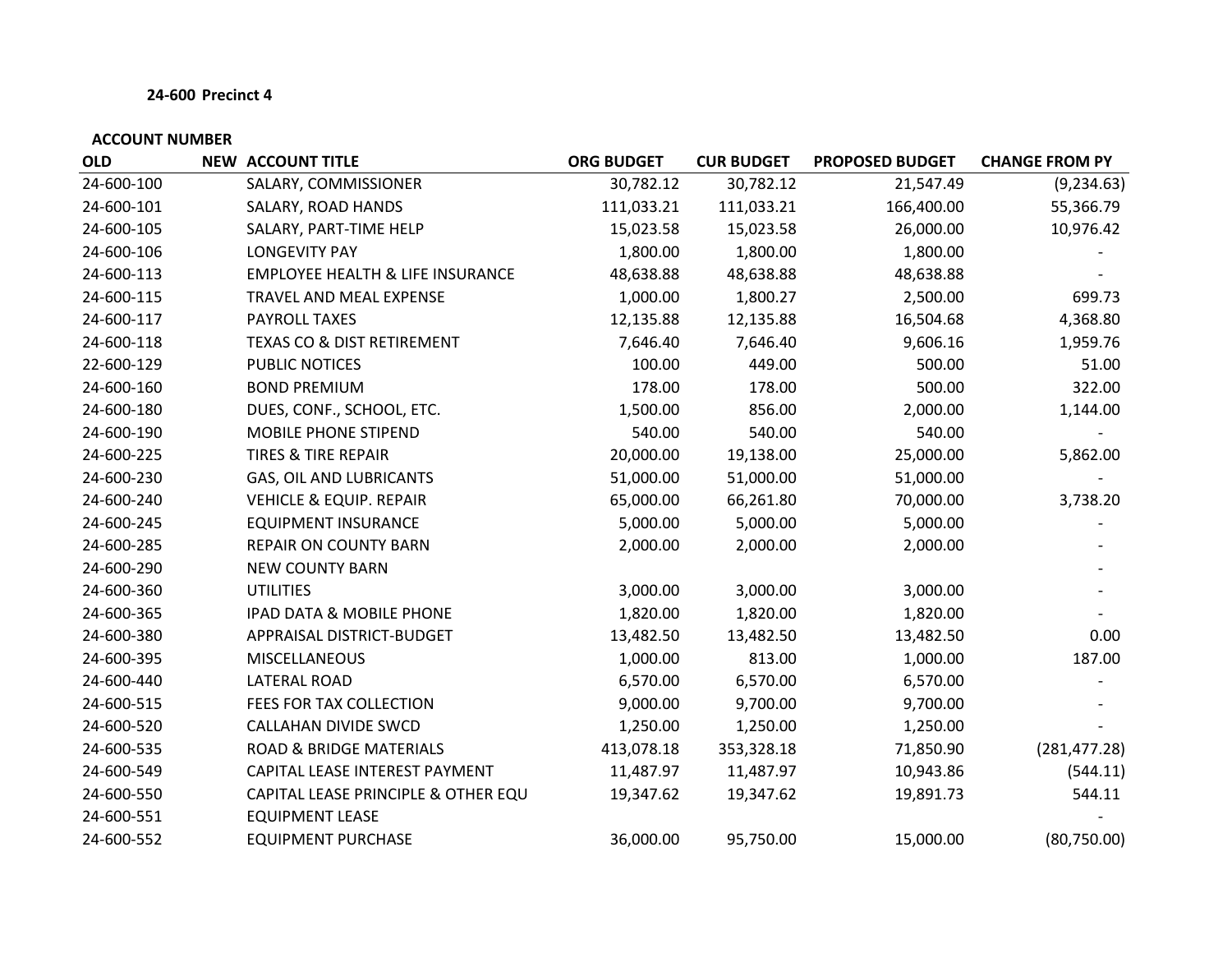| <b>OLD</b> | <b>NEW ACCOUNT TITLE</b>                    | <b>ORG BUDGET</b> | <b>CUR BUDGET</b> | <b>PROPOSED BUDGET</b> | <b>CHANGE FROM PY</b> |
|------------|---------------------------------------------|-------------------|-------------------|------------------------|-----------------------|
| 24-600-100 | SALARY, COMMISSIONER                        | 30,782.12         | 30,782.12         | 21,547.49              | (9, 234.63)           |
| 24-600-101 | SALARY, ROAD HANDS                          | 111,033.21        | 111,033.21        | 166,400.00             | 55,366.79             |
| 24-600-105 | SALARY, PART-TIME HELP                      | 15,023.58         | 15,023.58         | 26,000.00              | 10,976.42             |
| 24-600-106 | <b>LONGEVITY PAY</b>                        | 1,800.00          | 1,800.00          | 1,800.00               |                       |
| 24-600-113 | <b>EMPLOYEE HEALTH &amp; LIFE INSURANCE</b> | 48,638.88         | 48,638.88         | 48,638.88              |                       |
| 24-600-115 | TRAVEL AND MEAL EXPENSE                     | 1,000.00          | 1,800.27          | 2,500.00               | 699.73                |
| 24-600-117 | PAYROLL TAXES                               | 12,135.88         | 12,135.88         | 16,504.68              | 4,368.80              |
| 24-600-118 | <b>TEXAS CO &amp; DIST RETIREMENT</b>       | 7,646.40          | 7,646.40          | 9,606.16               | 1,959.76              |
| 22-600-129 | PUBLIC NOTICES                              | 100.00            | 449.00            | 500.00                 | 51.00                 |
| 24-600-160 | <b>BOND PREMIUM</b>                         | 178.00            | 178.00            | 500.00                 | 322.00                |
| 24-600-180 | DUES, CONF., SCHOOL, ETC.                   | 1,500.00          | 856.00            | 2,000.00               | 1,144.00              |
| 24-600-190 | <b>MOBILE PHONE STIPEND</b>                 | 540.00            | 540.00            | 540.00                 |                       |
| 24-600-225 | <b>TIRES &amp; TIRE REPAIR</b>              | 20,000.00         | 19,138.00         | 25,000.00              | 5,862.00              |
| 24-600-230 | GAS, OIL AND LUBRICANTS                     | 51,000.00         | 51,000.00         | 51,000.00              |                       |
| 24-600-240 | <b>VEHICLE &amp; EQUIP. REPAIR</b>          | 65,000.00         | 66,261.80         | 70,000.00              | 3,738.20              |
| 24-600-245 | <b>EQUIPMENT INSURANCE</b>                  | 5,000.00          | 5,000.00          | 5,000.00               |                       |
| 24-600-285 | <b>REPAIR ON COUNTY BARN</b>                | 2,000.00          | 2,000.00          | 2,000.00               |                       |
| 24-600-290 | <b>NEW COUNTY BARN</b>                      |                   |                   |                        |                       |
| 24-600-360 | <b>UTILITIES</b>                            | 3,000.00          | 3,000.00          | 3,000.00               |                       |
| 24-600-365 | IPAD DATA & MOBILE PHONE                    | 1,820.00          | 1,820.00          | 1,820.00               |                       |
| 24-600-380 | APPRAISAL DISTRICT-BUDGET                   | 13,482.50         | 13,482.50         | 13,482.50              | 0.00                  |
| 24-600-395 | <b>MISCELLANEOUS</b>                        | 1,000.00          | 813.00            | 1,000.00               | 187.00                |
| 24-600-440 | LATERAL ROAD                                | 6,570.00          | 6,570.00          | 6,570.00               |                       |
| 24-600-515 | FEES FOR TAX COLLECTION                     | 9,000.00          | 9,700.00          | 9,700.00               |                       |
| 24-600-520 | CALLAHAN DIVIDE SWCD                        | 1,250.00          | 1,250.00          | 1,250.00               |                       |
| 24-600-535 | ROAD & BRIDGE MATERIALS                     | 413,078.18        | 353,328.18        | 71,850.90              | (281, 477.28)         |
| 24-600-549 | CAPITAL LEASE INTEREST PAYMENT              | 11,487.97         | 11,487.97         | 10,943.86              | (544.11)              |
| 24-600-550 | CAPITAL LEASE PRINCIPLE & OTHER EQU         | 19,347.62         | 19,347.62         | 19,891.73              | 544.11                |
| 24-600-551 | <b>EQUIPMENT LEASE</b>                      |                   |                   |                        |                       |
| 24-600-552 | <b>EQUIPMENT PURCHASE</b>                   | 36,000.00         | 95,750.00         | 15,000.00              | (80,750.00)           |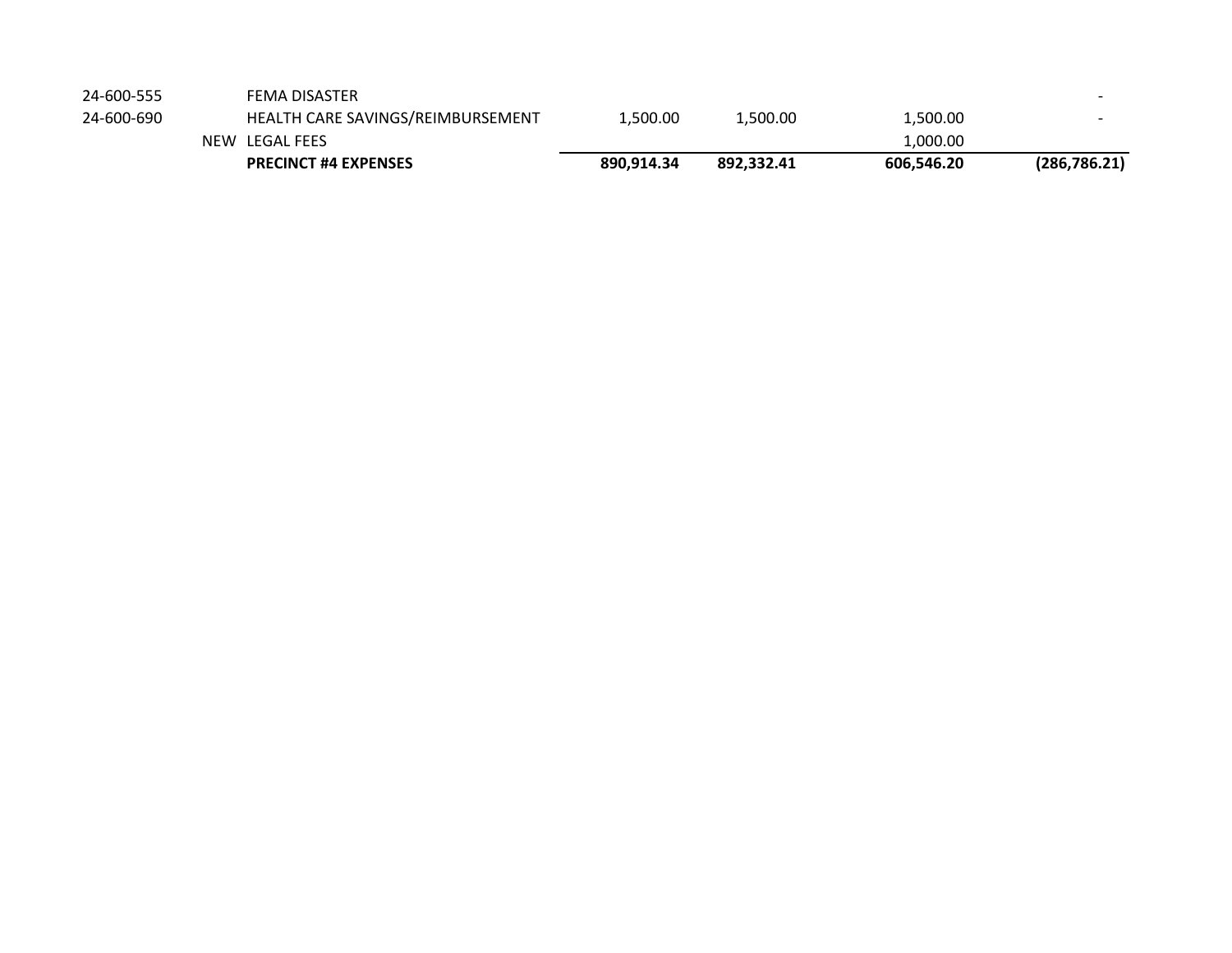| 24-600-555 | FEMA DISASTER |  |
|------------|---------------|--|
|            |               |  |

|            | <b>PRECINCT #4 EXPENSES</b>       | 890.914.34 | 892.332.41 | 606.546.20 | (286,786.21) |
|------------|-----------------------------------|------------|------------|------------|--------------|
|            | NEW LEGAL FEES                    |            |            | 1.000.00   |              |
| 24-600-690 | HEALTH CARE SAVINGS/REIMBURSEMENT | .500.00    | 1.500.00   | 1,500.00   |              |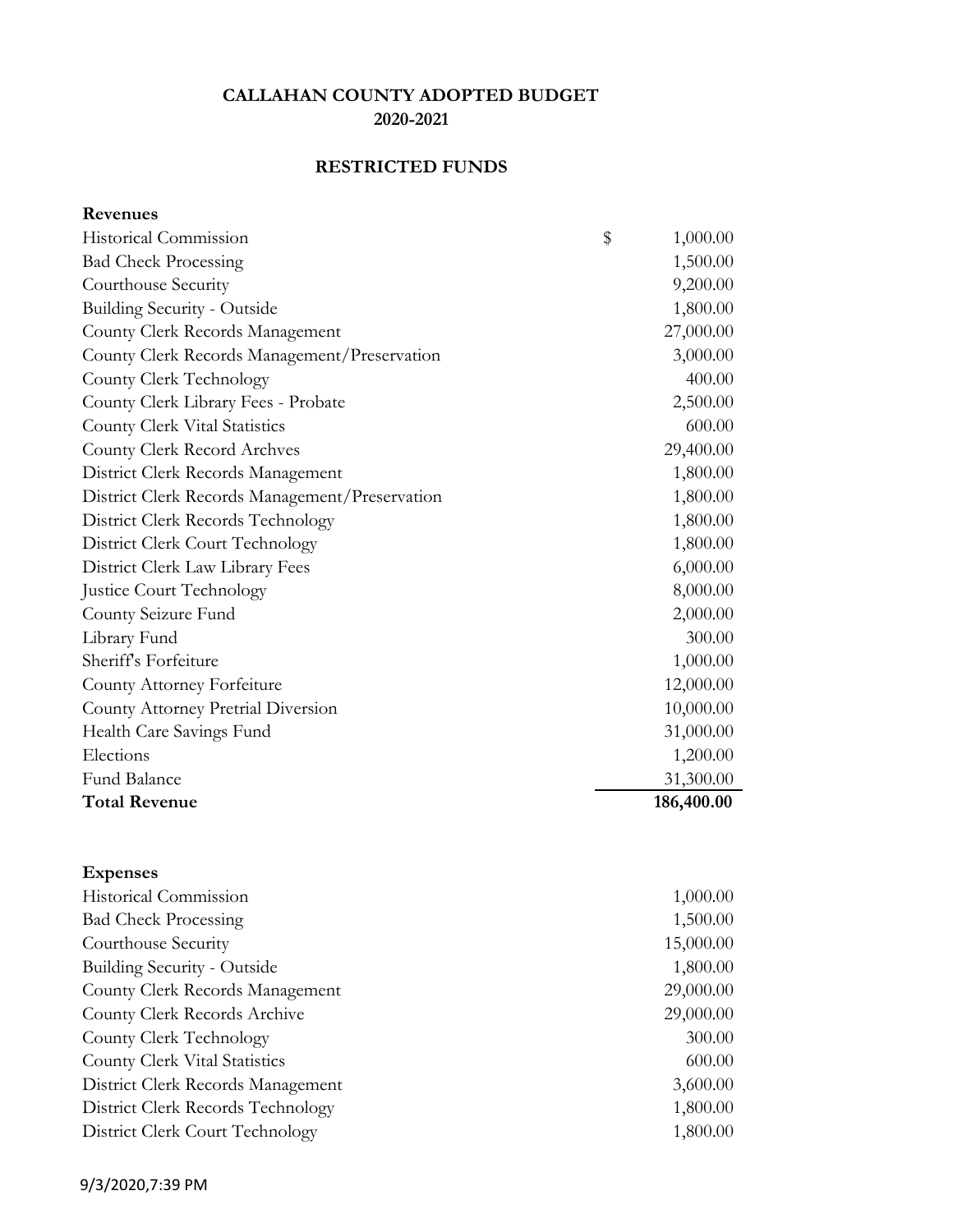# **RESTRICTED FUNDS**

**Revenues**

| Historical Commission                          | \$<br>1,000.00 |
|------------------------------------------------|----------------|
| <b>Bad Check Processing</b>                    | 1,500.00       |
| Courthouse Security                            | 9,200.00       |
| <b>Building Security - Outside</b>             | 1,800.00       |
| County Clerk Records Management                | 27,000.00      |
| County Clerk Records Management/Preservation   | 3,000.00       |
| County Clerk Technology                        | 400.00         |
| County Clerk Library Fees - Probate            | 2,500.00       |
| County Clerk Vital Statistics                  | 600.00         |
| County Clerk Record Archves                    | 29,400.00      |
| District Clerk Records Management              | 1,800.00       |
| District Clerk Records Management/Preservation | 1,800.00       |
| District Clerk Records Technology              | 1,800.00       |
| District Clerk Court Technology                | 1,800.00       |
| District Clerk Law Library Fees                | 6,000.00       |
| Justice Court Technology                       | 8,000.00       |
| County Seizure Fund                            | 2,000.00       |
| Library Fund                                   | 300.00         |
| Sheriff's Forfeiture                           | 1,000.00       |
| County Attorney Forfeiture                     | 12,000.00      |
| County Attorney Pretrial Diversion             | 10,000.00      |
| Health Care Savings Fund                       | 31,000.00      |
| Elections                                      | 1,200.00       |
| Fund Balance                                   | 31,300.00      |
| <b>Total Revenue</b>                           | 186,400.00     |

| 1,000.00  |
|-----------|
| 1,500.00  |
| 15,000.00 |
| 1,800.00  |
| 29,000.00 |
| 29,000.00 |
| 300.00    |
| 600.00    |
| 3,600.00  |
| 1,800.00  |
| 1,800.00  |
|           |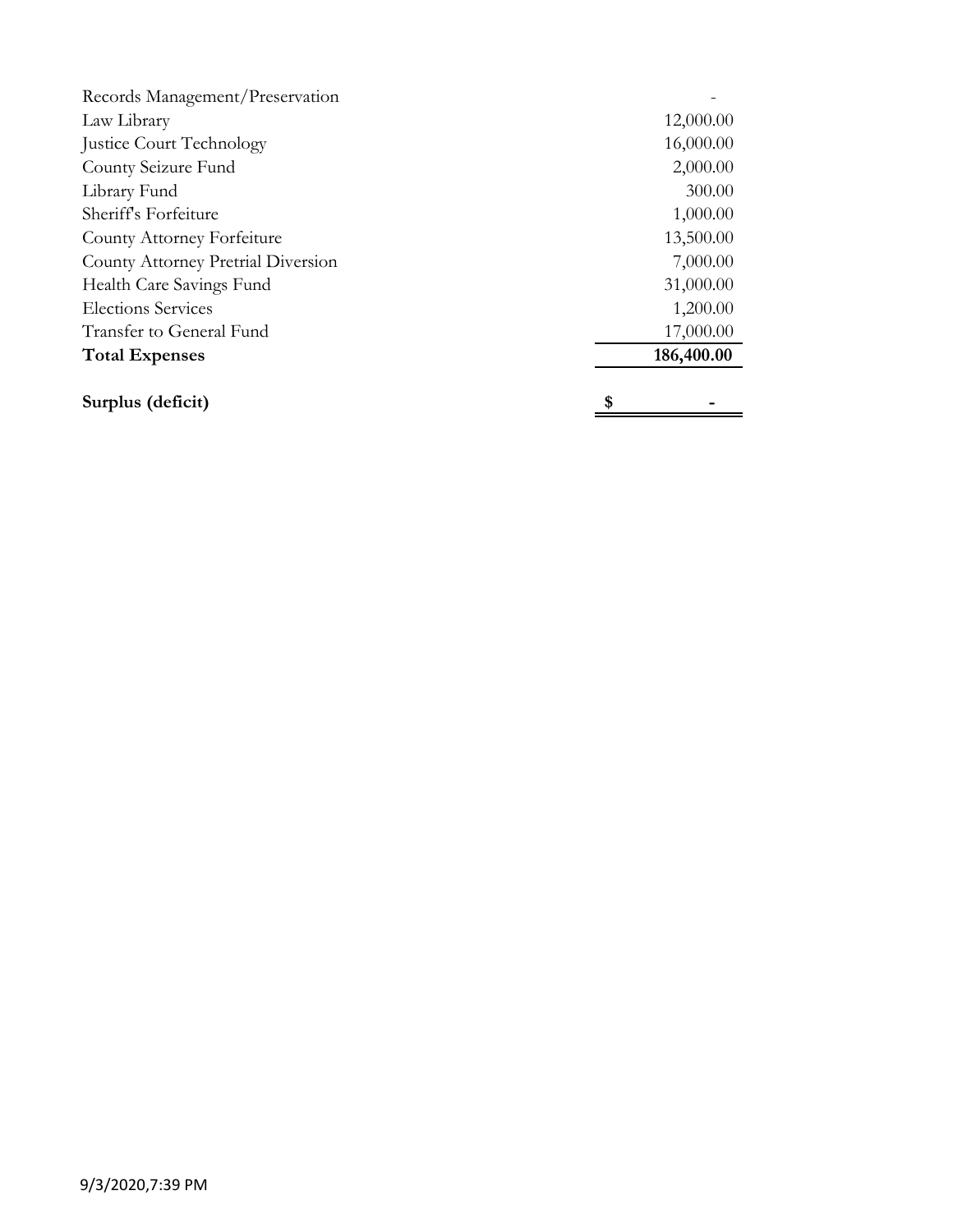| Records Management/Preservation           |            |  |
|-------------------------------------------|------------|--|
| Law Library                               | 12,000.00  |  |
| <b>Justice Court Technology</b>           | 16,000.00  |  |
| County Seizure Fund                       | 2,000.00   |  |
| Library Fund                              | 300.00     |  |
| Sheriff's Forfeiture                      | 1,000.00   |  |
| County Attorney Forfeiture                | 13,500.00  |  |
| <b>County Attorney Pretrial Diversion</b> | 7,000.00   |  |
| Health Care Savings Fund                  | 31,000.00  |  |
| <b>Elections Services</b>                 | 1,200.00   |  |
| Transfer to General Fund                  | 17,000.00  |  |
| <b>Total Expenses</b>                     | 186,400.00 |  |
| Surplus (deficit)                         | \$         |  |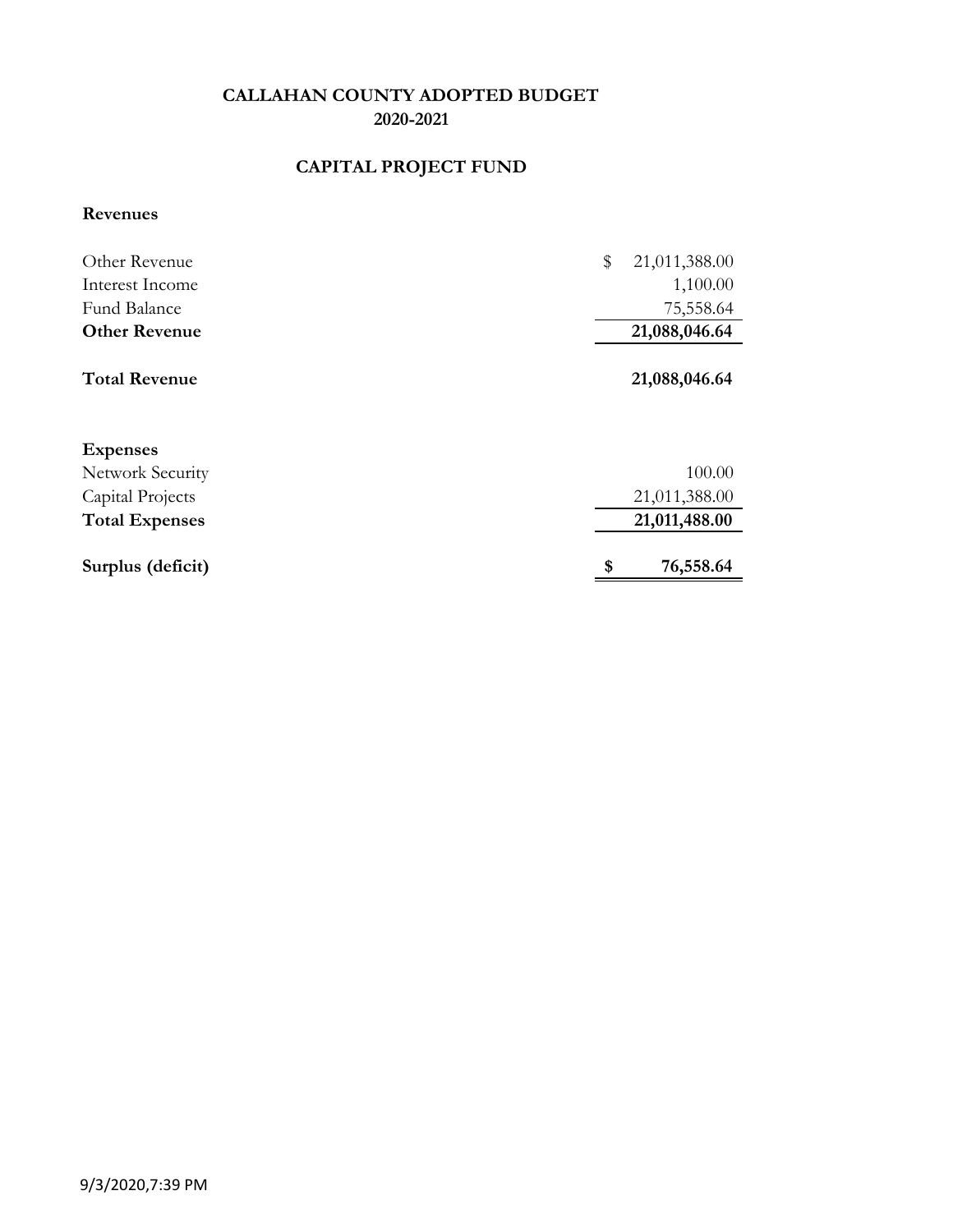# **CAPITAL PROJECT FUND**

#### **Revenues**

| Other Revenue         | \$<br>21,011,388.00 |
|-----------------------|---------------------|
| Interest Income       | 1,100.00            |
| Fund Balance          | 75,558.64           |
| <b>Other Revenue</b>  | 21,088,046.64       |
| <b>Total Revenue</b>  | 21,088,046.64       |
| <b>Expenses</b>       |                     |
| Network Security      | 100.00              |
| Capital Projects      | 21,011,388.00       |
| <b>Total Expenses</b> | 21,011,488.00       |
| Surplus (deficit)     | 76,558.64<br>\$     |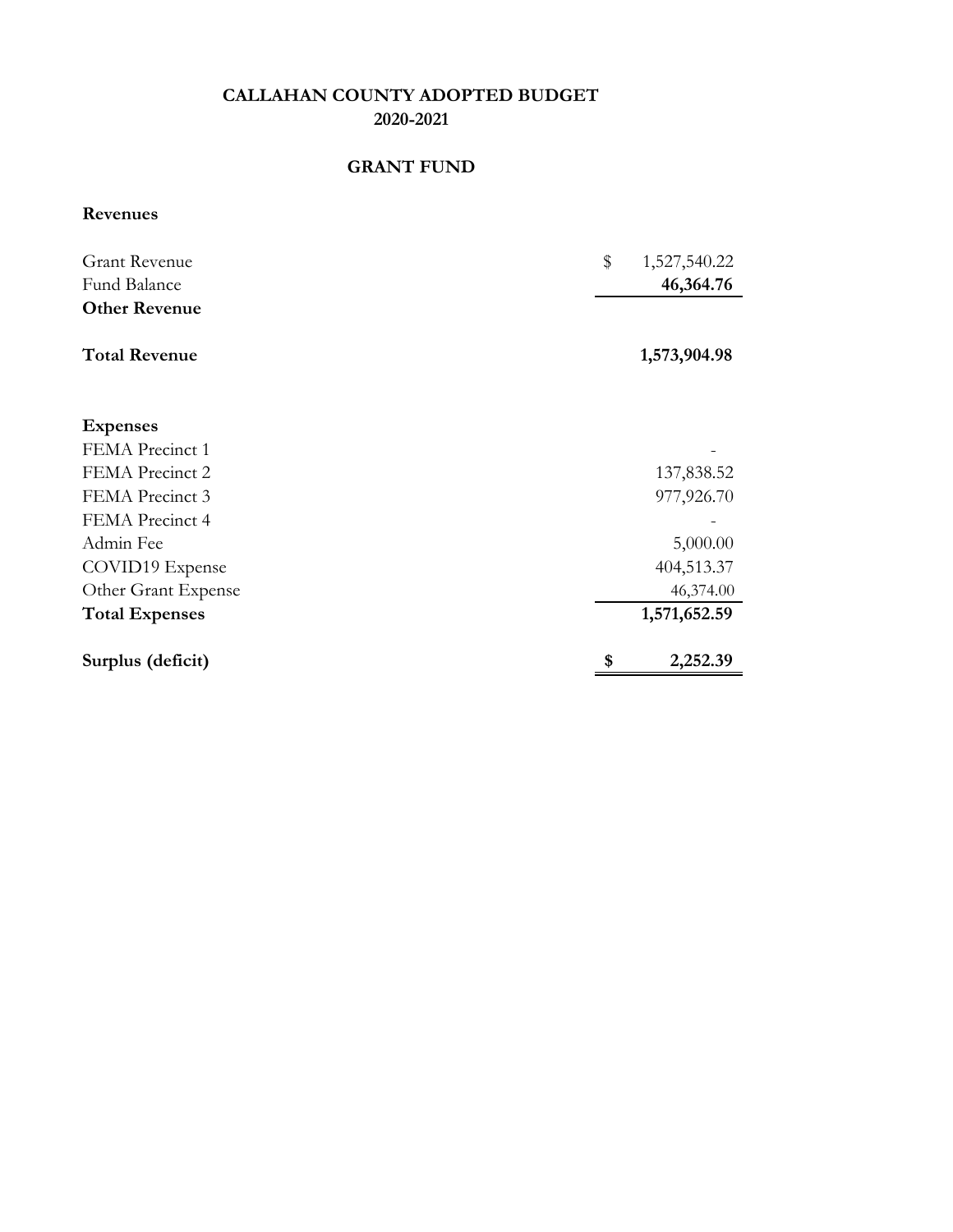### **GRANT FUND**

**Revenues**

| <b>Grant Revenue</b><br>Fund Balance | \$<br>1,527,540.22<br>46,364.76 |
|--------------------------------------|---------------------------------|
| <b>Other Revenue</b>                 |                                 |
| <b>Total Revenue</b>                 | 1,573,904.98                    |
| <b>Expenses</b>                      |                                 |
| FEMA Precinct 1                      |                                 |
| FEMA Precinct 2                      | 137,838.52                      |
| FEMA Precinct 3                      | 977,926.70                      |
| FEMA Precinct 4                      |                                 |
| Admin Fee                            | 5,000.00                        |
| COVID19 Expense                      | 404,513.37                      |
| Other Grant Expense                  | 46,374.00                       |
| <b>Total Expenses</b>                | 1,571,652.59                    |
| Surplus (deficit)                    | 2,252.39                        |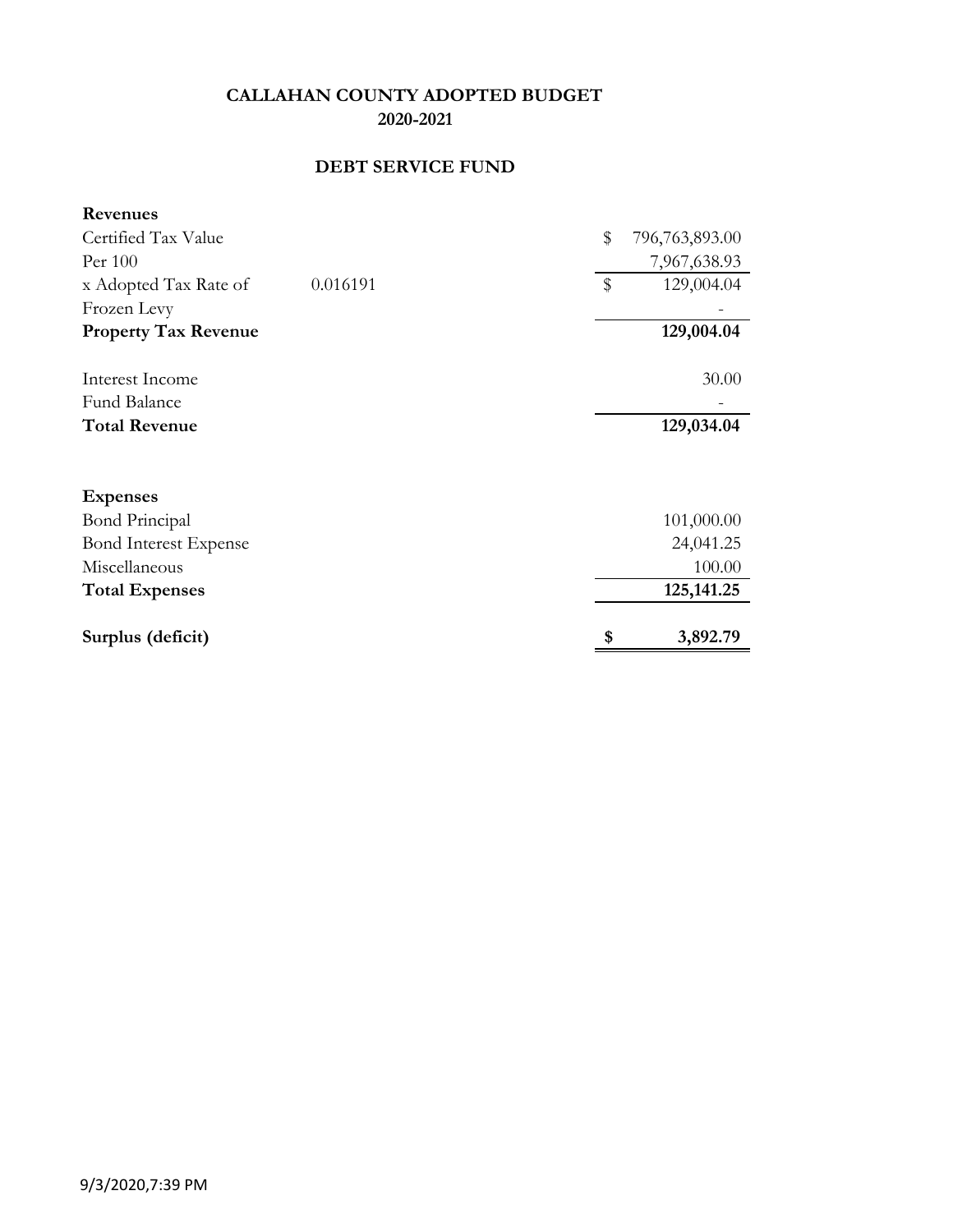# **DEBT SERVICE FUND**

| <b>Revenues</b>              |          |                      |
|------------------------------|----------|----------------------|
| Certified Tax Value          |          | \$<br>796,763,893.00 |
| Per 100                      |          | 7,967,638.93         |
| x Adopted Tax Rate of        | 0.016191 | \$<br>129,004.04     |
| Frozen Levy                  |          |                      |
| <b>Property Tax Revenue</b>  |          | 129,004.04           |
| Interest Income              |          | 30.00                |
| <b>Fund Balance</b>          |          |                      |
| <b>Total Revenue</b>         |          | 129,034.04           |
| <b>Expenses</b>              |          |                      |
| <b>Bond Principal</b>        |          | 101,000.00           |
| <b>Bond Interest Expense</b> |          | 24,041.25            |
| Miscellaneous                |          | 100.00               |
| <b>Total Expenses</b>        |          | 125, 141. 25         |
| Surplus (deficit)            |          | \$<br>3,892.79       |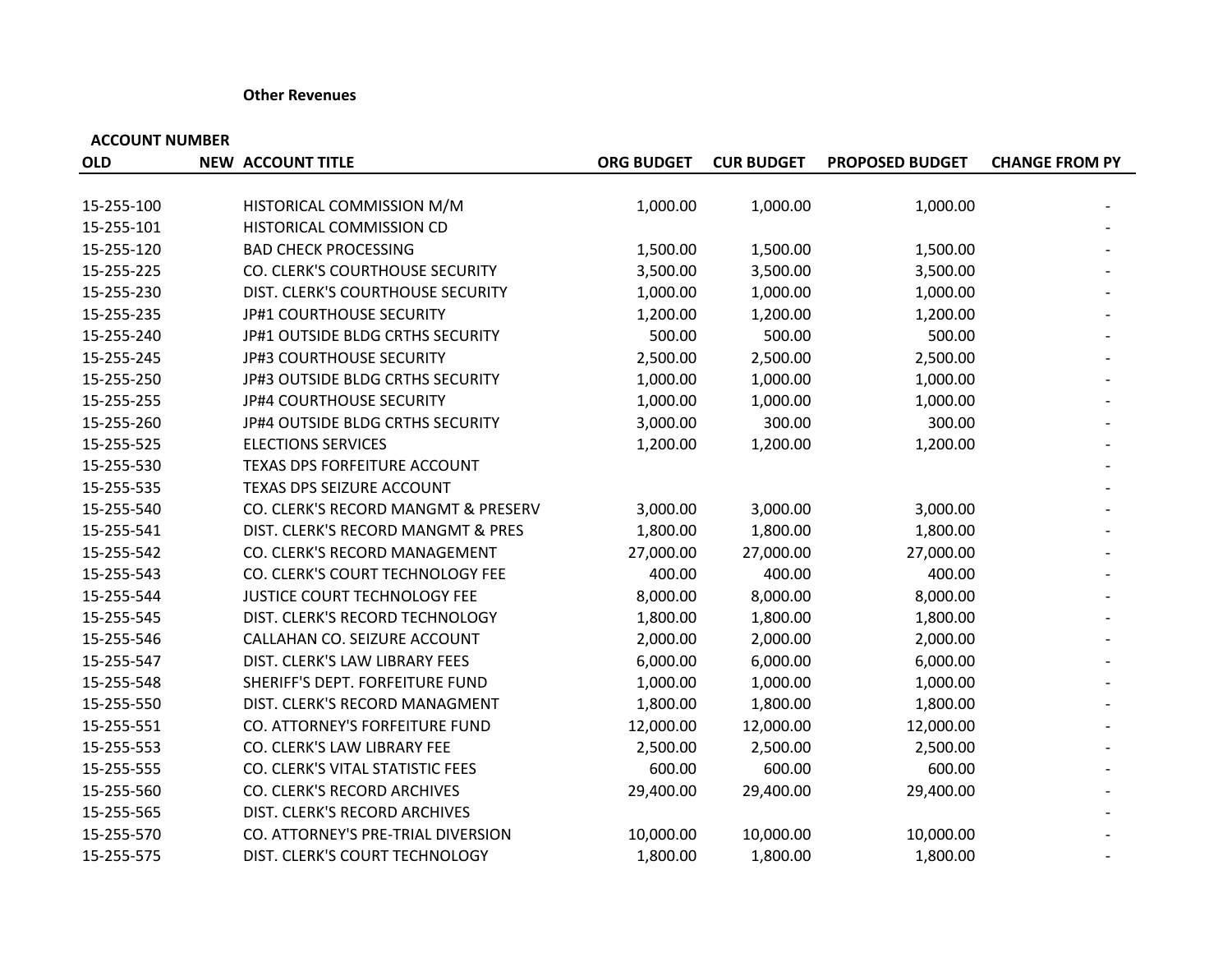#### **Other Revenues**

| <b>OLD</b> | <b>NEW ACCOUNT TITLE</b>            | <b>ORG BUDGET</b> | <b>CUR BUDGET</b> | <b>PROPOSED BUDGET</b> | <b>CHANGE FROM PY</b> |
|------------|-------------------------------------|-------------------|-------------------|------------------------|-----------------------|
|            |                                     |                   |                   |                        |                       |
| 15-255-100 | HISTORICAL COMMISSION M/M           | 1,000.00          | 1,000.00          | 1,000.00               |                       |
| 15-255-101 | HISTORICAL COMMISSION CD            |                   |                   |                        |                       |
| 15-255-120 | <b>BAD CHECK PROCESSING</b>         | 1,500.00          | 1,500.00          | 1,500.00               |                       |
| 15-255-225 | CO. CLERK'S COURTHOUSE SECURITY     | 3,500.00          | 3,500.00          | 3,500.00               |                       |
| 15-255-230 | DIST. CLERK'S COURTHOUSE SECURITY   | 1,000.00          | 1,000.00          | 1,000.00               |                       |
| 15-255-235 | JP#1 COURTHOUSE SECURITY            | 1,200.00          | 1,200.00          | 1,200.00               |                       |
| 15-255-240 | JP#1 OUTSIDE BLDG CRTHS SECURITY    | 500.00            | 500.00            | 500.00                 |                       |
| 15-255-245 | <b>JP#3 COURTHOUSE SECURITY</b>     | 2,500.00          | 2,500.00          | 2,500.00               |                       |
| 15-255-250 | JP#3 OUTSIDE BLDG CRTHS SECURITY    | 1,000.00          | 1,000.00          | 1,000.00               |                       |
| 15-255-255 | JP#4 COURTHOUSE SECURITY            | 1,000.00          | 1,000.00          | 1,000.00               |                       |
| 15-255-260 | JP#4 OUTSIDE BLDG CRTHS SECURITY    | 3,000.00          | 300.00            | 300.00                 |                       |
| 15-255-525 | <b>ELECTIONS SERVICES</b>           | 1,200.00          | 1,200.00          | 1,200.00               |                       |
| 15-255-530 | TEXAS DPS FORFEITURE ACCOUNT        |                   |                   |                        |                       |
| 15-255-535 | TEXAS DPS SEIZURE ACCOUNT           |                   |                   |                        |                       |
| 15-255-540 | CO. CLERK'S RECORD MANGMT & PRESERV | 3,000.00          | 3,000.00          | 3,000.00               |                       |
| 15-255-541 | DIST. CLERK'S RECORD MANGMT & PRES  | 1,800.00          | 1,800.00          | 1,800.00               |                       |
| 15-255-542 | CO. CLERK'S RECORD MANAGEMENT       | 27,000.00         | 27,000.00         | 27,000.00              |                       |
| 15-255-543 | CO. CLERK'S COURT TECHNOLOGY FEE    | 400.00            | 400.00            | 400.00                 |                       |
| 15-255-544 | JUSTICE COURT TECHNOLOGY FEE        | 8,000.00          | 8,000.00          | 8,000.00               |                       |
| 15-255-545 | DIST. CLERK'S RECORD TECHNOLOGY     | 1,800.00          | 1,800.00          | 1,800.00               |                       |
| 15-255-546 | CALLAHAN CO. SEIZURE ACCOUNT        | 2,000.00          | 2,000.00          | 2,000.00               |                       |
| 15-255-547 | DIST. CLERK'S LAW LIBRARY FEES      | 6,000.00          | 6,000.00          | 6,000.00               |                       |
| 15-255-548 | SHERIFF'S DEPT. FORFEITURE FUND     | 1,000.00          | 1,000.00          | 1,000.00               |                       |
| 15-255-550 | DIST. CLERK'S RECORD MANAGMENT      | 1,800.00          | 1,800.00          | 1,800.00               |                       |
| 15-255-551 | CO. ATTORNEY'S FORFEITURE FUND      | 12,000.00         | 12,000.00         | 12,000.00              |                       |
| 15-255-553 | CO. CLERK'S LAW LIBRARY FEE         | 2,500.00          | 2,500.00          | 2,500.00               |                       |
| 15-255-555 | CO. CLERK'S VITAL STATISTIC FEES    | 600.00            | 600.00            | 600.00                 |                       |
| 15-255-560 | CO. CLERK'S RECORD ARCHIVES         | 29,400.00         | 29,400.00         | 29,400.00              |                       |
| 15-255-565 | DIST. CLERK'S RECORD ARCHIVES       |                   |                   |                        |                       |
| 15-255-570 | CO. ATTORNEY'S PRE-TRIAL DIVERSION  | 10,000.00         | 10,000.00         | 10,000.00              |                       |
| 15-255-575 | DIST. CLERK'S COURT TECHNOLOGY      | 1,800.00          | 1,800.00          | 1,800.00               |                       |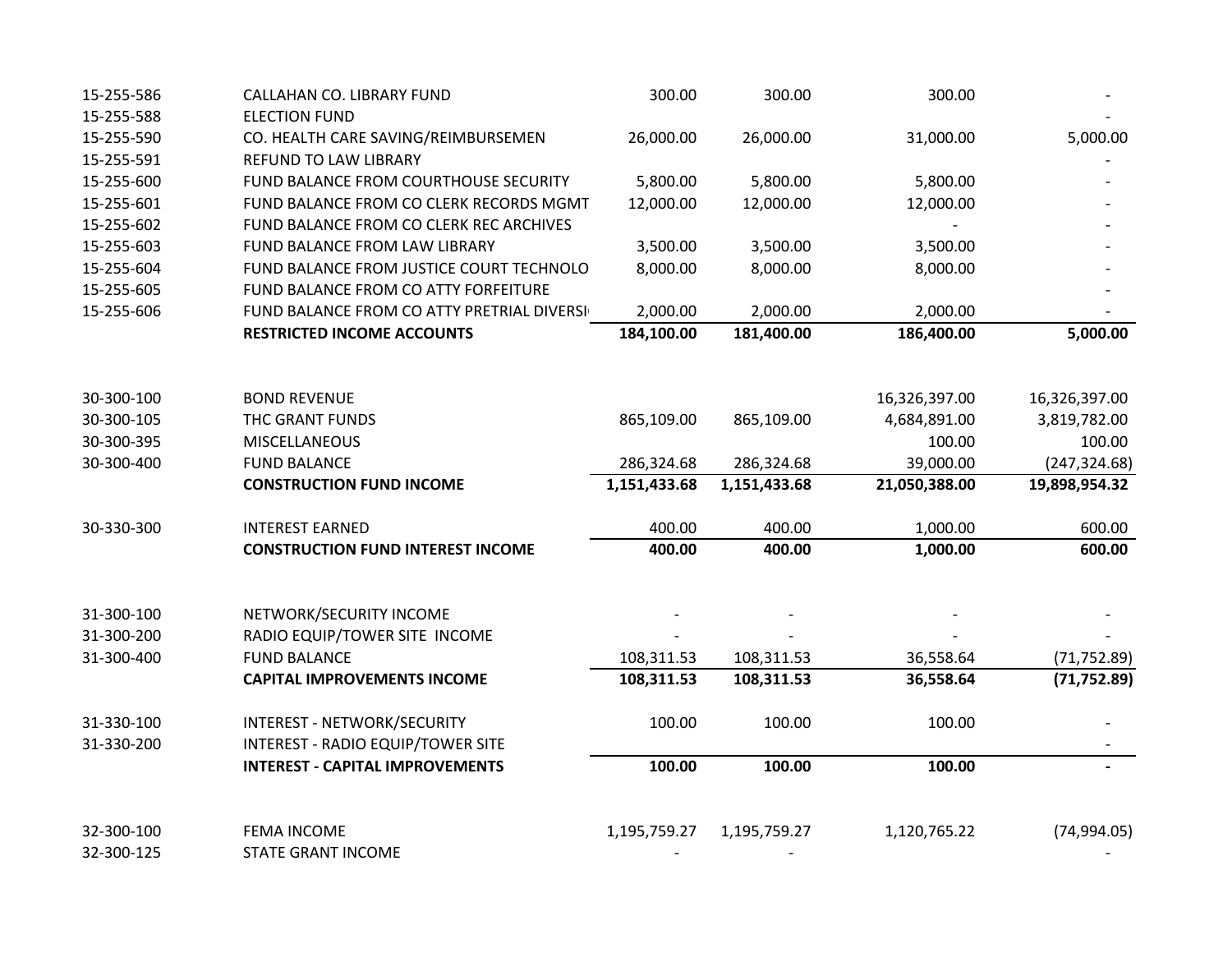| 15-255-586 | CALLAHAN CO. LIBRARY FUND                  | 300.00       | 300.00       | 300.00        |               |
|------------|--------------------------------------------|--------------|--------------|---------------|---------------|
| 15-255-588 | <b>ELECTION FUND</b>                       |              |              |               |               |
| 15-255-590 | CO. HEALTH CARE SAVING/REIMBURSEMEN        | 26,000.00    | 26,000.00    | 31,000.00     | 5,000.00      |
| 15-255-591 | REFUND TO LAW LIBRARY                      |              |              |               |               |
| 15-255-600 | FUND BALANCE FROM COURTHOUSE SECURITY      | 5,800.00     | 5,800.00     | 5,800.00      |               |
| 15-255-601 | FUND BALANCE FROM CO CLERK RECORDS MGMT    | 12,000.00    | 12,000.00    | 12,000.00     |               |
| 15-255-602 | FUND BALANCE FROM CO CLERK REC ARCHIVES    |              |              |               |               |
| 15-255-603 | FUND BALANCE FROM LAW LIBRARY              | 3,500.00     | 3,500.00     | 3,500.00      |               |
| 15-255-604 | FUND BALANCE FROM JUSTICE COURT TECHNOLO   | 8,000.00     | 8,000.00     | 8,000.00      |               |
| 15-255-605 | FUND BALANCE FROM CO ATTY FORFEITURE       |              |              |               |               |
| 15-255-606 | FUND BALANCE FROM CO ATTY PRETRIAL DIVERSI | 2,000.00     | 2,000.00     | 2,000.00      |               |
|            | <b>RESTRICTED INCOME ACCOUNTS</b>          | 184,100.00   | 181,400.00   | 186,400.00    | 5,000.00      |
|            |                                            |              |              |               |               |
| 30-300-100 | <b>BOND REVENUE</b>                        |              |              | 16,326,397.00 | 16,326,397.00 |
| 30-300-105 | THC GRANT FUNDS                            | 865,109.00   | 865,109.00   | 4,684,891.00  | 3,819,782.00  |
| 30-300-395 | <b>MISCELLANEOUS</b>                       |              |              | 100.00        | 100.00        |
| 30-300-400 | <b>FUND BALANCE</b>                        | 286,324.68   | 286,324.68   | 39,000.00     | (247, 324.68) |
|            | <b>CONSTRUCTION FUND INCOME</b>            | 1,151,433.68 | 1,151,433.68 | 21,050,388.00 | 19,898,954.32 |
| 30-330-300 | <b>INTEREST EARNED</b>                     | 400.00       | 400.00       | 1,000.00      | 600.00        |
|            | <b>CONSTRUCTION FUND INTEREST INCOME</b>   | 400.00       | 400.00       | 1,000.00      | 600.00        |
|            |                                            |              |              |               |               |
| 31-300-100 | NETWORK/SECURITY INCOME                    |              |              |               |               |
| 31-300-200 | RADIO EQUIP/TOWER SITE INCOME              |              |              |               |               |
| 31-300-400 | <b>FUND BALANCE</b>                        | 108,311.53   | 108,311.53   | 36,558.64     | (71, 752.89)  |
|            | <b>CAPITAL IMPROVEMENTS INCOME</b>         | 108,311.53   | 108,311.53   | 36,558.64     | (71, 752.89)  |
| 31-330-100 | INTEREST - NETWORK/SECURITY                | 100.00       | 100.00       | 100.00        |               |
| 31-330-200 | <b>INTEREST - RADIO EQUIP/TOWER SITE</b>   |              |              |               |               |
|            | <b>INTEREST - CAPITAL IMPROVEMENTS</b>     | 100.00       | 100.00       | 100.00        |               |
|            |                                            |              |              |               |               |
| 32-300-100 | <b>FEMA INCOME</b>                         | 1,195,759.27 | 1,195,759.27 | 1,120,765.22  | (74, 994.05)  |
| 32-300-125 | <b>STATE GRANT INCOME</b>                  |              |              |               |               |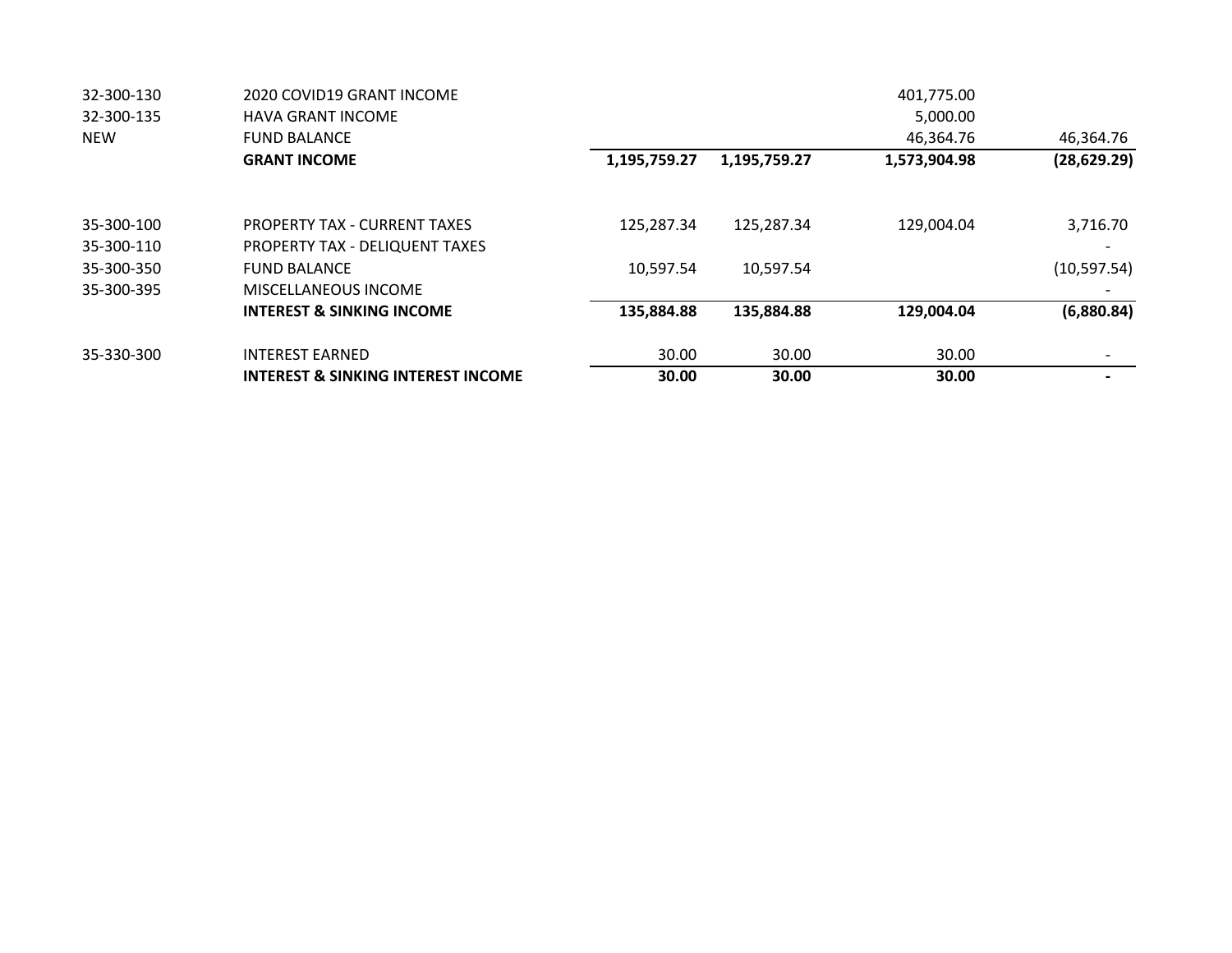| 32-300-130 | 2020 COVID19 GRANT INCOME                     |              |              | 401,775.00   |              |
|------------|-----------------------------------------------|--------------|--------------|--------------|--------------|
| 32-300-135 | <b>HAVA GRANT INCOME</b>                      |              |              | 5,000.00     |              |
| <b>NEW</b> | <b>FUND BALANCE</b>                           |              |              | 46,364.76    | 46,364.76    |
|            | <b>GRANT INCOME</b>                           | 1,195,759.27 | 1,195,759.27 | 1,573,904.98 | (28, 629.29) |
| 35-300-100 | <b>PROPERTY TAX - CURRENT TAXES</b>           | 125,287.34   | 125,287.34   | 129,004.04   | 3,716.70     |
| 35-300-110 | PROPERTY TAX - DELIQUENT TAXES                |              |              |              |              |
| 35-300-350 | <b>FUND BALANCE</b>                           | 10.597.54    | 10,597.54    |              | (10, 597.54) |
| 35-300-395 | MISCELLANEOUS INCOME                          |              |              |              |              |
|            | <b>INTEREST &amp; SINKING INCOME</b>          | 135,884.88   | 135,884.88   | 129,004.04   | (6,880.84)   |
| 35-330-300 | <b>INTEREST EARNED</b>                        | 30.00        | 30.00        | 30.00        |              |
|            | <b>INTEREST &amp; SINKING INTEREST INCOME</b> | 30.00        | 30.00        | 30.00        |              |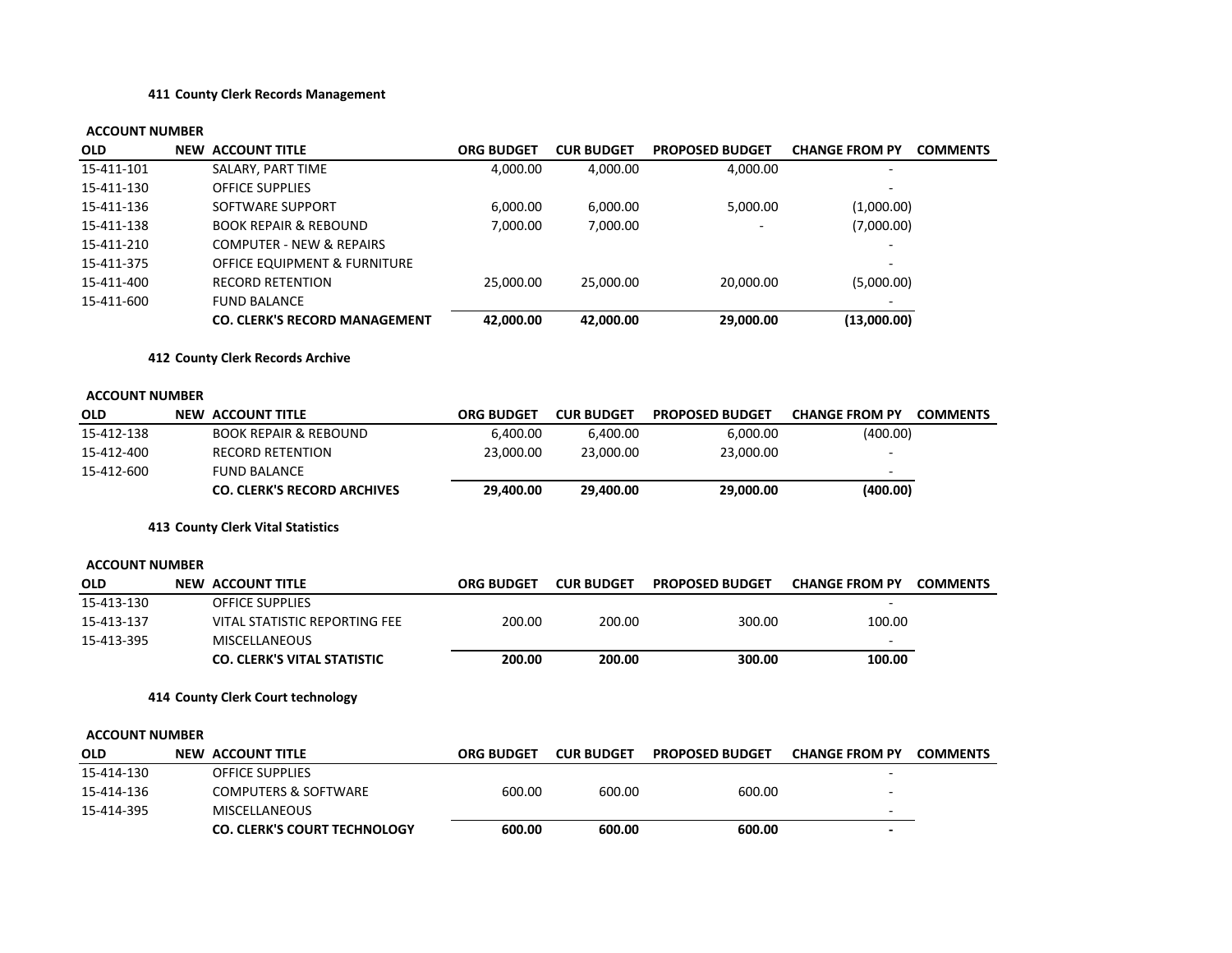#### **411 County Clerk Records Management**

| OLD                   | <b>NEW ACCOUNT TITLE</b>                | <b>ORG BUDGET</b> | <b>CUR BUDGET</b> | <b>PROPOSED BUDGET</b> | <b>CHANGE FROM PY</b> | <b>COMMENTS</b> |
|-----------------------|-----------------------------------------|-------------------|-------------------|------------------------|-----------------------|-----------------|
| 15-411-101            | SALARY, PART TIME                       | 4,000.00          | 4,000.00          | 4,000.00               |                       |                 |
| 15-411-130            | <b>OFFICE SUPPLIES</b>                  |                   |                   |                        |                       |                 |
| 15-411-136            | SOFTWARE SUPPORT                        | 6,000.00          | 6,000.00          | 5,000.00               | (1,000.00)            |                 |
| 15-411-138            | <b>BOOK REPAIR &amp; REBOUND</b>        | 7,000.00          | 7,000.00          |                        | (7,000.00)            |                 |
| 15-411-210            | <b>COMPUTER - NEW &amp; REPAIRS</b>     |                   |                   |                        |                       |                 |
| 15-411-375            | <b>OFFICE EQUIPMENT &amp; FURNITURE</b> |                   |                   |                        |                       |                 |
| 15-411-400            | <b>RECORD RETENTION</b>                 | 25,000.00         | 25,000.00         | 20,000.00              | (5,000.00)            |                 |
| 15-411-600            | <b>FUND BALANCE</b>                     |                   |                   |                        |                       |                 |
|                       | <b>CO. CLERK'S RECORD MANAGEMENT</b>    | 42,000.00         | 42,000.00         | 29,000.00              | (13,000.00)           |                 |
|                       | 412 County Clerk Records Archive        |                   |                   |                        |                       |                 |
| <b>ACCOUNT NUMBER</b> |                                         |                   |                   |                        |                       |                 |
| <b>OLD</b>            | <b>NEW ACCOUNT TITLE</b>                | <b>ORG BUDGET</b> | <b>CUR BUDGET</b> | <b>PROPOSED BUDGET</b> | <b>CHANGE FROM PY</b> | <b>COMMENTS</b> |
| 15-412-138            | <b>BOOK REPAIR &amp; REBOUND</b>        | 6,400.00          | 6,400.00          | 6,000.00               | (400.00)              |                 |
| 15-412-400            | <b>RECORD RETENTION</b>                 | 23,000.00         | 23,000.00         | 23,000.00              |                       |                 |
| 15-412-600            | <b>FUND BALANCE</b>                     |                   |                   |                        |                       |                 |
|                       | <b>CO. CLERK'S RECORD ARCHIVES</b>      | 29,400.00         | 29,400.00         | 29,000.00              | (400.00)              |                 |
|                       | 413 County Clerk Vital Statistics       |                   |                   |                        |                       |                 |
| <b>ACCOUNT NUMBER</b> |                                         |                   |                   |                        |                       |                 |
| OLD                   | <b>NEW ACCOUNT TITLE</b>                | <b>ORG BUDGET</b> | <b>CUR BUDGET</b> | <b>PROPOSED BUDGET</b> | <b>CHANGE FROM PY</b> | <b>COMMENTS</b> |
| 15-413-130            | <b>OFFICE SUPPLIES</b>                  |                   |                   |                        |                       |                 |
| 15-413-137            | VITAL STATISTIC REPORTING FEE           | 200.00            | 200.00            | 300.00                 | 100.00                |                 |
| 15-413-395            | <b>MISCELLANEOUS</b>                    |                   |                   |                        |                       |                 |
|                       | <b>CO. CLERK'S VITAL STATISTIC</b>      | 200.00            | 200.00            | 300.00                 | 100.00                |                 |
|                       | 414 County Clerk Court technology       |                   |                   |                        |                       |                 |
| <b>ACCOUNT NUMBER</b> |                                         |                   |                   |                        |                       |                 |
| OLD                   | <b>NEW ACCOUNT TITLE</b>                | <b>ORG BUDGET</b> | <b>CUR BUDGET</b> | <b>PROPOSED BUDGET</b> | <b>CHANGE FROM PY</b> | <b>COMMENTS</b> |
| 15-414-130            | OFFICE SUPPLIES                         |                   |                   |                        |                       |                 |
| 15-414-136            | <b>COMPUTERS &amp; SOFTWARE</b>         | 600.00            | 600.00            | 600.00                 |                       |                 |
| 15-414-395            | <b>MISCELLANEOUS</b>                    |                   |                   |                        |                       |                 |
|                       | <b>CO. CLERK'S COURT TECHNOLOGY</b>     | 600.00            | 600.00            | 600.00                 |                       |                 |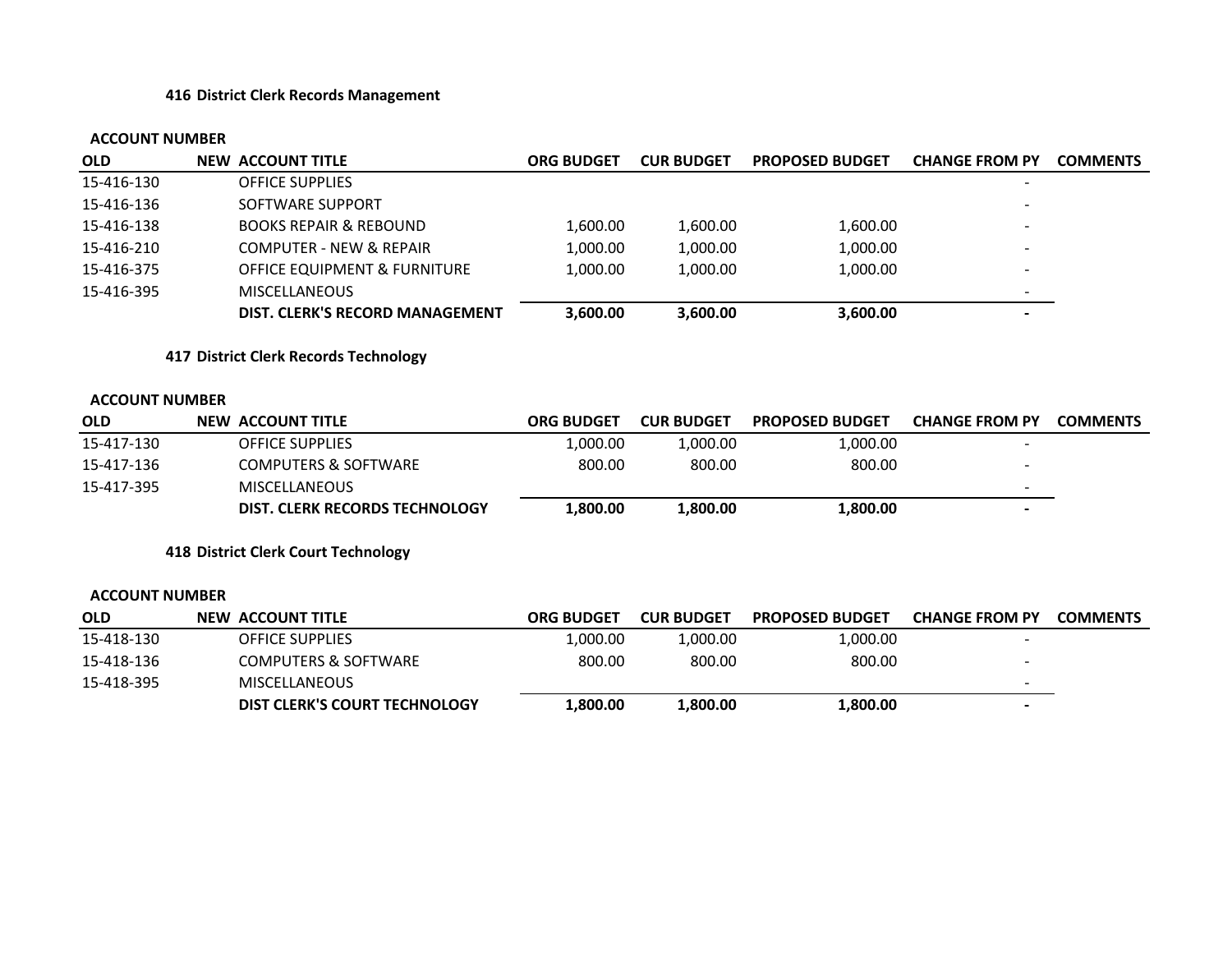#### **416 District Clerk Records Management**

#### **ACCOUNT NUMBER**

| <b>OLD</b> | <b>NEW ACCOUNT TITLE</b>                | <b>ORG BUDGET</b> | <b>CUR BUDGET</b> | <b>PROPOSED BUDGET</b> | <b>CHANGE FROM PY</b>    | <b>COMMENTS</b> |
|------------|-----------------------------------------|-------------------|-------------------|------------------------|--------------------------|-----------------|
| 15-416-130 | <b>OFFICE SUPPLIES</b>                  |                   |                   |                        |                          |                 |
| 15-416-136 | SOFTWARE SUPPORT                        |                   |                   |                        |                          |                 |
| 15-416-138 | <b>BOOKS REPAIR &amp; REBOUND</b>       | 1,600.00          | 1,600.00          | 1,600.00               | $\overline{\phantom{0}}$ |                 |
| 15-416-210 | <b>COMPUTER - NEW &amp; REPAIR</b>      | 1,000.00          | 1,000.00          | 1,000.00               | $\overline{\phantom{0}}$ |                 |
| 15-416-375 | <b>OFFICE EQUIPMENT &amp; FURNITURE</b> | 1.000.00          | 1,000.00          | 1,000.00               | $\overline{\phantom{0}}$ |                 |
| 15-416-395 | <b>MISCELLANEOUS</b>                    |                   |                   |                        | $\overline{\phantom{0}}$ |                 |
|            | DIST. CLERK'S RECORD MANAGEMENT         | 3,600.00          | 3,600.00          | 3,600.00               | $\overline{\phantom{0}}$ |                 |

**417 District Clerk Records Technology**

#### **ACCOUNT NUMBER**

| <b>OLD</b> | NEW ACCOUNT TITLE               | <b>ORG BUDGET</b> | <b>CUR BUDGET</b> | <b>PROPOSED BUDGET</b> | <b>CHANGE FROM PY</b> | <b>COMMENTS</b> |
|------------|---------------------------------|-------------------|-------------------|------------------------|-----------------------|-----------------|
| 15-417-130 | <b>OFFICE SUPPLIES</b>          | 1.000.00          | L.000.00          | 1,000.00               |                       |                 |
| 15-417-136 | <b>COMPUTERS &amp; SOFTWARE</b> | 800.00            | 800.00            | 800.00                 |                       |                 |
| 15-417-395 | <b>MISCELLANEOUS</b>            |                   |                   |                        |                       |                 |
|            | DIST. CLERK RECORDS TECHNOLOGY  | L.800.00          | 800.00ـ           | 1,800.00               |                       |                 |

**418 District Clerk Court Technology**

| <b>OLD</b> | NEW ACCOUNT TITLE                    | ORG BUDGET | <b>CUR BUDGET</b> | <b>PROPOSED BUDGET</b> | <b>CHANGE FROM PY</b>    | <b>COMMENTS</b> |
|------------|--------------------------------------|------------|-------------------|------------------------|--------------------------|-----------------|
| 15-418-130 | <b>OFFICE SUPPLIES</b>               | 1,000.00   | 1.000.00          | 1,000.00               |                          |                 |
| 15-418-136 | <b>COMPUTERS &amp; SOFTWARE</b>      | 800.00     | 800.00            | 800.00                 | $\overline{\phantom{0}}$ |                 |
| 15-418-395 | <b>MISCELLANEOUS</b>                 |            |                   |                        |                          |                 |
|            | <b>DIST CLERK'S COURT TECHNOLOGY</b> | 00.00⊥،    | 1.800.00          | 1,800.00               | $\overline{\phantom{0}}$ |                 |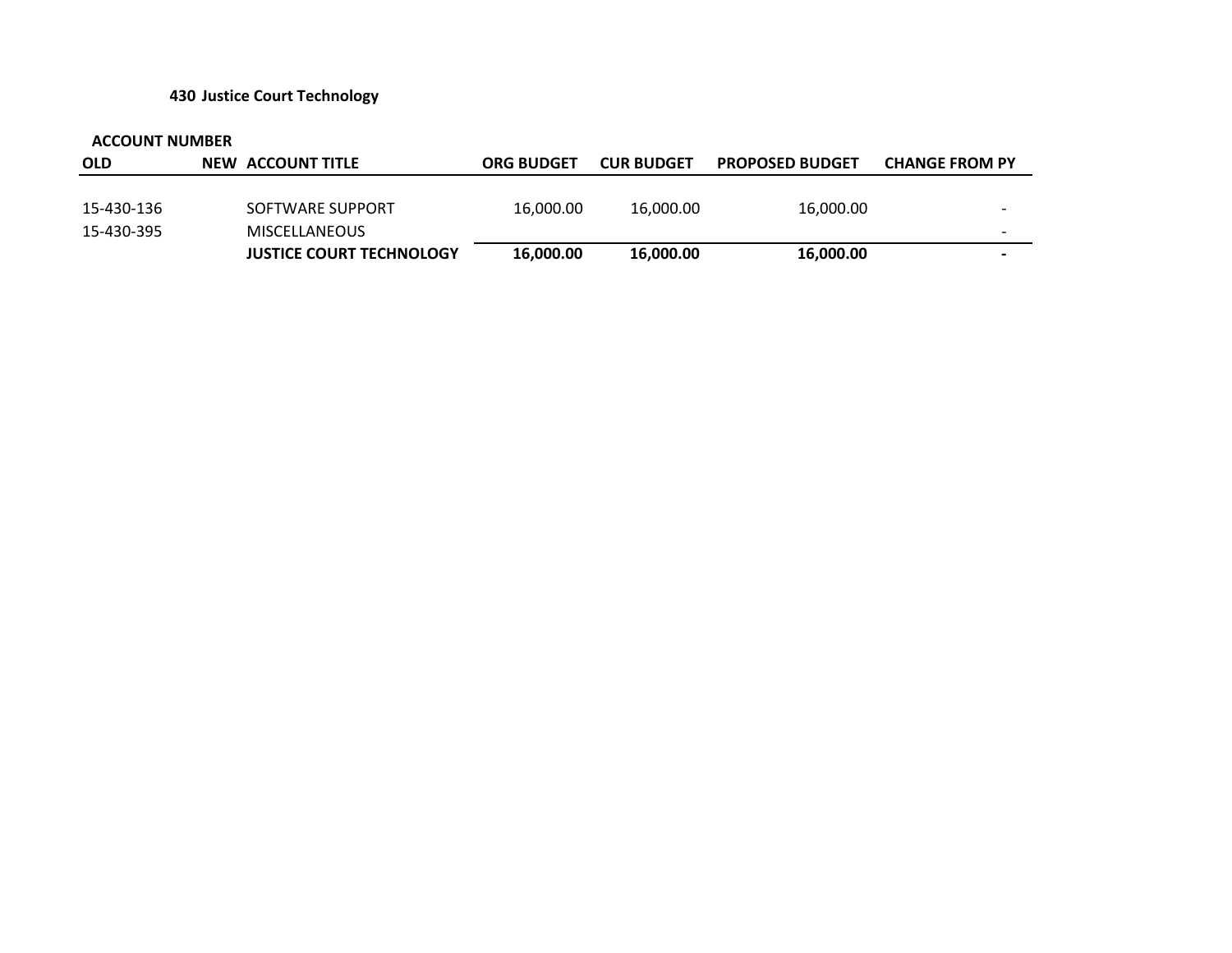#### **430 Justice Court Technology**

| <b>OLD</b> | <b>NEW ACCOUNT TITLE</b>        | <b>ORG BUDGET</b> | <b>CUR BUDGET</b> | <b>PROPOSED BUDGET</b> | <b>CHANGE FROM PY</b>    |
|------------|---------------------------------|-------------------|-------------------|------------------------|--------------------------|
|            |                                 |                   |                   |                        |                          |
| 15-430-136 | SOFTWARE SUPPORT                | 16,000.00         | 16.000.00         | 16,000.00              | $\overline{\phantom{0}}$ |
| 15-430-395 | <b>MISCELLANEOUS</b>            |                   |                   |                        | $\overline{\phantom{0}}$ |
|            | <b>JUSTICE COURT TECHNOLOGY</b> | 16,000.00         | 16,000.00         | 16,000.00              | $\overline{\phantom{0}}$ |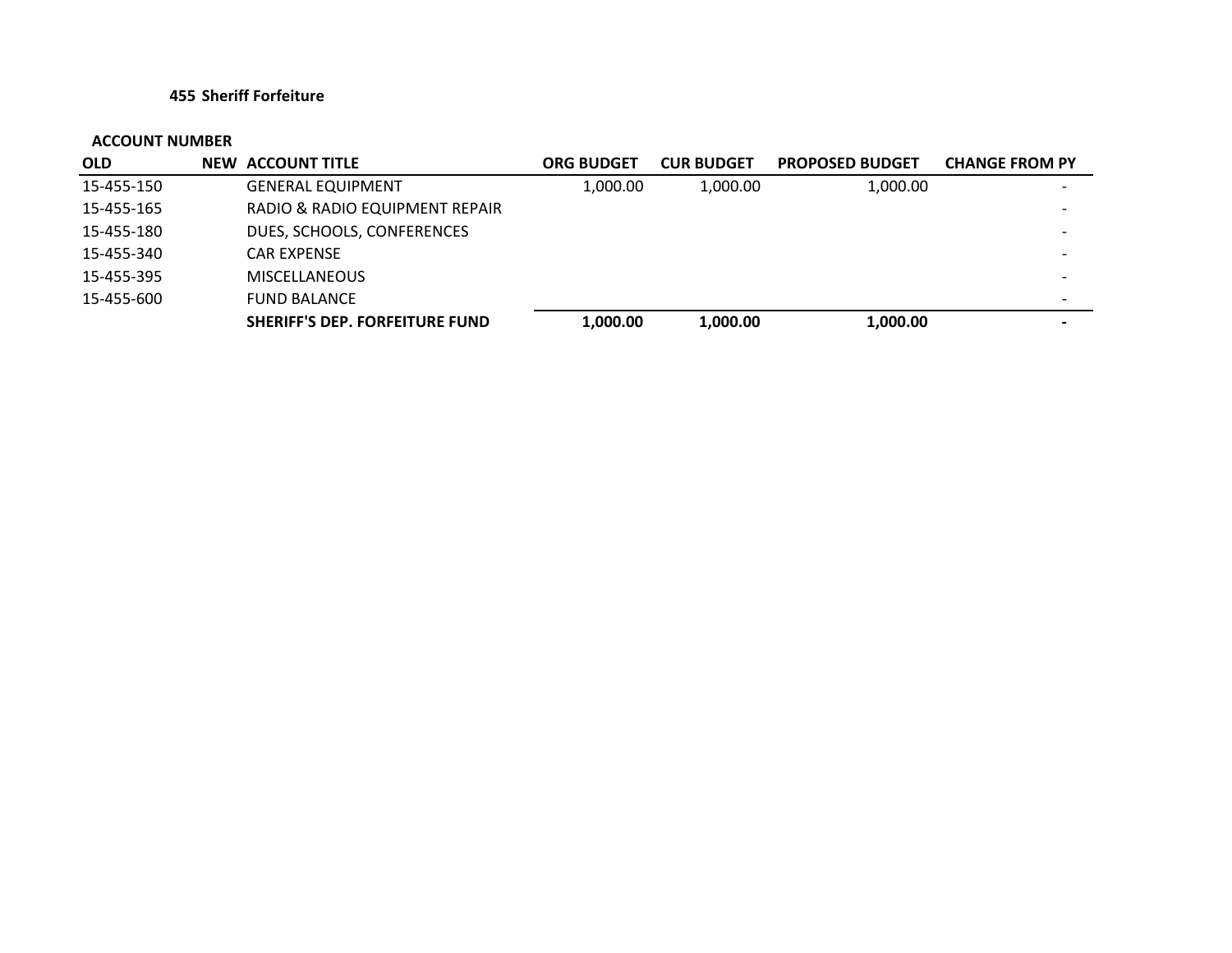#### **455 Sheriff Forfeiture**

| <b>OLD</b> | <b>NEW ACCOUNT TITLE</b>              | <b>ORG BUDGET</b> | <b>CUR BUDGET</b> | <b>PROPOSED BUDGET</b> | <b>CHANGE FROM PY</b>    |
|------------|---------------------------------------|-------------------|-------------------|------------------------|--------------------------|
| 15-455-150 | <b>GENERAL EQUIPMENT</b>              | 1,000.00          | 1,000.00          | 1,000.00               |                          |
| 15-455-165 | RADIO & RADIO EQUIPMENT REPAIR        |                   |                   |                        |                          |
| 15-455-180 | DUES, SCHOOLS, CONFERENCES            |                   |                   |                        |                          |
| 15-455-340 | <b>CAR EXPENSE</b>                    |                   |                   |                        |                          |
| 15-455-395 | <b>MISCELLANEOUS</b>                  |                   |                   |                        | $\overline{\phantom{0}}$ |
| 15-455-600 | <b>FUND BALANCE</b>                   |                   |                   |                        |                          |
|            | <b>SHERIFF'S DEP. FORFEITURE FUND</b> | 1,000.00          | 1,000.00          | 1,000.00               |                          |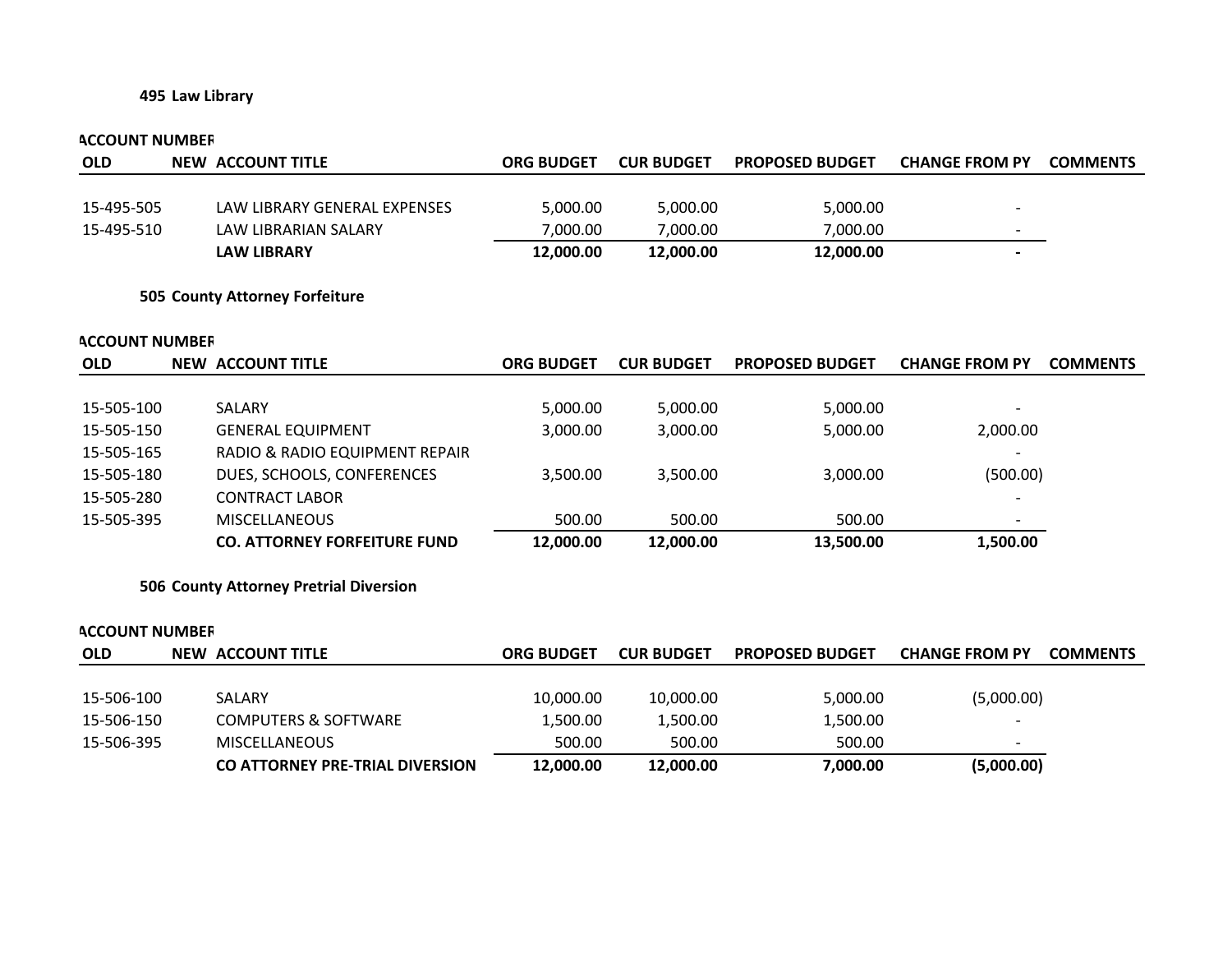#### **495 Law Library**

#### **ACCOUNT NUMBER**

| <b>OLD</b> | NEW ACCOUNT TITLE            | <b>ORG BUDGET</b> | <b>CUR BUDGET</b> | <b>PROPOSED BUDGET</b> | <b>CHANGE FROM PY</b>    | <b>COMMENTS</b> |
|------------|------------------------------|-------------------|-------------------|------------------------|--------------------------|-----------------|
|            |                              |                   |                   |                        |                          |                 |
| 15-495-505 | LAW LIBRARY GENERAL EXPENSES | 5,000.00          | 5,000.00          | 5,000.00               |                          |                 |
| 15-495-510 | LAW LIBRARIAN SALARY         | 7,000.00          | 7,000.00          | 7,000.00               | $\overline{\phantom{0}}$ |                 |
|            | <b>LAW LIBRARY</b>           | 12,000.00         | 12,000.00         | 12,000.00              |                          |                 |

#### **505 County Attorney Forfeiture**

#### **ACCOUNT NUMBER**

| <b>OLD</b> | NEW ACCOUNT TITLE                   | <b>ORG BUDGET</b> | <b>CUR BUDGET</b> | <b>PROPOSED BUDGET</b> | <b>CHANGE FROM PY</b> | <b>COMMENTS</b> |
|------------|-------------------------------------|-------------------|-------------------|------------------------|-----------------------|-----------------|
|            |                                     |                   |                   |                        |                       |                 |
| 15-505-100 | <b>SALARY</b>                       | 5,000.00          | 5,000.00          | 5,000.00               |                       |                 |
| 15-505-150 | <b>GENERAL EQUIPMENT</b>            | 3,000.00          | 3,000.00          | 5,000.00               | 2,000.00              |                 |
| 15-505-165 | RADIO & RADIO EQUIPMENT REPAIR      |                   |                   |                        |                       |                 |
| 15-505-180 | DUES, SCHOOLS, CONFERENCES          | 3,500.00          | 3,500.00          | 3,000.00               | (500.00)              |                 |
| 15-505-280 | <b>CONTRACT LABOR</b>               |                   |                   |                        |                       |                 |
| 15-505-395 | <b>MISCELLANEOUS</b>                | 500.00            | 500.00            | 500.00                 |                       |                 |
|            | <b>CO. ATTORNEY FORFEITURE FUND</b> | 12,000.00         | 12,000.00         | 13,500.00              | 1,500.00              |                 |

#### **506 County Attorney Pretrial Diversion**

# **OLD NEW ACCOUNT TITLE ORG BUDGET CUR BUDGET PROPOSED BUDGET CHANGE FROM PY COMMENTS** 15‐506‐100 SALARY 10,000.00 10,000.00 5,000.00 (5,000.00) 15‐506‐150 COMPUTERS & SOFTWARE 1,500.00 1,500.00 1,500.00 1,500.00 15‐506‐395 MISCELLANEOUS 500.00 500.00 500.00 500.00 **CO ATTORNEY PRE‐TRIAL DIVERSION 12,000.00 12,000.00 7,000.00 (5,000.00) ACCOUNT NUMBER**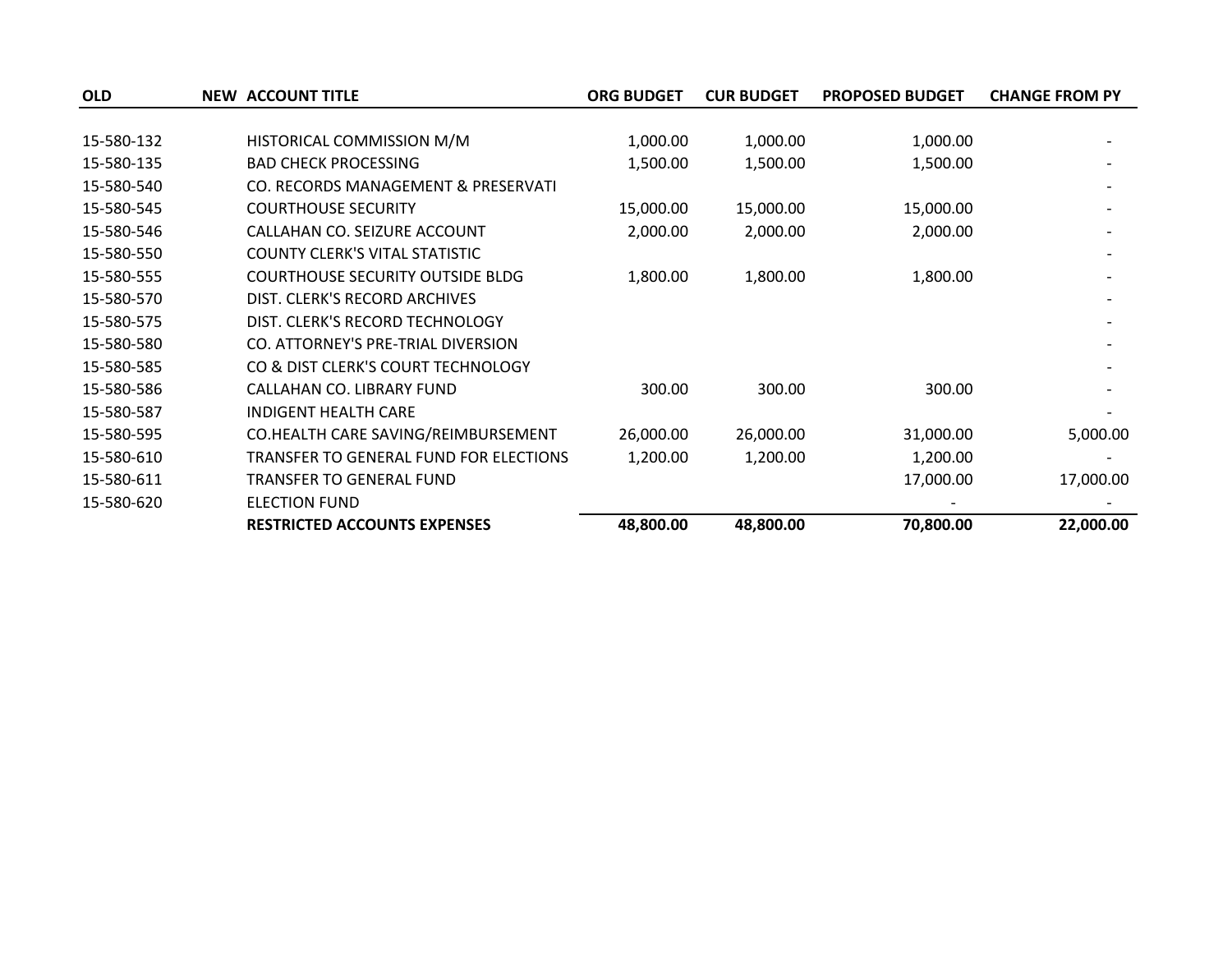| <b>OLD</b> | <b>NEW ACCOUNT TITLE</b>                | <b>ORG BUDGET</b> | <b>CUR BUDGET</b> | <b>PROPOSED BUDGET</b> | <b>CHANGE FROM PY</b> |
|------------|-----------------------------------------|-------------------|-------------------|------------------------|-----------------------|
|            |                                         |                   |                   |                        |                       |
| 15-580-132 | HISTORICAL COMMISSION M/M               | 1,000.00          | 1,000.00          | 1,000.00               |                       |
| 15-580-135 | <b>BAD CHECK PROCESSING</b>             | 1,500.00          | 1,500.00          | 1,500.00               |                       |
| 15-580-540 | CO. RECORDS MANAGEMENT & PRESERVATI     |                   |                   |                        |                       |
| 15-580-545 | <b>COURTHOUSE SECURITY</b>              | 15,000.00         | 15,000.00         | 15,000.00              |                       |
| 15-580-546 | CALLAHAN CO. SEIZURE ACCOUNT            | 2,000.00          | 2,000.00          | 2,000.00               |                       |
| 15-580-550 | <b>COUNTY CLERK'S VITAL STATISTIC</b>   |                   |                   |                        |                       |
| 15-580-555 | <b>COURTHOUSE SECURITY OUTSIDE BLDG</b> | 1,800.00          | 1,800.00          | 1,800.00               |                       |
| 15-580-570 | DIST. CLERK'S RECORD ARCHIVES           |                   |                   |                        |                       |
| 15-580-575 | DIST. CLERK'S RECORD TECHNOLOGY         |                   |                   |                        |                       |
| 15-580-580 | CO. ATTORNEY'S PRE-TRIAL DIVERSION      |                   |                   |                        |                       |
| 15-580-585 | CO & DIST CLERK'S COURT TECHNOLOGY      |                   |                   |                        |                       |
| 15-580-586 | CALLAHAN CO. LIBRARY FUND               | 300.00            | 300.00            | 300.00                 |                       |
| 15-580-587 | <b>INDIGENT HEALTH CARE</b>             |                   |                   |                        |                       |
| 15-580-595 | CO.HEALTH CARE SAVING/REIMBURSEMENT     | 26,000.00         | 26,000.00         | 31,000.00              | 5,000.00              |
| 15-580-610 | TRANSFER TO GENERAL FUND FOR ELECTIONS  | 1,200.00          | 1,200.00          | 1,200.00               |                       |
| 15-580-611 | TRANSFER TO GENERAL FUND                |                   |                   | 17,000.00              | 17,000.00             |
| 15-580-620 | <b>ELECTION FUND</b>                    |                   |                   |                        |                       |
|            | <b>RESTRICTED ACCOUNTS EXPENSES</b>     | 48,800.00         | 48,800.00         | 70,800.00              | 22,000.00             |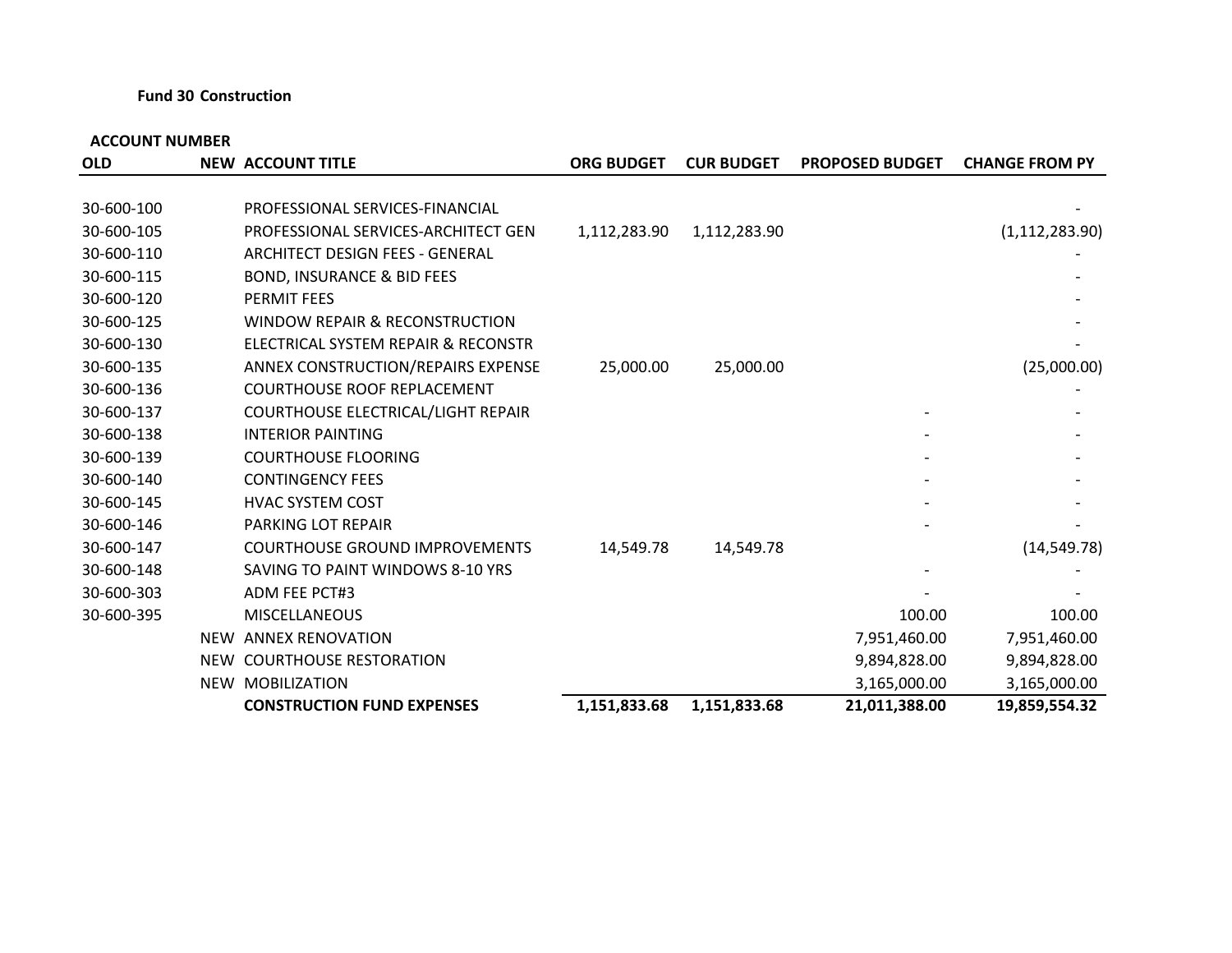#### **Fund 30 Construction**

| <b>OLD</b> | <b>NEW ACCOUNT TITLE</b>               | <b>ORG BUDGET</b> | <b>CUR BUDGET</b> | <b>PROPOSED BUDGET</b> | <b>CHANGE FROM PY</b> |
|------------|----------------------------------------|-------------------|-------------------|------------------------|-----------------------|
|            |                                        |                   |                   |                        |                       |
| 30-600-100 | PROFESSIONAL SERVICES-FINANCIAL        |                   |                   |                        |                       |
| 30-600-105 | PROFESSIONAL SERVICES-ARCHITECT GEN    | 1,112,283.90      | 1,112,283.90      |                        | (1, 112, 283.90)      |
| 30-600-110 | <b>ARCHITECT DESIGN FEES - GENERAL</b> |                   |                   |                        |                       |
| 30-600-115 | <b>BOND, INSURANCE &amp; BID FEES</b>  |                   |                   |                        |                       |
| 30-600-120 | <b>PERMIT FEES</b>                     |                   |                   |                        |                       |
| 30-600-125 | WINDOW REPAIR & RECONSTRUCTION         |                   |                   |                        |                       |
| 30-600-130 | ELECTRICAL SYSTEM REPAIR & RECONSTR    |                   |                   |                        |                       |
| 30-600-135 | ANNEX CONSTRUCTION/REPAIRS EXPENSE     | 25,000.00         | 25,000.00         |                        | (25,000.00)           |
| 30-600-136 | <b>COURTHOUSE ROOF REPLACEMENT</b>     |                   |                   |                        |                       |
| 30-600-137 | COURTHOUSE ELECTRICAL/LIGHT REPAIR     |                   |                   |                        |                       |
| 30-600-138 | <b>INTERIOR PAINTING</b>               |                   |                   |                        |                       |
| 30-600-139 | <b>COURTHOUSE FLOORING</b>             |                   |                   |                        |                       |
| 30-600-140 | <b>CONTINGENCY FEES</b>                |                   |                   |                        |                       |
| 30-600-145 | <b>HVAC SYSTEM COST</b>                |                   |                   |                        |                       |
| 30-600-146 | PARKING LOT REPAIR                     |                   |                   |                        |                       |
| 30-600-147 | <b>COURTHOUSE GROUND IMPROVEMENTS</b>  | 14,549.78         | 14,549.78         |                        | (14, 549.78)          |
| 30-600-148 | SAVING TO PAINT WINDOWS 8-10 YRS       |                   |                   |                        |                       |
| 30-600-303 | ADM FEE PCT#3                          |                   |                   |                        |                       |
| 30-600-395 | <b>MISCELLANEOUS</b>                   |                   |                   | 100.00                 | 100.00                |
|            | NEW ANNEX RENOVATION                   |                   |                   | 7,951,460.00           | 7,951,460.00          |
|            | NEW COURTHOUSE RESTORATION             |                   |                   | 9,894,828.00           | 9,894,828.00          |
|            | NEW MOBILIZATION                       |                   |                   | 3,165,000.00           | 3,165,000.00          |
|            | <b>CONSTRUCTION FUND EXPENSES</b>      | 1,151,833.68      | 1,151,833.68      | 21,011,388.00          | 19,859,554.32         |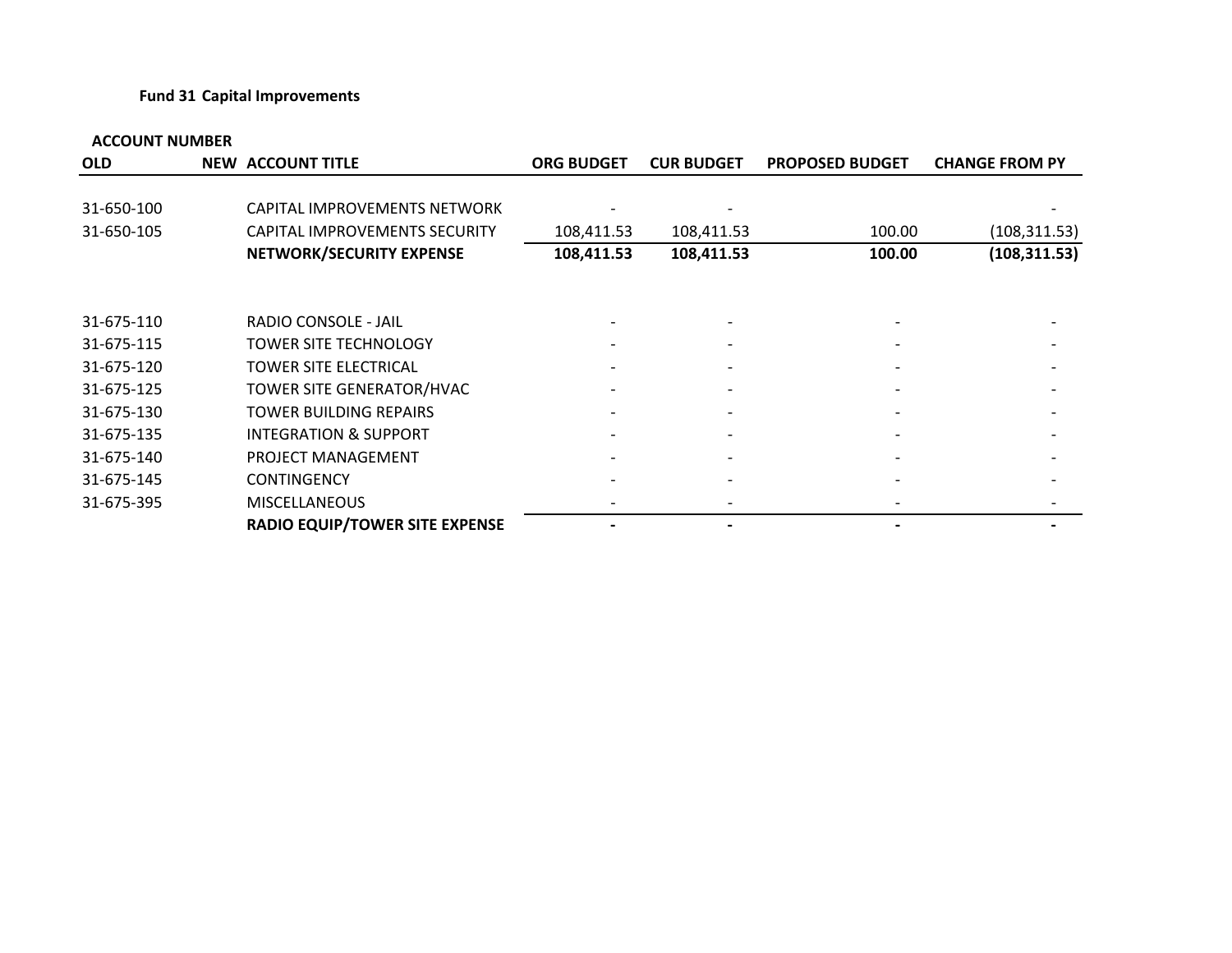#### **Fund 31 Capital Improvements**

| <b>OLD</b> | <b>NEW ACCOUNT TITLE</b>              | <b>ORG BUDGET</b> | <b>CUR BUDGET</b>            | <b>PROPOSED BUDGET</b> | <b>CHANGE FROM PY</b> |
|------------|---------------------------------------|-------------------|------------------------------|------------------------|-----------------------|
| 31-650-100 | CAPITAL IMPROVEMENTS NETWORK          |                   |                              |                        |                       |
| 31-650-105 | <b>CAPITAL IMPROVEMENTS SECURITY</b>  | 108,411.53        | 108,411.53                   | 100.00                 | (108, 311.53)         |
|            | NETWORK/SECURITY EXPENSE              | 108,411.53        | 108,411.53                   | 100.00                 | (108, 311.53)         |
| 31-675-110 | RADIO CONSOLE - JAIL                  |                   |                              |                        |                       |
| 31-675-115 | <b>TOWER SITE TECHNOLOGY</b>          |                   |                              |                        |                       |
| 31-675-120 | <b>TOWER SITE ELECTRICAL</b>          |                   |                              |                        |                       |
| 31-675-125 | TOWER SITE GENERATOR/HVAC             |                   | $\overline{\phantom{a}}$     |                        |                       |
| 31-675-130 | TOWER BUILDING REPAIRS                |                   |                              |                        |                       |
| 31-675-135 | <b>INTEGRATION &amp; SUPPORT</b>      |                   |                              |                        |                       |
| 31-675-140 | PROJECT MANAGEMENT                    |                   |                              |                        |                       |
| 31-675-145 | <b>CONTINGENCY</b>                    |                   | $\qquad \qquad \blacksquare$ |                        |                       |
| 31-675-395 | <b>MISCELLANEOUS</b>                  |                   |                              |                        |                       |
|            | <b>RADIO EQUIP/TOWER SITE EXPENSE</b> |                   |                              |                        |                       |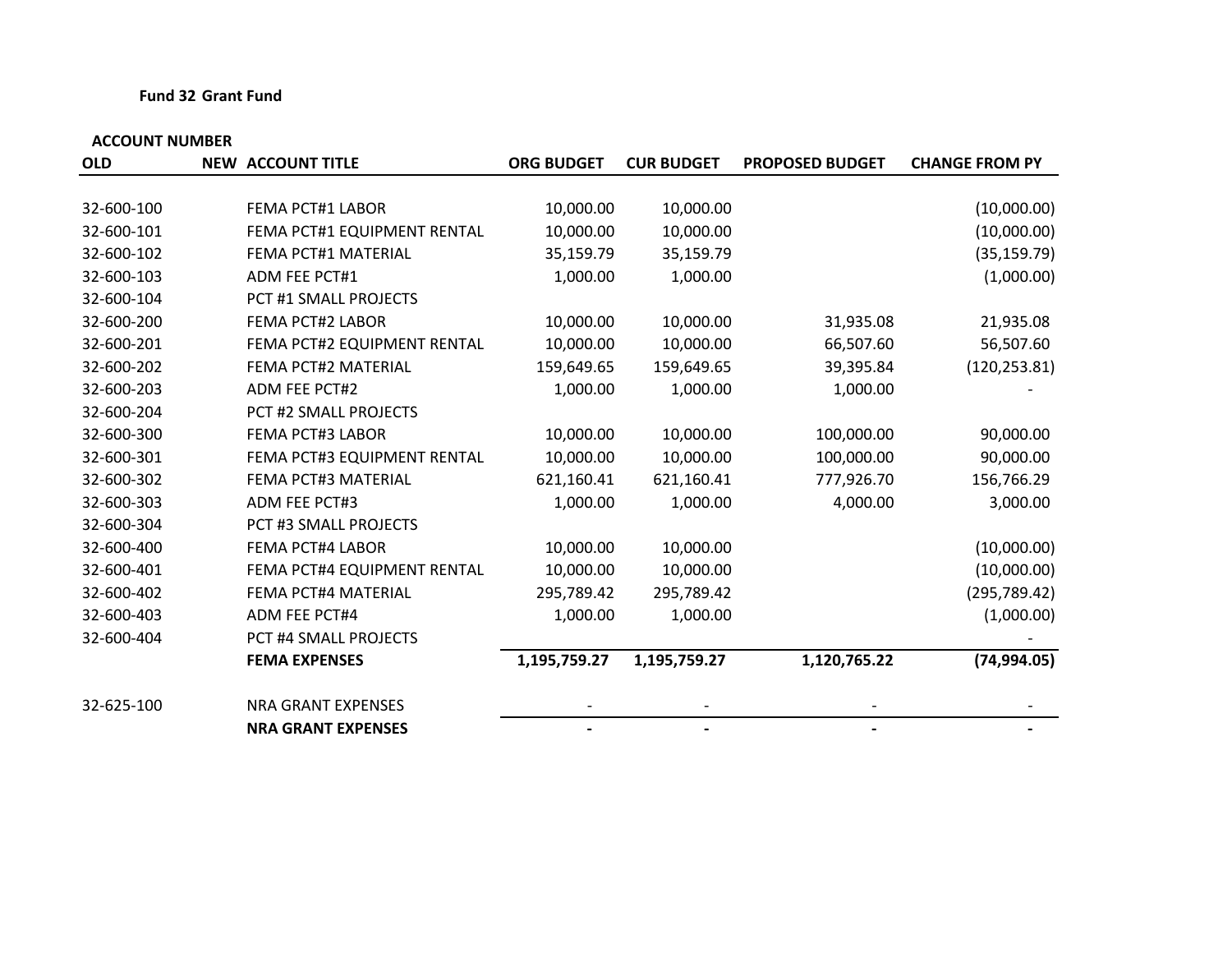#### **Fund 32 Grant Fund**

| <b>OLD</b> | <b>NEW ACCOUNT TITLE</b>    | <b>ORG BUDGET</b> | <b>CUR BUDGET</b> | <b>PROPOSED BUDGET</b> | <b>CHANGE FROM PY</b> |
|------------|-----------------------------|-------------------|-------------------|------------------------|-----------------------|
|            |                             |                   |                   |                        |                       |
| 32-600-100 | <b>FEMA PCT#1 LABOR</b>     | 10,000.00         | 10,000.00         |                        | (10,000.00)           |
| 32-600-101 | FEMA PCT#1 EQUIPMENT RENTAL | 10,000.00         | 10,000.00         |                        | (10,000.00)           |
| 32-600-102 | FEMA PCT#1 MATERIAL         | 35,159.79         | 35,159.79         |                        | (35, 159.79)          |
| 32-600-103 | <b>ADM FEE PCT#1</b>        | 1,000.00          | 1,000.00          |                        | (1,000.00)            |
| 32-600-104 | PCT #1 SMALL PROJECTS       |                   |                   |                        |                       |
| 32-600-200 | <b>FEMA PCT#2 LABOR</b>     | 10,000.00         | 10,000.00         | 31,935.08              | 21,935.08             |
| 32-600-201 | FEMA PCT#2 EQUIPMENT RENTAL | 10,000.00         | 10,000.00         | 66,507.60              | 56,507.60             |
| 32-600-202 | FEMA PCT#2 MATERIAL         | 159,649.65        | 159,649.65        | 39,395.84              | (120, 253.81)         |
| 32-600-203 | <b>ADM FEE PCT#2</b>        | 1,000.00          | 1,000.00          | 1,000.00               |                       |
| 32-600-204 | PCT #2 SMALL PROJECTS       |                   |                   |                        |                       |
| 32-600-300 | <b>FEMA PCT#3 LABOR</b>     | 10,000.00         | 10,000.00         | 100,000.00             | 90,000.00             |
| 32-600-301 | FEMA PCT#3 EQUIPMENT RENTAL | 10,000.00         | 10,000.00         | 100,000.00             | 90,000.00             |
| 32-600-302 | FEMA PCT#3 MATERIAL         | 621,160.41        | 621,160.41        | 777,926.70             | 156,766.29            |
| 32-600-303 | <b>ADM FEE PCT#3</b>        | 1,000.00          | 1,000.00          | 4,000.00               | 3,000.00              |
| 32-600-304 | PCT #3 SMALL PROJECTS       |                   |                   |                        |                       |
| 32-600-400 | <b>FEMA PCT#4 LABOR</b>     | 10,000.00         | 10,000.00         |                        | (10,000.00)           |
| 32-600-401 | FEMA PCT#4 EQUIPMENT RENTAL | 10,000.00         | 10,000.00         |                        | (10,000.00)           |
| 32-600-402 | FEMA PCT#4 MATERIAL         | 295,789.42        | 295,789.42        |                        | (295, 789.42)         |
| 32-600-403 | ADM FEE PCT#4               | 1,000.00          | 1,000.00          |                        | (1,000.00)            |
| 32-600-404 | PCT #4 SMALL PROJECTS       |                   |                   |                        |                       |
|            | <b>FEMA EXPENSES</b>        | 1,195,759.27      | 1,195,759.27      | 1,120,765.22           | (74, 994.05)          |
| 32-625-100 | <b>NRA GRANT EXPENSES</b>   |                   |                   |                        |                       |
|            | <b>NRA GRANT EXPENSES</b>   |                   |                   |                        |                       |